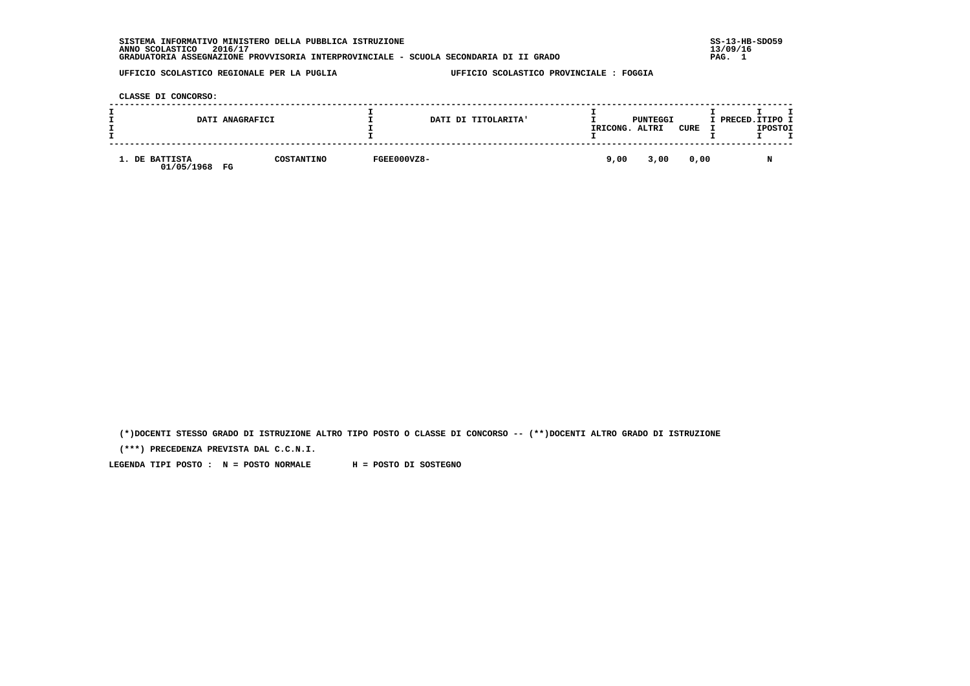| INFORMATIVO MINISTERO DELLA PUBBLICA ISTRUZIONE<br><b>SISTEMA</b>                     | $SS-13-HB-SDO59$ |
|---------------------------------------------------------------------------------------|------------------|
| 2016/17<br>ANNO SCOLASTICO                                                            | 13/09/16         |
| GRADUATORIA ASSEGNAZIONE PROVVISORIA INTERPROVINCIALE - SCUOLA SECONDARIA DI II GRADO | PAG.             |
|                                                                                       |                  |

 **CLASSE DI CONCORSO:**

| DATI ANAGRAFICI                    |            |             | DATI DI TITOLARITA' | IRICONG. | PUNTEGGI<br>ALTRI | CURE | I PRECED. ITIPO I | <b>IPOSTOI</b> |  |
|------------------------------------|------------|-------------|---------------------|----------|-------------------|------|-------------------|----------------|--|
| 1. DE BATTISTA<br>01/05/1968<br>FG | COSTANTINO | FGEE000VZ8- |                     | 9,00     | 3,00              | 0.00 |                   | N              |  |

 **(\*)DOCENTI STESSO GRADO DI ISTRUZIONE ALTRO TIPO POSTO O CLASSE DI CONCORSO -- (\*\*)DOCENTI ALTRO GRADO DI ISTRUZIONE**

 **(\*\*\*) PRECEDENZA PREVISTA DAL C.C.N.I.**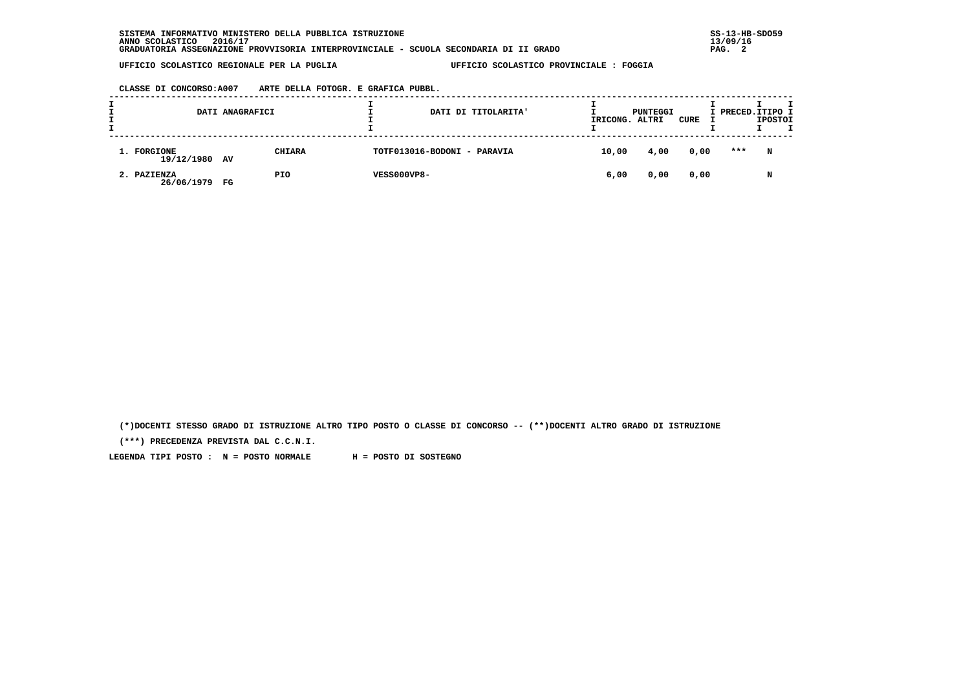**CLASSE DI CONCORSO:A007 ARTE DELLA FOTOGR. E GRAFICA PUBBL.**

|                              | DATI ANAGRAFICI |               |                             | DATI DI TITOLARITA' | IRICONG. | PUNTEGGI<br>ALTRI | CURE | I PRECED.ITIPO I | <b>IPOSTOI</b> |  |
|------------------------------|-----------------|---------------|-----------------------------|---------------------|----------|-------------------|------|------------------|----------------|--|
| 1. FORGIONE<br>19/12/1980 AV |                 | <b>CHIARA</b> | TOTF013016-BODONI - PARAVIA |                     | 10,00    | 4,00              | 0,00 | ***              | N              |  |
| 2. PAZIENZA<br>26/06/1979 FG |                 | PIO           | VESS000VP8-                 |                     | 6,00     | 0,00              | 0,00 |                  | N              |  |

 **(\*)DOCENTI STESSO GRADO DI ISTRUZIONE ALTRO TIPO POSTO O CLASSE DI CONCORSO -- (\*\*)DOCENTI ALTRO GRADO DI ISTRUZIONE**

 **(\*\*\*) PRECEDENZA PREVISTA DAL C.C.N.I.**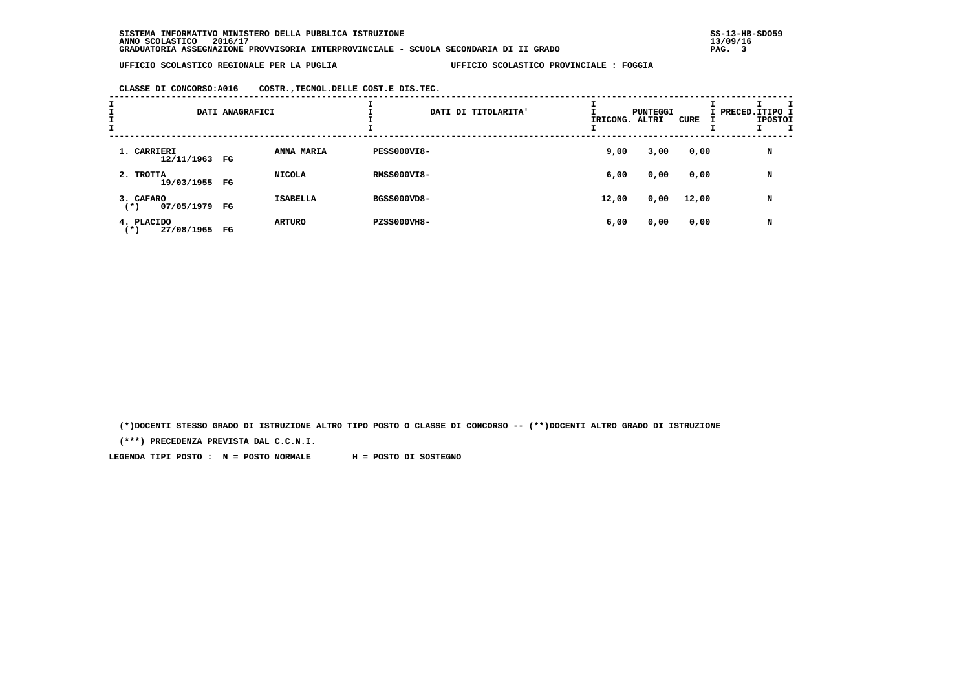**CLASSE DI CONCORSO:A016 COSTR.,TECNOL.DELLE COST.E DIS.TEC.**

| I<br>÷<br>$\mathbf{I}$ |                                     | DATI ANAGRAFICI |                 |                    | DATI DI TITOLARITA' | IRICONG. ALTRI | PUNTEGGI | CURE  | I PRECED.ITIPO I | <b>IPOSTOI</b> |  |
|------------------------|-------------------------------------|-----------------|-----------------|--------------------|---------------------|----------------|----------|-------|------------------|----------------|--|
|                        | 1. CARRIERI<br>12/11/1963 FG        |                 | ANNA MARIA      | PESS000VI8-        |                     | 9,00           | 3,00     | 0,00  |                  | N              |  |
|                        | 2. TROTTA<br>19/03/1955 FG          |                 | <b>NICOLA</b>   | <b>RMSS000VI8-</b> |                     | 6,00           | 0,00     | 0,00  |                  | N              |  |
|                        | 3. CAFARO<br>07/05/1979 FG<br>$(*)$ |                 | <b>ISABELLA</b> | BGSS000VD8-        |                     | 12,00          | 0,00     | 12,00 |                  | N              |  |
|                        | 4. PLACIDO<br>27/08/1965<br>( * )   | FG              | <b>ARTURO</b>   | <b>PZSS000VH8-</b> |                     | 6,00           | 0,00     | 0,00  |                  | N              |  |

 **(\*)DOCENTI STESSO GRADO DI ISTRUZIONE ALTRO TIPO POSTO O CLASSE DI CONCORSO -- (\*\*)DOCENTI ALTRO GRADO DI ISTRUZIONE**

 **(\*\*\*) PRECEDENZA PREVISTA DAL C.C.N.I.**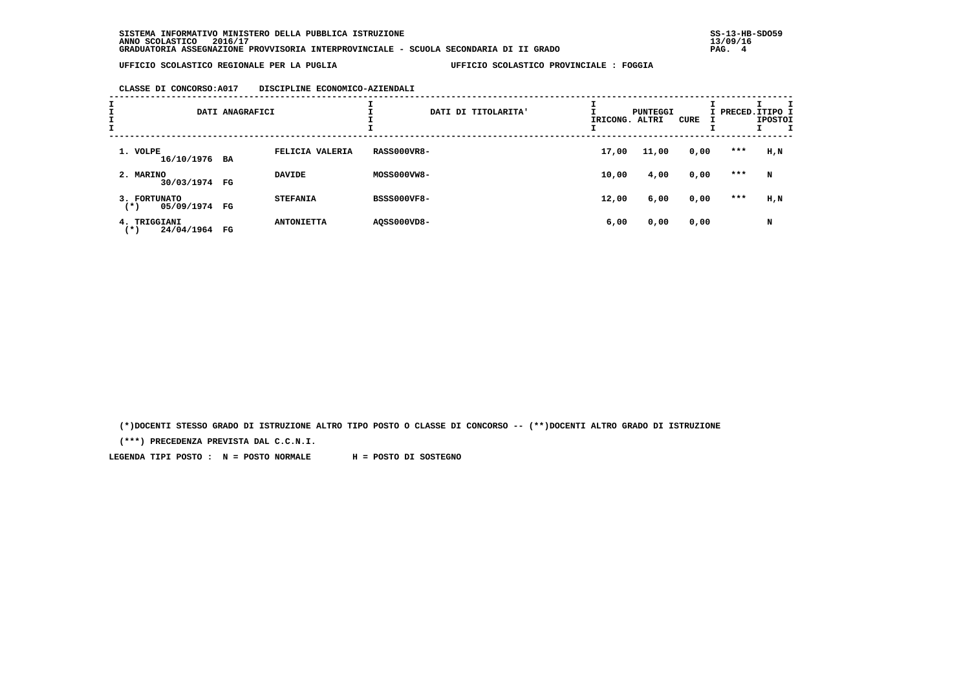### **CLASSE DI CONCORSO:A017 DISCIPLINE ECONOMICO-AZIENDALI**

| I<br>$\mathbf{I}$ |                                        | DATI ANAGRAFICI |                   | DATI DI TITOLARITA' | IRICONG. ALTRI | PUNTEGGI | CURE | I PRECED.ITIPO I | <b>IPOSTOI</b> |
|-------------------|----------------------------------------|-----------------|-------------------|---------------------|----------------|----------|------|------------------|----------------|
|                   | 1. VOLPE<br>16/10/1976 BA              |                 | FELICIA VALERIA   | <b>RASS000VR8-</b>  | 17,00          | 11,00    | 0,00 | ***              | H,N            |
|                   | 2. MARINO<br>30/03/1974 FG             |                 | <b>DAVIDE</b>     | MOSS000VW8-         | 10,00          | 4,00     | 0,00 | ***              | N              |
|                   | 3. FORTUNATO<br>05/09/1974 FG<br>$(*)$ |                 | <b>STEFANIA</b>   | <b>BSSS000VF8-</b>  | 12,00          | 6,00     | 0,00 | ***              | H,N            |
|                   | 4. TRIGGIANI<br>24/04/1964<br>( * )    | FG              | <b>ANTONIETTA</b> | A0SS000VD8-         | 6,00           | 0,00     | 0,00 |                  | N              |

 **(\*)DOCENTI STESSO GRADO DI ISTRUZIONE ALTRO TIPO POSTO O CLASSE DI CONCORSO -- (\*\*)DOCENTI ALTRO GRADO DI ISTRUZIONE**

 **(\*\*\*) PRECEDENZA PREVISTA DAL C.C.N.I.**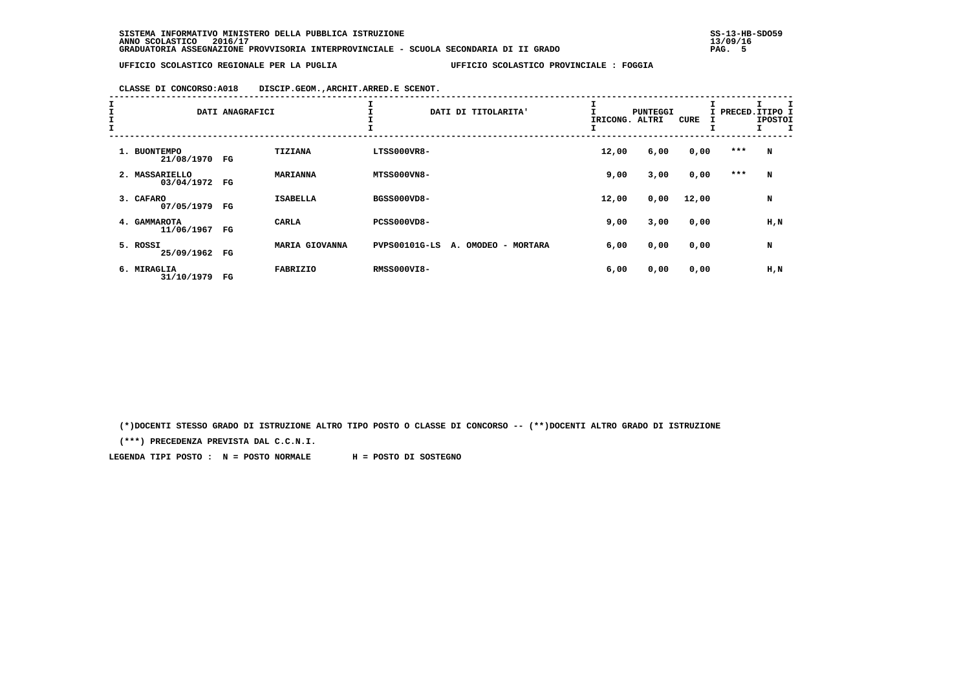**CLASSE DI CONCORSO:A018 DISCIP.GEOM.,ARCHIT.ARRED.E SCENOT.**

| エエエエ |                |            | DATI ANAGRAFICI | I               | DATI DI TITOLARITA'                         | IRICONG. | PUNTEGGI<br>ALTRI | <b>CURE</b> |     | I PRECED.ITIPO I<br><b>IPOSTOI</b> |
|------|----------------|------------|-----------------|-----------------|---------------------------------------------|----------|-------------------|-------------|-----|------------------------------------|
|      | 1. BUONTEMPO   | 21/08/1970 | FG              | TIZIANA         | LTSS000VR8-                                 | 12,00    | 6,00              | 0,00        | *** | N                                  |
|      | 2. MASSARIELLO | 03/04/1972 | FG              | <b>MARIANNA</b> | <b>MTSS000VN8-</b>                          | 9,00     | 3,00              | 0,00        | *** | N                                  |
|      | 3. CAFARO      | 07/05/1979 | FG              | <b>ISABELLA</b> | BGSS000VD8-                                 | 12,00    | 0,00              | 12,00       |     | N                                  |
|      | 4. GAMMAROTA   | 11/06/1967 | FG              | CARLA           | PCSS000VD8-                                 | 9,00     | 3,00              | 0,00        |     | H,N                                |
|      | 5. ROSSI       | 25/09/1962 | FG              | MARIA GIOVANNA  | <b>PVPS00101G-LS</b><br>A. OMODEO - MORTARA | 6,00     | 0,00              | 0,00        |     | N                                  |
|      | 6. MIRAGLIA    | 31/10/1979 | FG              | <b>FABRIZIO</b> | <b>RMSS000VI8-</b>                          | 6,00     | 0,00              | 0,00        |     | H,N                                |

 **(\*)DOCENTI STESSO GRADO DI ISTRUZIONE ALTRO TIPO POSTO O CLASSE DI CONCORSO -- (\*\*)DOCENTI ALTRO GRADO DI ISTRUZIONE**

 **(\*\*\*) PRECEDENZA PREVISTA DAL C.C.N.I.**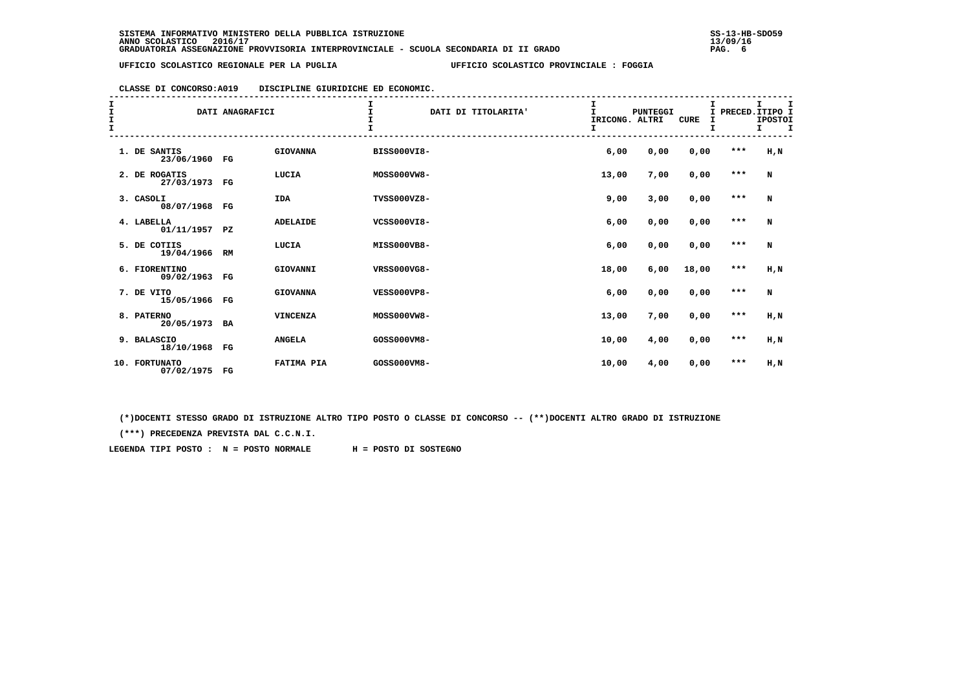# **CLASSE DI CONCORSO:A019 DISCIPLINE GIURIDICHE ED ECONOMIC.**

| I<br>I<br>I<br>I |                               | DATI ANAGRAFICI |                 | $\mathbf{I}$<br>DATI DI TITOLARITA'<br>I<br>I | I<br>$\mathbf{I}$<br>IRICONG. ALTRI<br>I | <b>PUNTEGGI</b> | <b>CURE</b> |         | I.<br>I<br>I PRECED. ITIPO I<br><b>IPOSTOI</b><br>$\mathbf I$<br>I. |
|------------------|-------------------------------|-----------------|-----------------|-----------------------------------------------|------------------------------------------|-----------------|-------------|---------|---------------------------------------------------------------------|
|                  | 1. DE SANTIS<br>23/06/1960 FG |                 | <b>GIOVANNA</b> | <b>BISS000VI8-</b>                            | 6,00                                     | 0,00            | 0,00        | $***$   | H,N                                                                 |
|                  | 2. DE ROGATIS<br>27/03/1973   | FG              | LUCIA           | MOSS000VW8-                                   | 13,00                                    | 7,00            | 0,00        | $* * *$ | N                                                                   |
|                  | 3. CASOLI<br>08/07/1968 FG    |                 | <b>IDA</b>      | TVSS000VZ8-                                   | 9,00                                     | 3,00            | 0,00        | $* * *$ | N                                                                   |
|                  | 4. LABELLA<br>01/11/1957 PZ   |                 | <b>ADELAIDE</b> | VCSS000VI8-                                   | 6,00                                     | 0,00            | 0,00        | $***$   | N                                                                   |
|                  | 5. DE COTIIS<br>19/04/1966    | RM              | LUCIA           | MISS000VB8-                                   | 6,00                                     | 0,00            | 0,00        | $* * *$ | N                                                                   |
|                  | 6. FIORENTINO<br>09/02/1963   | FG              | GIOVANNI        | VRSS000VG8-                                   | 18,00                                    | 6,00            | 18,00       | $***$   | $H$ , $N$                                                           |
|                  | 7. DE VITO<br>15/05/1966 FG   |                 | <b>GIOVANNA</b> | <b>VESS000VP8-</b>                            | 6,00                                     | 0,00            | 0,00        | $* * *$ | N                                                                   |
|                  | 8. PATERNO<br>20/05/1973 BA   |                 | <b>VINCENZA</b> | MOSS000VW8-                                   | 13,00                                    | 7,00            | 0,00        | $***$   | H,N                                                                 |
|                  | 9. BALASCIO<br>18/10/1968 FG  |                 | <b>ANGELA</b>   | GOSS000VM8-                                   | 10,00                                    | 4,00            | 0,00        | $***$   | H,N                                                                 |
|                  | 10. FORTUNATO<br>07/02/1975   | $_{\rm FG}$     | FATIMA PIA      | GOSS000VM8-                                   | 10,00                                    | 4,00            | 0,00        | $***$   | H,N                                                                 |

 **(\*)DOCENTI STESSO GRADO DI ISTRUZIONE ALTRO TIPO POSTO O CLASSE DI CONCORSO -- (\*\*)DOCENTI ALTRO GRADO DI ISTRUZIONE**

 **(\*\*\*) PRECEDENZA PREVISTA DAL C.C.N.I.**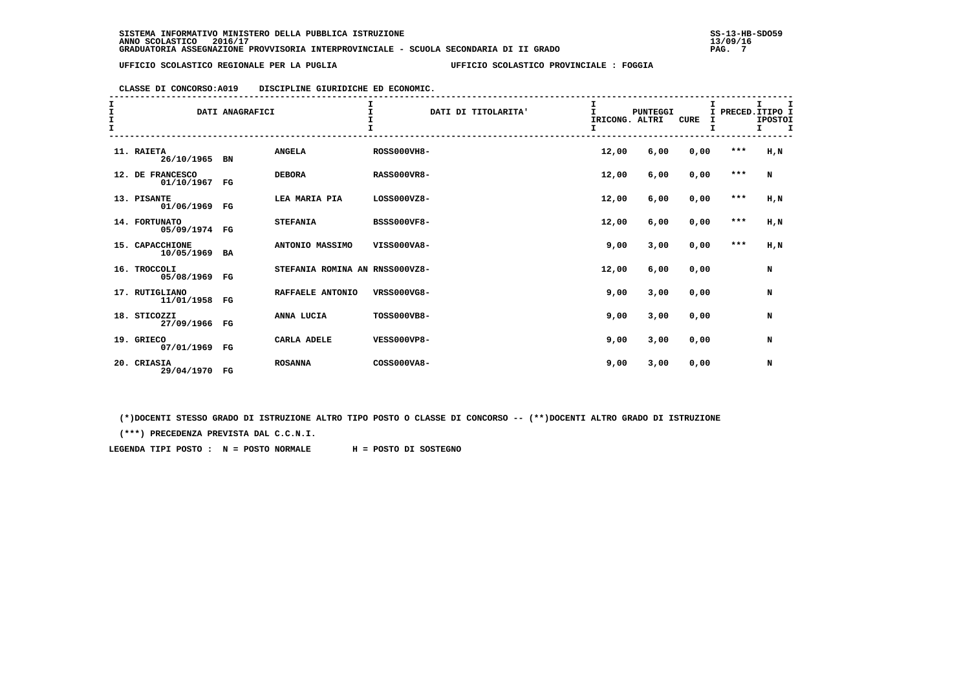# **CLASSE DI CONCORSO:A019 DISCIPLINE GIURIDICHE ED ECONOMIC.**

| I<br>I<br>I<br>I |                                  | DATI ANAGRAFICI |                                | $\mathbf I$        | DATI DI TITOLARITA' | $\mathbf{I}$<br>IRICONG. ALTRI | <b>PUNTEGGI</b> | <b>CURE</b> | Ι.    | T.<br>I<br>I PRECED. ITIPO I<br><b>IPOSTOI</b><br>$\mathbf{T}$<br>I. |
|------------------|----------------------------------|-----------------|--------------------------------|--------------------|---------------------|--------------------------------|-----------------|-------------|-------|----------------------------------------------------------------------|
|                  | 11. RAIETA<br>26/10/1965 BN      |                 | <b>ANGELA</b>                  | <b>ROSS000VH8-</b> |                     | 12,00                          | 6,00            | 0,00        | $***$ | H,N                                                                  |
|                  | 12. DE FRANCESCO<br>01/10/1967   | $_{\rm FG}$     | <b>DEBORA</b>                  | <b>RASS000VR8-</b> |                     | 12,00                          | 6,00            | 0,00        | $***$ | N                                                                    |
|                  | 13. PISANTE<br>01/06/1969 FG     |                 | LEA MARIA PIA                  | LOSS000VZ8-        |                     | 12,00                          | 6,00            | 0,00        | $***$ | H,N                                                                  |
|                  | 14. FORTUNATO<br>05/09/1974 FG   |                 | <b>STEFANIA</b>                | <b>BSSS000VF8-</b> |                     | 12,00                          | 6,00            | 0,00        | $***$ | $H$ , $N$                                                            |
|                  | 15. CAPACCHIONE<br>10/05/1969 BA |                 | ANTONIO MASSIMO                | VISS000VA8-        |                     | 9,00                           | 3,00            | 0,00        | $***$ | H,N                                                                  |
|                  | 16. TROCCOLI<br>05/08/1969 FG    |                 | STEFANIA ROMINA AN RNSS000VZ8- |                    |                     | 12,00                          | 6,00            | 0,00        |       | N                                                                    |
|                  | 17. RUTIGLIANO<br>11/01/1958 FG  |                 | RAFFAELE ANTONIO               | <b>VRSS000VG8-</b> |                     | 9,00                           | 3,00            | 0,00        |       | N                                                                    |
|                  | 18. STICOZZI<br>27/09/1966 FG    |                 | ANNA LUCIA                     | TOSS000VB8-        |                     | 9,00                           | 3,00            | 0,00        |       | N                                                                    |
|                  | 19. GRIECO<br>07/01/1969 FG      |                 | CARLA ADELE                    | <b>VESS000VP8-</b> |                     | 9,00                           | 3,00            | 0,00        |       | N                                                                    |
|                  | 20. CRIASIA<br>29/04/1970 FG     |                 | <b>ROSANNA</b>                 | COSS000VA8-        |                     | 9,00                           | 3,00            | 0,00        |       | N                                                                    |

 **(\*)DOCENTI STESSO GRADO DI ISTRUZIONE ALTRO TIPO POSTO O CLASSE DI CONCORSO -- (\*\*)DOCENTI ALTRO GRADO DI ISTRUZIONE**

 **(\*\*\*) PRECEDENZA PREVISTA DAL C.C.N.I.**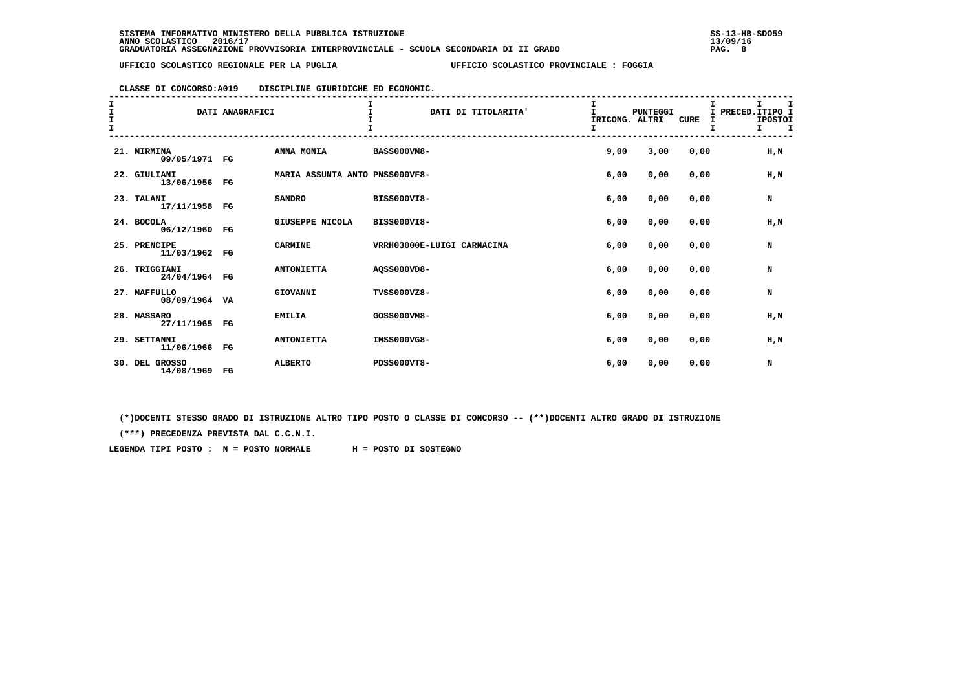# **CLASSE DI CONCORSO:A019 DISCIPLINE GIURIDICHE ED ECONOMIC.**

| I<br>I<br>I<br>I |                                 | DATI ANAGRAFICI |                                | $\mathbf{I}$               | DATI DI TITOLARITA' | I<br>$\mathbf{I}$<br>IRICONG. ALTRI | <b>PUNTEGGI</b> | <b>CURE</b> | I PRECED. ITIPO I | I.<br><b>IPOSTOI</b><br>$I \tI$ | I |
|------------------|---------------------------------|-----------------|--------------------------------|----------------------------|---------------------|-------------------------------------|-----------------|-------------|-------------------|---------------------------------|---|
|                  | 21. MIRMINA<br>09/05/1971 FG    |                 | ANNA MONIA                     | <b>BASS000VM8-</b>         |                     | 9,00                                | 3,00            | 0,00        |                   | H, N                            |   |
|                  | 22. GIULIANI<br>13/06/1956 FG   |                 | MARIA ASSUNTA ANTO PNSS000VF8- |                            |                     | 6,00                                | 0,00            | 0,00        |                   | H, N                            |   |
|                  | 23. TALANI<br>17/11/1958 FG     |                 | <b>SANDRO</b>                  | BISS000VI8-                |                     | 6,00                                | 0,00            | 0,00        |                   | N                               |   |
|                  | 24. BOCOLA<br>06/12/1960 FG     |                 | GIUSEPPE NICOLA                | BISS000VI8-                |                     | 6,00                                | 0,00            | 0,00        |                   | H, N                            |   |
|                  | 25. PRENCIPE<br>11/03/1962 FG   |                 | <b>CARMINE</b>                 | VRRH03000E-LUIGI CARNACINA |                     | 6,00                                | 0,00            | 0,00        |                   | N                               |   |
|                  | 26. TRIGGIANI<br>24/04/1964 FG  |                 | <b>ANTONIETTA</b>              | A0SS000VD8-                |                     | 6,00                                | 0,00            | 0,00        |                   | N                               |   |
|                  | 27. MAFFULLO<br>08/09/1964 VA   |                 | GIOVANNI                       | TVSS000VZ8-                |                     | 6,00                                | 0,00            | 0,00        |                   | N                               |   |
|                  | 28. MASSARO<br>27/11/1965 FG    |                 | <b>EMILIA</b>                  | GOSS000VM8-                |                     | 6,00                                | 0,00            | 0,00        |                   | H, N                            |   |
|                  | 29. SETTANNI<br>11/06/1966 FG   |                 | <b>ANTONIETTA</b>              | IMSS000VG8-                |                     | 6,00                                | 0,00            | 0,00        |                   | H, N                            |   |
|                  | 30. DEL GROSSO<br>14/08/1969 FG |                 | <b>ALBERTO</b>                 | PDSS000VT8-                |                     | 6,00                                | 0,00            | 0,00        |                   | N                               |   |

 **(\*)DOCENTI STESSO GRADO DI ISTRUZIONE ALTRO TIPO POSTO O CLASSE DI CONCORSO -- (\*\*)DOCENTI ALTRO GRADO DI ISTRUZIONE**

 **(\*\*\*) PRECEDENZA PREVISTA DAL C.C.N.I.**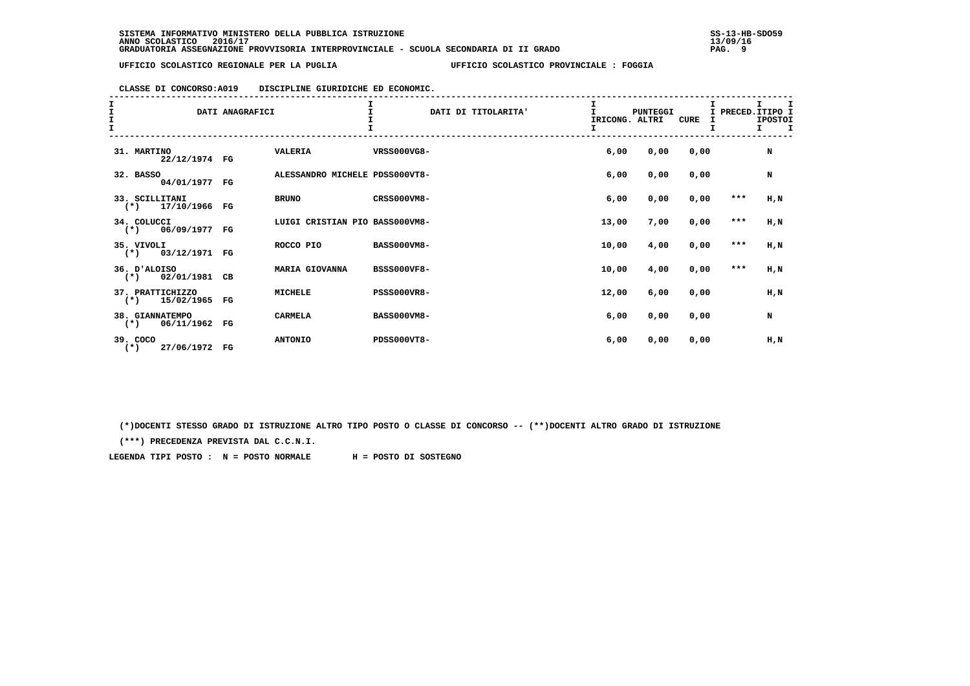# **CLASSE DI CONCORSO:A019 DISCIPLINE GIURIDICHE ED ECONOMIC.**

| $\frac{1}{1}$<br>$\frac{\texttt{I}}{\texttt{I}}$ |                                        | DATI ANAGRAFICI |                                | $\mathbf{I}$       | DATI DI TITOLARITA' | I<br>$\mathbf{I}$<br>IRICONG. ALTRI | <b>PUNTEGGI</b> | CURE | I PRECED. ITIPO I | <b>IPOSTOI</b><br>$\mathbf{I}$<br>$\mathbf{I}$ |  |
|--------------------------------------------------|----------------------------------------|-----------------|--------------------------------|--------------------|---------------------|-------------------------------------|-----------------|------|-------------------|------------------------------------------------|--|
|                                                  | 31. MARTINO<br>22/12/1974 FG           |                 | <b>VALERIA</b>                 | VRSS000VG8-        |                     | 6,00                                | 0,00            | 0,00 |                   | N                                              |  |
|                                                  | 32. BASSO<br>04/01/1977                | FG              | ALESSANDRO MICHELE PDSS000VT8- |                    |                     | 6,00                                | 0,00            | 0,00 |                   | N                                              |  |
|                                                  | 33. SCILLITANI<br>$(*)$ 17/10/1966     | $_{\rm FG}$     | <b>BRUNO</b>                   | CRSS000VM8-        |                     | 6,00                                | 0,00            | 0,00 | $***$             | H,N                                            |  |
|                                                  | 34. COLUCCI<br>$(*)$ 06/09/1977        | $_{\rm FG}$     | LUIGI CRISTIAN PIO BASS000VM8- |                    |                     | 13,00                               | 7,00            | 0,00 | $* * *$           | $H$ , $N$                                      |  |
|                                                  | 35. VIVOLI<br>$(*)$ 03/12/1971         | FG              | ROCCO PIO                      | <b>BASS000VM8-</b> |                     | 10,00                               | 4,00            | 0,00 | $***$             | $H$ , $N$                                      |  |
|                                                  | 36. D'ALOISO<br>02/01/1981<br>$(*)$    | CB              | MARIA GIOVANNA                 | <b>BSSS000VF8-</b> |                     | 10,00                               | 4,00            | 0,00 | $* * *$           | $H$ , $N$                                      |  |
|                                                  | 37. PRATTICHIZZO<br>$(*)$ 15/02/1965   | FG              | <b>MICHELE</b>                 | <b>PSSS000VR8-</b> |                     | 12,00                               | 6,00            | 0,00 |                   | H,N                                            |  |
|                                                  | 38. GIANNATEMPO<br>06/11/1962<br>$(*)$ | FG              | <b>CARMELA</b>                 | <b>BASS000VM8-</b> |                     | 6,00                                | 0,00            | 0,00 |                   | N                                              |  |
|                                                  | 39. COCO<br>27/06/1972 FG<br>$(*)$     |                 | <b>ANTONIO</b>                 | <b>PDSS000VT8-</b> |                     | 6,00                                | 0,00            | 0,00 |                   | H,N                                            |  |

 **(\*)DOCENTI STESSO GRADO DI ISTRUZIONE ALTRO TIPO POSTO O CLASSE DI CONCORSO -- (\*\*)DOCENTI ALTRO GRADO DI ISTRUZIONE**

 **(\*\*\*) PRECEDENZA PREVISTA DAL C.C.N.I.**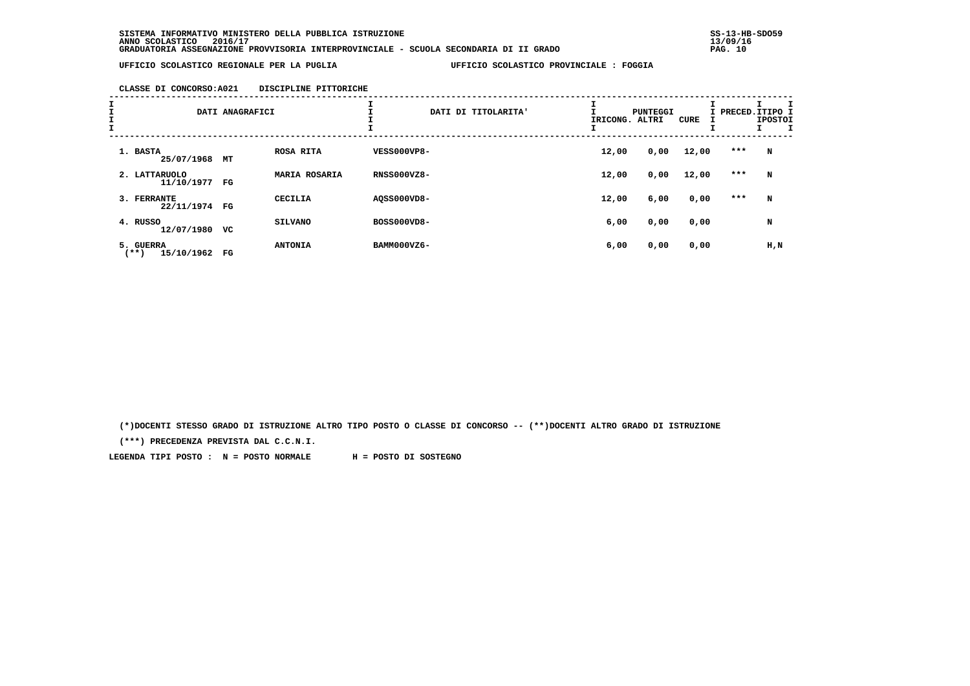**CLASSE DI CONCORSO:A021 DISCIPLINE PITTORICHE**

| I<br>I<br>I<br>I |                                 | DATI ANAGRAFICI |                      | ᅩ<br>DATI DI TITOLARITA' | IRICONG. ALTRI | <b>PUNTEGGI</b> | CURE  | I PRECED.ITIPO I | <b>IPOSTOI</b> |
|------------------|---------------------------------|-----------------|----------------------|--------------------------|----------------|-----------------|-------|------------------|----------------|
|                  | 1. BASTA<br>25/07/1968          | MТ              | ROSA RITA            | <b>VESS000VP8-</b>       | 12,00          | 0,00            | 12,00 | ***              | N              |
|                  | 2. LATTARUOLO<br>11/10/1977     | FG              | <b>MARIA ROSARIA</b> | <b>RNSS000VZ8-</b>       | 12,00          | 0,00            | 12,00 | $***$            | N              |
|                  | 3. FERRANTE<br>22/11/1974       | FG              | CECILIA              | AQSS000VD8-              | 12,00          | 6,00            | 0,00  | ***              | N              |
|                  | 4. RUSSO<br>12/07/1980          | vc              | <b>SILVANO</b>       | BOSS000VD8-              | 6,00           | 0,00            | 0,00  |                  | N              |
|                  | 5. GUERRA<br>15/10/1962<br>(**) | FG              | <b>ANTONIA</b>       | BAMM000VZ6-              | 6,00           | 0,00            | 0,00  |                  | $H$ , $N$      |

 **(\*)DOCENTI STESSO GRADO DI ISTRUZIONE ALTRO TIPO POSTO O CLASSE DI CONCORSO -- (\*\*)DOCENTI ALTRO GRADO DI ISTRUZIONE**

 **(\*\*\*) PRECEDENZA PREVISTA DAL C.C.N.I.**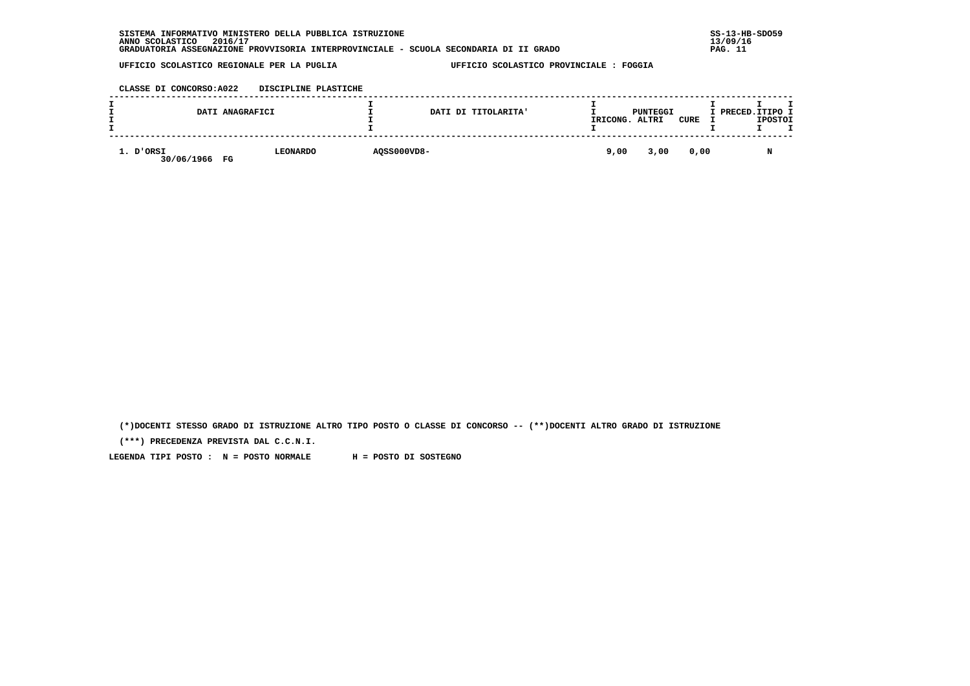| . INFORMATIVO MINISTERO DELLA PUBBLICA ISTRUZIONE<br>SISTEMA                          | $SS-13-HE$ |
|---------------------------------------------------------------------------------------|------------|
| 2016/17<br>ANNO SCOLASTICO                                                            | 13/09/16   |
| GRADUATORIA ASSEGNAZIONE PROVVISORIA INTERPROVINCIALE - SCUOLA SECONDARIA DI II GRADO | PAG.       |

 **CLASSE DI CONCORSO:A022 DISCIPLINE PLASTICHE**

|                            | DATI ANAGRAFICI |             | DATI DI TITOLARITA' | IRICONG. | PUNTEGGI<br>ALTRI | CURE | I PRECED. ITIPO I<br><b>IPOSTOI</b> |
|----------------------------|-----------------|-------------|---------------------|----------|-------------------|------|-------------------------------------|
| 1. D'ORSI<br>30/06/1966 FG | <b>LEONARDO</b> | AQSS000VD8- |                     | 9,00     | 3,00              | 0,00 | M                                   |

 **(\*)DOCENTI STESSO GRADO DI ISTRUZIONE ALTRO TIPO POSTO O CLASSE DI CONCORSO -- (\*\*)DOCENTI ALTRO GRADO DI ISTRUZIONE**

 **(\*\*\*) PRECEDENZA PREVISTA DAL C.C.N.I.**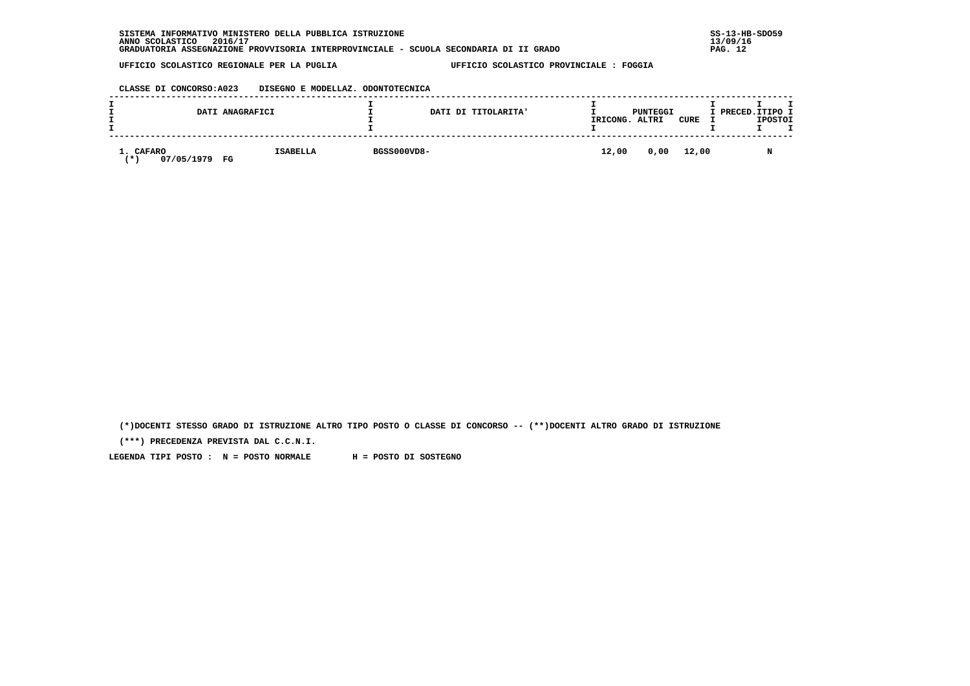| . INFORMATIVO MINISTERO DELLA PUBBLICA ISTRUZIONE<br>SISTEMA                          | $SS-13-HE$ |
|---------------------------------------------------------------------------------------|------------|
| 2016/17<br>ANNO SCOLASTICO                                                            | 13/09/16   |
| GRADUATORIA ASSEGNAZIONE PROVVISORIA INTERPROVINCIALE - SCUOLA SECONDARIA DI II GRADO | PAG. 12    |

 **CLASSE DI CONCORSO:A023 DISEGNO E MODELLAZ. ODONTOTECNICA**

|                                | DATI ANAGRAFICI       |             | DATI DI TITOLARITA' | IRICONG. | PUNTEGGI<br>ALTRI | CURE | I PRECED.ITIPO I | <b>IPOSTOI</b> |  |
|--------------------------------|-----------------------|-------------|---------------------|----------|-------------------|------|------------------|----------------|--|
| 1. CAFARO<br>07/05/1979<br>. ж | <b>ISABELLA</b><br>FG | BGSS000VD8- |                     | 12,00    | 0,00 12,00        |      |                  |                |  |

 **(\*)DOCENTI STESSO GRADO DI ISTRUZIONE ALTRO TIPO POSTO O CLASSE DI CONCORSO -- (\*\*)DOCENTI ALTRO GRADO DI ISTRUZIONE**

 **(\*\*\*) PRECEDENZA PREVISTA DAL C.C.N.I.**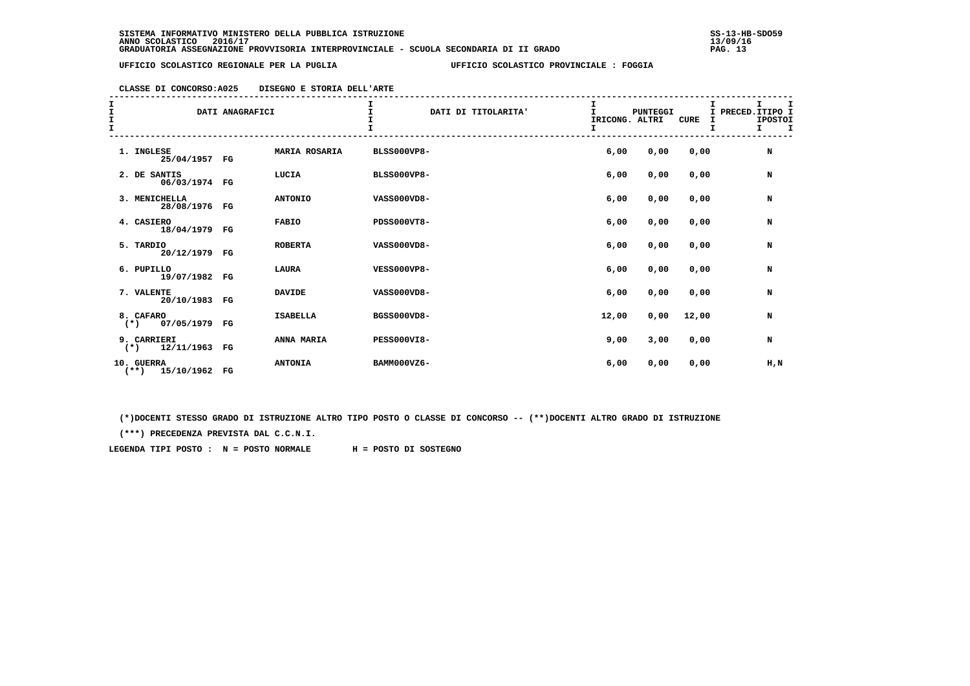## **CLASSE DI CONCORSO:A025 DISEGNO E STORIA DELL'ARTE**

| エエエ<br>I. |                                                                                                                                                                                                                                                                                                                                                                                                    | DATI ANAGRAFICI |                 |                    | DATI DI TITOLARITA' | I<br>$\mathbf{I}$<br>IRICONG. ALTRI<br>I | <b>PUNTEGGI</b> | CURE  | I PRECED. ITIPO I | $\mathbf{I}$<br><b>IPOSTOI</b><br>$I \tI$ | I |
|-----------|----------------------------------------------------------------------------------------------------------------------------------------------------------------------------------------------------------------------------------------------------------------------------------------------------------------------------------------------------------------------------------------------------|-----------------|-----------------|--------------------|---------------------|------------------------------------------|-----------------|-------|-------------------|-------------------------------------------|---|
|           | 1. INGLESE<br>25/04/1957 FG                                                                                                                                                                                                                                                                                                                                                                        |                 | MARIA ROSARIA   | <b>BLSS000VP8-</b> |                     | 6,00                                     | 0,00            | 0,00  |                   | N                                         |   |
|           | 2. DE SANTIS<br>06/03/1974 FG                                                                                                                                                                                                                                                                                                                                                                      |                 | LUCIA           | <b>BLSS000VP8-</b> |                     | 6,00                                     | 0,00            | 0,00  |                   | N                                         |   |
|           | 3. MENICHELLA<br>28/08/1976 FG                                                                                                                                                                                                                                                                                                                                                                     |                 | <b>ANTONIO</b>  | VASS000VD8-        |                     | 6,00                                     | 0,00            | 0,00  |                   | N                                         |   |
|           | 4. CASIERO<br>18/04/1979 FG                                                                                                                                                                                                                                                                                                                                                                        |                 | <b>FABIO</b>    | <b>PDSS000VT8-</b> |                     | 6,00                                     | 0,00            | 0,00  |                   | N                                         |   |
|           | 5. TARDIO<br>20/12/1979 FG                                                                                                                                                                                                                                                                                                                                                                         |                 | <b>ROBERTA</b>  | VASS000VD8-        |                     | 6,00                                     | 0,00            | 0,00  |                   | N                                         |   |
|           | 6. PUPILLO<br>19/07/1982 FG                                                                                                                                                                                                                                                                                                                                                                        |                 | LAURA           | <b>VESS000VP8-</b> |                     | 6,00                                     | 0,00            | 0,00  |                   | N                                         |   |
|           | 7. VALENTE<br>20/10/1983 FG                                                                                                                                                                                                                                                                                                                                                                        |                 | <b>DAVIDE</b>   | VASS000VD8-        |                     | 6,00                                     | 0,00            | 0,00  |                   | N                                         |   |
|           | 8. CAFARO<br>$(*)$ 07/05/1979 FG                                                                                                                                                                                                                                                                                                                                                                   |                 | <b>ISABELLA</b> | BGSS000VD8-        |                     | 12,00                                    | 0,00            | 12,00 |                   | N                                         |   |
|           | 9. CARRIERI<br>$(*)$ 12/11/1963 FG                                                                                                                                                                                                                                                                                                                                                                 |                 | ANNA MARIA      | <b>PESS000VI8-</b> |                     | 9,00                                     | 3,00            | 0,00  |                   | N                                         |   |
|           | 10. GUERRA<br>$\overline{1}$ $\overline{1}$ $\overline{1}$ $\overline{1}$ $\overline{1}$ $\overline{1}$ $\overline{1}$ $\overline{1}$ $\overline{1}$ $\overline{1}$ $\overline{1}$ $\overline{1}$ $\overline{1}$ $\overline{1}$ $\overline{1}$ $\overline{1}$ $\overline{1}$ $\overline{1}$ $\overline{1}$ $\overline{1}$ $\overline{1}$ $\overline{1}$ $\overline{1}$ $\overline{1}$ $\overline{$ |                 | <b>ANTONIA</b>  | BAMM000VZ6-        |                     | 6,00                                     | 0,00            | 0,00  |                   | $H$ , $N$                                 |   |

 **(\*\*) 15/10/1962 FG**

 **(\*)DOCENTI STESSO GRADO DI ISTRUZIONE ALTRO TIPO POSTO O CLASSE DI CONCORSO -- (\*\*)DOCENTI ALTRO GRADO DI ISTRUZIONE**

 **(\*\*\*) PRECEDENZA PREVISTA DAL C.C.N.I.**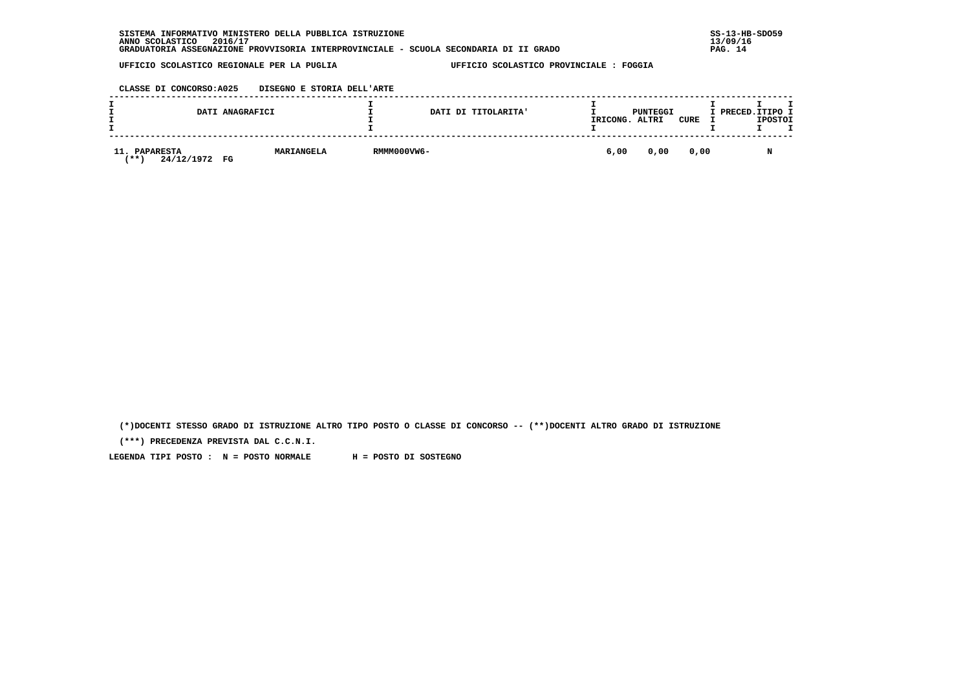| . INFORMATIVO MINISTERO DELLA PUBBLICA ISTRUZIONE<br><b>SISTEMA</b>                   | $SS-13-HB-SDO59$ |
|---------------------------------------------------------------------------------------|------------------|
| 2016/17<br>ANNO SCOLASTICO                                                            | 13/09/16         |
| GRADUATORIA ASSEGNAZIONE PROVVISORIA INTERPROVINCIALE - SCUOLA SECONDARIA DI II GRADO | PAG. 14          |

 **CLASSE DI CONCORSO:A025 DISEGNO E STORIA DELL'ARTE**

|                                                    | DATI ANAGRAFICI |            |             | DATI DI TITOLARITA' | IRICONG. | PUNTEGGI<br>ALTRI | <b>CURE</b> | I PRECED. ITIPO I | <b>IPOSTOI</b> |  |
|----------------------------------------------------|-----------------|------------|-------------|---------------------|----------|-------------------|-------------|-------------------|----------------|--|
| 11.<br><b>PAPARESTA</b><br>24/12/1972<br><b>**</b> | FG              | MARIANGELA | RMMM000VW6- |                     | 6,00     | 0,00              | 0,00        |                   | M              |  |

 **(\*)DOCENTI STESSO GRADO DI ISTRUZIONE ALTRO TIPO POSTO O CLASSE DI CONCORSO -- (\*\*)DOCENTI ALTRO GRADO DI ISTRUZIONE**

 **(\*\*\*) PRECEDENZA PREVISTA DAL C.C.N.I.**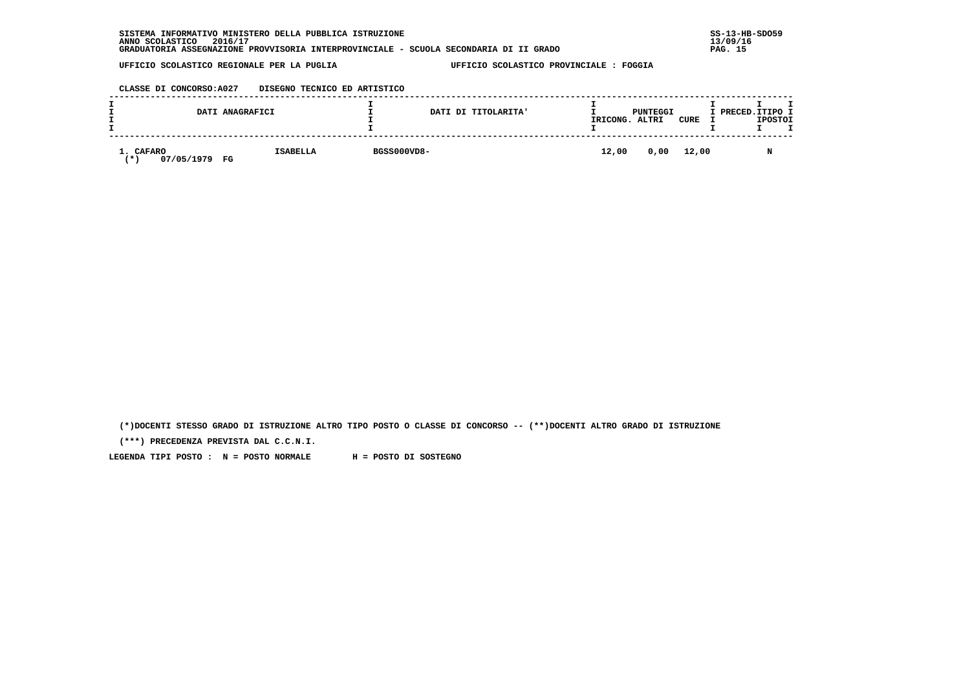| . INFORMATIVO MINISTERO DELLA PUBBLICA ISTRUZIONE<br>SISTEMA                          | $SS-13-HE$ |
|---------------------------------------------------------------------------------------|------------|
| 2016/17<br>ANNO SCOLASTICO                                                            | 13/09/16   |
| GRADUATORIA ASSEGNAZIONE PROVVISORIA INTERPROVINCIALE - SCUOLA SECONDARIA DI II GRADO | PAG. 15    |

## **CLASSE DI CONCORSO:A027 DISEGNO TECNICO ED ARTISTICO**

|                                | DATI ANAGRAFICI       |             | DATI DI TITOLARITA' | IRICONG. | PUNTEGGI<br>ALTRI | CURE | I PRECED.ITIPO I | <b>IPOSTOI</b> |  |
|--------------------------------|-----------------------|-------------|---------------------|----------|-------------------|------|------------------|----------------|--|
| 1. CAFARO<br>07/05/1979<br>. ж | <b>ISABELLA</b><br>FG | BGSS000VD8- |                     | 12,00    | 0,00 12,00        |      |                  |                |  |

 **(\*)DOCENTI STESSO GRADO DI ISTRUZIONE ALTRO TIPO POSTO O CLASSE DI CONCORSO -- (\*\*)DOCENTI ALTRO GRADO DI ISTRUZIONE**

 **(\*\*\*) PRECEDENZA PREVISTA DAL C.C.N.I.**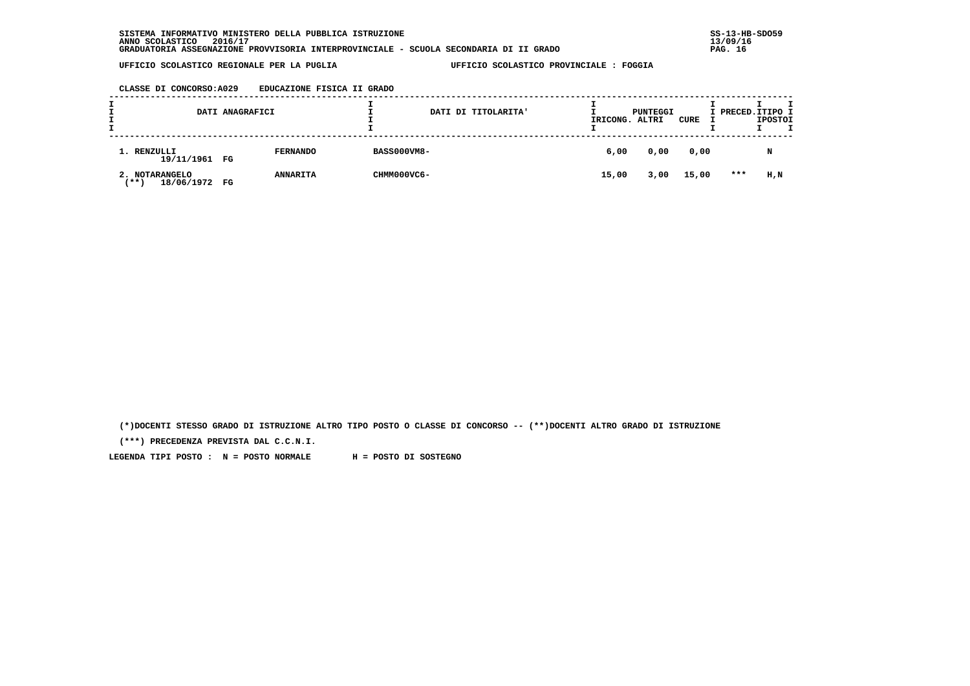**CLASSE DI CONCORSO:A029 EDUCAZIONE FISICA II GRADO**

|                                            | DATI ANAGRAFICI |                 |                    | DATI DI TITOLARITA' | IRICONG. | PUNTEGGI<br>ALTRI | CURE  | I PRECED. ITIPO I | <b>IPOSTOI</b> | т |
|--------------------------------------------|-----------------|-----------------|--------------------|---------------------|----------|-------------------|-------|-------------------|----------------|---|
| 1. RENZULLI<br>19/11/1961 FG               |                 | <b>FERNANDO</b> | <b>BASS000VM8-</b> |                     | 6,00     | 0,00              | 0,00  |                   | N              |   |
| 2. NOTARANGELO<br>18/06/1972 FG<br>7 * * 1 |                 | <b>ANNARITA</b> | CHMM000VC6-        |                     | 15,00    | 3,00              | 15,00 | $***$             | H,N            |   |

 **(\*)DOCENTI STESSO GRADO DI ISTRUZIONE ALTRO TIPO POSTO O CLASSE DI CONCORSO -- (\*\*)DOCENTI ALTRO GRADO DI ISTRUZIONE**

 **(\*\*\*) PRECEDENZA PREVISTA DAL C.C.N.I.**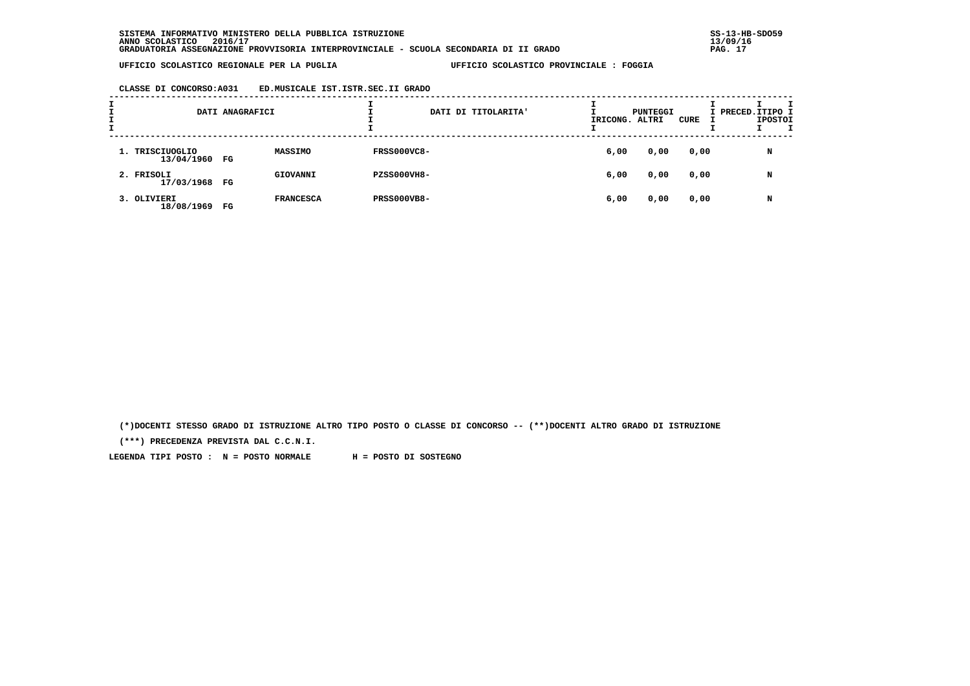## **CLASSE DI CONCORSO:A031 ED.MUSICALE IST.ISTR.SEC.II GRADO**

| ÷<br>÷ |                               | DATI ANAGRAFICI |                  |                    | DATI DI TITOLARITA' | IRICONG. ALTRI | PUNTEGGI | CURE | I PRECED.ITIPO I | <b>IPOSTOI</b> |  |
|--------|-------------------------------|-----------------|------------------|--------------------|---------------------|----------------|----------|------|------------------|----------------|--|
|        | 1. TRISCIUOGLIO<br>13/04/1960 | FG              | MASSIMO          | <b>FRSS000VC8-</b> |                     | 6,00           | 0,00     | 0,00 |                  | N              |  |
|        | 2. FRISOLI<br>17/03/1968 FG   |                 | GIOVANNI         | PZSS000VH8-        |                     | 6,00           | 0,00     | 0,00 |                  | N              |  |
|        | 3. OLIVIERI<br>18/08/1969     | FG              | <b>FRANCESCA</b> | <b>PRSS000VB8-</b> |                     | 6,00           | 0,00     | 0,00 |                  | N              |  |

 **(\*)DOCENTI STESSO GRADO DI ISTRUZIONE ALTRO TIPO POSTO O CLASSE DI CONCORSO -- (\*\*)DOCENTI ALTRO GRADO DI ISTRUZIONE**

 **(\*\*\*) PRECEDENZA PREVISTA DAL C.C.N.I.**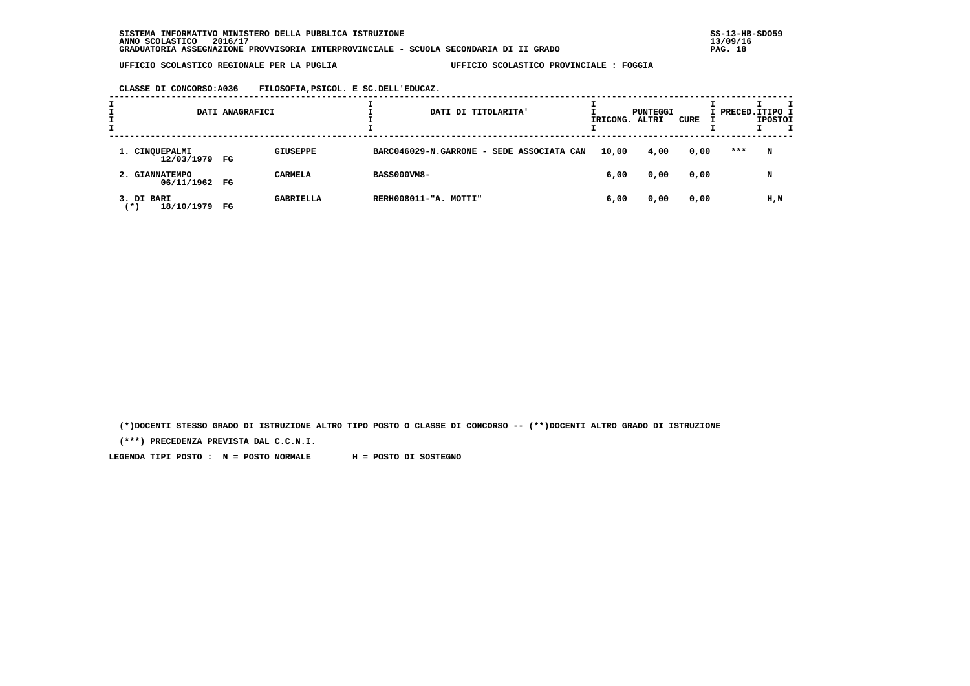**CLASSE DI CONCORSO:A036 FILOSOFIA,PSICOL. E SC.DELL'EDUCAZ.**

| ÷ |                                   | DATI ANAGRAFICI |                  | DATI DI TITOLARITA'                       | IRICONG. ALTRI | PUNTEGGI | CURE | I PRECED.ITIPO I | <b>IPOSTOI</b> |  |
|---|-----------------------------------|-----------------|------------------|-------------------------------------------|----------------|----------|------|------------------|----------------|--|
|   | 1. CINQUEPALMI<br>12/03/1979 FG   |                 | <b>GIUSEPPE</b>  | BARC046029-N.GARRONE - SEDE ASSOCIATA CAN | 10,00          | 4,00     | 0,00 | ***              | N              |  |
|   | 2. GIANNATEMPO<br>06/11/1962 FG   |                 | <b>CARMELA</b>   | <b>BASS000VM8-</b>                        | 6,00           | 0,00     | 0,00 |                  | N              |  |
|   | 3. DI BARI<br>18/10/1979<br>( * ) | FG              | <b>GABRIELLA</b> | RERH008011-"A. MOTTI"                     | 6,00           | 0,00     | 0,00 |                  | H,N            |  |

 **(\*)DOCENTI STESSO GRADO DI ISTRUZIONE ALTRO TIPO POSTO O CLASSE DI CONCORSO -- (\*\*)DOCENTI ALTRO GRADO DI ISTRUZIONE**

 **(\*\*\*) PRECEDENZA PREVISTA DAL C.C.N.I.**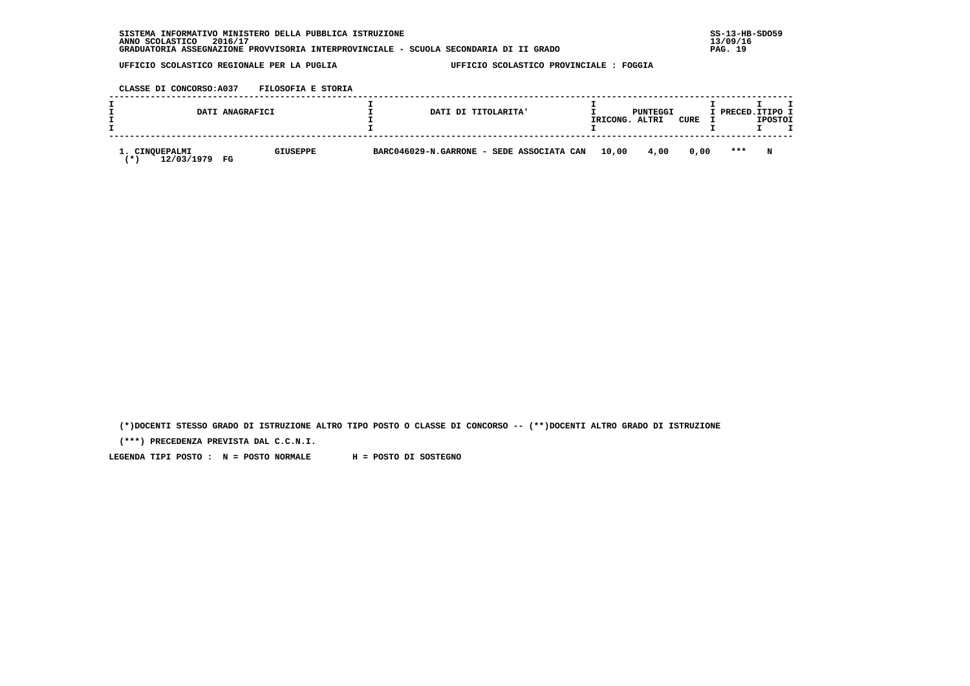| INFORMATIVO MINISTERO DELLA PUBBLICA ISTRUZIONE<br><b>SISTEMA</b>                     | $SS-13-HE$ |
|---------------------------------------------------------------------------------------|------------|
| 2016/17<br>ANNO SCOLASTICO                                                            | 13/09/16   |
| GRADUATORIA ASSEGNAZIONE PROVVISORIA INTERPROVINCIALE - SCUOLA SECONDARIA DI II GRADO | 19<br>PAG. |

 **CLASSE DI CONCORSO:A037 FILOSOFIA E STORIA**

| <b>DI CONCORSO:AU3/</b> | FILOSOFIA E STORIA |  |
|-------------------------|--------------------|--|
|                         |                    |  |

|                           | DATI ANAGRAFICI       | DATI DI TITOLARITA'                             | IRICONG. | PUNTEGGI<br>ALTRI | CURE | I PRECED. ITIPO I | <b>IPOSTOI</b> |  |
|---------------------------|-----------------------|-------------------------------------------------|----------|-------------------|------|-------------------|----------------|--|
| CINQUEPALMI<br>12/03/1979 | <b>GIUSEPPE</b><br>FG | BARC046029-N.GARRONE - SEDE ASSOCIATA CAN 10,00 |          | 4,00              | 0.00 | $* * *$           | N              |  |

 **(\*)DOCENTI STESSO GRADO DI ISTRUZIONE ALTRO TIPO POSTO O CLASSE DI CONCORSO -- (\*\*)DOCENTI ALTRO GRADO DI ISTRUZIONE**

 **(\*\*\*) PRECEDENZA PREVISTA DAL C.C.N.I.**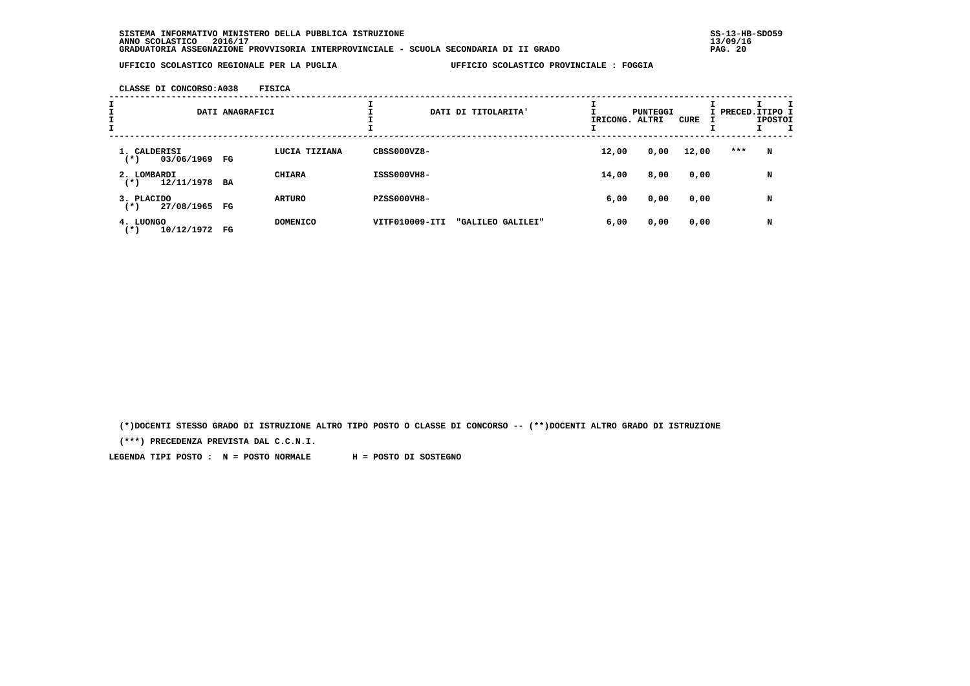**CLASSE DI CONCORSO:A038 FISICA**

| I<br>$\mathbf{I}$ |                                           | DATI ANAGRAFICI |                 |                    | DATI DI TITOLARITA' | IRICONG. ALTRI | PUNTEGGI | CURE  | I PRECED.ITIPO I | <b>IPOSTOI</b> |  |
|-------------------|-------------------------------------------|-----------------|-----------------|--------------------|---------------------|----------------|----------|-------|------------------|----------------|--|
|                   | 1. CALDERISI<br>03/06/1969 FG<br>$^{(*)}$ |                 | LUCIA TIZIANA   | CBSS000VZ8-        |                     | 12,00          | 0,00     | 12,00 | ***              | N              |  |
|                   | 2. LOMBARDI<br>12/11/1978 BA<br>$^{(*)}$  |                 | <b>CHIARA</b>   | ISSS000VH8-        |                     | 14,00          | 8,00     | 0,00  |                  | N              |  |
|                   | 3. PLACIDO<br>27/08/1965 FG<br>$(*)$      |                 | <b>ARTURO</b>   | <b>PZSS000VH8-</b> |                     | 6,00           | 0,00     | 0,00  |                  | N              |  |
|                   | 4. LUONGO<br>10/12/1972<br>$^{(*)}$       | FG              | <b>DOMENICO</b> | VITF010009-ITI     | "GALILEO GALILEI"   | 6,00           | 0,00     | 0,00  |                  | N              |  |

 **(\*)DOCENTI STESSO GRADO DI ISTRUZIONE ALTRO TIPO POSTO O CLASSE DI CONCORSO -- (\*\*)DOCENTI ALTRO GRADO DI ISTRUZIONE**

 **(\*\*\*) PRECEDENZA PREVISTA DAL C.C.N.I.**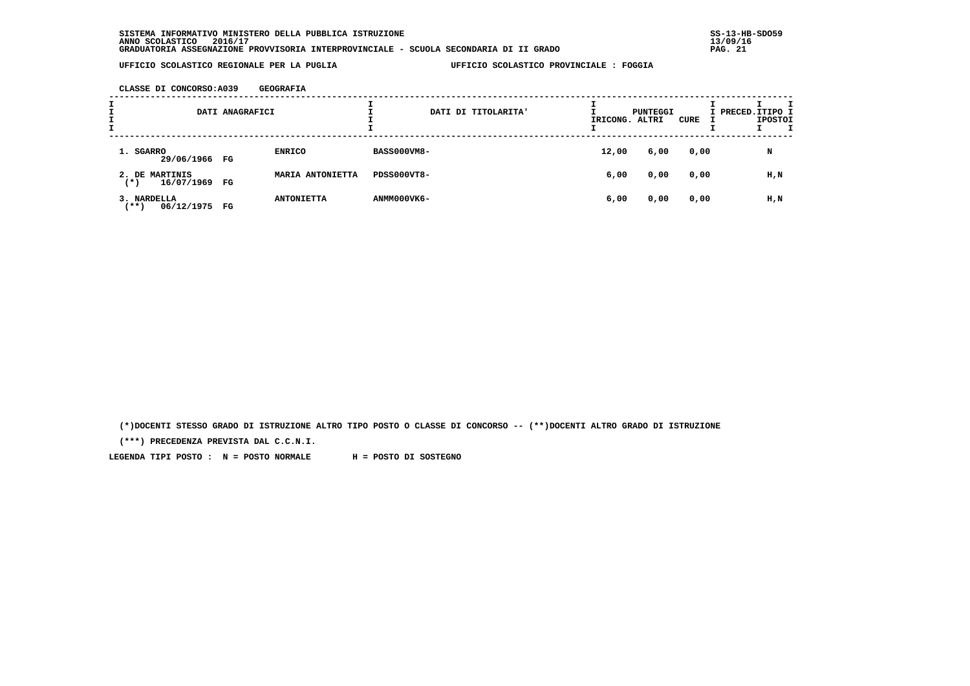**CLASSE DI CONCORSO:A039 GEOGRAFIA**

| I<br>÷. |                                      | DATI ANAGRAFICI |                   |                    | DATI DI TITOLARITA' | IRICONG. ALTRI | PUNTEGGI | CURE | I PRECED. ITIPO I | <b>IPOSTOI</b> |  |
|---------|--------------------------------------|-----------------|-------------------|--------------------|---------------------|----------------|----------|------|-------------------|----------------|--|
|         | 1. SGARRO<br>29/06/1966 FG           |                 | <b>ENRICO</b>     | <b>BASS000VM8-</b> |                     | 12,00          | 6,00     | 0,00 |                   | N              |  |
|         | 2. DE MARTINIS<br>16/07/1969<br>(* ) | FG              | MARIA ANTONIETTA  | PDSS000VT8-        |                     | 6,00           | 0,00     | 0,00 |                   | H,N            |  |
|         | 3. NARDELLA<br>$***$ )<br>06/12/1975 | FG              | <b>ANTONIETTA</b> | ANMM000VK6-        |                     | 6,00           | 0,00     | 0,00 |                   | H,N            |  |

 **(\*)DOCENTI STESSO GRADO DI ISTRUZIONE ALTRO TIPO POSTO O CLASSE DI CONCORSO -- (\*\*)DOCENTI ALTRO GRADO DI ISTRUZIONE**

 **(\*\*\*) PRECEDENZA PREVISTA DAL C.C.N.I.**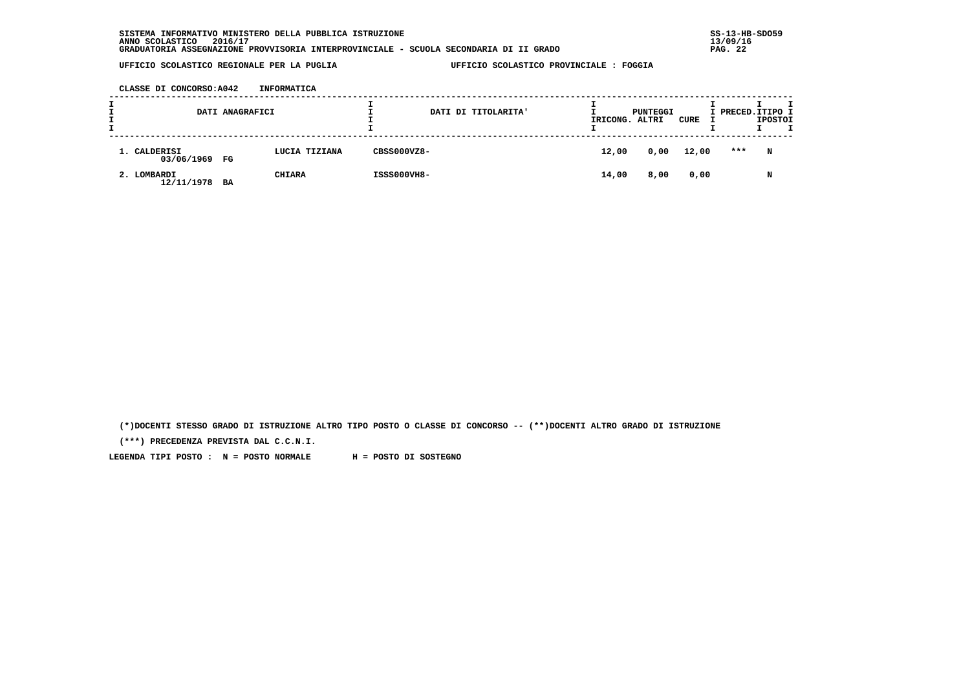**CLASSE DI CONCORSO:A042 INFORMATICA**

| л.<br><b>.</b><br><b>.</b> |                               | DATI ANAGRAFICI |               |             | DATI DI TITOLARITA' | IRICONG. ALTRI | PUNTEGGI | CURE  | I PRECED. ITIPO I | <b>IPOSTOI</b> | т |
|----------------------------|-------------------------------|-----------------|---------------|-------------|---------------------|----------------|----------|-------|-------------------|----------------|---|
|                            | 1. CALDERISI<br>03/06/1969 FG |                 | LUCIA TIZIANA | CBSS000VZ8- |                     | 12,00          | 0,00     | 12,00 | ***               | N              |   |
|                            | 2. LOMBARDI<br>12/11/1978 BA  |                 | <b>CHIARA</b> | ISSS000VH8- |                     | 14,00          | 8,00     | 0,00  |                   | N              |   |

 **(\*)DOCENTI STESSO GRADO DI ISTRUZIONE ALTRO TIPO POSTO O CLASSE DI CONCORSO -- (\*\*)DOCENTI ALTRO GRADO DI ISTRUZIONE**

 **(\*\*\*) PRECEDENZA PREVISTA DAL C.C.N.I.**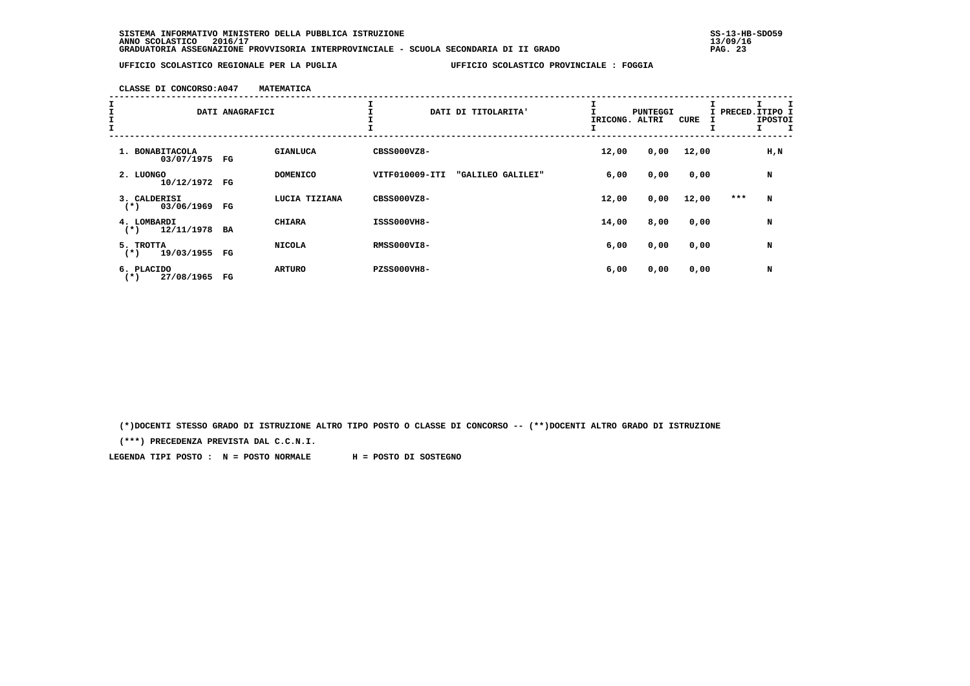**CLASSE DI CONCORSO:A047 MATEMATICA**

| I<br>I<br>I<br>I |                                     | DATI ANAGRAFICI       | ᆠ               |                    | DATI DI TITOLARITA' | ÷.<br>IRICONG. ALTRI | PUNTEGGI | <b>CURE</b> | I PRECED.ITIPO I | <b>IPOSTOI</b> |
|------------------|-------------------------------------|-----------------------|-----------------|--------------------|---------------------|----------------------|----------|-------------|------------------|----------------|
|                  | 1. BONABITACOLA<br>03/07/1975       | <b>GIANLUCA</b><br>FG |                 | CBSS000VZ8-        |                     | 12,00                | 0,00     | 12,00       |                  | $H$ , $N$      |
|                  | 2. LUONGO<br>10/12/1972             | FG                    | <b>DOMENICO</b> | VITF010009-ITI     | "GALILEO GALILEI"   | 6,00                 | 0,00     | 0,00        |                  | N              |
|                  | 3. CALDERISI<br>03/06/1969<br>$(*)$ | FG                    | LUCIA TIZIANA   | CBSS000VZ8-        |                     | 12,00                | 0,00     | 12,00       | ***              | N              |
|                  | 4. LOMBARDI<br>12/11/1978<br>$(*)$  | <b>CHIARA</b><br>BA   |                 | ISSS000VH8-        |                     | 14,00                | 8,00     | 0,00        |                  | N              |
|                  | 5. TROTTA<br>19/03/1955<br>$(*)$    | <b>NICOLA</b><br>FG   |                 | <b>RMSS000VI8-</b> |                     | 6,00                 | 0,00     | 0,00        |                  | N              |
|                  | 6. PLACIDO<br>27/08/1965<br>$(*)$   | <b>ARTURO</b><br>FG   |                 | <b>PZSS000VH8-</b> |                     | 6,00                 | 0,00     | 0,00        |                  | N              |

 **(\*)DOCENTI STESSO GRADO DI ISTRUZIONE ALTRO TIPO POSTO O CLASSE DI CONCORSO -- (\*\*)DOCENTI ALTRO GRADO DI ISTRUZIONE**

 **(\*\*\*) PRECEDENZA PREVISTA DAL C.C.N.I.**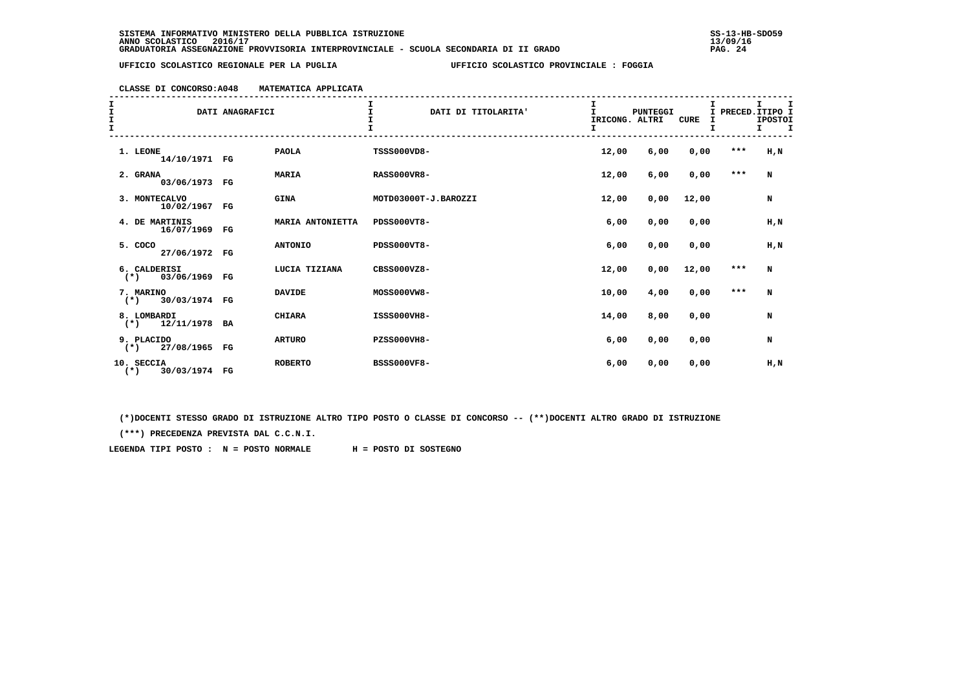# **CLASSE DI CONCORSO:A048 MATEMATICA APPLICATA**

| エエエエ |                                        | DATI ANAGRAFICI |                  | $\mathbf I$<br>DATI DI TITOLARITA'<br>T | I<br>$\mathbf{I}$<br>IRICONG. ALTRI<br>T. | <b>PUNTEGGI</b> | <b>CURE</b><br>I |       | I.<br>I PRECED. ITIPO I<br><b>IPOSTOI</b><br>I. |
|------|----------------------------------------|-----------------|------------------|-----------------------------------------|-------------------------------------------|-----------------|------------------|-------|-------------------------------------------------|
|      | 1. LEONE<br>14/10/1971 FG              |                 | <b>PAOLA</b>     | TSSS000VD8-                             | 12,00                                     | 6,00            | 0,00             | $***$ | H, N                                            |
|      | 2. GRANA<br>03/06/1973 FG              |                 | <b>MARIA</b>     | <b>RASS000VR8-</b>                      | 12,00                                     | 6,00            | 0,00             | $***$ | N                                               |
|      | 3. MONTECALVO<br>10/02/1967 FG         |                 | <b>GINA</b>      | MOTD03000T-J.BAROZZI                    | 12,00                                     | 0,00            | 12,00            |       | N                                               |
|      | 4. DE MARTINIS<br>16/07/1969 FG        |                 | MARIA ANTONIETTA | PDSS000VT8-                             | 6,00                                      | 0,00            | 0,00             |       | H, N                                            |
|      | 5. COCO<br>27/06/1972 FG               |                 | <b>ANTONIO</b>   | <b>PDSS000VT8-</b>                      | 6,00                                      | 0,00            | 0,00             |       | $H$ , $N$                                       |
|      | 6. CALDERISI<br>03/06/1969 FG<br>$(*)$ |                 | LUCIA TIZIANA    | CBSS000VZ8-                             | 12,00                                     | 0,00            | 12,00            | $***$ | N                                               |
|      | 7. MARINO<br>30/03/1974 FG<br>$(*)$    |                 | <b>DAVIDE</b>    | MOSS000VW8-                             | 10,00                                     | 4,00            | 0,00             | $***$ | N                                               |
|      | 8. LOMBARDI<br>12/11/1978 BA<br>$(*)$  |                 | <b>CHIARA</b>    | ISSS000VH8-                             | 14,00                                     | 8,00            | 0,00             |       | N                                               |
|      | 9. PLACIDO<br>$(*)$ 27/08/1965 FG      |                 | <b>ARTURO</b>    | <b>PZSS000VH8-</b>                      | 6,00                                      | 0,00            | 0,00             |       | N                                               |
|      | 10. SECCIA<br>30/03/1974 FG<br>$(*)$   |                 | <b>ROBERTO</b>   | <b>BSSS000VF8-</b>                      | 6,00                                      | 0,00            | 0,00             |       | H,N                                             |

 **(\*)DOCENTI STESSO GRADO DI ISTRUZIONE ALTRO TIPO POSTO O CLASSE DI CONCORSO -- (\*\*)DOCENTI ALTRO GRADO DI ISTRUZIONE**

 **(\*\*\*) PRECEDENZA PREVISTA DAL C.C.N.I.**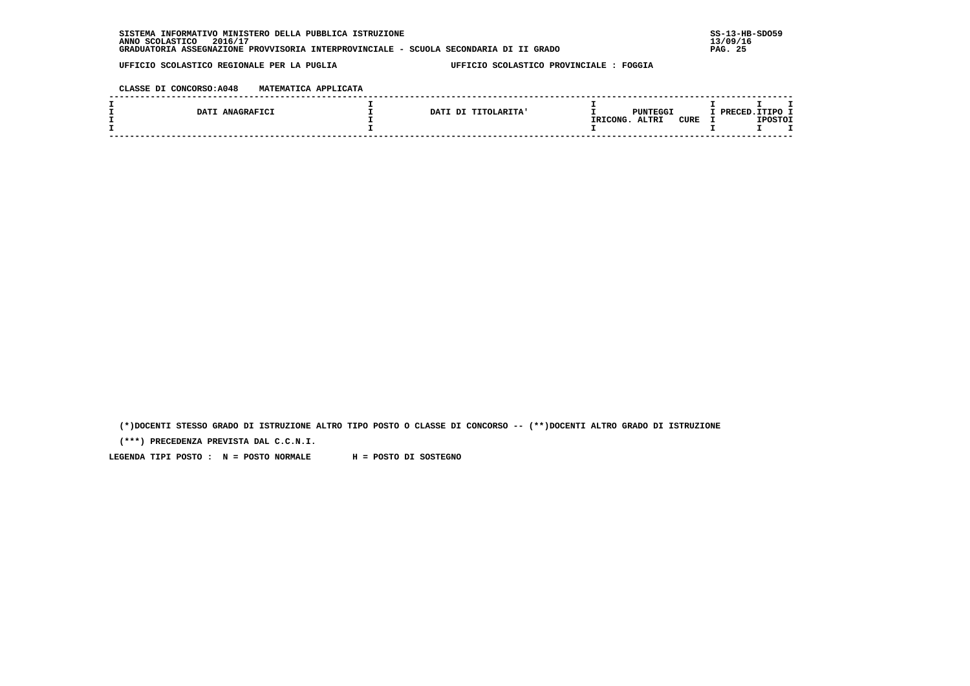**CLASSE DI CONCORSO:A048 MATEMATICA APPLICATA**

| DATI ANAGRAFICI | DATI DI TITOLARITA' | PUNTEGGI                                | TTIPO 1<br>חתימסס |
|-----------------|---------------------|-----------------------------------------|-------------------|
|                 |                     | <b>ALTRI</b><br><b>CURE</b><br>IRICONG. | IPOSTOI           |
|                 |                     |                                         |                   |
|                 |                     |                                         |                   |

 **(\*)DOCENTI STESSO GRADO DI ISTRUZIONE ALTRO TIPO POSTO O CLASSE DI CONCORSO -- (\*\*)DOCENTI ALTRO GRADO DI ISTRUZIONE**

 **(\*\*\*) PRECEDENZA PREVISTA DAL C.C.N.I.**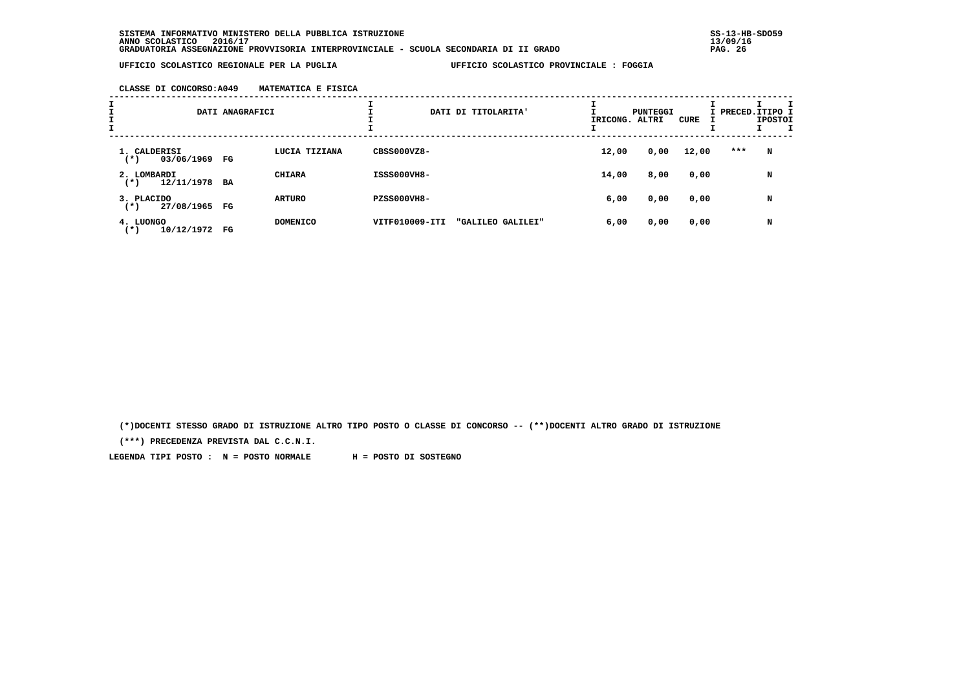**CLASSE DI CONCORSO:A049 MATEMATICA E FISICA**

| I<br>$\mathbf{I}$ |                                           | DATI ANAGRAFICI |                 |                    | DATI DI TITOLARITA' | IRICONG. ALTRI | <b>PUNTEGGI</b> | CURE  | I PRECED. ITIPO I | <b>IPOSTOI</b> |  |
|-------------------|-------------------------------------------|-----------------|-----------------|--------------------|---------------------|----------------|-----------------|-------|-------------------|----------------|--|
|                   | 1. CALDERISI<br>03/06/1969 FG<br>$^{(*)}$ |                 | LUCIA TIZIANA   | CBSS000VZ8-        |                     | 12,00          | 0,00            | 12,00 | ***               | N              |  |
|                   | 2. LOMBARDI<br>12/11/1978 BA<br>$^{(*)}$  |                 | <b>CHIARA</b>   | ISSS000VH8-        |                     | 14,00          | 8,00            | 0,00  |                   | N              |  |
|                   | 3. PLACIDO<br>27/08/1965 FG<br>$(*)$      |                 | <b>ARTURO</b>   | <b>PZSS000VH8-</b> |                     | 6,00           | 0,00            | 0,00  |                   | N              |  |
|                   | 4. LUONGO<br>10/12/1972<br>$^{(*)}$       | FG              | <b>DOMENICO</b> | VITF010009-ITI     | "GALILEO GALILEI"   | 6,00           | 0,00            | 0,00  |                   | N              |  |

 **(\*)DOCENTI STESSO GRADO DI ISTRUZIONE ALTRO TIPO POSTO O CLASSE DI CONCORSO -- (\*\*)DOCENTI ALTRO GRADO DI ISTRUZIONE**

 **(\*\*\*) PRECEDENZA PREVISTA DAL C.C.N.I.**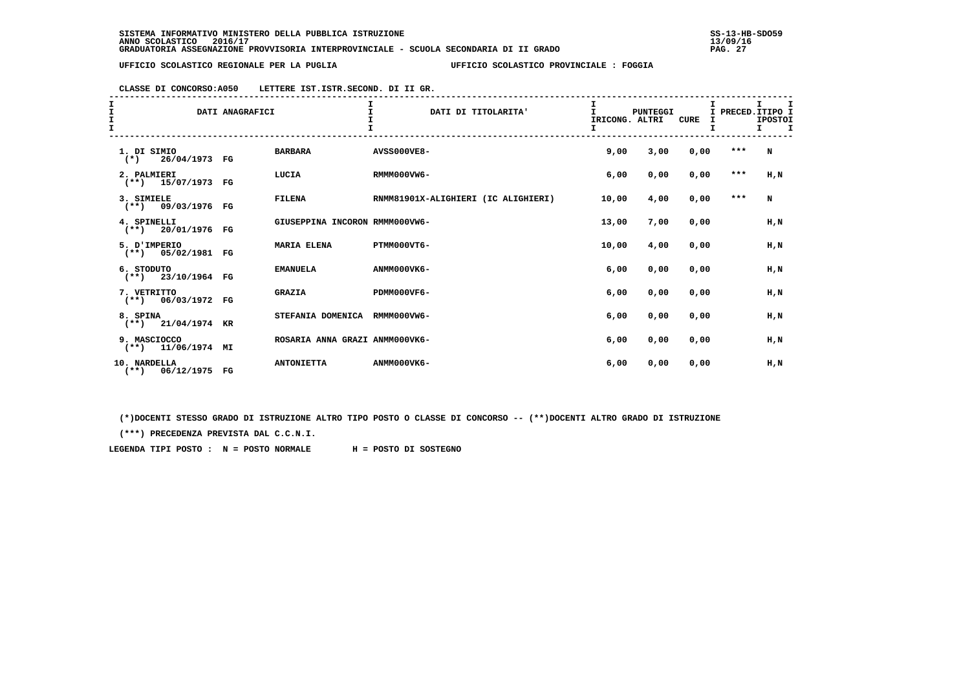| CLASSE DI CONCORSO: A050 | LETTERE IST. ISTR. SECOND. DI II GR. |
|--------------------------|--------------------------------------|
|--------------------------|--------------------------------------|

| I<br>I<br>I<br>I |                                      | DATI ANAGRAFICI |                                | $\mathbf{I}$<br>DATI DI TITOLARITA' | I<br>$\mathbf{I}$<br>IRICONG. ALTRI<br>I. | PUNTEGGI | CURE |       | I.<br>I<br>I PRECED. ITIPO I<br><b>IPOSTOI</b><br>$T$ T |
|------------------|--------------------------------------|-----------------|--------------------------------|-------------------------------------|-------------------------------------------|----------|------|-------|---------------------------------------------------------|
|                  | 1. DI SIMIO<br>$(*)$ 26/04/1973 FG   |                 | <b>BARBARA</b>                 | <b>AVSS000VE8-</b>                  | 9,00                                      | 3,00     | 0,00 | $***$ | N                                                       |
|                  | 2. PALMIERI<br>$(**)$ 15/07/1973 FG  |                 | LUCIA                          | RMMM000VW6-                         | 6,00                                      | 0,00     | 0,00 | $***$ | $H$ , $N$                                               |
|                  | 3. SIMIELE<br>$(**)$ 09/03/1976 FG   |                 | <b>FILENA</b>                  | RNMM81901X-ALIGHIERI (IC ALIGHIERI) | 10,00                                     | 4,00     | 0,00 | $***$ | N                                                       |
|                  | 4. SPINELLI<br>$(**)$ 20/01/1976 FG  |                 | GIUSEPPINA INCORON RMMM000VW6- |                                     | 13,00                                     | 7,00     | 0,00 |       | $H$ , $N$                                               |
|                  | 5. D'IMPERIO<br>$(**)$ 05/02/1981 FG |                 | <b>MARIA ELENA</b>             | PTMM000VT6-                         | 10,00                                     | 4,00     | 0,00 |       | H,N                                                     |
|                  | 6. STODUTO<br>$(**)$ 23/10/1964 FG   |                 | <b>EMANUELA</b>                | ANMM000VK6-                         | 6,00                                      | 0,00     | 0,00 |       | $H$ , $N$                                               |
|                  | 7. VETRITTO<br>$(**)$ 06/03/1972 FG  |                 | <b>GRAZIA</b>                  | PDMM000VF6-                         | 6,00                                      | 0,00     | 0,00 |       | $H$ , $N$                                               |
|                  | 8. SPINA<br>$(**)$ 21/04/1974 KR     |                 | STEFANIA DOMENICA RMMM000VW6-  |                                     | 6,00                                      | 0,00     | 0,00 |       | H,N                                                     |
|                  | 9. MASCIOCCO<br>$(**)$ 11/06/1974 MI |                 | ROSARIA ANNA GRAZI ANMM000VK6- |                                     | 6,00                                      | 0,00     | 0,00 |       | H.N                                                     |
|                  | 10. NARDELLA<br>(**) 06/12/1975 FG   |                 | <b>ANTONIETTA</b>              | ANMM000VK6-                         | 6,00                                      | 0,00     | 0,00 |       | H,N                                                     |

 **(\*)DOCENTI STESSO GRADO DI ISTRUZIONE ALTRO TIPO POSTO O CLASSE DI CONCORSO -- (\*\*)DOCENTI ALTRO GRADO DI ISTRUZIONE**

 **(\*\*\*) PRECEDENZA PREVISTA DAL C.C.N.I.**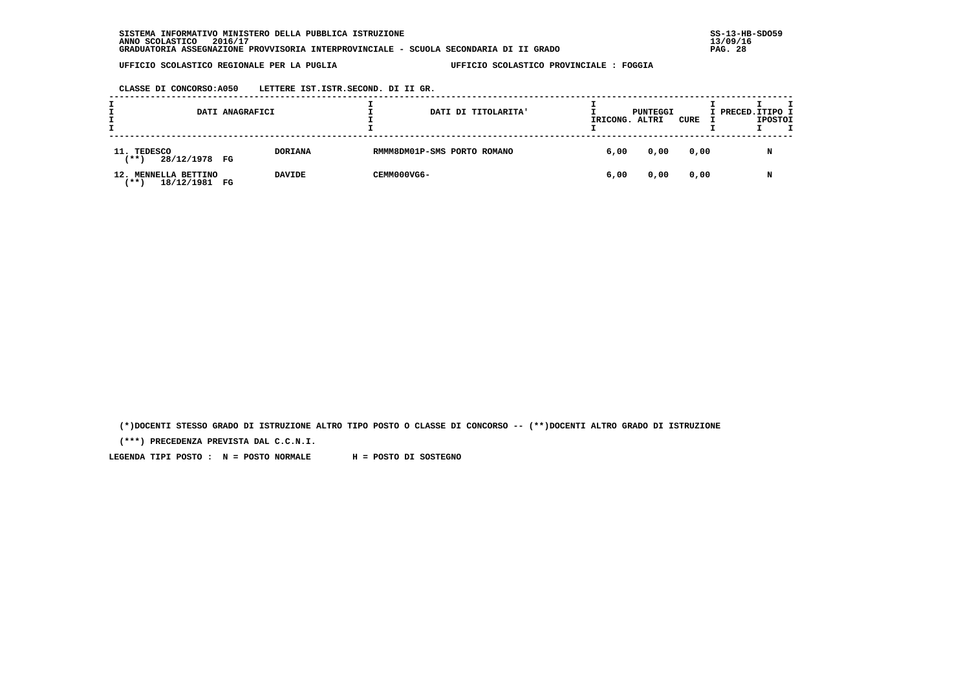**CLASSE DI CONCORSO:A050 LETTERE IST.ISTR.SECOND. DI II GR.**

|     |                                              | DATI ANAGRAFICI |                |                             | DATI DI TITOLARITA' |      | PUNTEGGI<br>IRICONG. ALTRI | CURE | I PRECED.ITIPO I | <b>IPOSTOI</b> |
|-----|----------------------------------------------|-----------------|----------------|-----------------------------|---------------------|------|----------------------------|------|------------------|----------------|
|     | 11. TEDESCO<br>28/12/1978 FG<br>$***$ )      |                 | <b>DORIANA</b> | RMMM8DM01P-SMS PORTO ROMANO |                     | 6,00 | 0,00                       | 0,00 |                  | N              |
| 12. | MENNELLA BETTINO<br>18/12/1981 FG<br>' * * \ |                 | <b>DAVIDE</b>  | CEMM000VG6-                 |                     | 6,00 | 0,00                       | 0,00 |                  | N              |

 **(\*)DOCENTI STESSO GRADO DI ISTRUZIONE ALTRO TIPO POSTO O CLASSE DI CONCORSO -- (\*\*)DOCENTI ALTRO GRADO DI ISTRUZIONE**

 **(\*\*\*) PRECEDENZA PREVISTA DAL C.C.N.I.**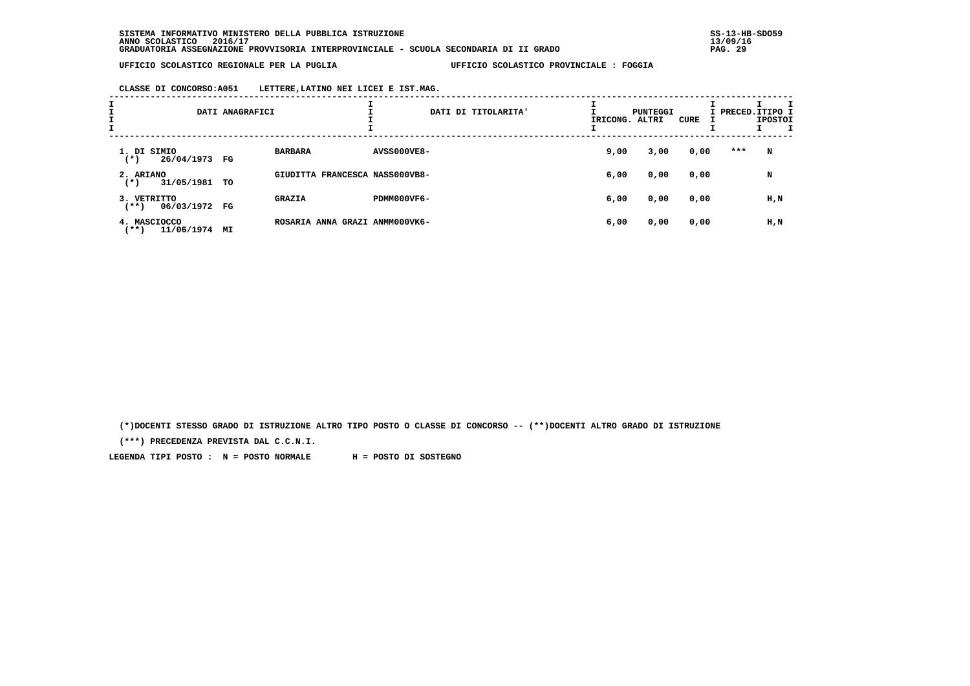**CLASSE DI CONCORSO:A051 LETTERE,LATINO NEI LICEI E IST.MAG.**

| I<br>$\frac{1}{1}$ |                                       | DATI ANAGRAFICI |                                |                    | DATI DI TITOLARITA' | IRICONG. ALTRI | PUNTEGGI | CURE | I PRECED. ITIPO I | <b>IPOSTOI</b> |  |
|--------------------|---------------------------------------|-----------------|--------------------------------|--------------------|---------------------|----------------|----------|------|-------------------|----------------|--|
|                    | 1. DI SIMIO<br>26/04/1973 FG<br>$(*)$ |                 | <b>BARBARA</b>                 | <b>AVSS000VE8-</b> |                     | 9,00           | 3,00     | 0,00 | ***               | N              |  |
|                    | 2. ARIANO<br>31/05/1981<br>$(*)$      | TO              | GIUDITTA FRANCESCA NASS000VB8- |                    |                     | 6,00           | 0,00     | 0,00 |                   | N              |  |
|                    | 3. VETRITTO<br>06/03/1972 FG<br>(**)  |                 | <b>GRAZIA</b>                  | PDMM000VF6-        |                     | 6,00           | 0,00     | 0,00 |                   | H,N            |  |
|                    | 4. MASCIOCCO<br>11/06/1974<br>$***)$  | ΜI              | ROSARIA ANNA GRAZI ANMM000VK6- |                    |                     | 6,00           | 0,00     | 0,00 |                   | H,N            |  |

 **(\*)DOCENTI STESSO GRADO DI ISTRUZIONE ALTRO TIPO POSTO O CLASSE DI CONCORSO -- (\*\*)DOCENTI ALTRO GRADO DI ISTRUZIONE**

 **(\*\*\*) PRECEDENZA PREVISTA DAL C.C.N.I.**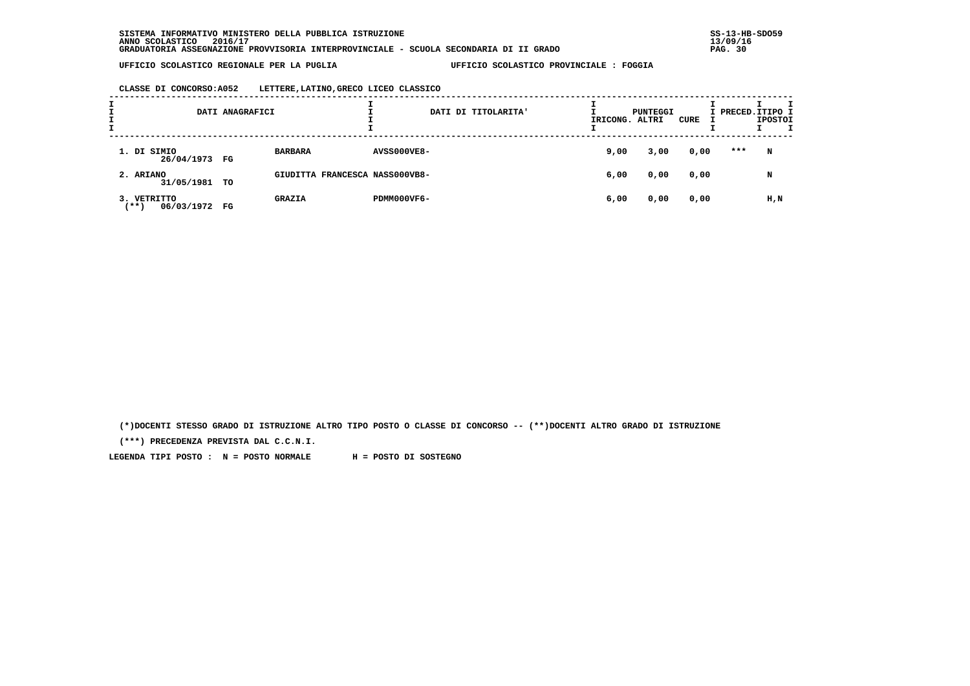**CLASSE DI CONCORSO:A052 LETTERE,LATINO,GRECO LICEO CLASSICO**

| ÷ |                                      | DATI ANAGRAFICI |                                | DATI DI TITOLARITA' |      | PUNTEGGI<br>IRICONG. ALTRI | CURE | I PRECED.ITIPO I | <b>IPOSTOI</b> |  |
|---|--------------------------------------|-----------------|--------------------------------|---------------------|------|----------------------------|------|------------------|----------------|--|
|   | 1. DI SIMIO<br>26/04/1973 FG         |                 | <b>BARBARA</b>                 | <b>AVSS000VE8-</b>  | 9,00 | 3,00                       | 0,00 | ***              | $\mathbf N$    |  |
|   | 2. ARIANO<br>31/05/1981 TO           |                 | GIUDITTA FRANCESCA NASS000VB8- |                     | 6,00 | 0,00                       | 0,00 |                  | N              |  |
|   | 3. VETRITTO<br>06/03/1972<br>$***$ ) | FG              | <b>GRAZIA</b>                  | PDMM000VF6-         | 6,00 | 0,00                       | 0,00 |                  | H,N            |  |

 **(\*)DOCENTI STESSO GRADO DI ISTRUZIONE ALTRO TIPO POSTO O CLASSE DI CONCORSO -- (\*\*)DOCENTI ALTRO GRADO DI ISTRUZIONE**

 **(\*\*\*) PRECEDENZA PREVISTA DAL C.C.N.I.**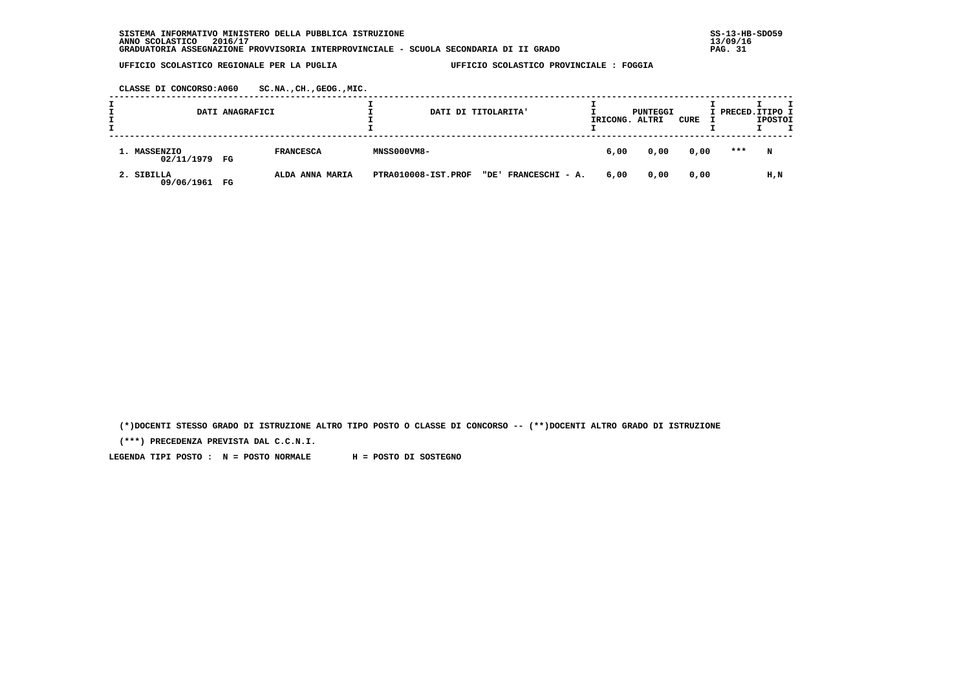**CLASSE DI CONCORSO:A060 SC.NA.,CH.,GEOG.,MIC.**

| DATI ANAGRAFICI               |                       | DATI DI TITOLARITA'                         | IRICONG. ALTRI | PUNTEGGI | CURE |     | I PRECED.ITIPO I<br><b>IPOSTOI</b> |
|-------------------------------|-----------------------|---------------------------------------------|----------------|----------|------|-----|------------------------------------|
| 1. MASSENZIO<br>02/11/1979 FG | <b>FRANCESCA</b>      | <b>MNSS000VM8-</b>                          | 6,00           | 0,00     | 0,00 | *** | N                                  |
| 2. SIBILLA<br>09/06/1961      | ALDA ANNA MARIA<br>FG | "DE' FRANCESCHI - A.<br>PTRA010008-IST.PROF | 6,00           | 0,00     | 0,00 |     | H,N                                |

 **(\*)DOCENTI STESSO GRADO DI ISTRUZIONE ALTRO TIPO POSTO O CLASSE DI CONCORSO -- (\*\*)DOCENTI ALTRO GRADO DI ISTRUZIONE**

 **(\*\*\*) PRECEDENZA PREVISTA DAL C.C.N.I.**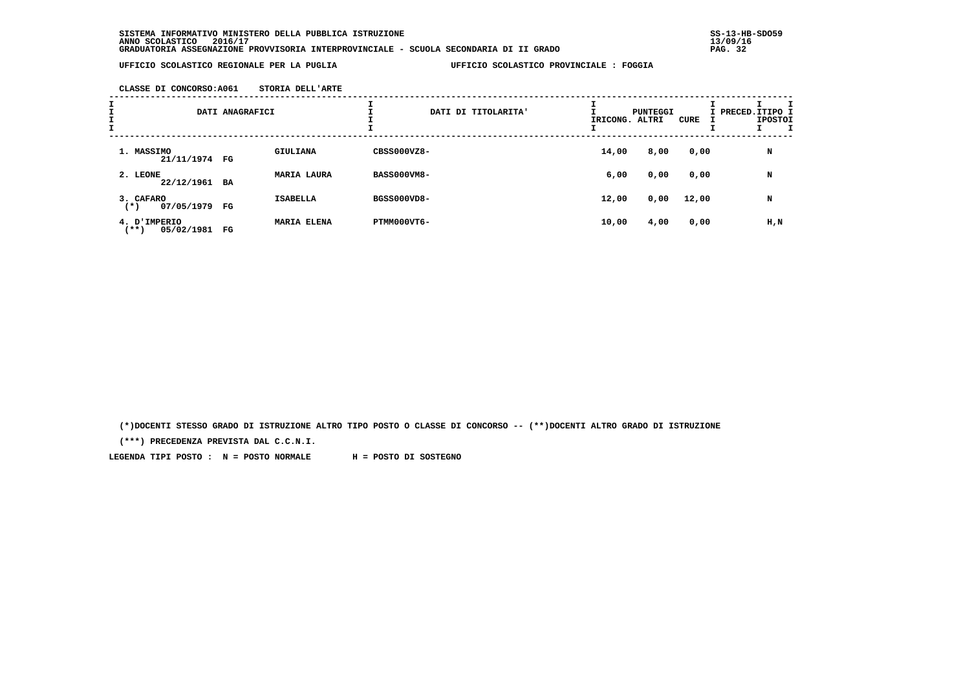**CLASSE DI CONCORSO:A061 STORIA DELL'ARTE**

| I<br>$\mathbf{I}$<br>I<br>I |                                    | DATI ANAGRAFICI |                    | DATI DI TITOLARITA' |  | IRICONG. ALTRI | PUNTEGGI | CURE  | I PRECED.ITIPO I | <b>IPOSTOI</b> |
|-----------------------------|------------------------------------|-----------------|--------------------|---------------------|--|----------------|----------|-------|------------------|----------------|
|                             | 1. MASSIMO<br>21/11/1974 FG        |                 | <b>GIULIANA</b>    | CBSS000VZ8-         |  | 14,00          | 8,00     | 0,00  |                  | N              |
|                             | 2. LEONE<br>22/12/1961             | BA              | <b>MARIA LAURA</b> | <b>BASS000VM8-</b>  |  | 6,00           | 0,00     | 0,00  |                  | N              |
|                             | 3. CAFARO<br>07/05/1979<br>$(*)$   | FG              | <b>ISABELLA</b>    | BGSS000VD8-         |  | 12,00          | 0,00     | 12,00 |                  | N              |
|                             | 4. D'IMPERIO<br>05/02/1981<br>(**) | FG              | <b>MARIA ELENA</b> | PTMM000VT6-         |  | 10,00          | 4,00     | 0,00  |                  | H, N           |

 **(\*)DOCENTI STESSO GRADO DI ISTRUZIONE ALTRO TIPO POSTO O CLASSE DI CONCORSO -- (\*\*)DOCENTI ALTRO GRADO DI ISTRUZIONE**

 **(\*\*\*) PRECEDENZA PREVISTA DAL C.C.N.I.**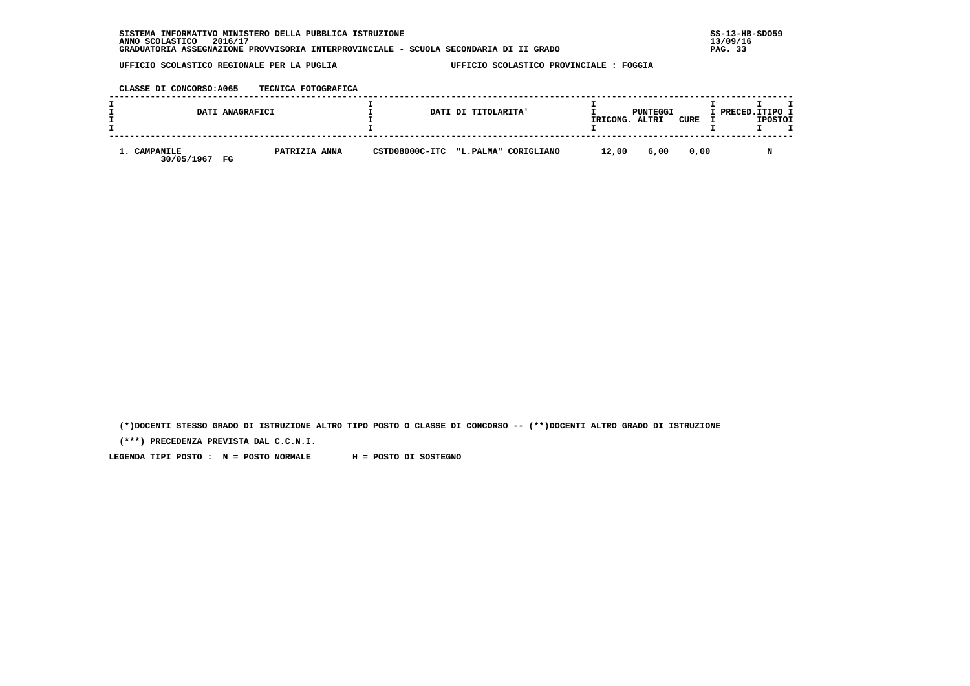**CLASSE DI CONCORSO:A065 TECNICA FOTOGRAFICA**

|                            | DATI ANAGRAFICI              | DATI DI TITOLARITA'                 | IRICONG. ALTRI | PUNTEGGI | CURE | I PRECED. ITIPO I<br><b>IPOSTOI</b> |
|----------------------------|------------------------------|-------------------------------------|----------------|----------|------|-------------------------------------|
| 1. CAMPANILE<br>30/05/1967 | PATRIZIA ANNA<br>$_{\rm FG}$ | CSTD08000C-ITC "L.PALMA" CORIGLIANO | 12,00          | 6,00     | 0,00 | N                                   |

 **(\*)DOCENTI STESSO GRADO DI ISTRUZIONE ALTRO TIPO POSTO O CLASSE DI CONCORSO -- (\*\*)DOCENTI ALTRO GRADO DI ISTRUZIONE**

 **(\*\*\*) PRECEDENZA PREVISTA DAL C.C.N.I.**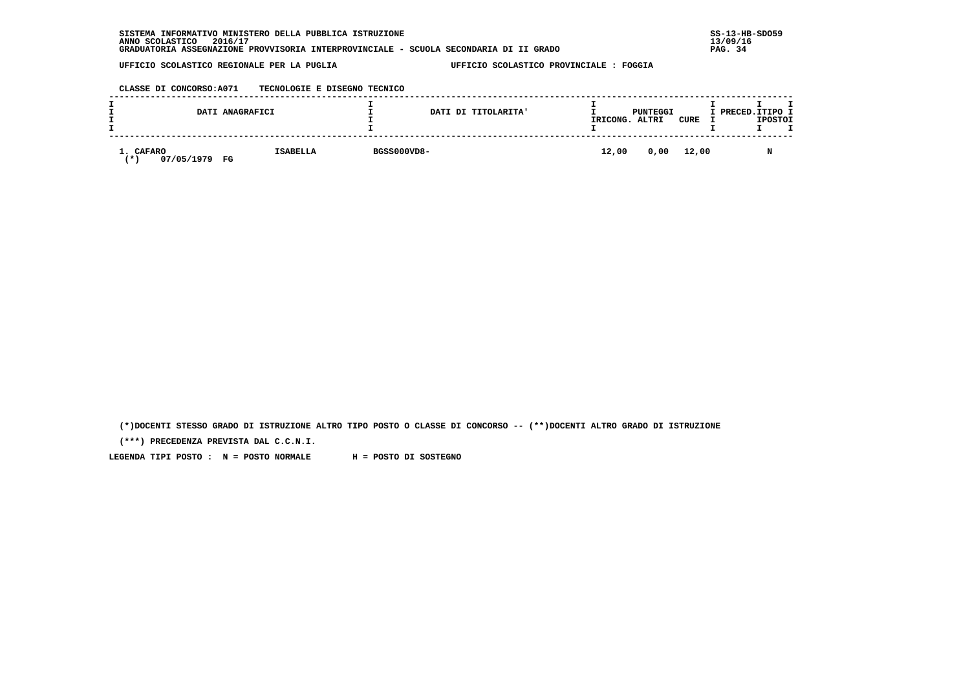| . INFORMATIVO MINISTERO DELLA PUBBLICA ISTRUZIONE<br>SISTEMA                          | $SS-13-HE$ |
|---------------------------------------------------------------------------------------|------------|
| 2016/17<br>ANNO SCOLASTICO                                                            | 13/09/16   |
| GRADUATORIA ASSEGNAZIONE PROVVISORIA INTERPROVINCIALE - SCUOLA SECONDARIA DI II GRADO | PAG. 34    |

 **CLASSE DI CONCORSO:A071 TECNOLOGIE E DISEGNO TECNICO**

|                               | DATI ANAGRAFICI       |             | DATI DI TITOLARITA' | IRICONG. | PUNTEGGI<br>ALTRI | CURE       | I PRECED.ITIPO I | <b>IPOSTOI</b> |  |
|-------------------------------|-----------------------|-------------|---------------------|----------|-------------------|------------|------------------|----------------|--|
| 1. CAFARO<br>07/05/1979<br>′∗ | <b>ISABELLA</b><br>FG | BGSS000VD8- |                     | 12,00    |                   | 0,00 12,00 |                  | M              |  |

 **(\*)DOCENTI STESSO GRADO DI ISTRUZIONE ALTRO TIPO POSTO O CLASSE DI CONCORSO -- (\*\*)DOCENTI ALTRO GRADO DI ISTRUZIONE**

 **(\*\*\*) PRECEDENZA PREVISTA DAL C.C.N.I.**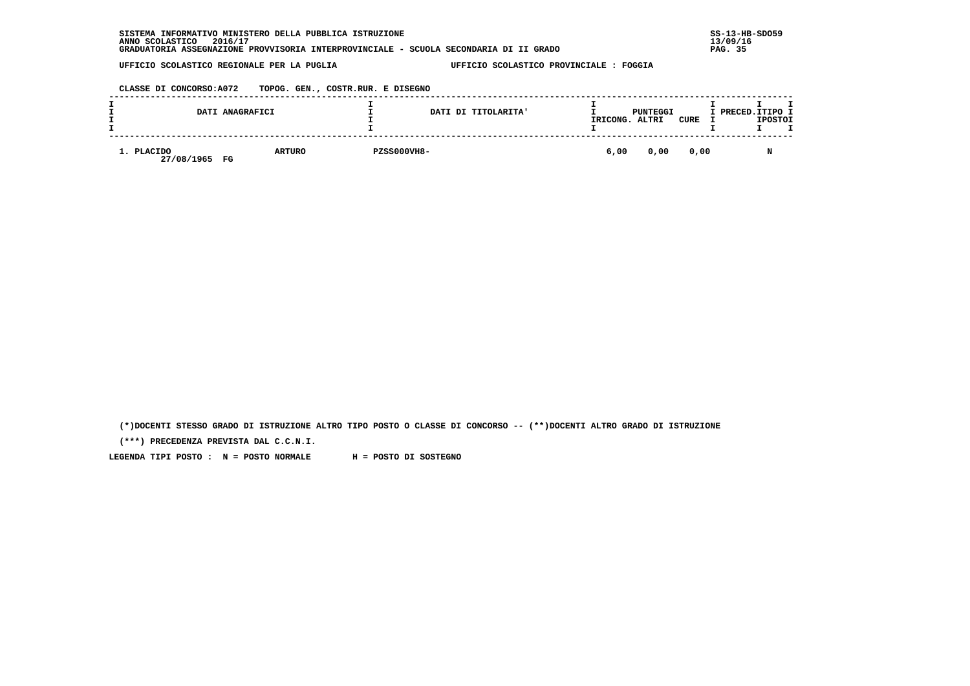| INFORMATIVO MINISTERO DELLA PUBBLICA ISTRUZIONE<br><b>SISTEMA</b>                     | $SS-13-HE$ |
|---------------------------------------------------------------------------------------|------------|
| 2016/17<br>ANNO SCOLASTICO                                                            | 13/09/16   |
| GRADUATORIA ASSEGNAZIONE PROVVISORIA INTERPROVINCIALE - SCUOLA SECONDARIA DI II GRADO | PAG. 35    |

 **CLASSE DI CONCORSO:A072 TOPOG. GEN., COSTR.RUR. E DISEGNO**

|                          | DATI ANAGRAFICI     |                    | DATI DI TITOLARITA' | IRICONG. | PUNTEGGI<br>ALTRI | <b>CURE</b> | I PRECED.ITIPO I<br><b>IPOSTOI</b> |
|--------------------------|---------------------|--------------------|---------------------|----------|-------------------|-------------|------------------------------------|
| 1. PLACIDO<br>27/08/1965 | <b>ARTURO</b><br>FG | <b>PZSS000VH8-</b> |                     | 6,00     | 0,00              | 0,00        | M                                  |

 **(\*)DOCENTI STESSO GRADO DI ISTRUZIONE ALTRO TIPO POSTO O CLASSE DI CONCORSO -- (\*\*)DOCENTI ALTRO GRADO DI ISTRUZIONE**

 **(\*\*\*) PRECEDENZA PREVISTA DAL C.C.N.I.**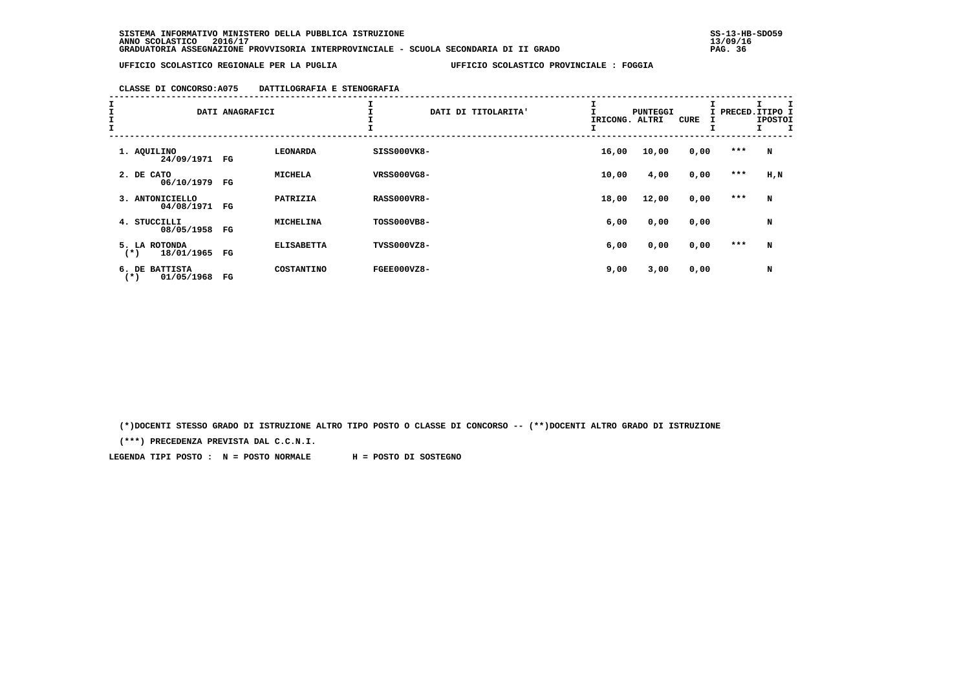### **CLASSE DI CONCORSO:A075 DATTILOGRAFIA E STENOGRAFIA**

| I<br>I<br>I<br>I |                                       | DATI ANAGRAFICI |                   | I                  | DATI DI TITOLARITA' | <b>PUNTEGGI</b><br>IRICONG. ALTRI | <b>CURE</b> | I PRECED.ITIPO I | <b>IPOSTOI</b> |
|------------------|---------------------------------------|-----------------|-------------------|--------------------|---------------------|-----------------------------------|-------------|------------------|----------------|
|                  | 1. AQUILINO<br>24/09/1971 FG          |                 | <b>LEONARDA</b>   | SISS000VK8-        | 16,00               | 10,00                             | 0,00        | ***              | N              |
|                  | 2. DE CATO<br>06/10/1979              | FG              | <b>MICHELA</b>    | <b>VRSS000VG8-</b> | 10,00               | 4,00                              | 0,00        | ***              | H,N            |
|                  | 3. ANTONICIELLO<br>04/08/1971         | FG              | PATRIZIA          | <b>RASS000VR8-</b> | 18,00               | 12,00                             | 0,00        | $***$            | N              |
|                  | 4. STUCCILLI<br>08/05/1958            | FG              | <b>MICHELINA</b>  | TOSS000VB8-        | 6,00                | 0,00                              | 0,00        |                  | N              |
|                  | 5. LA ROTONDA<br>18/01/1965<br>$(*)$  | FG              | <b>ELISABETTA</b> | TVSS000VZ8-        | 6,00                | 0,00                              | 0,00        | ***              | N              |
|                  | 6. DE BATTISTA<br>01/05/1968<br>$(*)$ | $_{\rm FG}$     | COSTANTINO        | FGEE000VZ8-        | 9,00                | 3,00                              | 0,00        |                  | N              |

 **(\*)DOCENTI STESSO GRADO DI ISTRUZIONE ALTRO TIPO POSTO O CLASSE DI CONCORSO -- (\*\*)DOCENTI ALTRO GRADO DI ISTRUZIONE**

 **(\*\*\*) PRECEDENZA PREVISTA DAL C.C.N.I.**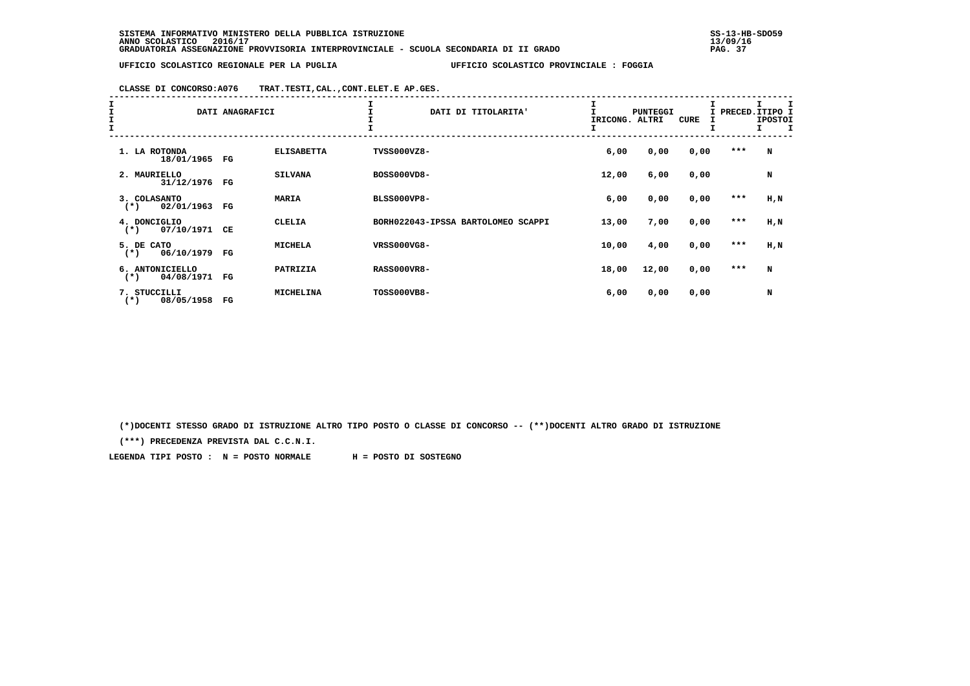**CLASSE DI CONCORSO:A076 TRAT.TESTI,CAL.,CONT.ELET.E AP.GES.**

| $\frac{1}{1}$ | DATI ANAGRAFICI                         |             |                   | DATI DI TITOLARITA'                | IRICONG. | <b>PUNTEGGI</b><br>ALTRI | CURE | I PRECED.ITIPO I<br>Ŧ. | <b>IPOSTOI</b><br>I. |
|---------------|-----------------------------------------|-------------|-------------------|------------------------------------|----------|--------------------------|------|------------------------|----------------------|
|               | 1. LA ROTONDA<br>18/01/1965             | FG          | <b>ELISABETTA</b> | TVSS000VZ8-                        | 6,00     | 0,00                     | 0,00 | $***$                  | N                    |
|               | 2. MAURIELLO<br>31/12/1976              | FG          | <b>SILVANA</b>    | BOSS000VD8-                        | 12,00    | 6,00                     | 0,00 |                        | N                    |
|               | 3. COLASANTO<br>02/01/1963<br>$(*)$     | FG          | <b>MARIA</b>      | <b>BLSS000VP8-</b>                 | 6,00     | 0,00                     | 0,00 | ***                    | H, N                 |
|               | 4. DONCIGLIO<br>07/10/1971<br>$(*)$     | CE          | <b>CLELIA</b>     | BORH022043-IPSSA BARTOLOMEO SCAPPI | 13,00    | 7,00                     | 0,00 | ***                    | H, N                 |
|               | 5. DE CATO<br>06/10/1979<br>$(*)$       | $_{\rm FG}$ | <b>MICHELA</b>    | VRSS000VG8-                        | 10,00    | 4,00                     | 0,00 | $***$                  | H,N                  |
|               | 6. ANTONICIELLO<br>04/08/1971<br>$(* )$ | FG          | PATRIZIA          | <b>RASS000VR8-</b>                 | 18,00    | 12,00                    | 0,00 | ***                    | N                    |
|               | 7. STUCCILLI<br>08/05/1958<br>$(*)$     | $_{\rm FG}$ | <b>MICHELINA</b>  | TOSS000VB8-                        | 6,00     | 0,00                     | 0,00 |                        | N                    |

 **(\*)DOCENTI STESSO GRADO DI ISTRUZIONE ALTRO TIPO POSTO O CLASSE DI CONCORSO -- (\*\*)DOCENTI ALTRO GRADO DI ISTRUZIONE**

 **(\*\*\*) PRECEDENZA PREVISTA DAL C.C.N.I.**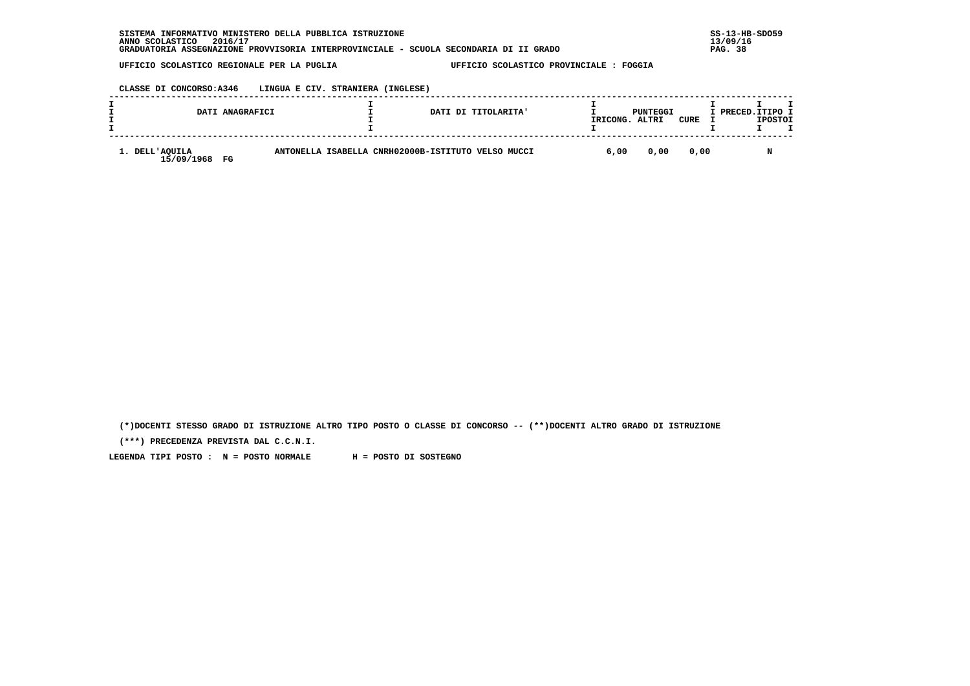## **CLASSE DI CONCORSO:A346 LINGUA E CIV. STRANIERA (INGLESE)**

|                                 | DATI ANAGRAFICI |                                                    | DATI DI TITOLARITA' | IRICONG. | PUNTEGGI<br>ALTRI | CURE | I PRECED. ITIPO I | <b>IPOSTOI</b> |  |
|---------------------------------|-----------------|----------------------------------------------------|---------------------|----------|-------------------|------|-------------------|----------------|--|
| 1. DELL'AQUILA<br>15/09/1968 FG |                 | ANTONELLA ISABELLA CNRH02000B-ISTITUTO VELSO MUCCI |                     | 6,00     | 0.00              | 0.00 |                   |                |  |

 **(\*)DOCENTI STESSO GRADO DI ISTRUZIONE ALTRO TIPO POSTO O CLASSE DI CONCORSO -- (\*\*)DOCENTI ALTRO GRADO DI ISTRUZIONE**

 **(\*\*\*) PRECEDENZA PREVISTA DAL C.C.N.I.**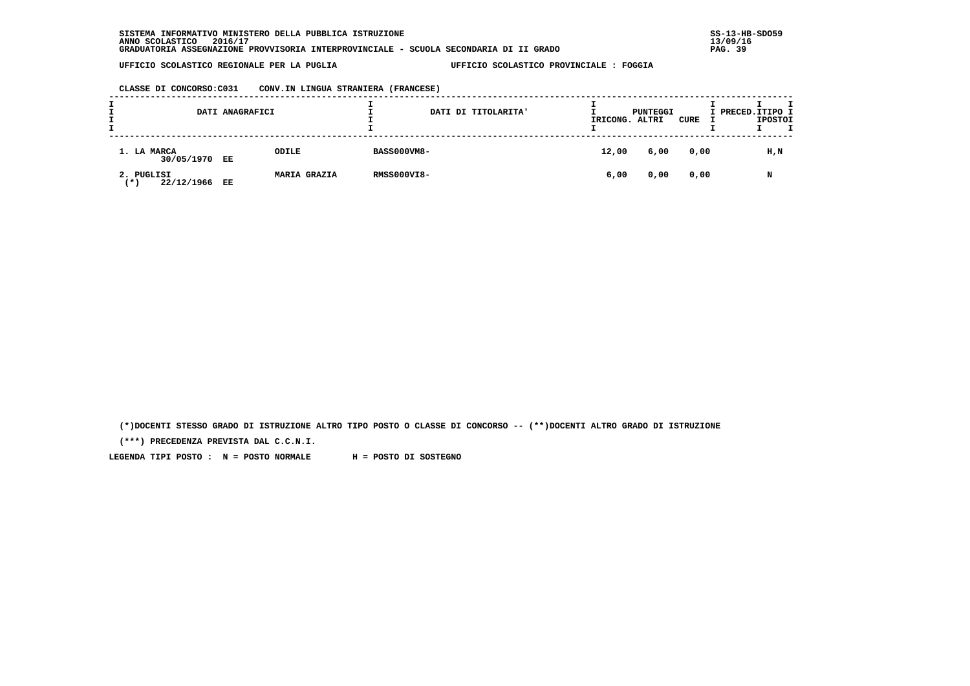**CLASSE DI CONCORSO:C031 CONV.IN LINGUA STRANIERA (FRANCESE)**

|                                   | DATI ANAGRAFICI |                     |                    | DATI DI TITOLARITA' | IRICONG. ALTRI | PUNTEGGI | CURE | т<br>I PRECED. ITIPO I<br><b>IPOSTOI</b> |  |
|-----------------------------------|-----------------|---------------------|--------------------|---------------------|----------------|----------|------|------------------------------------------|--|
| 1. LA MARCA<br>30/05/1970         | EE              | <b>ODILE</b>        | <b>BASS000VM8-</b> |                     | 12,00          | 6,00     | 0,00 | $H$ , $N$                                |  |
| 2. PUGLISI<br>22/12/1966<br>′ ★ ' | EE              | <b>MARIA GRAZIA</b> | <b>RMSS000VI8-</b> |                     | 6,00           | 0,00     | 0,00 | N                                        |  |

 **(\*)DOCENTI STESSO GRADO DI ISTRUZIONE ALTRO TIPO POSTO O CLASSE DI CONCORSO -- (\*\*)DOCENTI ALTRO GRADO DI ISTRUZIONE**

 **(\*\*\*) PRECEDENZA PREVISTA DAL C.C.N.I.**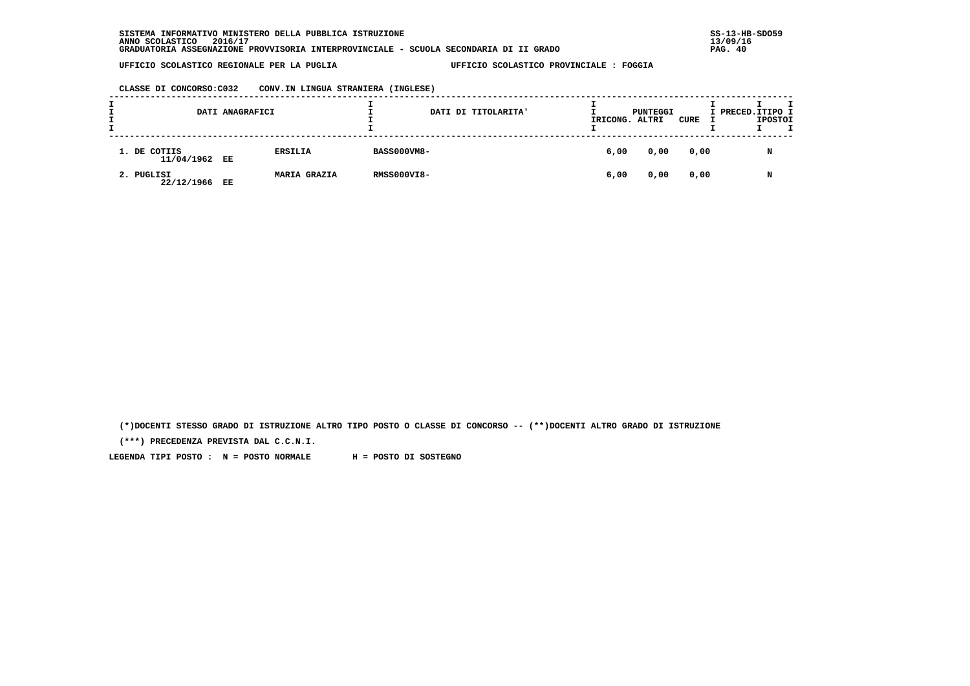**CLASSE DI CONCORSO:C032 CONV.IN LINGUA STRANIERA (INGLESE)**

|                               | DATI ANAGRAFICI |                     |                    | DATI DI TITOLARITA' | IRICONG. | PUNTEGGI<br>ALTRI | CURE | I PRECED. ITIPO I | <b>IPOSTOI</b> |  |
|-------------------------------|-----------------|---------------------|--------------------|---------------------|----------|-------------------|------|-------------------|----------------|--|
| 1. DE COTIIS<br>11/04/1962 EE |                 | <b>ERSILIA</b>      | <b>BASS000VM8-</b> |                     | 6,00     | 0,00              | 0,00 |                   | N              |  |
| 2. PUGLISI<br>22/12/1966 EE   |                 | <b>MARIA GRAZIA</b> | <b>RMSS000VI8-</b> |                     | 6,00     | 0,00              | 0,00 |                   | N              |  |

 **(\*)DOCENTI STESSO GRADO DI ISTRUZIONE ALTRO TIPO POSTO O CLASSE DI CONCORSO -- (\*\*)DOCENTI ALTRO GRADO DI ISTRUZIONE**

 **(\*\*\*) PRECEDENZA PREVISTA DAL C.C.N.I.**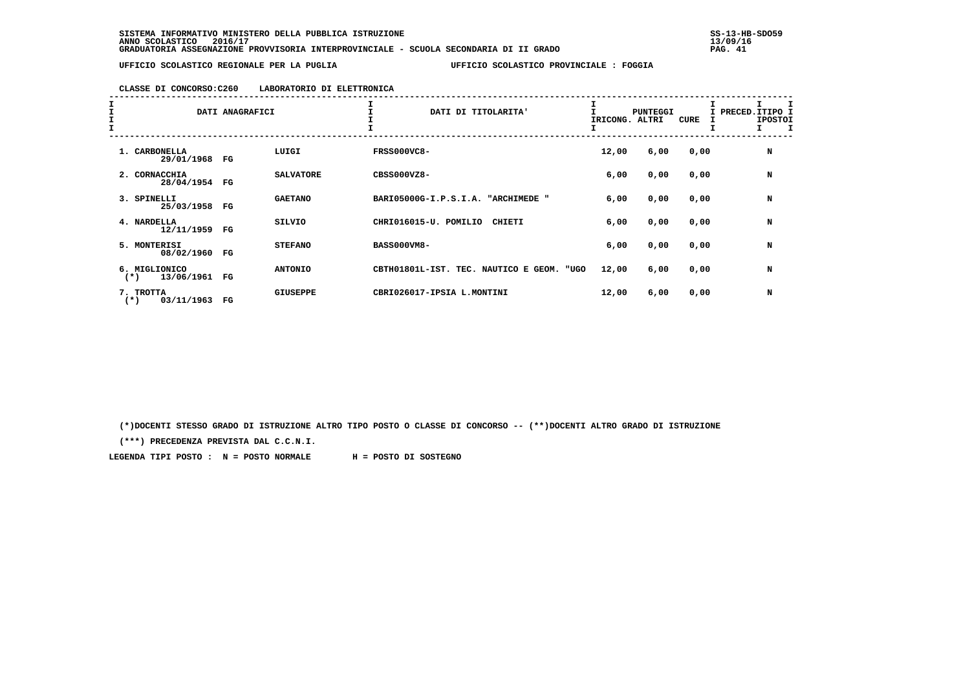# **CLASSE DI CONCORSO:C260 LABORATORIO DI ELETTRONICA**

| I<br>I<br>I | DATI ANAGRAFICI                       |             |                  | DATI DI TITOLARITA'                             | IRICONG. | <b>PUNTEGGI</b><br>ALTRI | CURE | I PRECED.ITIPO I<br><b>IPOSTOI</b><br>I |
|-------------|---------------------------------------|-------------|------------------|-------------------------------------------------|----------|--------------------------|------|-----------------------------------------|
|             | 1. CARBONELLA<br>29/01/1968           | FG          | LUIGI            | <b>FRSS000VC8-</b>                              | 12,00    | 6,00                     | 0,00 | N                                       |
|             | 2. CORNACCHIA<br>28/04/1954           | FG          | <b>SALVATORE</b> | $CBS3000VZ8 -$                                  | 6,00     | 0,00                     | 0,00 | N                                       |
|             | 3. SPINELLI<br>25/03/1958 FG          |             | <b>GAETANO</b>   | BARI05000G-I.P.S.I.A. "ARCHIMEDE "              | 6,00     | 0,00                     | 0,00 | N                                       |
|             | 4. NARDELLA<br>12/11/1959 FG          |             | <b>SILVIO</b>    | CHRI016015-U. POMILIO<br>CHIETI                 | 6,00     | 0,00                     | 0,00 | N                                       |
|             | 5. MONTERISI<br>08/02/1960            | $_{\rm FG}$ | <b>STEFANO</b>   | <b>BASS000VM8-</b>                              | 6,00     | 0,00                     | 0,00 | N                                       |
|             | 6. MIGLIONICO<br>13/06/1961<br>$(* )$ | FG          | <b>ANTONIO</b>   | CBTH01801L-IST. TEC. NAUTICO E<br>GEOM.<br>"UGO | 12,00    | 6,00                     | 0,00 | N                                       |
|             | 7. TROTTA<br>03/11/1963<br>$(*)$      | $_{\rm FG}$ | <b>GIUSEPPE</b>  | CBRI026017-IPSIA L.MONTINI                      | 12,00    | 6,00                     | 0,00 | N                                       |

 **(\*)DOCENTI STESSO GRADO DI ISTRUZIONE ALTRO TIPO POSTO O CLASSE DI CONCORSO -- (\*\*)DOCENTI ALTRO GRADO DI ISTRUZIONE**

 **(\*\*\*) PRECEDENZA PREVISTA DAL C.C.N.I.**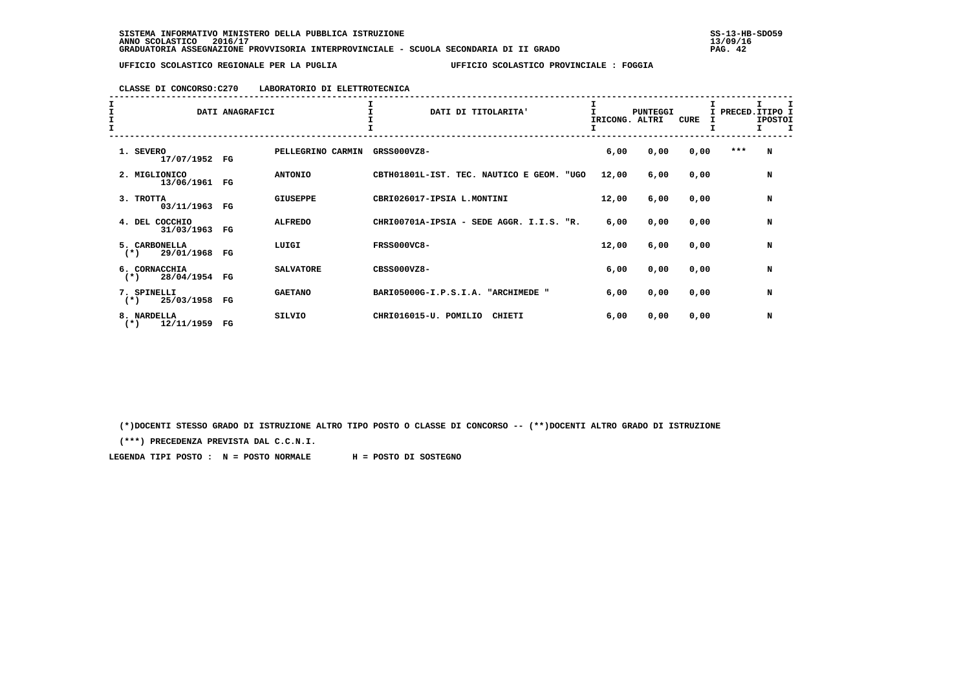### **CLASSE DI CONCORSO:C270 LABORATORIO DI ELETTROTECNICA**

| I<br>$\frac{1}{1}$ | DATI ANAGRAFICI                       |             |                   | DATI DI TITOLARITA'                          | <b>PUNTEGGI</b><br>IRICONG. ALTRI |      | CURE | I PRECED. ITIPO I<br>I | <b>IPOSTOI</b> |  |
|--------------------|---------------------------------------|-------------|-------------------|----------------------------------------------|-----------------------------------|------|------|------------------------|----------------|--|
|                    | 1. SEVERO<br>17/07/1952               | FG          | PELLEGRINO CARMIN | GRSS000VZ8-                                  | 6,00                              | 0,00 | 0,00 | $***$                  | N              |  |
|                    | 2. MIGLIONICO<br>13/06/1961           | FG          | <b>ANTONIO</b>    | CBTH01801L-IST. TEC. NAUTICO E GEOM.<br>"UGO | 12,00                             | 6,00 | 0,00 |                        | N              |  |
|                    | 3. TROTTA<br>03/11/1963               | FG          | <b>GIUSEPPE</b>   | CBRI026017-IPSIA L.MONTINI                   | 12,00                             | 6,00 | 0,00 |                        | N              |  |
|                    | 4. DEL COCCHIO<br>31/03/1963          | $_{\rm FG}$ | <b>ALFREDO</b>    | CHRI00701A-IPSIA - SEDE AGGR. I.I.S.<br>"R.  | 6,00                              | 0,00 | 0,00 |                        | N              |  |
|                    | 5. CARBONELLA<br>29/01/1968<br>$(*)$  | FG          | LUIGI             | <b>FRSS000VC8-</b>                           | 12,00                             | 6,00 | 0,00 |                        | N              |  |
|                    | 6. CORNACCHIA<br>28/04/1954<br>$(*)$  | FG          | <b>SALVATORE</b>  | $CBS000VZ8 -$                                | 6,00                              | 0,00 | 0,00 |                        | N              |  |
|                    | 7. SPINELLI<br>25/03/1958<br>$(*)$    | FG          | <b>GAETANO</b>    | BARI05000G-I.P.S.I.A. "ARCHIMEDE "           | 6,00                              | 0,00 | 0,00 |                        | N              |  |
|                    | 8. NARDELLA<br>$^{(*)}$<br>12/11/1959 | FG          | <b>SILVIO</b>     | CHRI016015-U. POMILIO<br>CHIETI              | 6,00                              | 0,00 | 0,00 |                        | N              |  |

 **(\*)DOCENTI STESSO GRADO DI ISTRUZIONE ALTRO TIPO POSTO O CLASSE DI CONCORSO -- (\*\*)DOCENTI ALTRO GRADO DI ISTRUZIONE**

 **(\*\*\*) PRECEDENZA PREVISTA DAL C.C.N.I.**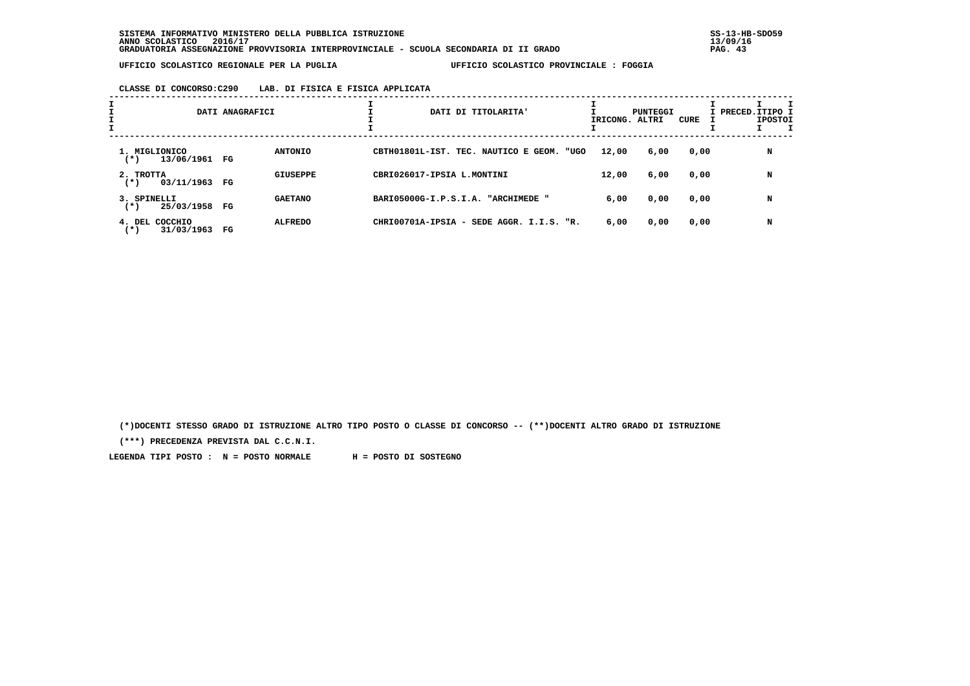# **CLASSE DI CONCORSO:C290 LAB. DI FISICA E FISICA APPLICATA**

| $\mathbf{I}$ |                                            | DATI ANAGRAFICI |                 |                            | DATI DI TITOLARITA'                      | IRICONG. ALTRI | PUNTEGGI | CURE | I PRECED.ITIPO I<br><b>IPOSTOI</b> |
|--------------|--------------------------------------------|-----------------|-----------------|----------------------------|------------------------------------------|----------------|----------|------|------------------------------------|
|              | 1. MIGLIONICO<br>13/06/1961<br>( * )       | FG              | <b>ANTONIO</b>  |                            | CBTH01801L-IST. TEC. NAUTICO E GEOM.     | 12,00<br>"UGO  | 6,00     | 0,00 | N                                  |
|              | 2. TROTTA<br>03/11/1963<br>$(*)$           | FG              | <b>GIUSEPPE</b> | CBRI026017-IPSIA L.MONTINI |                                          | 12,00          | 6,00     | 0,00 | N                                  |
|              | 3. SPINELLI<br>25/03/1958<br>$^{(*)}$      | FG              | <b>GAETANO</b>  |                            | BARI05000G-I.P.S.I.A. "ARCHIMEDE "       | 6,00           | 0,00     | 0,00 | N                                  |
|              | COCCHIO<br>$4.$ DEL<br>31/03/1963<br>( * ) | $_{\rm FG}$     | <b>ALFREDO</b>  |                            | CHRI00701A-IPSIA - SEDE AGGR. I.I.S. "R. | 6,00           | 0,00     | 0,00 | N                                  |

 **(\*)DOCENTI STESSO GRADO DI ISTRUZIONE ALTRO TIPO POSTO O CLASSE DI CONCORSO -- (\*\*)DOCENTI ALTRO GRADO DI ISTRUZIONE**

 **(\*\*\*) PRECEDENZA PREVISTA DAL C.C.N.I.**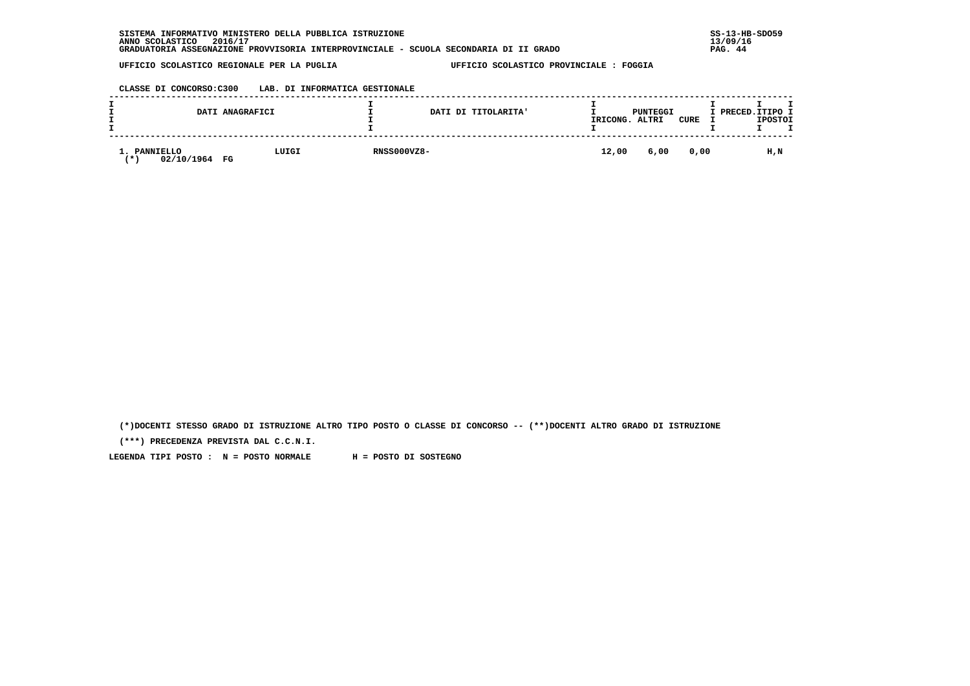| INFORMATIVO MINISTERO DELLA PUBBLICA ISTRUZIONE<br><b>SISTEMA</b>                     | $SS-13-HE$ |
|---------------------------------------------------------------------------------------|------------|
| 2016/17<br>ANNO SCOLASTICO                                                            | 13/09/16   |
| GRADUATORIA ASSEGNAZIONE PROVVISORIA INTERPROVINCIALE - SCUOLA SECONDARIA DI II GRADO | PAG. 44    |

# **CLASSE DI CONCORSO:C300 LAB. DI INFORMATICA GESTIONALE**

|                                             | DATI ANAGRAFICI |                    | DATI DI TITOLARITA' | IRICONG. | PUNTEGGI<br>ALTRI | <b>CURE</b> | I PRECED.ITIPO I | <b>IPOSTOI</b> |  |
|---------------------------------------------|-----------------|--------------------|---------------------|----------|-------------------|-------------|------------------|----------------|--|
| <b>PANNIELLO</b><br>⊥.<br>02/10/1964<br>. ж | LUIGI<br>FG     | <b>RNSS000VZ8-</b> |                     | 12,00    | 6,00              | 0,00        |                  | H,N            |  |

 **(\*)DOCENTI STESSO GRADO DI ISTRUZIONE ALTRO TIPO POSTO O CLASSE DI CONCORSO -- (\*\*)DOCENTI ALTRO GRADO DI ISTRUZIONE**

 **(\*\*\*) PRECEDENZA PREVISTA DAL C.C.N.I.**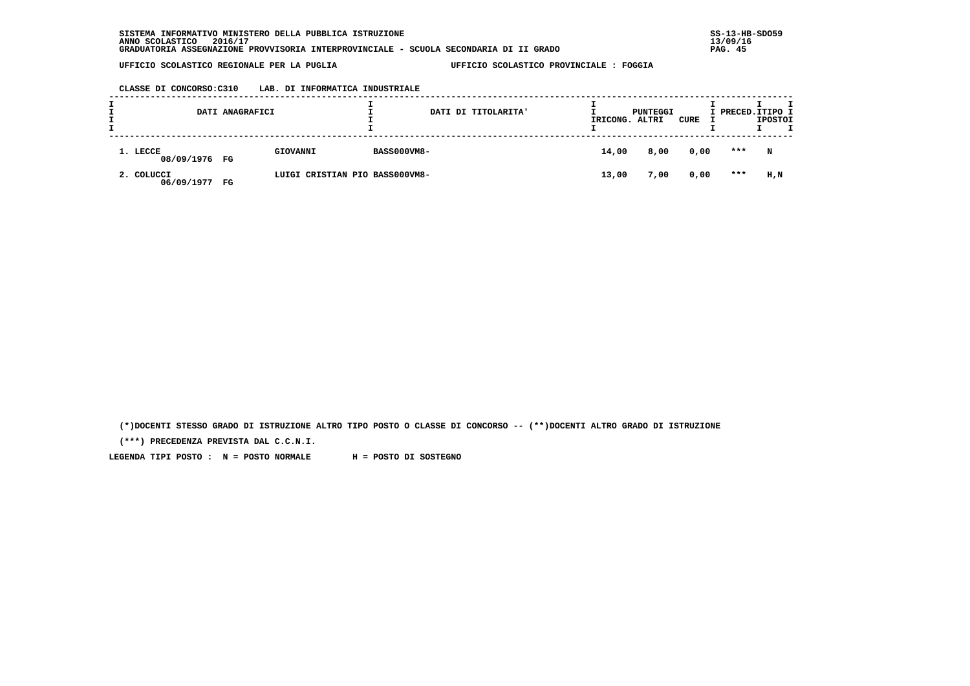# **CLASSE DI CONCORSO:C310 LAB. DI INFORMATICA INDUSTRIALE**

|                           | DATI ANAGRAFICI |                                |                    | DATI DI TITOLARITA' | IRICONG. ALTRI | PUNTEGGI | CURE | I PRECED. ITIPO I | <b>IPOSTOI</b> |  |
|---------------------------|-----------------|--------------------------------|--------------------|---------------------|----------------|----------|------|-------------------|----------------|--|
| 1. LECCE<br>08/09/1976 FG |                 | GIOVANNI                       | <b>BASS000VM8-</b> |                     | 14,00          | 8,00     | 0,00 | ***               | N              |  |
| 2. COLUCCI<br>06/09/1977  | FG              | LUIGI CRISTIAN PIO BASS000VM8- |                    |                     | 13,00          | 7,00     | 0,00 | $***$             | H,N            |  |

 **(\*)DOCENTI STESSO GRADO DI ISTRUZIONE ALTRO TIPO POSTO O CLASSE DI CONCORSO -- (\*\*)DOCENTI ALTRO GRADO DI ISTRUZIONE**

 **(\*\*\*) PRECEDENZA PREVISTA DAL C.C.N.I.**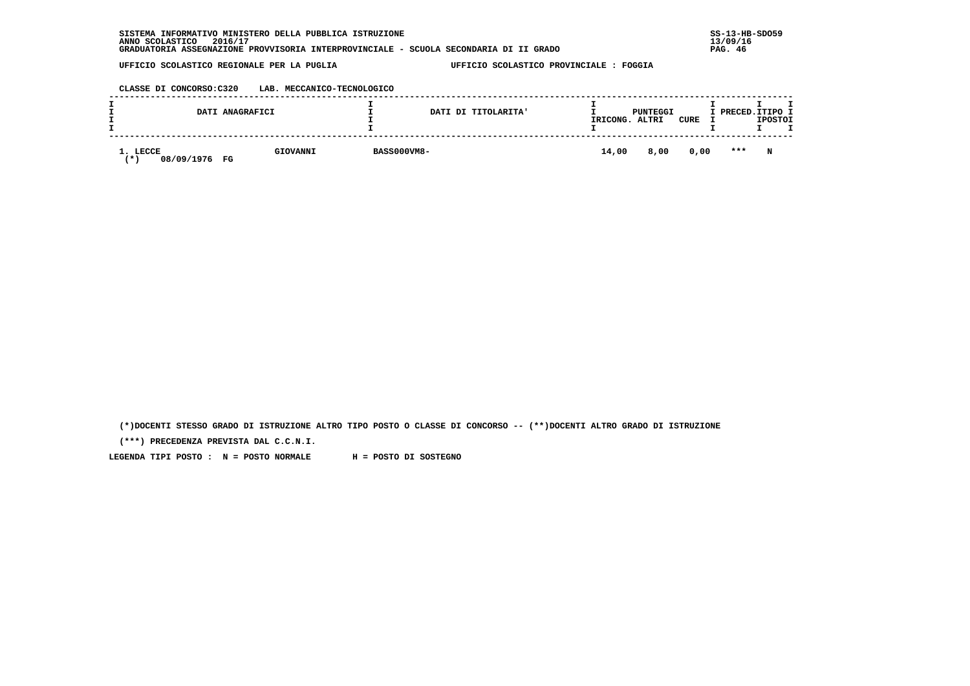| . INFORMATIVO MINISTERO DELLA PUBBLICA ISTRUZIONE<br>SISTEMA                          | $SS-13-HE$   |
|---------------------------------------------------------------------------------------|--------------|
| 2016/17<br>ANNO SCOLASTICO                                                            | 13/09/16     |
| GRADUATORIA ASSEGNAZIONE PROVVISORIA INTERPROVINCIALE - SCUOLA SECONDARIA DI II GRADO | . 46<br>PAG. |

 **CLASSE DI CONCORSO:C320 LAB. MECCANICO-TECNOLOGICO**

|                              | DATI ANAGRAFICI |                    | DATI DI TITOLARITA' | IRICONG. | PUNTEGGI<br>ALTRI | <b>CURE</b> |         | I PRECED. ITIPO I<br><b>IPOSTOI</b> |
|------------------------------|-----------------|--------------------|---------------------|----------|-------------------|-------------|---------|-------------------------------------|
| 1. LECCE<br>08/09/1976<br>′∗ | GIOVANNI<br>FG  | <b>BASS000VM8-</b> |                     | 14,00    | 8,00              | 0,00        | $* * *$ | N                                   |

 **(\*)DOCENTI STESSO GRADO DI ISTRUZIONE ALTRO TIPO POSTO O CLASSE DI CONCORSO -- (\*\*)DOCENTI ALTRO GRADO DI ISTRUZIONE**

 **(\*\*\*) PRECEDENZA PREVISTA DAL C.C.N.I.**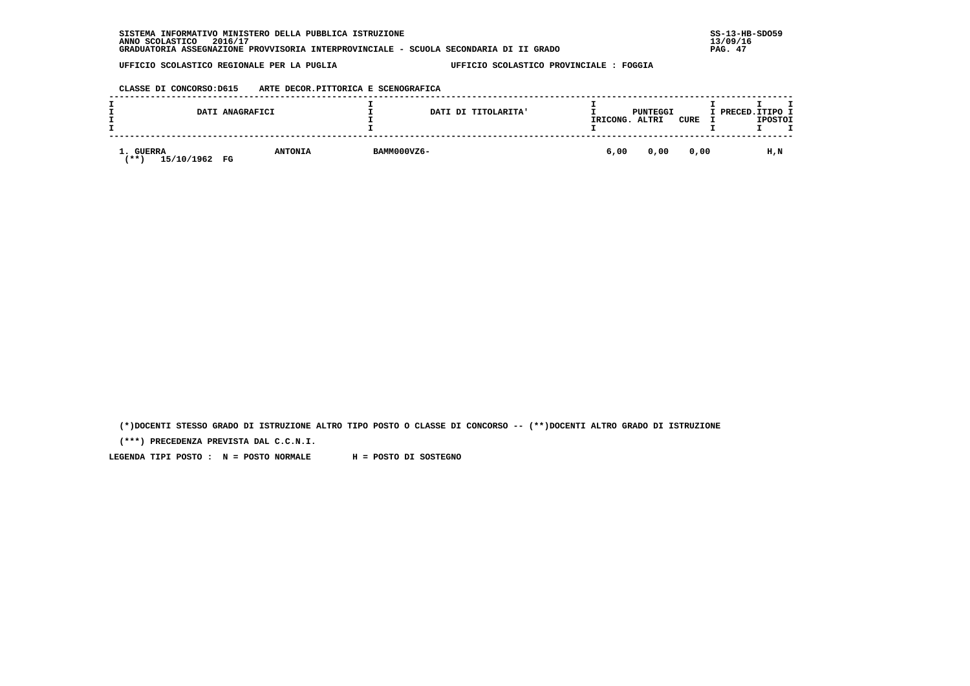| SISTEMA INFORMATIVO MINISTERO DELLA PUBBLICA ISTRUZIONE                               | $SS-13-HE$ |
|---------------------------------------------------------------------------------------|------------|
| 2016/17<br>ANNO SCOLASTICO                                                            | 13/09/16   |
| GRADUATORIA ASSEGNAZIONE PROVVISORIA INTERPROVINCIALE - SCUOLA SECONDARIA DI II GRADO | PAG. 47    |

 **CLASSE DI CONCORSO:D615 ARTE DECOR.PITTORICA E SCENOGRAFICA**

|                                             | DATI ANAGRAFICI |                |             | DATI DI TITOLARITA' | IRICONG. | PUNTEGGI<br>ALTRI | <b>CURE</b> | I PRECED.ITIPO I | <b>IPOSTOI</b> |  |
|---------------------------------------------|-----------------|----------------|-------------|---------------------|----------|-------------------|-------------|------------------|----------------|--|
| <b>GUERRA</b><br>15/10/1962 FG<br><b>**</b> |                 | <b>ANTONIA</b> | BAMM000VZ6- |                     | 6,00     | 0,00              | 0,00        |                  | H,N            |  |

 **(\*)DOCENTI STESSO GRADO DI ISTRUZIONE ALTRO TIPO POSTO O CLASSE DI CONCORSO -- (\*\*)DOCENTI ALTRO GRADO DI ISTRUZIONE**

 **(\*\*\*) PRECEDENZA PREVISTA DAL C.C.N.I.**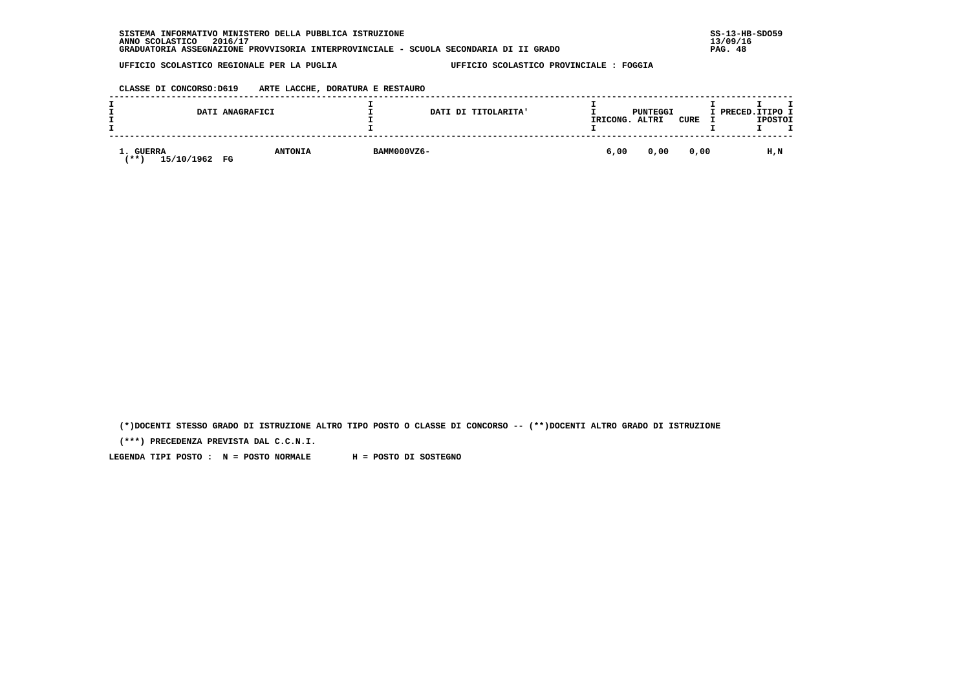| SISTEMA INFORMATIVO MINISTERO DELLA PUBBLICA ISTRUZIONE                               | $SS-13-HE$  |
|---------------------------------------------------------------------------------------|-------------|
| 2016/17<br>ANNO SCOLASTICO                                                            | 13/09/16    |
| GRADUATORIA ASSEGNAZIONE PROVVISORIA INTERPROVINCIALE - SCUOLA SECONDARIA DI II GRADO | .48<br>PAG. |

 **CLASSE DI CONCORSO:D619 ARTE LACCHE, DORATURA E RESTAURO**

|                                     | DATI ANAGRAFICI |                |             | DATI DI TITOLARITA' | IRICONG. | PUNTEGGI<br>ALTRI | CURE | I PRECED.ITIPO I | <b>IPOSTOI</b> |  |
|-------------------------------------|-----------------|----------------|-------------|---------------------|----------|-------------------|------|------------------|----------------|--|
| <b>GUERRA</b><br>15/10/1962<br>(**) | FG              | <b>ANTONIA</b> | BAMM000VZ6- |                     | 6,00     | 0,00              | 0,00 |                  | H,N            |  |

 **(\*)DOCENTI STESSO GRADO DI ISTRUZIONE ALTRO TIPO POSTO O CLASSE DI CONCORSO -- (\*\*)DOCENTI ALTRO GRADO DI ISTRUZIONE**

 **(\*\*\*) PRECEDENZA PREVISTA DAL C.C.N.I.**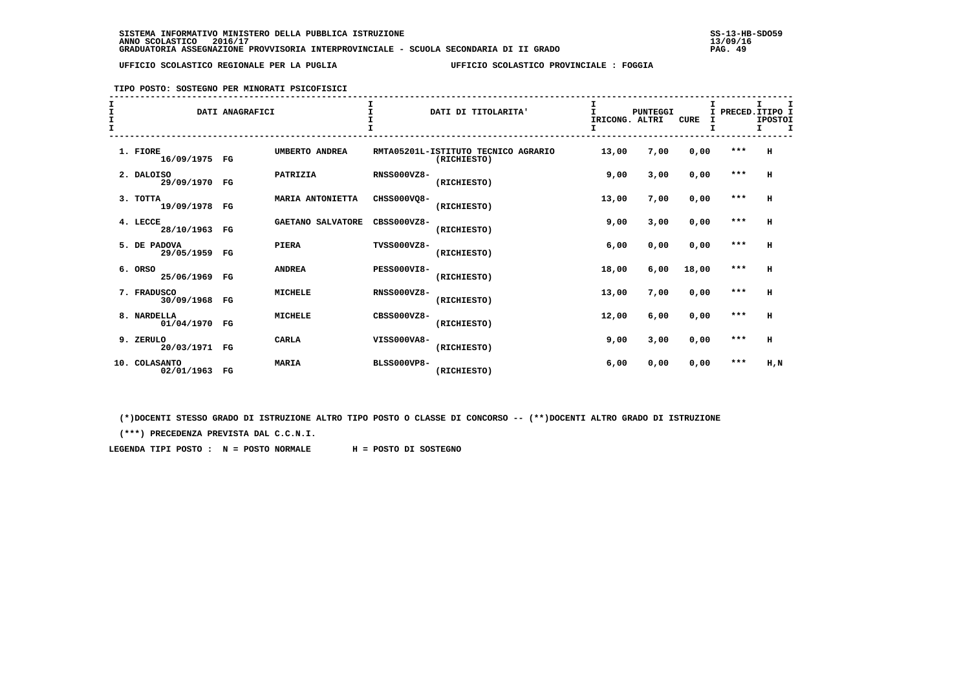## **TIPO POSTO: SOSTEGNO PER MINORATI PSICOFISICI**

| $\mathbf{I}$<br>I<br>$\mathbf{I}$ | DATI ANAGRAFICI                          |                         |                    | DATI DI TITOLARITA'                                | т<br>IRICONG. ALTRI<br>I | <b>PUNTEGGI</b> | <b>CURE</b> | Τ.<br>I<br>T. | PRECED. ITIPO I<br><b>IPOSTOI</b><br>I.<br>$\mathbf{T}$ |
|-----------------------------------|------------------------------------------|-------------------------|--------------------|----------------------------------------------------|--------------------------|-----------------|-------------|---------------|---------------------------------------------------------|
|                                   |                                          |                         |                    |                                                    |                          |                 |             |               |                                                         |
|                                   | 1. FIORE<br>16/09/1975 FG                | UMBERTO ANDREA          |                    | RMTA05201L-ISTITUTO TECNICO AGRARIO<br>(RICHIESTO) | 13,00                    | 7,00            | 0,00        | ***           | н                                                       |
|                                   | 2. DALOISO<br>29/09/1970<br>$_{\rm FG}$  | PATRIZIA                | <b>RNSS000VZ8-</b> | (RICHIESTO)                                        | 9,00                     | 3,00            | 0,00        | $***$         | H                                                       |
|                                   | 3. TOTTA<br>19/09/1978 FG                | <b>MARIA ANTONIETTA</b> | CHSS000VO8-        | (RICHIESTO)                                        | 13,00                    | 7,00            | 0,00        | $***$         | н                                                       |
|                                   | 4. LECCE<br>28/10/1963 FG                | GAETANO SALVATORE       | $CRSS000VZ8-$      | (RICHIESTO)                                        | 9,00                     | 3,00            | 0,00        | $***$         | H                                                       |
|                                   | 5. DE PADOVA<br>29/05/1959<br>FG         | PIERA                   | TVSS000VZ8-        | (RICHIESTO)                                        | 6,00                     | 0,00            | 0,00        | $***$         | H                                                       |
|                                   | 6. ORSO<br>25/06/1969<br>FG              | <b>ANDREA</b>           | <b>PESS000VI8-</b> | (RICHIESTO)                                        | 18,00                    | 6,00            | 18,00       | $***$         | н                                                       |
|                                   | 7. FRADUSCO<br>30/09/1968 FG             | <b>MICHELE</b>          | <b>RNSS000VZ8-</b> | (RICHIESTO)                                        | 13,00                    | 7,00            | 0,00        | $***$         | н                                                       |
|                                   | 8. NARDELLA<br>01/04/1970 FG             | <b>MICHELE</b>          | $CRSS000VZ8-$      | (RICHIESTO)                                        | 12,00                    | 6,00            | 0,00        | $***$         | н                                                       |
|                                   | 9. ZERULO<br>20/03/1971 FG               | <b>CARLA</b>            | VISS000VA8-        | (RICHIESTO)                                        | 9,00                     | 3,00            | 0,00        | $***$         | н                                                       |
|                                   | <b>COLASANTO</b><br>10.<br>02/01/1963 FG | <b>MARIA</b>            | <b>BLSS000VP8-</b> | (RICHIESTO)                                        | 6,00                     | 0,00            | 0,00        | ***           | H,N                                                     |

 **(\*)DOCENTI STESSO GRADO DI ISTRUZIONE ALTRO TIPO POSTO O CLASSE DI CONCORSO -- (\*\*)DOCENTI ALTRO GRADO DI ISTRUZIONE**

 **(\*\*\*) PRECEDENZA PREVISTA DAL C.C.N.I.**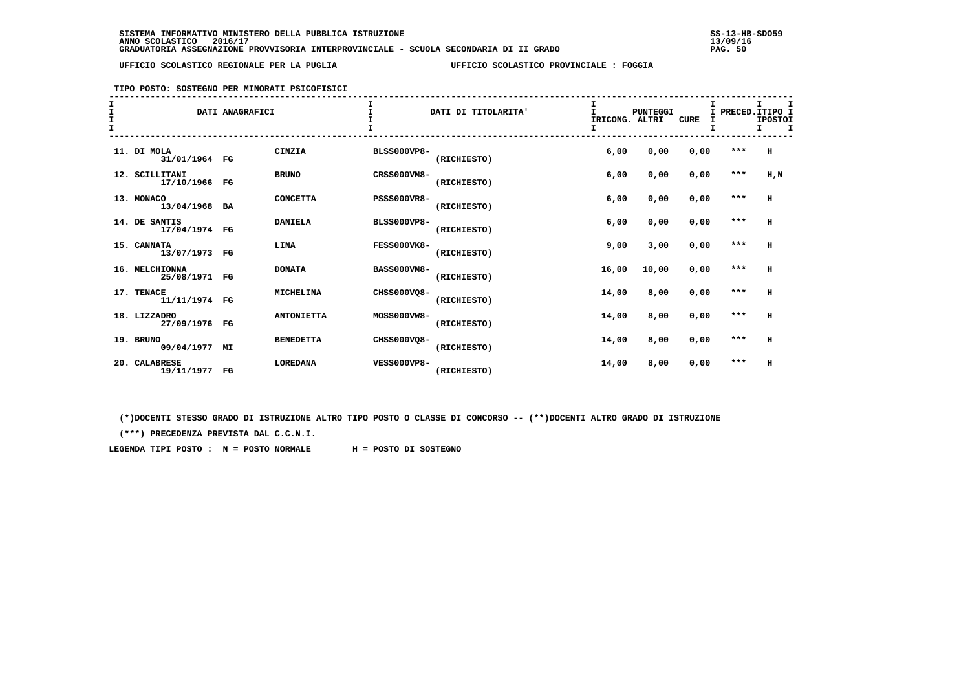## **TIPO POSTO: SOSTEGNO PER MINORATI PSICOFISICI**

| $rac{1}{1}$<br>$\mathbf{T}$ |                                 | DATI ANAGRAFICI |                   |                    | DATI DI TITOLARITA' | I<br>IRICONG. ALTRI<br>I | PUNTEGGI | <b>CURE</b> |         | I<br>PRECED. ITIPO I<br><b>IPOSTOI</b><br>I.<br>I |
|-----------------------------|---------------------------------|-----------------|-------------------|--------------------|---------------------|--------------------------|----------|-------------|---------|---------------------------------------------------|
|                             | 11. DI MOLA<br>31/01/1964 FG    |                 | CINZIA            | <b>BLSS000VP8-</b> | (RICHIESTO)         | 6,00                     | 0,00     | 0,00        | $***$   | H                                                 |
|                             | 12. SCILLITANI<br>17/10/1966 FG |                 | <b>BRUNO</b>      | CRSS000VM8-        | (RICHIESTO)         | 6,00                     | 0,00     | 0,00        | $***$   | $H$ , $N$                                         |
|                             | 13. MONACO<br>13/04/1968 BA     |                 | <b>CONCETTA</b>   | <b>PSSS000VR8-</b> | (RICHIESTO)         | 6,00                     | 0,00     | 0,00        | $***$   | H                                                 |
|                             | 14. DE SANTIS<br>17/04/1974 FG  |                 | <b>DANIELA</b>    | <b>BLSS000VP8-</b> | (RICHIESTO)         | 6,00                     | 0,00     | 0,00        | $* * *$ | н                                                 |
|                             | 15. CANNATA<br>13/07/1973 FG    |                 | LINA              | FESS000VK8-        | (RICHIESTO)         | 9,00                     | 3,00     | 0,00        | $***$   | H                                                 |
|                             | 16. MELCHIONNA<br>25/08/1971 FG |                 | <b>DONATA</b>     | <b>BASS000VM8-</b> | (RICHIESTO)         | 16,00                    | 10,00    | 0.00        | $***$   | H                                                 |
|                             | 17. TENACE<br>11/11/1974 FG     |                 | <b>MICHELINA</b>  | CHSS000VO8-        | (RICHIESTO)         | 14,00                    | 8,00     | 0,00        | $***$   | H                                                 |
|                             | 18. LIZZADRO<br>27/09/1976 FG   |                 | <b>ANTONIETTA</b> | MOSS000VW8-        | (RICHIESTO)         | 14,00                    | 8,00     | 0,00        | $***$   | н                                                 |
|                             | 19. BRUNO<br>09/04/1977 MI      |                 | <b>BENEDETTA</b>  | CHSS000VQ8-        | (RICHIESTO)         | 14,00                    | 8,00     | 0,00        | $***$   | н                                                 |
|                             | 20. CALABRESE<br>19/11/1977 FG  |                 | <b>LOREDANA</b>   | <b>VESS000VP8-</b> | (RICHIESTO)         | 14,00                    | 8,00     | 0,00        | $***$   | н                                                 |

 **(\*)DOCENTI STESSO GRADO DI ISTRUZIONE ALTRO TIPO POSTO O CLASSE DI CONCORSO -- (\*\*)DOCENTI ALTRO GRADO DI ISTRUZIONE**

 **(\*\*\*) PRECEDENZA PREVISTA DAL C.C.N.I.**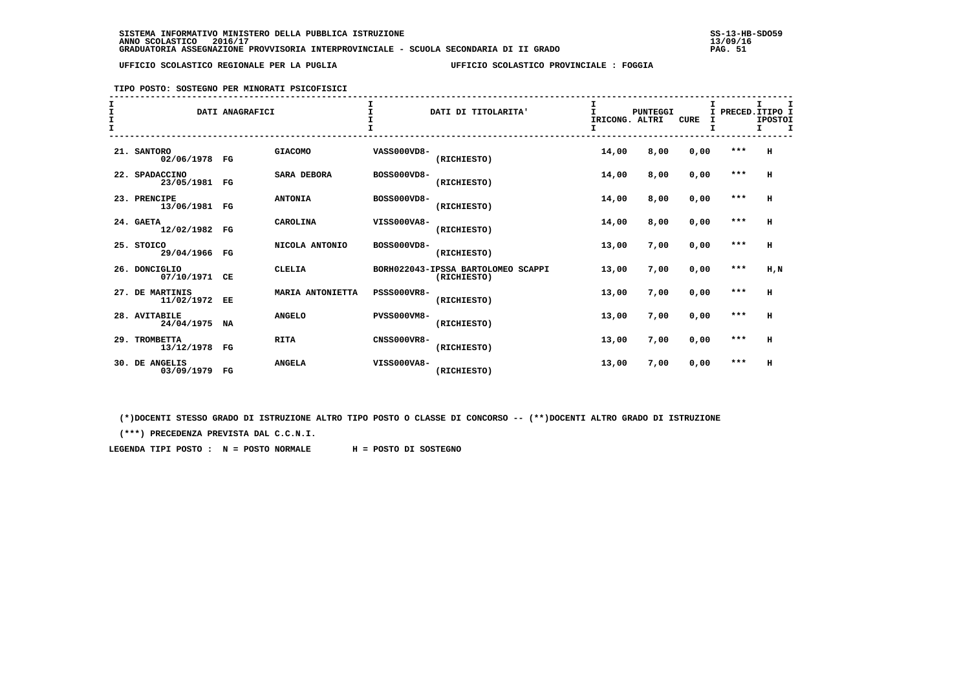### **TIPO POSTO: SOSTEGNO PER MINORATI PSICOFISICI**

| I<br>I<br>$\mathbf{I}$ |                               | DATI ANAGRAFICI |                    |                    | DATI DI TITOLARITA'                               | I<br>IRICONG. ALTRI<br>I | PUNTEGGI | <b>CURE</b> | т |         | I<br>PRECED. ITIPO I<br><b>IPOSTOI</b><br>I.<br>I |
|------------------------|-------------------------------|-----------------|--------------------|--------------------|---------------------------------------------------|--------------------------|----------|-------------|---|---------|---------------------------------------------------|
|                        | 21. SANTORO<br>02/06/1978 FG  |                 | <b>GIACOMO</b>     | VASS000VD8-        | (RICHIESTO)                                       | 14,00                    | 8,00     | 0,00        |   | ***     | H                                                 |
|                        | 22. SPADACCINO<br>23/05/1981  | FG              | <b>SARA DEBORA</b> | BOSS000VD8-        | (RICHIESTO)                                       | 14,00                    | 8,00     | 0,00        |   | $***$   | н                                                 |
|                        | 23. PRENCIPE<br>13/06/1981 FG |                 | <b>ANTONIA</b>     | BOSS000VD8-        | (RICHIESTO)                                       | 14,00                    | 8,00     | 0,00        |   | $* * *$ | H                                                 |
|                        | 24. GAETA<br>12/02/1982 FG    |                 | CAROLINA           | VISS000VA8-        | (RICHIESTO)                                       | 14,00                    | 8,00     | 0,00        |   | $***$   | H                                                 |
|                        | 25. STOICO<br>29/04/1966      | $_{\rm FG}$     | NICOLA ANTONIO     | BOSS000VD8-        | (RICHIESTO)                                       | 13,00                    | 7,00     | 0,00        |   | $***$   | H                                                 |
|                        | 26. DONCIGLIO<br>07/10/1971   | CЕ              | <b>CLELIA</b>      |                    | BORH022043-IPSSA BARTOLOMEO SCAPPI<br>(RICHIESTO) | 13,00                    | 7,00     | 0,00        |   | $***$   | H,N                                               |
|                        | 27. DE MARTINIS<br>11/02/1972 | EE              | MARIA ANTONIETTA   | <b>PSSS000VR8-</b> | (RICHIESTO)                                       | 13,00                    | 7,00     | 0,00        |   | $***$   | H                                                 |
|                        | 28. AVITABILE<br>24/04/1975   | NA              | <b>ANGELO</b>      | <b>PVSS000VM8-</b> | (RICHIESTO)                                       | 13,00                    | 7,00     | 0,00        |   | $***$   | H                                                 |
|                        | 29. TROMBETTA<br>13/12/1978   | FG              | <b>RITA</b>        | <b>CNSS000VR8-</b> | (RICHIESTO)                                       | 13,00                    | 7,00     | 0,00        |   | $***$   | н                                                 |
|                        | 30. DE ANGELIS<br>03/09/1979  | FG              | <b>ANGELA</b>      | VISS000VA8-        | (RICHIESTO)                                       | 13,00                    | 7,00     | 0,00        |   | $***$   | н                                                 |

 **(\*)DOCENTI STESSO GRADO DI ISTRUZIONE ALTRO TIPO POSTO O CLASSE DI CONCORSO -- (\*\*)DOCENTI ALTRO GRADO DI ISTRUZIONE**

 **(\*\*\*) PRECEDENZA PREVISTA DAL C.C.N.I.**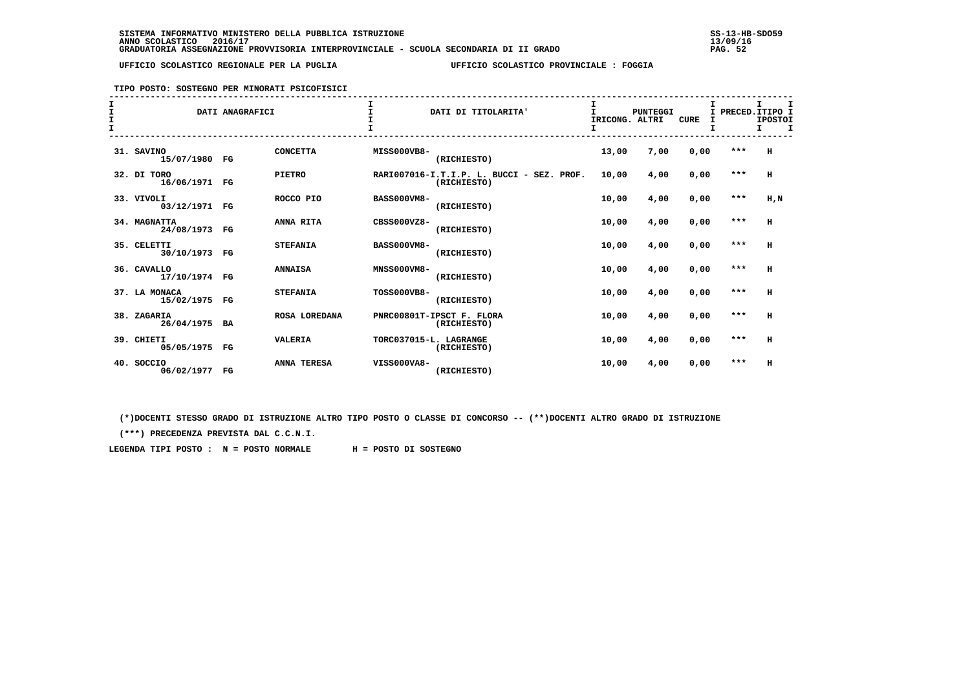### **TIPO POSTO: SOSTEGNO PER MINORATI PSICOFISICI**

| T<br>$\mathbf{I}$ |                                | DATI ANAGRAFICI |                    |                        | DATI DI TITOLARITA'                                      | IRICONG. ALTRI<br>I | <b>PUNTEGGI</b> | <b>CURE</b> | I<br>I | I PRECED. ITIPO I<br><b>IPOSTOI</b><br>I<br>I. |
|-------------------|--------------------------------|-----------------|--------------------|------------------------|----------------------------------------------------------|---------------------|-----------------|-------------|--------|------------------------------------------------|
|                   | 31. SAVINO<br>15/07/1980 FG    |                 | <b>CONCETTA</b>    | <b>MISS000VB8-</b>     | (RICHIESTO)                                              | 13,00               | 7,00            | 0,00        | $***$  | H                                              |
|                   | 32. DI TORO<br>16/06/1971 FG   |                 | <b>PIETRO</b>      |                        | RARI007016-I.T.I.P. L. BUCCI - SEZ. PROF.<br>(RICHIESTO) | 10,00               | 4,00            | 0,00        | $***$  | н                                              |
|                   | 33. VIVOLI<br>03/12/1971 FG    |                 | ROCCO PIO          | <b>BASS000VM8-</b>     | (RICHIESTO)                                              | 10,00               | 4,00            | 0,00        | $***$  | $H$ , $N$                                      |
|                   | 34. MAGNATTA<br>24/08/1973 FG  |                 | ANNA RITA          | $CRSS000VZ8-$          | (RICHIESTO)                                              | 10,00               | 4,00            | 0,00        | $***$  | н                                              |
|                   | 35. CELETTI<br>30/10/1973 FG   |                 | <b>STEFANIA</b>    | <b>BASS000VM8-</b>     | (RICHIESTO)                                              | 10,00               | 4,00            | 0,00        | $***$  | н                                              |
|                   | 36. CAVALLO<br>17/10/1974 FG   |                 | <b>ANNAISA</b>     | MNSS000VM8-            | (RICHIESTO)                                              | 10,00               | 4,00            | 0,00        | $***$  | н                                              |
|                   | 37. LA MONACA<br>15/02/1975 FG |                 | <b>STEFANIA</b>    | <b>TOSS000VB8-</b>     | (RICHIESTO)                                              | 10,00               | 4,00            | 0,00        | $***$  | H                                              |
|                   | 38. ZAGARIA<br>26/04/1975 BA   |                 | ROSA LOREDANA      |                        | PNRC00801T-IPSCT F. FLORA<br>(RICHIESTO)                 | 10,00               | 4,00            | 0,00        | ***    | н                                              |
|                   | 39. CHIETI<br>05/05/1975 FG    |                 | <b>VALERIA</b>     | TORC037015-L. LAGRANGE | (RICHIESTO)                                              | 10,00               | 4,00            | 0,00        | $***$  | н                                              |
|                   | 40. SOCCIO<br>06/02/1977 FG    |                 | <b>ANNA TERESA</b> | VISS000VA8-            | (RICHIESTO)                                              | 10,00               | 4,00            | 0,00        | $***$  | н                                              |

 **(\*)DOCENTI STESSO GRADO DI ISTRUZIONE ALTRO TIPO POSTO O CLASSE DI CONCORSO -- (\*\*)DOCENTI ALTRO GRADO DI ISTRUZIONE**

 **(\*\*\*) PRECEDENZA PREVISTA DAL C.C.N.I.**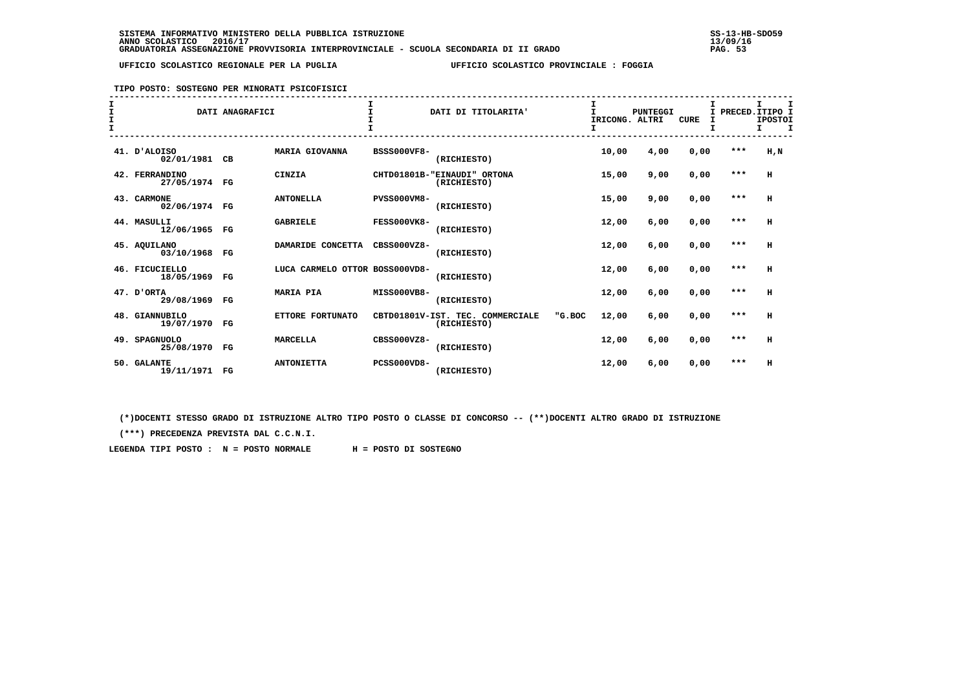# **TIPO POSTO: SOSTEGNO PER MINORATI PSICOFISICI**

| I<br>$\mathbf{I}$ |                                 | DATI ANAGRAFICI |                                |                    | DATI DI TITOLARITA'                             |        | IRICONG. ALTRI<br>I | PUNTEGGI | <b>CURE</b> | т | PRECED. ITIPO I | I<br><b>IPOSTOI</b><br>I. | I |
|-------------------|---------------------------------|-----------------|--------------------------------|--------------------|-------------------------------------------------|--------|---------------------|----------|-------------|---|-----------------|---------------------------|---|
|                   | 41. D'ALOISO<br>02/01/1981 CB   |                 | <b>MARIA GIOVANNA</b>          | <b>BSSS000VF8-</b> | (RICHIESTO)                                     |        | 10,00               | 4,00     | 0,00        |   | $***$           | H, N                      |   |
|                   | 42. FERRANDINO<br>27/05/1974 FG |                 | CINZIA                         |                    | CHTD01801B-"EINAUDI" ORTONA<br>(RICHIESTO)      |        | 15,00               | 9,00     | 0,00        |   | $***$           | H                         |   |
|                   | 43. CARMONE<br>02/06/1974 FG    |                 | <b>ANTONELLA</b>               | <b>PVSS000VM8-</b> | (RICHIESTO)                                     |        | 15,00               | 9,00     | 0,00        |   | $***$           | H                         |   |
|                   | 44. MASULLI<br>12/06/1965 FG    |                 | <b>GABRIELE</b>                | FESS000VK8-        | (RICHIESTO)                                     |        | 12,00               | 6,00     | 0,00        |   | $***$           | H                         |   |
|                   | 45. AOUILANO<br>03/10/1968      | $_{\rm FG}$     | DAMARIDE CONCETTA              | $CRSS000VZ8-$      | (RICHIESTO)                                     |        | 12,00               | 6,00     | 0,00        |   | $***$           | H                         |   |
|                   | 46. FICUCIELLO<br>18/05/1969    | FG              | LUCA CARMELO OTTOR BOSS000VD8- |                    | (RICHIESTO)                                     |        | 12,00               | 6,00     | 0,00        |   | $***$           | н                         |   |
|                   | 47. D'ORTA<br>29/08/1969        | $_{\rm FG}$     | <b>MARIA PIA</b>               | MISS000VB8-        | (RICHIESTO)                                     |        | 12,00               | 6,00     | 0,00        |   | $***$           | H                         |   |
|                   | 48. GIANNUBILO<br>19/07/1970 FG |                 | ETTORE FORTUNATO               |                    | CBTD01801V-IST. TEC. COMMERCIALE<br>(RICHIESTO) | "G.BOC | 12,00               | 6,00     | 0,00        |   | $***$           | H                         |   |
|                   | 49. SPAGNUOLO<br>25/08/1970     | FG              | <b>MARCELLA</b>                | CBSS000VZ8-        | (RICHIESTO)                                     |        | 12,00               | 6,00     | 0,00        |   | $***$           | н                         |   |
|                   | 50. GALANTE<br>19/11/1971 FG    |                 | <b>ANTONIETTA</b>              | <b>PCSS000VD8-</b> | (RICHIESTO)                                     |        | 12,00               | 6,00     | 0,00        |   | $***$           | н                         |   |

 **(\*)DOCENTI STESSO GRADO DI ISTRUZIONE ALTRO TIPO POSTO O CLASSE DI CONCORSO -- (\*\*)DOCENTI ALTRO GRADO DI ISTRUZIONE**

 **(\*\*\*) PRECEDENZA PREVISTA DAL C.C.N.I.**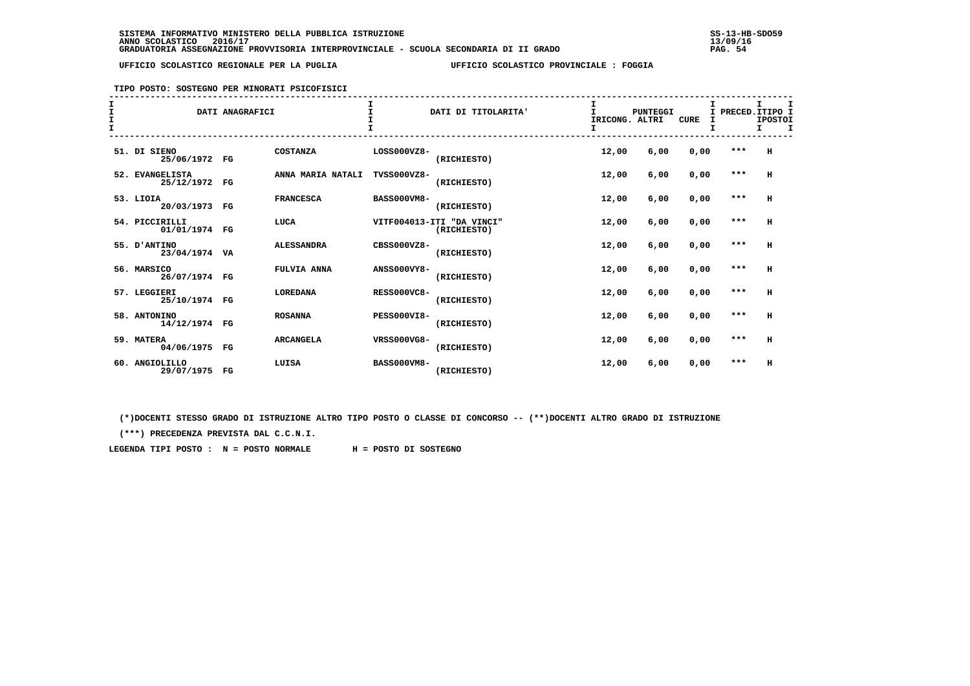**TIPO POSTO: SOSTEGNO PER MINORATI PSICOFISICI**

## **------------------------------------------------------------------------------------------------------------------------------------ I I I I I I**I PRECED. ITIPO I  **I** DATI ANAGRAFICI **I** DATI DI TITOLARITA' **I** PUNTEGGI I PUNTEGGI I PRECONG ALTRI **IPOSTOT** IRICONG. ALTRI CURE I  $I$   $I$  **I I I I I I ------------------------------------------------------------------------------------------------------------------------------------ 51. DI SIENO COSTANZA LOSS000VZ8- 12,00 6,00 0,00 \*\*\* H 25/06/1972 FG (RICHIESTO) 52. EVANGELISTA ANNA MARIA NATALI TVSS000VZ8- 12,00 6,00 0,00 \*\*\* H 25/12/1972 FG (RICHIESTO) 53. LIOIA FRANCESCA BASS000VM8- 12,00 6,00 0,00 \*\*\* H 20/03/1973 FG (RICHIESTO) 54. PICCIRILLI LUCA VITF004013-ITI "DA VINCI" 12,00 6,00 0,00 \*\*\* H 01/01/1974 FG (RICHIESTO) 55. D'ANTINO ALESSANDRA CBSS000VZ8- 12,00 6,00 0,00 \*\*\* H 23/04/1974 VA (RICHIESTO) 56. MARSICO FULVIA ANNA ANSS000VY8- 12,00 6,00 0,00 \*\*\* H 26/07/1974 FG (RICHIESTO) 57. LEGGIERI LOREDANA RESS000VC8- 12,00 6,00 0,00 \*\*\* H 25/10/1974 FG (RICHIESTO) 58. ANTONINO ROSANNA PESS000VI8- 12,00 6,00 0,00 \*\*\* H 14/12/1974 FG (RICHIESTO) 59. MATERA ARCANGELA VRSS000VG8- 12,00 6,00 0,00 \*\*\* H 04/06/1975 FG (RICHIESTO) 60. ANGIOLILLO LUISA BASS000VM8- 12,00 6,00 0,00 \*\*\* H 29/07/1975 FG (RICHIESTO)**

 **(\*)DOCENTI STESSO GRADO DI ISTRUZIONE ALTRO TIPO POSTO O CLASSE DI CONCORSO -- (\*\*)DOCENTI ALTRO GRADO DI ISTRUZIONE**

 **(\*\*\*) PRECEDENZA PREVISTA DAL C.C.N.I.**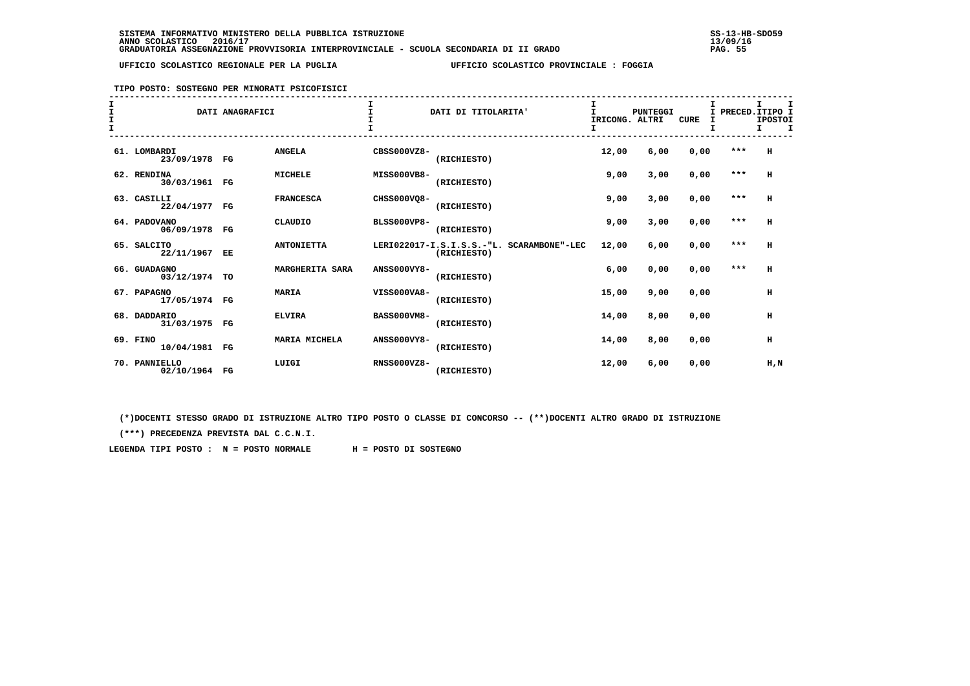### **TIPO POSTO: SOSTEGNO PER MINORATI PSICOFISICI**

| $\mathbf{r}$ |                                | DATI ANAGRAFICI |                   |                    | DATI DI TITOLARITA'                                      | IRICONG. ALTRI | <b>PUNTEGGI</b> | <b>CURE</b> | I PRECED. ITIPO I | т<br><b>IPOSTOI</b><br>$\mathbf{T}$<br>I. |
|--------------|--------------------------------|-----------------|-------------------|--------------------|----------------------------------------------------------|----------------|-----------------|-------------|-------------------|-------------------------------------------|
|              | 61. LOMBARDI<br>23/09/1978 FG  |                 | <b>ANGELA</b>     | CBSS000VZ8-        | (RICHIESTO)                                              | 12,00          | 6,00            | 0,00        | $***$             | H                                         |
|              | 62. RENDINA<br>30/03/1961 FG   |                 | <b>MICHELE</b>    | MISS000VB8-        | (RICHIESTO)                                              | 9,00           | 3,00            | 0,00        | $***$             | H                                         |
|              | 63. CASILLI<br>22/04/1977 FG   |                 | <b>FRANCESCA</b>  | CHSS000VQ8-        | (RICHIESTO)                                              | 9,00           | 3,00            | 0,00        | $***$             | H                                         |
|              | 64. PADOVANO<br>06/09/1978 FG  |                 | CLAUDIO           | <b>BLSS000VP8-</b> | (RICHIESTO)                                              | 9,00           | 3,00            | 0,00        | $***$             | H                                         |
|              | 65. SALCITO<br>22/11/1967 EE   |                 | <b>ANTONIETTA</b> |                    | LERI022017-I.S.I.S.S.-"L. SCARAMBONE"-LEC<br>(RICHIESTO) | 12,00          | 6.00            | 0,00        | $***$             | H                                         |
|              | 66. GUADAGNO<br>03/12/1974 TO  |                 | MARGHERITA SARA   | <b>ANSS000VY8-</b> | (RICHIESTO)                                              | 6,00           | 0,00            | 0,00        | $***$             | H                                         |
|              | 67. PAPAGNO<br>17/05/1974 FG   |                 | <b>MARIA</b>      | VISS000VA8-        | (RICHIESTO)                                              | 15,00          | 9,00            | 0,00        |                   | н                                         |
|              | 68. DADDARIO<br>31/03/1975 FG  |                 | <b>ELVIRA</b>     | <b>BASS000VM8-</b> | (RICHIESTO)                                              | 14,00          | 8,00            | 0,00        |                   | H                                         |
|              | 69. FINO<br>10/04/1981 FG      |                 | MARIA MICHELA     | <b>ANSS000VY8-</b> | (RICHIESTO)                                              | 14,00          | 8,00            | 0,00        |                   | H                                         |
|              | 70. PANNIELLO<br>02/10/1964 FG |                 | LUIGI             | $RNSS000VZ8-$      | (RICHIESTO)                                              | 12,00          | 6,00            | 0,00        |                   | H.N                                       |

 **(\*)DOCENTI STESSO GRADO DI ISTRUZIONE ALTRO TIPO POSTO O CLASSE DI CONCORSO -- (\*\*)DOCENTI ALTRO GRADO DI ISTRUZIONE**

 **(\*\*\*) PRECEDENZA PREVISTA DAL C.C.N.I.**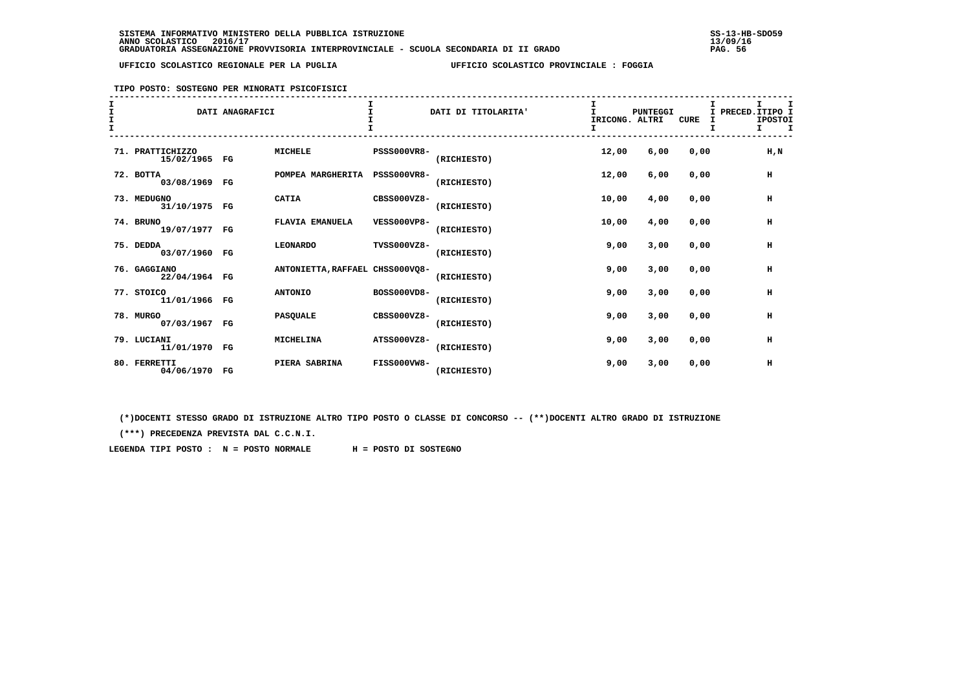**TIPO POSTO: SOSTEGNO PER MINORATI PSICOFISICI**

# **------------------------------------------------------------------------------------------------------------------------------------ I I I I I I**I PRECED. ITIPO I **I** DATI ANAGRAFICI **I** DATI DI TITOLARITA' **I** PUNTEGGI I PUNTEGGI I PUNTEGGI I PRECEDENTE CONGLESS OF TRECOMO IPOSTOI **T I** IRICONG. ALTRI CURE I IPOSTOL IN THE CURE I IPOSTOL IN THE CURE I IPOSTOL IS A VERTILE OURE I IPOSTOL IN THE CURE I IPOSTOL IN THE CURE I IPOSTOL IN THE CURE I IPOSTOL IN THE CURE I IPOSTOL IN THE CURE I IPOSTOL IN  $I$   $I$  **I I I I I I ------------------------------------------------------------------------------------------------------------------------------------ 71. PRATTICHIZZO MICHELE PSSS000VR8- 12,00 6,00 0,00 H,N 15/02/1965 FG (RICHIESTO) 72. BOTTA POMPEA MARGHERITA PSSS000VR8- 12,00 6,00 0,00 H 03/08/1969 FG (RICHIESTO) 73. MEDUGNO CATIA CBSS000VZ8- 10,00 4,00 0,00 H 31/10/1975 FG (RICHIESTO) 74. BRUNO FLAVIA EMANUELA VESS000VP8- 10,00 4,00 0,00 H 19/07/1977 FG (RICHIESTO) 75. DEDDA LEONARDO TVSS000VZ8- 9,00 3,00 0,00 H 03/07/1960 FG (RICHIESTO) 76. GAGGIANO ANTONIETTA,RAFFAEL CHSS000VQ8- 9,00 3,00 0,00 H 22/04/1964 FG (RICHIESTO) 77. STOICO ANTONIO BOSS000VD8- 9,00 3,00 0,00 H 11/01/1966 FG (RICHIESTO) 78. MURGO PASQUALE CBSS000VZ8- 9,00 3,00 0,00 H 07/03/1967 FG (RICHIESTO) 79. LUCIANI MICHELINA ATSS000VZ8- 9,00 3,00 0,00 H 11/01/1970 FG (RICHIESTO) 80. FERRETTI PIERA SABRINA FISS000VW8- 9,00 3,00 0,00 H 04/06/1970 FG (RICHIESTO)**

 **(\*)DOCENTI STESSO GRADO DI ISTRUZIONE ALTRO TIPO POSTO O CLASSE DI CONCORSO -- (\*\*)DOCENTI ALTRO GRADO DI ISTRUZIONE**

 **(\*\*\*) PRECEDENZA PREVISTA DAL C.C.N.I.**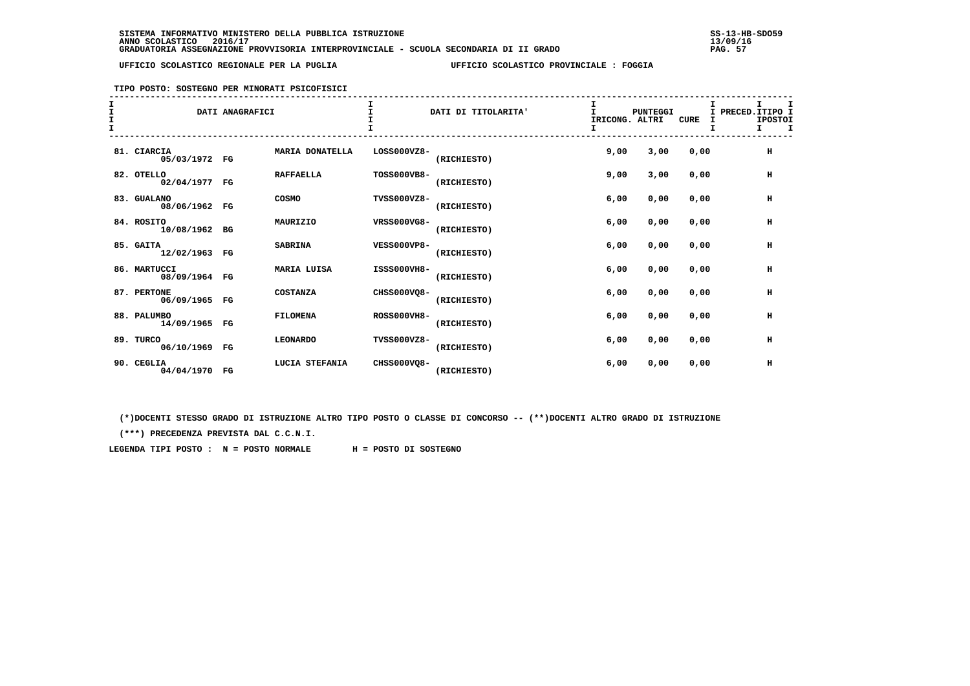### **TIPO POSTO: SOSTEGNO PER MINORATI PSICOFISICI**

| $\mathbf T$ |                               | DATI ANAGRAFICI |                    |                    | DATI DI TITOLARITA' | IRICONG. ALTRI<br>I | <b>PUNTEGGI</b> | <b>CURE</b> | I PRECED. ITIPO I<br>I | <b>IPOSTOI</b><br>$\mathbf I$<br>I. |
|-------------|-------------------------------|-----------------|--------------------|--------------------|---------------------|---------------------|-----------------|-------------|------------------------|-------------------------------------|
|             | 81. CIARCIA<br>05/03/1972 FG  |                 | MARIA DONATELLA    | LOSS000VZ8-        | (RICHIESTO)         | 9,00                | 3,00            | 0,00        |                        | н                                   |
|             | 82. OTELLO<br>02/04/1977 FG   |                 | <b>RAFFAELLA</b>   | TOSS000VB8-        | (RICHIESTO)         | 9,00                | 3,00            | 0.00        |                        | н                                   |
|             | 83. GUALANO<br>08/06/1962 FG  |                 | COSMO              | <b>TVSS000VZ8-</b> | (RICHIESTO)         | 6,00                | 0,00            | 0,00        |                        | н                                   |
|             | 84. ROSITO<br>10/08/1962 BG   |                 | MAURIZIO           | VRSS000VG8-        | (RICHIESTO)         | 6,00                | 0,00            | 0,00        |                        | $\,$ H                              |
|             | 85. GAITA<br>12/02/1963 FG    |                 | <b>SABRINA</b>     | <b>VESS000VP8-</b> | (RICHIESTO)         | 6,00                | 0,00            | 0.00        |                        | н                                   |
|             | 86. MARTUCCI<br>08/09/1964 FG |                 | <b>MARIA LUISA</b> | ISSS000VH8-        | (RICHIESTO)         | 6,00                | 0,00            | 0.00        |                        | $\,$ H                              |
|             | 87. PERTONE<br>06/09/1965 FG  |                 | COSTANZA           | CHSS000VO8-        | (RICHIESTO)         | 6,00                | 0,00            | 0,00        |                        | $\,$ H                              |
|             | 88. PALUMBO<br>14/09/1965 FG  |                 | <b>FILOMENA</b>    | <b>ROSS000VH8-</b> | (RICHIESTO)         | 6,00                | 0,00            | 0,00        |                        | н                                   |
|             | 89. TURCO<br>06/10/1969 FG    |                 | <b>LEONARDO</b>    | <b>TVSS000VZ8-</b> | (RICHIESTO)         | 6,00                | 0,00            | 0,00        |                        | н                                   |
|             | 90. CEGLIA<br>04/04/1970 FG   |                 | LUCIA STEFANIA     | CHSS000VO8-        | (RICHIESTO)         | 6,00                | 0,00            | 0,00        |                        | н                                   |

 **(\*)DOCENTI STESSO GRADO DI ISTRUZIONE ALTRO TIPO POSTO O CLASSE DI CONCORSO -- (\*\*)DOCENTI ALTRO GRADO DI ISTRUZIONE**

 **(\*\*\*) PRECEDENZA PREVISTA DAL C.C.N.I.**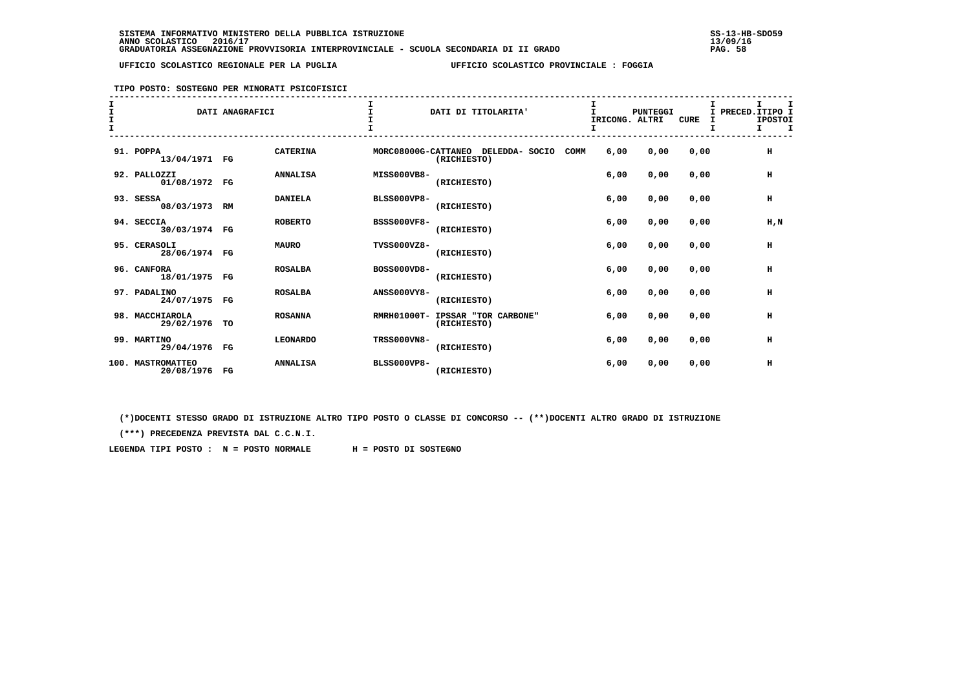### **TIPO POSTO: SOSTEGNO PER MINORATI PSICOFISICI**

| T |                                    | DATI ANAGRAFICI |                 |                    | DATI DI TITOLARITA'                                       |      | <b>PUNTEGGI</b><br>IRICONG. ALTRI | <b>CURE</b> | Τ.<br>I | т<br>PRECED.ITIPO I<br><b>IPOSTOI</b><br>I<br>$\mathbf{I}$ |
|---|------------------------------------|-----------------|-----------------|--------------------|-----------------------------------------------------------|------|-----------------------------------|-------------|---------|------------------------------------------------------------|
|   | 91. POPPA<br>13/04/1971 FG         |                 | <b>CATERINA</b> |                    | MORC08000G-CATTANEO DELEDDA- SOCIO<br>COMM<br>(RICHIESTO) | 6.00 | 0,00                              | 0.00        |         | н                                                          |
|   | 92. PALLOZZI<br>01/08/1972 FG      |                 | <b>ANNALISA</b> | MISS000VB8-        | (RICHIESTO)                                               | 6,00 | 0,00                              | 0.00        |         | н                                                          |
|   | 93. SESSA<br>08/03/1973 RM         |                 | <b>DANIELA</b>  | <b>BLSS000VP8-</b> | (RICHIESTO)                                               | 6,00 | 0,00                              | 0,00        |         | н                                                          |
|   | 94. SECCIA<br>30/03/1974 FG        |                 | <b>ROBERTO</b>  | <b>BSSS000VF8-</b> | (RICHIESTO)                                               | 6,00 | 0,00                              | 0,00        |         | H,N                                                        |
|   | 95. CERASOLI<br>28/06/1974 FG      |                 | <b>MAURO</b>    | TVSS000VZ8-        | (RICHIESTO)                                               | 6.00 | 0,00                              | 0.00        |         | н                                                          |
|   | 96. CANFORA<br>18/01/1975 FG       |                 | <b>ROSALBA</b>  | <b>BOSS000VD8-</b> | (RICHIESTO)                                               | 6.00 | 0,00                              | 0.00        |         | H                                                          |
|   | 97. PADALINO<br>24/07/1975 FG      |                 | <b>ROSALBA</b>  | <b>ANSS000VY8-</b> | (RICHIESTO)                                               | 6,00 | 0,00                              | 0,00        |         | H                                                          |
|   | 98. MACCHIAROLA<br>29/02/1976 TO   |                 | <b>ROSANNA</b>  |                    | RMRH01000T- IPSSAR "TOR CARBONE"<br>(RICHIESTO)           | 6,00 | 0,00                              | 0,00        |         | н                                                          |
|   | 99. MARTINO<br>29/04/1976 FG       |                 | <b>LEONARDO</b> | <b>TRSS000VN8-</b> | (RICHIESTO)                                               | 6,00 | 0,00                              | 0,00        |         | н                                                          |
|   | 100. MASTROMATTEO<br>20/08/1976 FG |                 | <b>ANNALISA</b> | <b>BLSS000VP8-</b> | (RICHIESTO)                                               | 6.00 | 0,00                              | 0,00        |         | н                                                          |

 **(\*)DOCENTI STESSO GRADO DI ISTRUZIONE ALTRO TIPO POSTO O CLASSE DI CONCORSO -- (\*\*)DOCENTI ALTRO GRADO DI ISTRUZIONE**

 **(\*\*\*) PRECEDENZA PREVISTA DAL C.C.N.I.**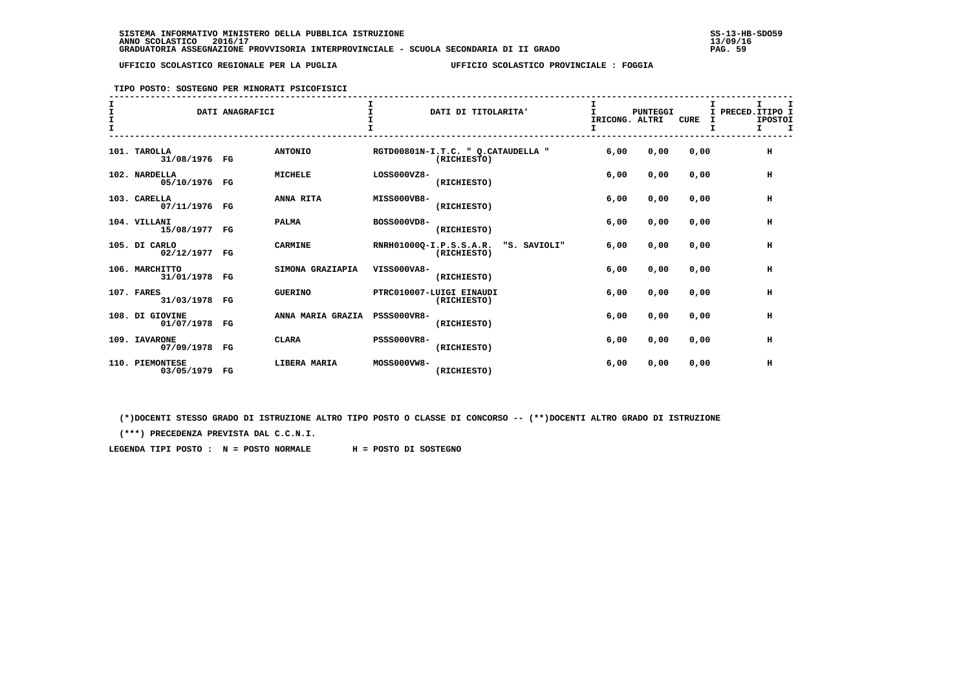**TIPO POSTO: SOSTEGNO PER MINORATI PSICOFISICI**

| I<br>I.<br>$\frac{1}{1}$ |                                  | DATI ANAGRAFICI |                   | $\mathbf{I}$       | DATI DI TITOLARITA'                                    | I<br>$\mathbf{I}$<br>IRICONG. ALTRI<br>I | PUNTEGGI | CURE | I.<br>I PRECED. ITIPO I<br><b>IPOSTOI</b><br>I<br>I. |
|--------------------------|----------------------------------|-----------------|-------------------|--------------------|--------------------------------------------------------|------------------------------------------|----------|------|------------------------------------------------------|
| 101.                     | TAROLLA<br>31/08/1976 FG         |                 | <b>ANTONIO</b>    |                    | RGTD00801N-I.T.C. " Q.CATAUDELLA "<br>(RICHIESTO)      | 6,00                                     | 0,00     | 0,00 | н                                                    |
|                          | 102. NARDELLA<br>05/10/1976 FG   |                 | <b>MICHELE</b>    | LOSS000VZ8-        | (RICHIESTO)                                            | 6,00                                     | 0,00     | 0,00 | н                                                    |
|                          | 103. CARELLA<br>07/11/1976 FG    |                 | ANNA RITA         | MISS000VB8-        | (RICHIESTO)                                            | 6,00                                     | 0,00     | 0,00 | н                                                    |
|                          | 104. VILLANI<br>15/08/1977 FG    |                 | <b>PALMA</b>      | BOSS000VD8-        | (RICHIESTO)                                            | 6,00                                     | 0,00     | 0,00 | н                                                    |
|                          | 105. DI CARLO<br>02/12/1977 FG   |                 | <b>CARMINE</b>    |                    | RNRH01000Q-I.P.S.S.A.R.<br>"S. SAVIOLI"<br>(RICHIESTO) | 6,00                                     | 0,00     | 0,00 | $\,$ H                                               |
|                          | 106. MARCHITTO<br>31/01/1978 FG  |                 | SIMONA GRAZIAPIA  | VISS000VA8-        | (RICHIESTO)                                            | 6,00                                     | 0,00     | 0,00 | н                                                    |
|                          | 107. FARES<br>31/03/1978 FG      |                 | <b>GUERINO</b>    |                    | PTRC010007-LUIGI EINAUDI<br>(RICHIESTO)                | 6,00                                     | 0,00     | 0,00 | н                                                    |
|                          | 108. DI GIOVINE<br>01/07/1978 FG |                 | ANNA MARIA GRAZIA | <b>PSSS000VR8-</b> | (RICHIESTO)                                            | 6,00                                     | 0,00     | 0,00 | н                                                    |
|                          | 109. IAVARONE<br>07/09/1978 FG   |                 | <b>CLARA</b>      | <b>PSSS000VR8-</b> | (RICHIESTO)                                            | 6,00                                     | 0,00     | 0,00 | н                                                    |
|                          | 110. PIEMONTESE<br>03/05/1979    | $_{\rm FG}$     | LIBERA MARIA      | MOSS000VW8-        | (RICHIESTO)                                            | 6,00                                     | 0,00     | 0,00 | н                                                    |

 **(\*)DOCENTI STESSO GRADO DI ISTRUZIONE ALTRO TIPO POSTO O CLASSE DI CONCORSO -- (\*\*)DOCENTI ALTRO GRADO DI ISTRUZIONE**

 **(\*\*\*) PRECEDENZA PREVISTA DAL C.C.N.I.**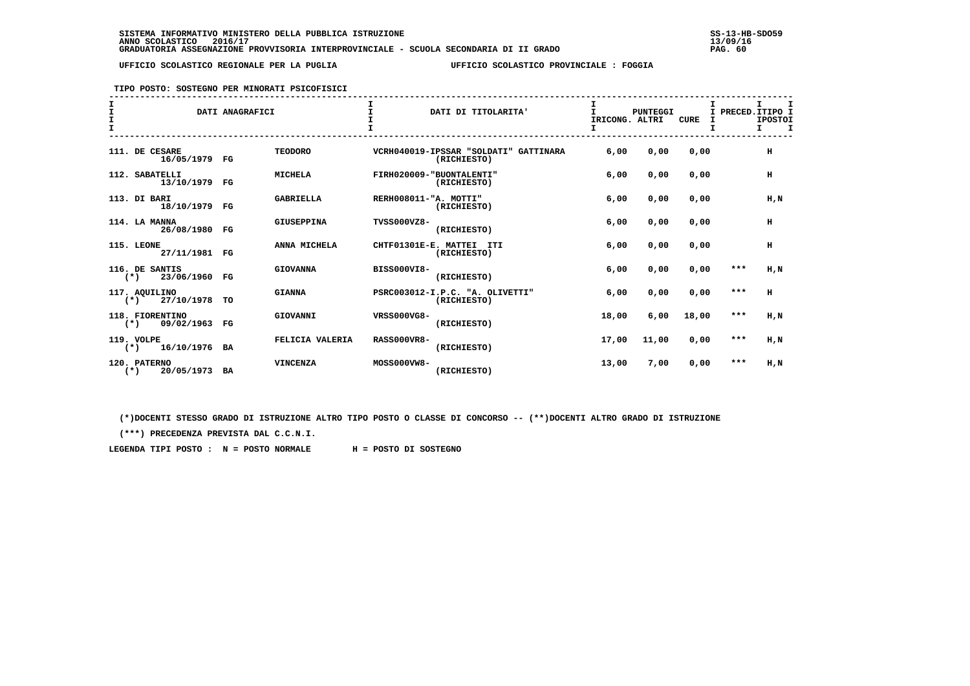**TIPO POSTO: SOSTEGNO PER MINORATI PSICOFISICI**

| I<br>$\frac{1}{1}$ |                                          | DATI ANAGRAFICI |                   |                       | DATI DI TITOLARITA'                                  | T.<br>IRICONG. ALTRI | <b>PUNTEGGI</b> | CURE  |       | I.<br>I PRECED. ITIPO I<br><b>IPOSTOI</b><br>т<br>I. |
|--------------------|------------------------------------------|-----------------|-------------------|-----------------------|------------------------------------------------------|----------------------|-----------------|-------|-------|------------------------------------------------------|
|                    | 111. DE CESARE<br>16/05/1979 FG          |                 | <b>TEODORO</b>    |                       | VCRH040019-IPSSAR "SOLDATI" GATTINARA<br>(RICHIESTO) | 6,00                 | 0,00            | 0.00  |       | H                                                    |
|                    | 112. SABATELLI<br>13/10/1979 FG          |                 | <b>MICHELA</b>    |                       | FIRH020009-"BUONTALENTI"<br>(RICHIESTO)              | 6,00                 | 0,00            | 0,00  |       | н                                                    |
|                    | 113. DI BARI<br>18/10/1979 FG            |                 | <b>GABRIELLA</b>  | RERH008011-"A. MOTTI" | (RICHIESTO)                                          | 6,00                 | 0,00            | 0,00  |       | H, N                                                 |
|                    | 114. LA MANNA<br>26/08/1980 FG           |                 | <b>GIUSEPPINA</b> | TVSS000VZ8-           | (RICHIESTO)                                          | 6,00                 | 0,00            | 0.00  |       | н                                                    |
|                    | 115. LEONE<br>27/11/1981 FG              |                 | ANNA MICHELA      |                       | CHTF01301E-E. MATTEI ITI<br>(RICHIESTO)              | 6,00                 | 0,00            | 0,00  |       | H                                                    |
|                    | 116. DE SANTIS<br>23/06/1960 FG<br>$(*)$ |                 | <b>GIOVANNA</b>   | <b>BISS000VI8-</b>    | (RICHIESTO)                                          | 6,00                 | 0,00            | 0,00  | $***$ | H,N                                                  |
|                    | 117. AOUILINO<br>$(*)$ 27/10/1978        | TO              | <b>GIANNA</b>     |                       | PSRC003012-I.P.C. "A. OLIVETTI"<br>(RICHIESTO)       | 6.00                 | 0.00            | 0.00  | $***$ | H                                                    |
|                    | 118. FIORENTINO<br>09/02/1963<br>$(*)$   | $_{\rm FG}$     | GIOVANNI          | VRSS000VG8-           | (RICHIESTO)                                          | 18,00                | 6,00            | 18,00 | $***$ | $H$ , $N$                                            |
|                    | 119. VOLPE<br>16/10/1976 BA<br>$(*)$     |                 | FELICIA VALERIA   | <b>RASS000VR8-</b>    | (RICHIESTO)                                          | 17,00                | 11,00           | 0,00  | $***$ | H,N                                                  |
|                    | 120. PATERNO<br>$(*)$<br>20/05/1973 BA   |                 | <b>VINCENZA</b>   | MOSS000VW8-           | (RICHIESTO)                                          | 13,00                | 7,00            | 0,00  | ***   | H,N                                                  |

 **(\*)DOCENTI STESSO GRADO DI ISTRUZIONE ALTRO TIPO POSTO O CLASSE DI CONCORSO -- (\*\*)DOCENTI ALTRO GRADO DI ISTRUZIONE**

 **(\*\*\*) PRECEDENZA PREVISTA DAL C.C.N.I.**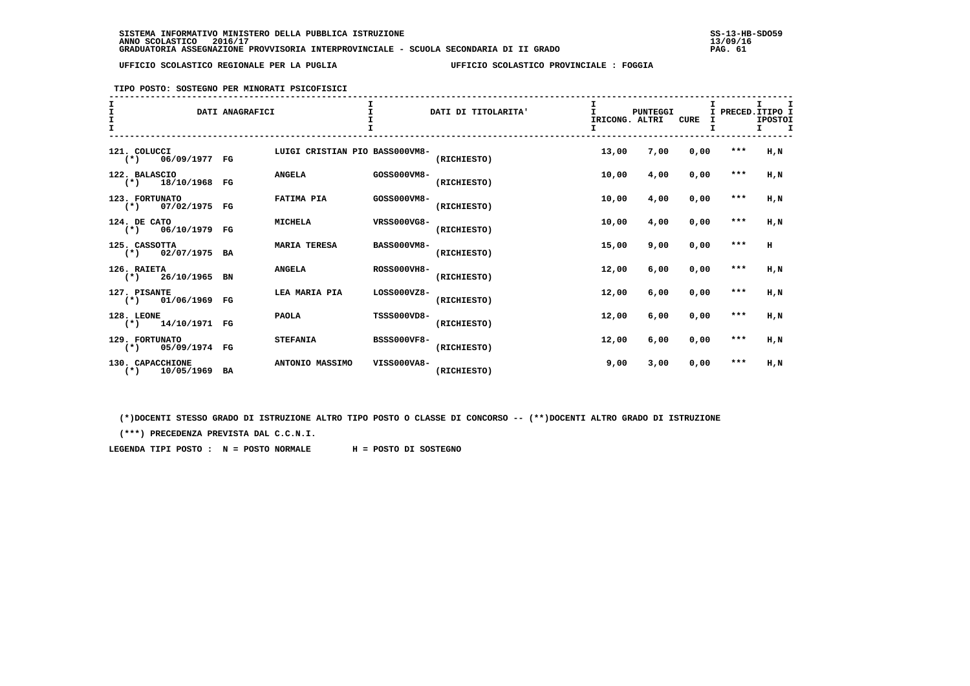**TIPO POSTO: SOSTEGNO PER MINORATI PSICOFISICI**

| I.<br>I<br>$\mathbf{r}$ |                                              | DATI ANAGRAFICI |                                |                    | DATI DI TITOLARITA' | I<br>T.<br>IRICONG. ALTRI | <b>PUNTEGGI</b> | CURE | I PRECED. ITIPO I<br>I | т.<br><b>IPOSTOI</b><br>т<br>Τ. |
|-------------------------|----------------------------------------------|-----------------|--------------------------------|--------------------|---------------------|---------------------------|-----------------|------|------------------------|---------------------------------|
|                         | 121. COLUCCI<br>06/09/1977 FG<br>$(\star)$   |                 | LUIGI CRISTIAN PIO BASS000VM8- |                    | (RICHIESTO)         | 13,00                     | 7,00            | 0,00 | $***$                  | H.N                             |
|                         | 122. BALASCIO<br>$(*)$<br>18/10/1968 FG      |                 | <b>ANGELA</b>                  | GOSS000VM8-        | (RICHIESTO)         | 10,00                     | 4,00            | 0,00 | $***$                  | $H$ , $N$                       |
|                         | 123. FORTUNATO<br>$(*)$ 07/02/1975 FG        |                 | FATIMA PIA                     | GOSS000VM8-        | (RICHIESTO)         | 10,00                     | 4,00            | 0,00 | ***                    | $H$ , $N$                       |
|                         | 124. DE CATO<br>$(*)$ 06/10/1979 FG          |                 | <b>MICHELA</b>                 | VRSS000VG8-        | (RICHIESTO)         | 10,00                     | 4,00            | 0,00 | $***$                  | $H$ , $N$                       |
|                         | 125. CASSOTTA<br>$(*)$ 02/07/1975 BA         |                 | <b>MARIA TERESA</b>            | <b>BASS000VM8-</b> | (RICHIESTO)         | 15,00                     | 9,00            | 0,00 | $***$                  | H                               |
|                         | 126. RAIETA<br>$(*)$ 26/10/1965 BN           |                 | <b>ANGELA</b>                  | <b>ROSS000VH8-</b> | (RICHIESTO)         | 12,00                     | 6,00            | 0,00 | $***$                  | $H$ , $N$                       |
|                         | 127. PISANTE<br>$(*)$ 01/06/1969 FG          |                 | LEA MARIA PIA                  | $LOS000VZ8-$       | (RICHIESTO)         | 12,00                     | 6,00            | 0,00 | $***$                  | H.N                             |
|                         | 128. LEONE<br>$(*)$ 14/10/1971 FG            |                 | <b>PAOLA</b>                   | TSSS000VD8-        | (RICHIESTO)         | 12,00                     | 6,00            | 0,00 | $***$                  | $H$ , $N$                       |
|                         | 129. FORTUNATO<br>05/09/1974 FG<br>$(\star)$ |                 | <b>STEFANIA</b>                | <b>BSSS000VF8-</b> | (RICHIESTO)         | 12,00                     | 6,00            | 0,00 | ***                    | $H$ , $N$                       |
|                         | 130. CAPACCHIONE<br>$(*)$ 10/05/1969 BA      |                 | ANTONIO MASSIMO                | VISS000VA8-        | (RICHIESTO)         | 9,00                      | 3,00            | 0,00 | ***                    | $H$ , $N$                       |

 **(\*)DOCENTI STESSO GRADO DI ISTRUZIONE ALTRO TIPO POSTO O CLASSE DI CONCORSO -- (\*\*)DOCENTI ALTRO GRADO DI ISTRUZIONE**

 **(\*\*\*) PRECEDENZA PREVISTA DAL C.C.N.I.**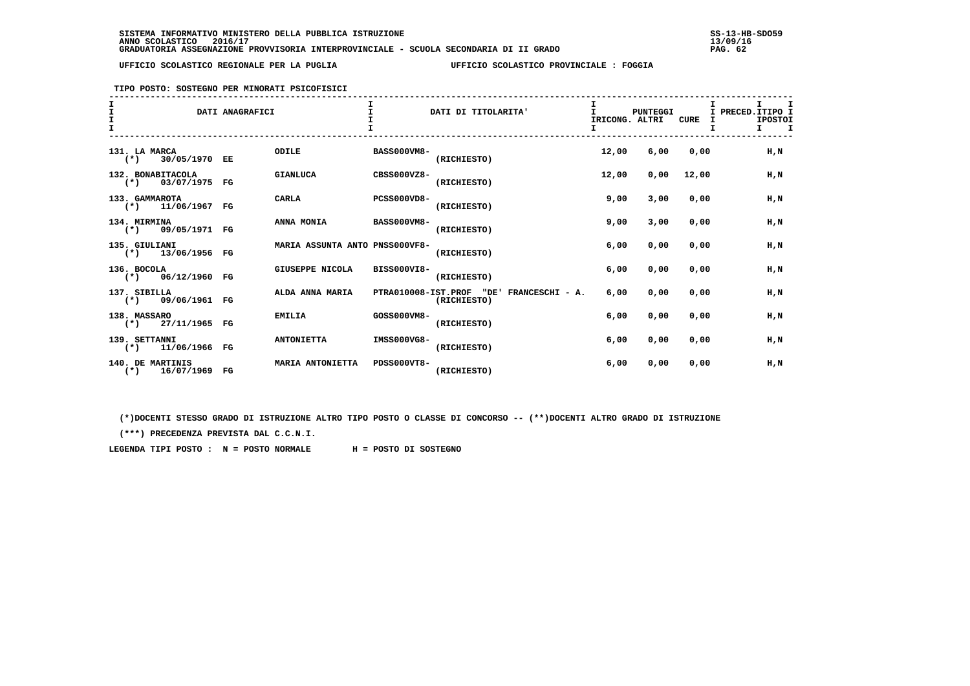### **TIPO POSTO: SOSTEGNO PER MINORATI PSICOFISICI**

| I<br>$\mathbf{I}$ |                                          | DATI ANAGRAFICI |                                |                    | DATI DI TITOLARITA'                                        | I<br>IRICONG. ALTRI<br>I. | <b>PUNTEGGI</b> | <b>CURE</b> | T.<br>I PRECED. ITIPO I<br><b>IPOSTOI</b><br>I<br>$\mathbf{T}$<br>$\mathbf{T}$ |
|-------------------|------------------------------------------|-----------------|--------------------------------|--------------------|------------------------------------------------------------|---------------------------|-----------------|-------------|--------------------------------------------------------------------------------|
| $(*)$             | 131. LA MARCA<br>30/05/1970 EE           |                 | ODILE                          | <b>BASS000VM8-</b> | (RICHIESTO)                                                | 12,00                     | 6,00            | 0.00        | H.N                                                                            |
|                   | 132. BONABITACOLA<br>$(*)$ 03/07/1975 FG |                 | <b>GIANLUCA</b>                | CBSS000VZ8-        | (RICHIESTO)                                                | 12,00                     | 0,00            | 12,00       | H,N                                                                            |
|                   | 133. GAMMAROTA<br>$(*)$ 11/06/1967 FG    |                 | CARLA                          | <b>PCSS000VD8-</b> | (RICHIESTO)                                                | 9,00                      | 3,00            | 0,00        | H, N                                                                           |
|                   | 134. MIRMINA<br>$(*)$ 09/05/1971 FG      |                 | ANNA MONIA                     | <b>BASS000VM8-</b> | (RICHIESTO)                                                | 9,00                      | 3,00            | 0,00        | H,N                                                                            |
|                   | 135. GIULIANI<br>$(*)$ 13/06/1956 FG     |                 | MARIA ASSUNTA ANTO PNSS000VF8- |                    | (RICHIESTO)                                                | 6,00                      | 0,00            | 0,00        | H, N                                                                           |
| 136. BOCOLA       | $(*)$ 06/12/1960 FG                      |                 | GIUSEPPE NICOLA                | BISS000VI8-        | (RICHIESTO)                                                | 6,00                      | 0,00            | 0.00        | H.N                                                                            |
|                   | 137. SIBILLA<br>$(*)$ 09/06/1961 FG      |                 | ALDA ANNA MARIA                |                    | PTRA010008-IST.PROF "DE'<br>FRANCESCHI - A.<br>(RICHIESTO) | 6,00                      | 0,00            | 0,00        | H, N                                                                           |
|                   | 138. MASSARO<br>$(*)$ 27/11/1965 FG      |                 | <b>EMILIA</b>                  | GOSS000VM8-        | (RICHIESTO)                                                | 6,00                      | 0,00            | 0,00        | H.N                                                                            |
|                   | 139. SETTANNI<br>$(*)$ 11/06/1966 FG     |                 | <b>ANTONIETTA</b>              | IMSS000VG8-        | (RICHIESTO)                                                | 6,00                      | 0,00            | 0,00        | H, N                                                                           |
|                   | 140. DE MARTINIS<br>$(*)$ 16/07/1969 FG  |                 | MARIA ANTONIETTA               | PDSS000VT8-        | (RICHIESTO)                                                | 6,00                      | 0,00            | 0,00        | H,N                                                                            |

 **(\*)DOCENTI STESSO GRADO DI ISTRUZIONE ALTRO TIPO POSTO O CLASSE DI CONCORSO -- (\*\*)DOCENTI ALTRO GRADO DI ISTRUZIONE**

 **(\*\*\*) PRECEDENZA PREVISTA DAL C.C.N.I.**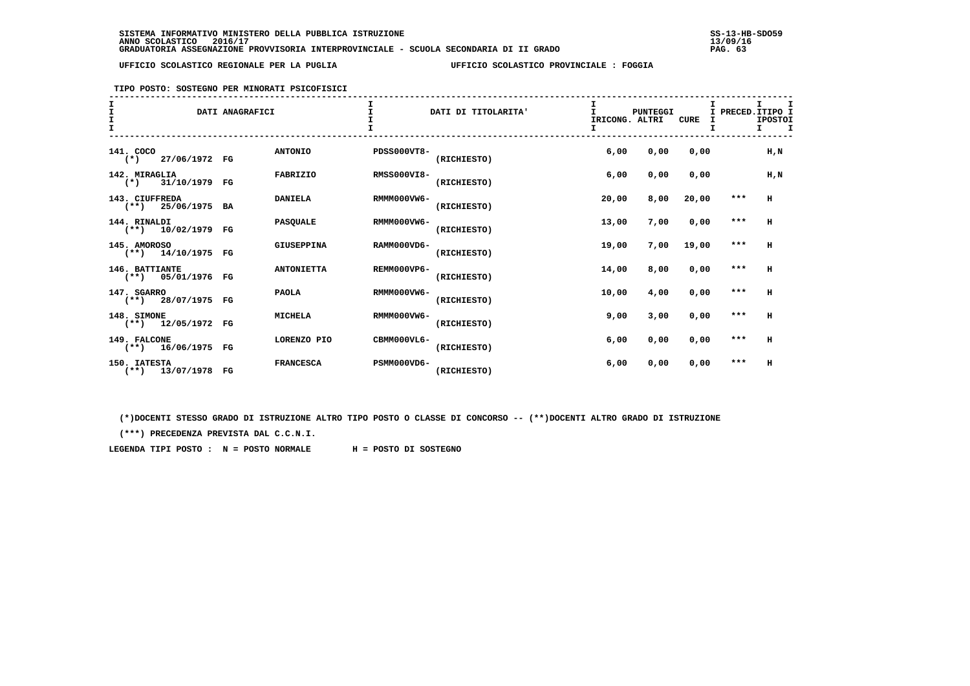## **TIPO POSTO: SOSTEGNO PER MINORATI PSICOFISICI**

| T         |                                        | DATI ANAGRAFICI |                   |                    | DATI DI TITOLARITA' | IRICONG. ALTRI<br>I. | PUNTEGGI | <b>CURE</b> | т       | I.<br>I PRECED. ITIPO I<br><b>IPOSTOI</b><br>I. |
|-----------|----------------------------------------|-----------------|-------------------|--------------------|---------------------|----------------------|----------|-------------|---------|-------------------------------------------------|
| 141. COCO | $(*)$ 27/06/1972 FG                    |                 | <b>ANTONIO</b>    | <b>PDSS000VT8-</b> | (RICHIESTO)         | 6,00                 | 0,00     | 0.00        |         | $H$ , $N$                                       |
|           | 142. MIRAGLIA<br>$(*)$ 31/10/1979 FG   |                 | <b>FABRIZIO</b>   | <b>RMSS000VI8-</b> | (RICHIESTO)         | 6,00                 | 0,00     | 0.00        |         | $H$ , $N$                                       |
|           | 143. CIUFFREDA<br>$(**)$ 25/06/1975 BA |                 | <b>DANIELA</b>    | RMMM000VW6-        | (RICHIESTO)         | 20,00                | 8,00     | 20,00       | $***$   | H                                               |
|           | 144. RINALDI<br>$(**)$ 10/02/1979 FG   |                 | <b>PASQUALE</b>   | RMMM000VW6-        | (RICHIESTO)         | 13,00                | 7,00     | 0,00        | $***$   | H                                               |
|           | 145. AMOROSO<br>$(**)$ 14/10/1975 FG   |                 | GIUSEPPINA        | RAMM000VD6-        | (RICHIESTO)         | 19,00                | 7,00     | 19,00       | $***$   | H                                               |
|           | 146. BATTIANTE<br>$(**)$ 05/01/1976 FG |                 | <b>ANTONIETTA</b> | REMM000VP6-        | (RICHIESTO)         | 14,00                | 8,00     | 0,00        | $* * *$ | H                                               |
|           | 147. SGARRO<br>$(**)$ 28/07/1975 FG    |                 | <b>PAOLA</b>      | RMMM000VW6-        | (RICHIESTO)         | 10,00                | 4,00     | 0,00        | $***$   | H                                               |
|           | 148. SIMONE<br>$(**)$ 12/05/1972 FG    |                 | <b>MICHELA</b>    | RMMM000VW6-        | (RICHIESTO)         | 9,00                 | 3,00     | 0,00        | $***$   | н                                               |
|           | 149. FALCONE<br>$(**)$ 16/06/1975 FG   |                 | LORENZO PIO       | CBMM000VL6-        | (RICHIESTO)         | 6,00                 | 0,00     | 0,00        | $***$   | H                                               |
|           | 150. IATESTA<br>$(**)$ 13/07/1978 FG   |                 | <b>FRANCESCA</b>  | PSMM000VD6-        | (RICHIESTO)         | 6,00                 | 0,00     | 0,00        | $***$   | H                                               |

 **(\*)DOCENTI STESSO GRADO DI ISTRUZIONE ALTRO TIPO POSTO O CLASSE DI CONCORSO -- (\*\*)DOCENTI ALTRO GRADO DI ISTRUZIONE**

 **(\*\*\*) PRECEDENZA PREVISTA DAL C.C.N.I.**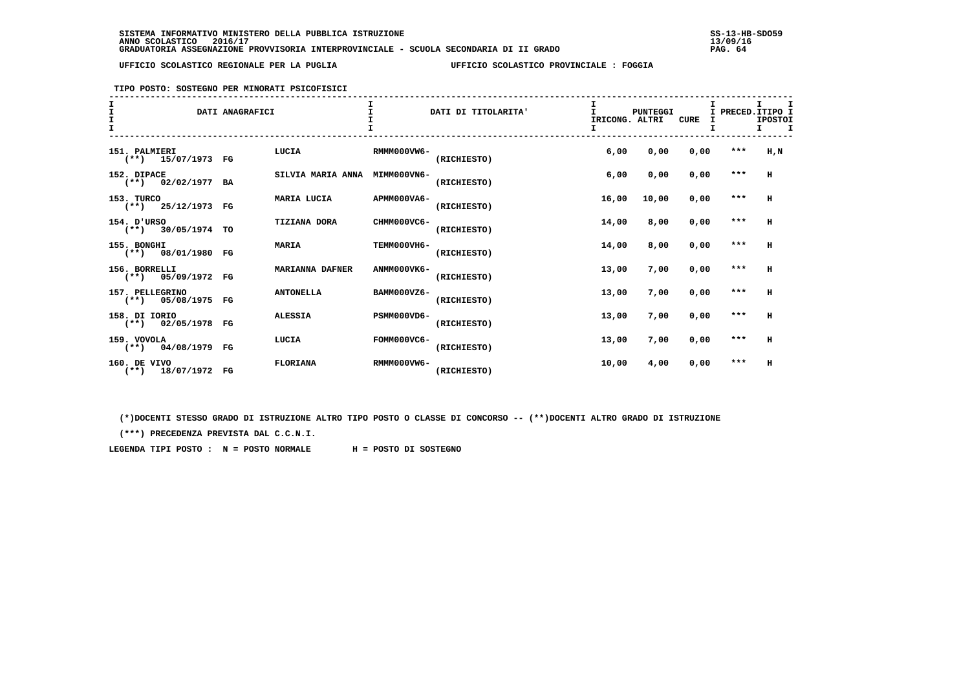**TIPO POSTO: SOSTEGNO PER MINORATI PSICOFISICI**

## **------------------------------------------------------------------------------------------------------------------------------------ I I I I I I**I PRECED. ITIPO I **I I** DATI ANAGRAFICI **I** DATI DI TITOLARITA' **I** PUNTEGGI I PUNTEGGI **IPOSTOT I** I ISLAMING THE CURE I ISLAMING THE CURE I ISLAMING TO TRICONG. ALTRI CURE I  $I$   $I$  **I I I I I I ------------------------------------------------------------------------------------------------------------------------------------ 151. PALMIERI LUCIA RMMM000VW6- 6,00 0,00 0,00 \*\*\* H,N (\*\*) 15/07/1973 FG (RICHIESTO) 152. DIPACE SILVIA MARIA ANNA MIMM000VN6- 6,00 0,00 0,00 \*\*\* H** $(**)$  02/02/1977 BA  **153. TURCO MARIA LUCIA APMM000VA6- 16,00 10,00 0,00 \*\*\* H**(\*\*) 25/12/1973 FG  **154. D'URSO TIZIANA DORA CHMM000VC6- 14,00 8,00 0,00 \*\*\* H (\*\*) 30/05/1974 TO (RICHIESTO) 155. BONGHI MARIA TEMM000VH6- 14,00 8,00 0,00 \*\*\* H (\*\*) 08/01/1980 FG (RICHIESTO) 156. BORRELLI MARIANNA DAFNER ANMM000VK6- 13,00 7,00 0,00 \*\*\* H**(\*\*) 05/09/1972 FG  **157. PELLEGRINO ANTONELLA BAMM000VZ6- 13,00 7,00 0,00 \*\*\* H (\*\*) 05/08/1975 FG (RICHIESTO) 158. DI IORIO ALESSIA PSMM000VD6- 13,00 7,00 0,00 \*\*\* H (\*\*) 02/05/1978 FG (RICHIESTO) 159. VOVOLA LUCIA FOMM000VC6- 13,00 7,00 0,00 \*\*\* H (\*\*) 04/08/1979 FG (RICHIESTO) 160. DE VIVO FLORIANA RMMM000VW6- 10,00 4,00 0,00 \*\*\* H**(\*\*) 18/07/1972 FG

 **(\*)DOCENTI STESSO GRADO DI ISTRUZIONE ALTRO TIPO POSTO O CLASSE DI CONCORSO -- (\*\*)DOCENTI ALTRO GRADO DI ISTRUZIONE**

 **(\*\*\*) PRECEDENZA PREVISTA DAL C.C.N.I.**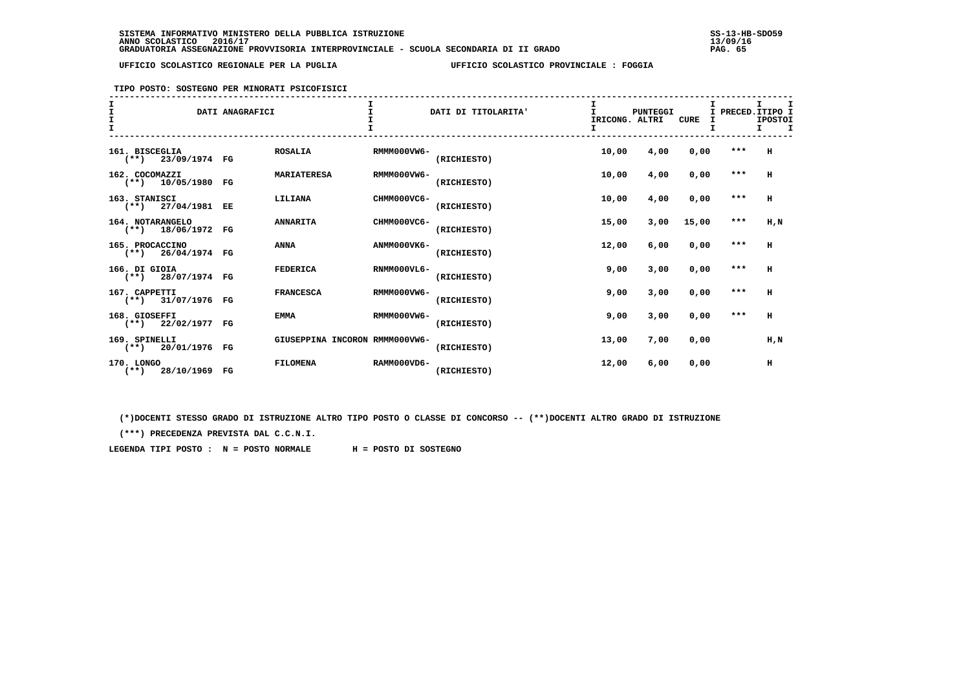### **TIPO POSTO: SOSTEGNO PER MINORATI PSICOFISICI**

| T |                                           | DATI ANAGRAFICI |                                |             | DATI DI TITOLARITA' | IRICONG. ALTRI<br>I. | PUNTEGGI | <b>CURE</b> | I PRECED. ITIPO I | T.<br><b>IPOSTOI</b><br>$\mathbf I$<br>I. |
|---|-------------------------------------------|-----------------|--------------------------------|-------------|---------------------|----------------------|----------|-------------|-------------------|-------------------------------------------|
|   | 161. BISCEGLIA<br>23/09/1974 FG<br>$(**)$ |                 | <b>ROSALIA</b>                 | RMMM000VW6- | (RICHIESTO)         | 10,00                | 4,00     | 0,00        | $***$             | H                                         |
|   | 162. COCOMAZZI<br>$(**)$ 10/05/1980 FG    |                 | <b>MARIATERESA</b>             | RMMM000VW6- | (RICHIESTO)         | 10,00                | 4,00     | 0,00        | ***               | н                                         |
|   | 163. STANISCI<br>$(**)$ 27/04/1981 EE     |                 | LILIANA                        | CHMM000VC6- | (RICHIESTO)         | 10,00                | 4,00     | 0,00        | $***$             | н                                         |
|   | 164. NOTARANGELO<br>$(**)$ 18/06/1972 FG  |                 | <b>ANNARITA</b>                | CHMM000VC6- | (RICHIESTO)         | 15,00                | 3,00     | 15,00       | $***$             | H,N                                       |
|   | 165. PROCACCINO<br>$(**)$ 26/04/1974 FG   |                 | <b>ANNA</b>                    | ANMM000VK6- | (RICHIESTO)         | 12,00                | 6,00     | 0,00        | ***               | H                                         |
|   | 166. DI GIOIA<br>$(**)$ 28/07/1974 FG     |                 | <b>FEDERICA</b>                | RNMM000VL6- | (RICHIESTO)         | 9,00                 | 3,00     | 0.00        | $***$             | H                                         |
|   | 167. CAPPETTI<br>$(**)$ 31/07/1976 FG     |                 | <b>FRANCESCA</b>               | RMMM000VW6- | (RICHIESTO)         | 9,00                 | 3,00     | 0,00        | $***$             | H                                         |
|   | 168. GIOSEFFI<br>$(**)$ 22/02/1977 FG     |                 | <b>EMMA</b>                    | RMMM000VW6- | (RICHIESTO)         | 9,00                 | 3,00     | 0,00        | $***$             | н                                         |
|   | 169. SPINELLI<br>$(**)$ 20/01/1976 FG     |                 | GIUSEPPINA INCORON RMMM000VW6- |             | (RICHIESTO)         | 13,00                | 7,00     | 0,00        |                   | H,N                                       |
|   | 170. LONGO<br>$(**)$ 28/10/1969 FG        |                 | <b>FILOMENA</b>                | RAMM000VD6- | (RICHIESTO)         | 12,00                | 6,00     | 0,00        |                   | н                                         |

 **(\*)DOCENTI STESSO GRADO DI ISTRUZIONE ALTRO TIPO POSTO O CLASSE DI CONCORSO -- (\*\*)DOCENTI ALTRO GRADO DI ISTRUZIONE**

 **(\*\*\*) PRECEDENZA PREVISTA DAL C.C.N.I.**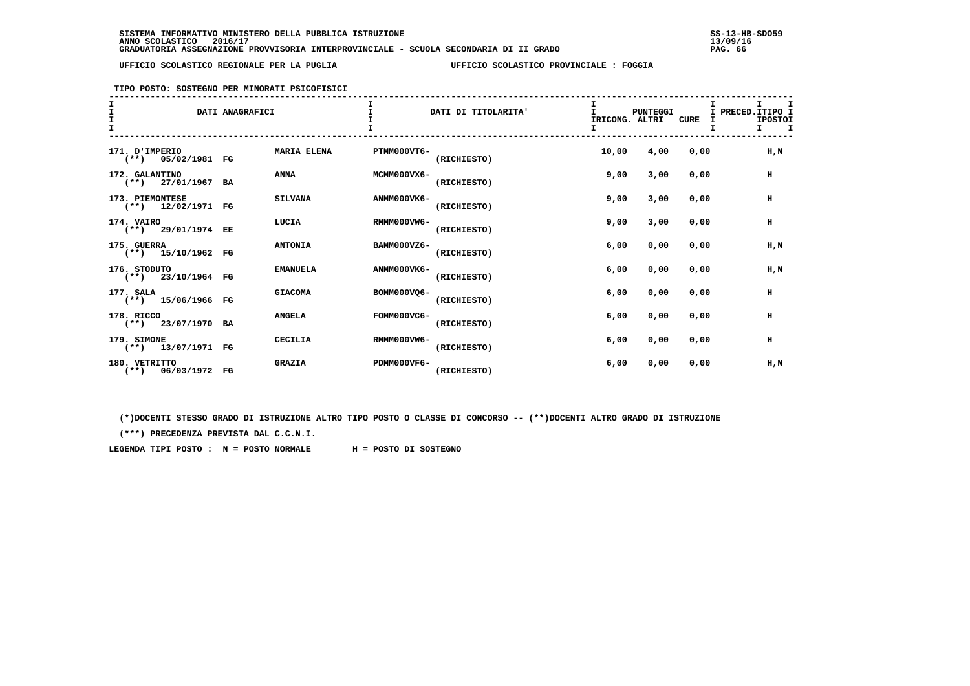**TIPO POSTO: SOSTEGNO PER MINORATI PSICOFISICI**

| I<br>$\mathbf{I}$<br>$\frac{\texttt{I}}{\texttt{I}}$ |                                         | DATI ANAGRAFICI |                    |             | DATI DI TITOLARITA' | T.<br>IRICONG. ALTRI | <b>PUNTEGGI</b> | CURE | I PRECED. ITIPO I<br>I | I<br>I.<br><b>IPOSTOI</b><br>т<br>т. |
|------------------------------------------------------|-----------------------------------------|-----------------|--------------------|-------------|---------------------|----------------------|-----------------|------|------------------------|--------------------------------------|
|                                                      | 171. D'IMPERIO<br>$(**)$ 05/02/1981 FG  |                 | <b>MARIA ELENA</b> | PTMM000VT6- | (RICHIESTO)         | 10,00                | 4,00            | 0.00 |                        | H.N                                  |
|                                                      | 172. GALANTINO<br>$(**)$ 27/01/1967 BA  |                 | <b>ANNA</b>        | MCMM000VX6- | (RICHIESTO)         | 9,00                 | 3,00            | 0,00 |                        | н                                    |
|                                                      | 173. PIEMONTESE<br>$(**)$ 12/02/1971 FG |                 | <b>SILVANA</b>     | ANMM000VK6- | (RICHIESTO)         | 9,00                 | 3,00            | 0.00 |                        | н                                    |
|                                                      | 174. VAIRO<br>$(**)$ 29/01/1974 EE      |                 | LUCIA              | RMMM000VW6- | (RICHIESTO)         | 9,00                 | 3,00            | 0,00 |                        | н                                    |
|                                                      | 175. GUERRA<br>$(**)$ 15/10/1962 FG     |                 | <b>ANTONIA</b>     | BAMM000VZ6- | (RICHIESTO)         | 6,00                 | 0,00            | 0,00 |                        | H,N                                  |
|                                                      | 176. STODUTO<br>$(**)$ 23/10/1964 FG    |                 | <b>EMANUELA</b>    | ANMM000VK6- | (RICHIESTO)         | 6,00                 | 0,00            | 0,00 |                        | $H$ , $N$                            |
|                                                      | 177. SALA<br>$(**)$ 15/06/1966 FG       |                 | <b>GIACOMA</b>     | BOMM000VO6- | (RICHIESTO)         | 6,00                 | 0,00            | 0,00 |                        | н                                    |
|                                                      | 178. RICCO<br>$(**)$ 23/07/1970 BA      |                 | <b>ANGELA</b>      | FOMM000VC6- | (RICHIESTO)         | 6,00                 | 0,00            | 0,00 |                        | н                                    |
|                                                      | 179. SIMONE<br>$(**)$ 13/07/1971 FG     |                 | CECILIA            | RMMM000VW6- | (RICHIESTO)         | 6,00                 | 0,00            | 0.00 |                        | $\,$ H                               |
|                                                      | 180. VETRITTO<br>$(**)$ 06/03/1972 FG   |                 | <b>GRAZIA</b>      | PDMM000VF6- | (RICHIESTO)         | 6,00                 | 0,00            | 0,00 |                        | H,N                                  |

 **(\*)DOCENTI STESSO GRADO DI ISTRUZIONE ALTRO TIPO POSTO O CLASSE DI CONCORSO -- (\*\*)DOCENTI ALTRO GRADO DI ISTRUZIONE**

 **(\*\*\*) PRECEDENZA PREVISTA DAL C.C.N.I.**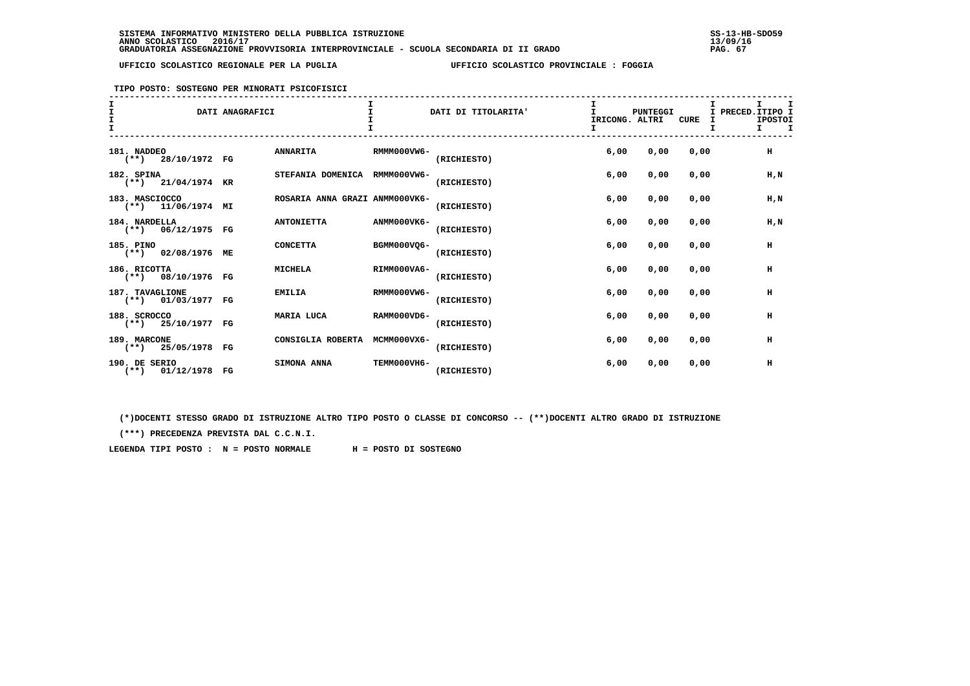**TIPO POSTO: SOSTEGNO PER MINORATI PSICOFISICI**

## **------------------------------------------------------------------------------------------------------------------------------------ I I I I I I**I PRECED. ITIPO I **I I** DATI ANAGRAFICI **I** DATI DI TITOLARITA' **I** PUNTEGGI I PRECEDENT ALL PRESENT OF TRECONGLAT TREATLY OF THE CONGLAT TREATLY OF THE CONGLAT OF THE CONGLATION OF THE CONGLATION OF THE CONGLATION OF THE CONGLATION OF TH IPOSTOI <u>I</u> I ISLAMINATORE IN THE SERVER ON THE SERVER ON THE CURE I ISLAMINATORE IN THE CURE I  $I$   $I$  **I I I I I I ------------------------------------------------------------------------------------------------------------------------------------ 181. NADDEO ANNARITA RMMM000VW6- 6,00 0,00 0,00 H**- (\*\*) 28/10/1972 FG  **182. SPINA STEFANIA DOMENICA RMMM000VW6- 6,00 0,00 0,00 H,N**(\*\*) 21/04/1974 KR  **183. MASCIOCCO ROSARIA ANNA GRAZI ANMM000VK6- 6,00 0,00 0,00 H,N (\*\*) 11/06/1974 MI (RICHIESTO) 184. NARDELLA ANTONIETTA ANMM000VK6- 6,00 0,00 0,00 H,N (\*\*) 06/12/1975 FG (RICHIESTO) 185. PINO CONCETTA BGMM000VQ6- 6,00 0,00 0,00 H (\*\*) 02/08/1976 ME (RICHIESTO) 186. RICOTTA MICHELA RIMM000VA6- 6,00 0,00 0,00 H**(\*\*) 08/10/1976 FG  **187. TAVAGLIONE EMILIA RMMM000VW6- 6,00 0,00 0,00 H**(\*\*) 01/03/1977 FG  **188. SCROCCO MARIA LUCA RAMM000VD6- 6,00 0,00 0,00 H (\*\*) 25/10/1977 FG (RICHIESTO) 189. MARCONE CONSIGLIA ROBERTA MCMM000VX6- 6,00 0,00 0,00 H**(\*\*) 25/05/1978 FG  **190. DE SERIO SIMONA ANNA TEMM000VH6- 6,00 0,00 0,00 H (\*\*) 01/12/1978 FG (RICHIESTO)**

 **(\*)DOCENTI STESSO GRADO DI ISTRUZIONE ALTRO TIPO POSTO O CLASSE DI CONCORSO -- (\*\*)DOCENTI ALTRO GRADO DI ISTRUZIONE**

 **(\*\*\*) PRECEDENZA PREVISTA DAL C.C.N.I.**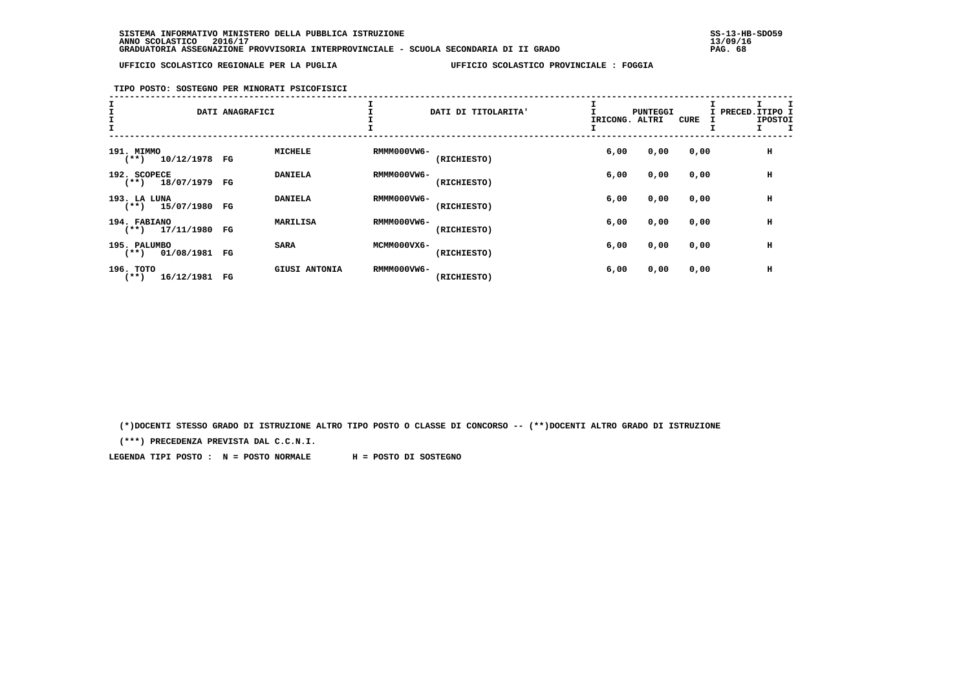# **TIPO POSTO: SOSTEGNO PER MINORATI PSICOFISICI**

| $\frac{\texttt{I}}{\texttt{I}}$ |                                          | DATI ANAGRAFICI |                      |             | DATI DI TITOLARITA' | IRICONG. ALTRI | PUNTEGGI | <b>CURE</b> | I PRECED.ITIPO | <b>IPOSTOI</b> |
|---------------------------------|------------------------------------------|-----------------|----------------------|-------------|---------------------|----------------|----------|-------------|----------------|----------------|
|                                 | 191. MIMMO<br>10/12/1978 FG<br>$(***)$   |                 | <b>MICHELE</b>       | RMMM000VW6- | (RICHIESTO)         | 6,00           | 0,00     | 0,00        |                | н              |
|                                 | 192. SCOPECE<br>$(**)$ 18/07/1979 FG     |                 | <b>DANIELA</b>       | RMMM000VW6- | (RICHIESTO)         | 6,00           | 0,00     | 0,00        |                | н              |
|                                 | 193. LA LUNA<br>15/07/1980<br>$(**+)$    | FG              | <b>DANIELA</b>       | RMMM000VW6- | (RICHIESTO)         | 6,00           | 0,00     | 0,00        |                | н              |
|                                 | 194. FABIANO<br>$(**)$ 17/11/1980 FG     |                 | MARILISA             | RMMM000VW6- | (RICHIESTO)         | 6,00           | 0,00     | 0,00        |                | н              |
|                                 | 195. PALUMBO<br>01/08/1981 FG<br>$(***)$ |                 | <b>SARA</b>          | MCMM000VX6- | (RICHIESTO)         | 6,00           | 0,00     | 0,00        |                | н              |
|                                 | 196. TOTO<br>16/12/1981<br>$(***)$       | FG              | <b>GIUSI ANTONIA</b> | RMMM000VW6- | (RICHIESTO)         | 6,00           | 0,00     | 0,00        |                | н              |

 **(\*)DOCENTI STESSO GRADO DI ISTRUZIONE ALTRO TIPO POSTO O CLASSE DI CONCORSO -- (\*\*)DOCENTI ALTRO GRADO DI ISTRUZIONE**

 **(\*\*\*) PRECEDENZA PREVISTA DAL C.C.N.I.**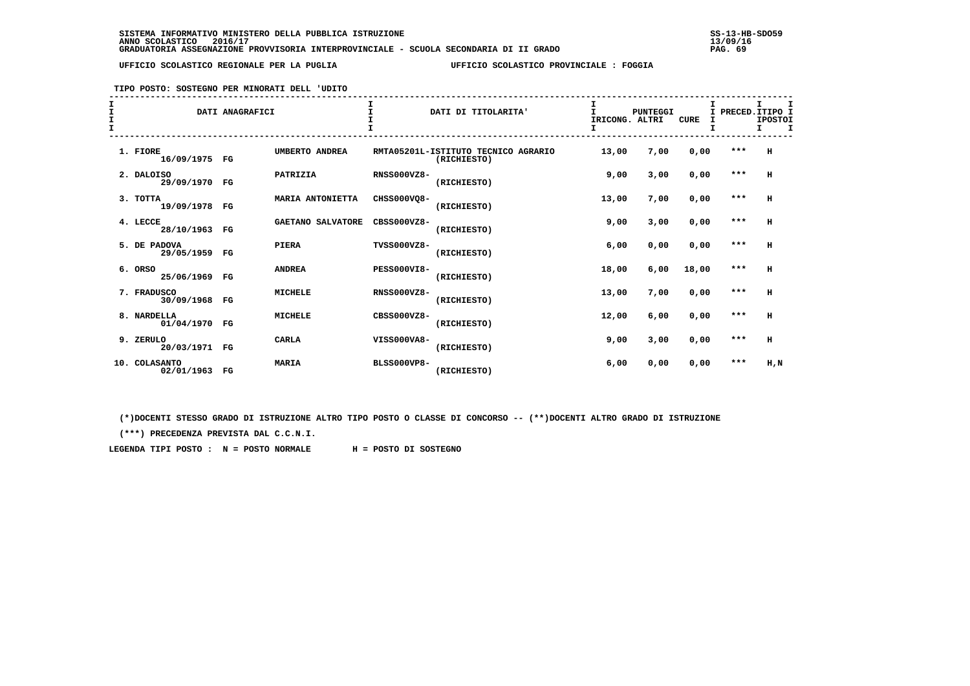**TIPO POSTO: SOSTEGNO PER MINORATI DELL 'UDITO**

| I<br>I<br>T |                               | DATI ANAGRAFICI |                          |                    | DATI DI TITOLARITA'                                | T<br>IRICONG. ALTRI | <b>PUNTEGGI</b> | CURE  | T.<br>I | I<br>PRECED. ITIPO I<br><b>IPOSTOI</b><br>т |
|-------------|-------------------------------|-----------------|--------------------------|--------------------|----------------------------------------------------|---------------------|-----------------|-------|---------|---------------------------------------------|
|             | 1. FIORE<br>16/09/1975 FG     |                 | UMBERTO ANDREA           |                    | RMTA05201L-ISTITUTO TECNICO AGRARIO<br>(RICHIESTO) | 13,00               | 7,00            | 0,00  | $***$   | н                                           |
|             | 2. DALOISO<br>29/09/1970 FG   |                 | PATRIZIA                 | <b>RNSS000VZ8-</b> | (RICHIESTO)                                        | 9,00                | 3,00            | 0,00  | ***     | н                                           |
|             | 3. TOTTA<br>19/09/1978 FG     |                 | MARIA ANTONIETTA         | CHSS000VO8-        | (RICHIESTO)                                        | 13,00               | 7,00            | 0,00  | $* * *$ | н                                           |
|             | 4. LECCE<br>28/10/1963 FG     |                 | <b>GAETANO SALVATORE</b> | $CRSS000VZ8-$      | (RICHIESTO)                                        | 9,00                | 3,00            | 0,00  | $***$   | н                                           |
|             | 5. DE PADOVA<br>29/05/1959 FG |                 | <b>PIERA</b>             | TVSS000VZ8-        | (RICHIESTO)                                        | 6,00                | 0,00            | 0,00  | $***$   | H                                           |
|             | 6. ORSO<br>25/06/1969         | FG              | <b>ANDREA</b>            | <b>PESS000VI8-</b> | (RICHIESTO)                                        | 18,00               | 6,00            | 18,00 | ***     | н                                           |
|             | 7. FRADUSCO<br>30/09/1968 FG  |                 | <b>MICHELE</b>           | <b>RNSS000VZ8-</b> | (RICHIESTO)                                        | 13,00               | 7,00            | 0,00  | $***$   | н                                           |
|             | 8. NARDELLA<br>01/04/1970 FG  |                 | <b>MICHELE</b>           | $CRSS000VZ8-$      | (RICHIESTO)                                        | 12,00               | 6,00            | 0,00  | $***$   | н                                           |
|             | 9. ZERULO<br>20/03/1971 FG    |                 | <b>CARLA</b>             | VISS000VA8-        | (RICHIESTO)                                        | 9,00                | 3,00            | 0,00  | $* * *$ | н                                           |
|             | 10. COLASANTO<br>02/01/1963   | $_{\rm FG}$     | <b>MARIA</b>             | <b>BLSS000VP8-</b> | (RICHIESTO)                                        | 6,00                | 0,00            | 0,00  | $***$   | H,N                                         |

 **(\*)DOCENTI STESSO GRADO DI ISTRUZIONE ALTRO TIPO POSTO O CLASSE DI CONCORSO -- (\*\*)DOCENTI ALTRO GRADO DI ISTRUZIONE**

 **(\*\*\*) PRECEDENZA PREVISTA DAL C.C.N.I.**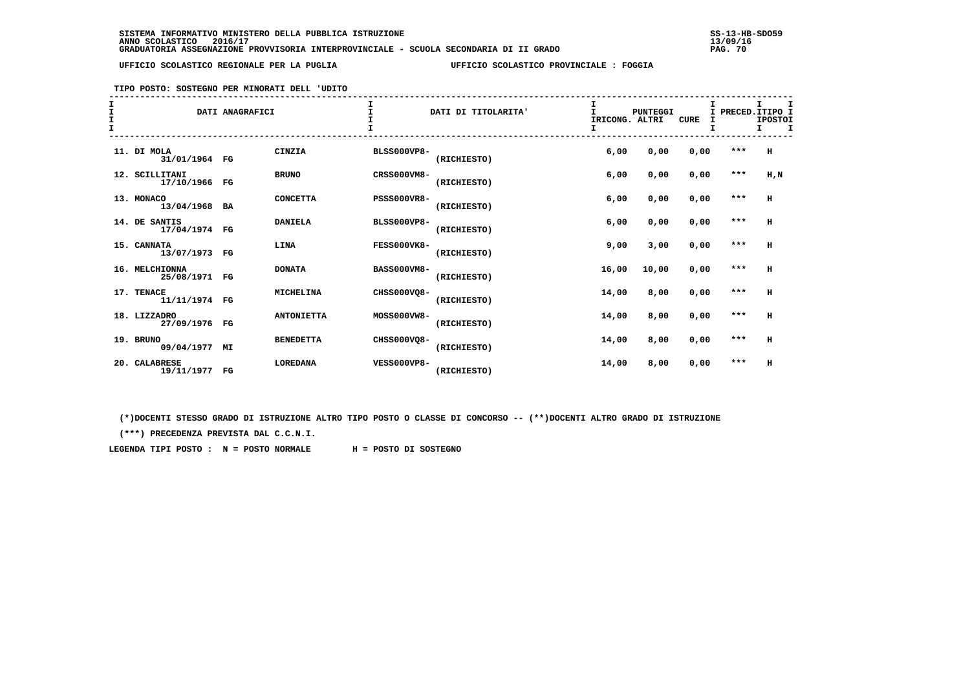### **TIPO POSTO: SOSTEGNO PER MINORATI DELL 'UDITO**

| I<br>I<br>$\mathbf{I}$ |                                 | DATI ANAGRAFICI |                   |                    | DATI DI TITOLARITA' | I<br>IRICONG. ALTRI<br>I | PUNTEGGI | <b>CURE</b> |         | I<br>PRECED. ITIPO I<br><b>IPOSTOI</b><br>I.<br>I |
|------------------------|---------------------------------|-----------------|-------------------|--------------------|---------------------|--------------------------|----------|-------------|---------|---------------------------------------------------|
|                        | 11. DI MOLA<br>31/01/1964 FG    |                 | CINZIA            | <b>BLSS000VP8-</b> | (RICHIESTO)         | 6,00                     | 0,00     | 0,00        | ***     | H                                                 |
|                        | 12. SCILLITANI<br>17/10/1966 FG |                 | <b>BRUNO</b>      | <b>CRSS000VM8-</b> | (RICHIESTO)         | 6,00                     | 0,00     | 0,00        | $***$   | H, N                                              |
|                        | 13. MONACO<br>13/04/1968 BA     |                 | <b>CONCETTA</b>   | <b>PSSS000VR8-</b> | (RICHIESTO)         | 6,00                     | 0,00     | 0,00        | $***$   | H                                                 |
|                        | 14. DE SANTIS<br>17/04/1974 FG  |                 | <b>DANIELA</b>    | <b>BLSS000VP8-</b> | (RICHIESTO)         | 6,00                     | 0,00     | 0,00        | $***$   | H                                                 |
|                        | 15. CANNATA<br>13/07/1973 FG    |                 | LINA              | FESS000VK8-        | (RICHIESTO)         | 9,00                     | 3,00     | 0,00        | $* * *$ | H                                                 |
|                        | 16. MELCHIONNA<br>25/08/1971 FG |                 | <b>DONATA</b>     | <b>BASS000VM8-</b> | (RICHIESTO)         | 16,00                    | 10,00    | 0,00        | $***$   | H                                                 |
|                        | 17. TENACE<br>11/11/1974 FG     |                 | <b>MICHELINA</b>  | CHSS000VO8-        | (RICHIESTO)         | 14,00                    | 8,00     | 0,00        | $***$   | H                                                 |
|                        | 18. LIZZADRO<br>27/09/1976 FG   |                 | <b>ANTONIETTA</b> | MOSS000VW8-        | (RICHIESTO)         | 14,00                    | 8,00     | 0,00        | $***$   | H                                                 |
|                        | 19. BRUNO<br>09/04/1977 MI      |                 | <b>BENEDETTA</b>  | CHSS000VQ8-        | (RICHIESTO)         | 14,00                    | 8,00     | 0,00        | $***$   | н                                                 |
|                        | 20. CALABRESE<br>19/11/1977     | FG              | <b>LOREDANA</b>   | <b>VESS000VP8-</b> | (RICHIESTO)         | 14,00                    | 8,00     | 0,00        | ***     | н                                                 |

 **(\*)DOCENTI STESSO GRADO DI ISTRUZIONE ALTRO TIPO POSTO O CLASSE DI CONCORSO -- (\*\*)DOCENTI ALTRO GRADO DI ISTRUZIONE**

 **(\*\*\*) PRECEDENZA PREVISTA DAL C.C.N.I.**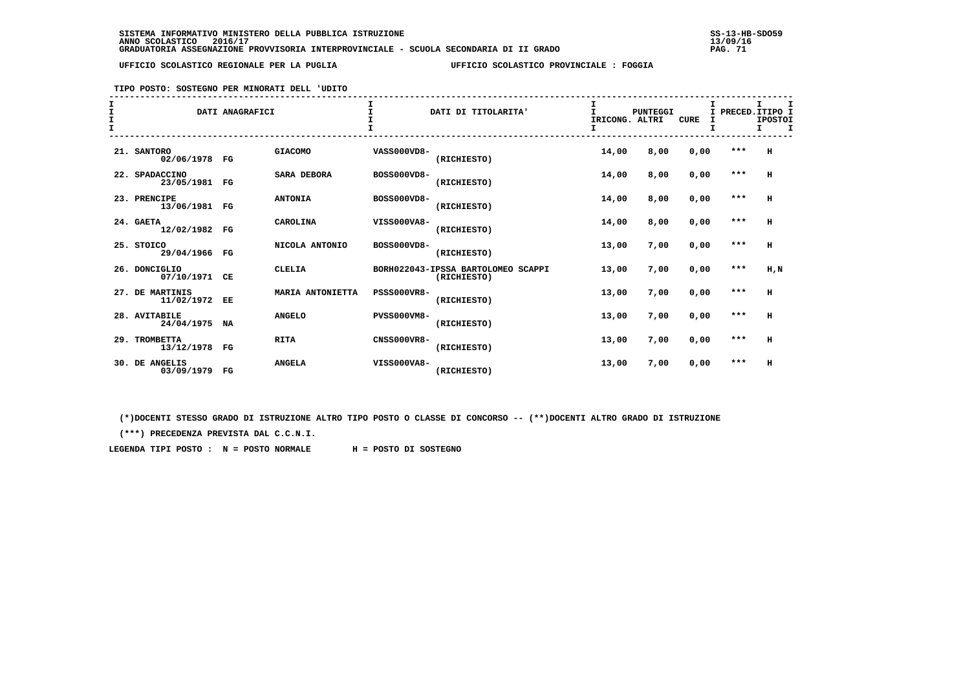### **TIPO POSTO: SOSTEGNO PER MINORATI DELL 'UDITO**

| I<br>I<br>$\mathbf{I}$ |                               | DATI ANAGRAFICI |                    |                    | DATI DI TITOLARITA'                               | I<br>T.<br>IRICONG. ALTRI<br>I | <b>PUNTEGGI</b> | <b>CURE</b> | I<br>T. | I PRECED. ITIPO I<br><b>IPOSTOI</b><br>$\mathbf{I}$<br>I. |
|------------------------|-------------------------------|-----------------|--------------------|--------------------|---------------------------------------------------|--------------------------------|-----------------|-------------|---------|-----------------------------------------------------------|
|                        | 21. SANTORO<br>02/06/1978 FG  |                 | <b>GIACOMO</b>     | VASS000VD8-        | (RICHIESTO)                                       | 14,00                          | 8,00            | 0,00        | ***     | H                                                         |
|                        | 22. SPADACCINO<br>23/05/1981  | FG              | <b>SARA DEBORA</b> | BOSS000VD8-        | (RICHIESTO)                                       | 14,00                          | 8,00            | 0,00        | $***$   | H                                                         |
|                        | 23. PRENCIPE<br>13/06/1981 FG |                 | <b>ANTONIA</b>     | BOSS000VD8-        | (RICHIESTO)                                       | 14,00                          | 8,00            | 0,00        | $***$   | н                                                         |
|                        | 24. GAETA<br>12/02/1982 FG    |                 | CAROLINA           | VISS000VA8-        | (RICHIESTO)                                       | 14,00                          | 8,00            | 0,00        | $***$   | $\,$ H                                                    |
|                        | 25. STOICO<br>29/04/1966      | $_{\rm FG}$     | NICOLA ANTONIO     | BOSS000VD8-        | (RICHIESTO)                                       | 13,00                          | 7,00            | 0,00        | $***$   | H                                                         |
|                        | 26. DONCIGLIO<br>07/10/1971   | CE              | <b>CLELIA</b>      |                    | BORH022043-IPSSA BARTOLOMEO SCAPPI<br>(RICHIESTO) | 13,00                          | 7,00            | 0,00        | $***$   | H,N                                                       |
|                        | 27. DE MARTINIS<br>11/02/1972 | EE              | MARIA ANTONIETTA   | <b>PSSS000VR8-</b> | (RICHIESTO)                                       | 13,00                          | 7,00            | 0,00        | $***$   | н                                                         |
|                        | 28. AVITABILE<br>24/04/1975   | NA              | <b>ANGELO</b>      | <b>PVSS000VM8-</b> | (RICHIESTO)                                       | 13,00                          | 7,00            | 0,00        | $***$   | H                                                         |
|                        | 29. TROMBETTA<br>13/12/1978   | $_{\rm FG}$     | <b>RITA</b>        | <b>CNSS000VR8-</b> | (RICHIESTO)                                       | 13,00                          | 7,00            | 0,00        | $***$   | н                                                         |
|                        | 30. DE ANGELIS<br>03/09/1979  | $_{\rm FG}$     | <b>ANGELA</b>      | VISS000VA8-        | (RICHIESTO)                                       | 13,00                          | 7,00            | 0,00        | $***$   | н                                                         |

 **(\*)DOCENTI STESSO GRADO DI ISTRUZIONE ALTRO TIPO POSTO O CLASSE DI CONCORSO -- (\*\*)DOCENTI ALTRO GRADO DI ISTRUZIONE**

 **(\*\*\*) PRECEDENZA PREVISTA DAL C.C.N.I.**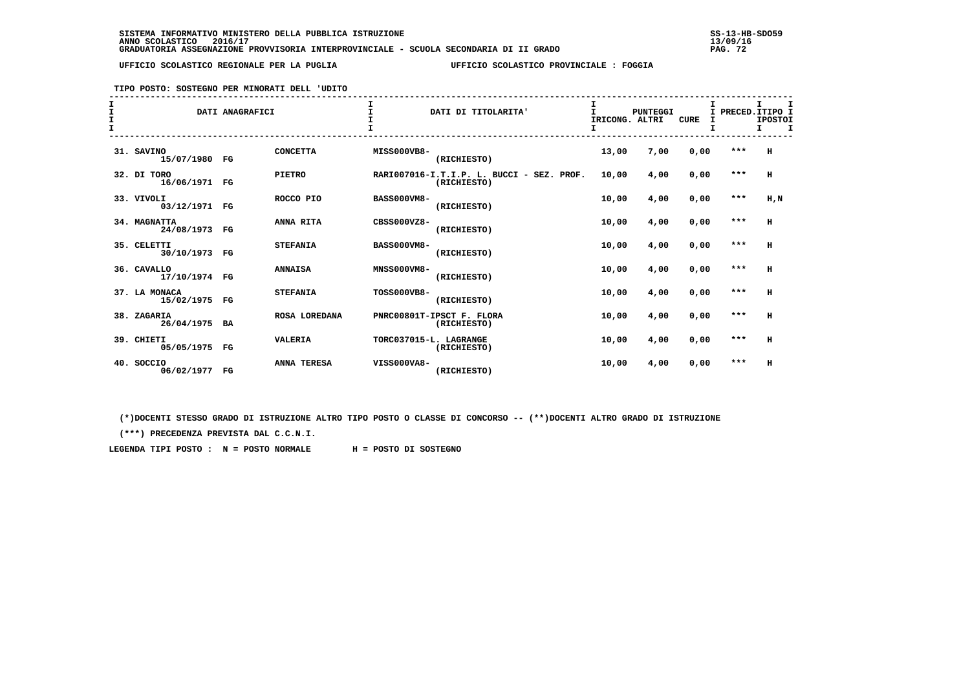### **TIPO POSTO: SOSTEGNO PER MINORATI DELL 'UDITO**

| I<br>$\mathbf{I}$ |                                | DATI ANAGRAFICI |                    |                        | DATI DI TITOLARITA'                                      | IRICONG. ALTRI<br>I | PUNTEGGI | <b>CURE</b> | т<br>I<br>т | PRECED. ITIPO I<br><b>IPOSTOI</b><br>I.<br>$\mathbf T$ |
|-------------------|--------------------------------|-----------------|--------------------|------------------------|----------------------------------------------------------|---------------------|----------|-------------|-------------|--------------------------------------------------------|
|                   | 31. SAVINO<br>15/07/1980 FG    |                 | <b>CONCETTA</b>    | MISS000VB8-            | (RICHIESTO)                                              | 13,00               | 7,00     | 0,00        | ***         | н                                                      |
|                   | 32. DI TORO<br>16/06/1971 FG   |                 | <b>PIETRO</b>      |                        | RARI007016-I.T.I.P. L. BUCCI - SEZ. PROF.<br>(RICHIESTO) | 10,00               | 4,00     | 0,00        | $* * *$     | н                                                      |
|                   | 33. VIVOLI<br>03/12/1971 FG    |                 | ROCCO PIO          | <b>BASS000VM8-</b>     | (RICHIESTO)                                              | 10,00               | 4,00     | 0,00        | $***$       | H, N                                                   |
|                   | 34. MAGNATTA<br>24/08/1973 FG  |                 | ANNA RITA          | $CRSS000VZ8-$          | (RICHIESTO)                                              | 10,00               | 4,00     | 0,00        | $***$       | $\mathbf H$                                            |
|                   | 35. CELETTI<br>30/10/1973 FG   |                 | <b>STEFANIA</b>    | <b>BASS000VM8-</b>     | (RICHIESTO)                                              | 10,00               | 4,00     | 0,00        | $***$       | н                                                      |
|                   | 36. CAVALLO<br>17/10/1974 FG   |                 | <b>ANNAISA</b>     | <b>MNSS000VM8-</b>     | (RICHIESTO)                                              | 10,00               | 4,00     | 0,00        | $***$       | н                                                      |
|                   | 37. LA MONACA<br>15/02/1975 FG |                 | <b>STEFANIA</b>    | <b>TOSS000VB8-</b>     | (RICHIESTO)                                              | 10,00               | 4,00     | 0,00        | $***$       | н                                                      |
|                   | 38. ZAGARIA<br>26/04/1975 BA   |                 | ROSA LOREDANA      |                        | PNRC00801T-IPSCT F. FLORA<br>(RICHIESTO)                 | 10,00               | 4,00     | 0,00        | $***$       | н                                                      |
|                   | 39. CHIETI<br>05/05/1975 FG    |                 | <b>VALERIA</b>     | TORC037015-L. LAGRANGE | (RICHIESTO)                                              | 10,00               | 4,00     | 0,00        | $* * *$     | н                                                      |
|                   | 40. SOCCIO<br>06/02/1977 FG    |                 | <b>ANNA TERESA</b> | VISS000VA8-            | (RICHIESTO)                                              | 10,00               | 4,00     | 0,00        | $***$       | н                                                      |

 **(\*)DOCENTI STESSO GRADO DI ISTRUZIONE ALTRO TIPO POSTO O CLASSE DI CONCORSO -- (\*\*)DOCENTI ALTRO GRADO DI ISTRUZIONE**

 **(\*\*\*) PRECEDENZA PREVISTA DAL C.C.N.I.**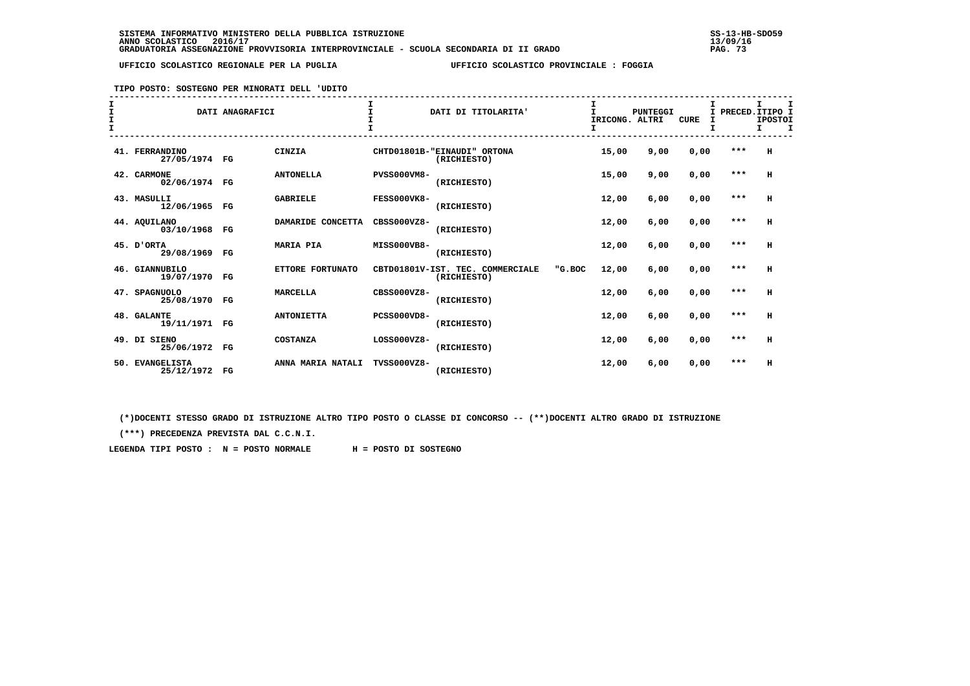# **TIPO POSTO: SOSTEGNO PER MINORATI DELL 'UDITO**

| $\mathbf I$<br>I |                                  | DATI ANAGRAFICI |                   |                    | DATI DI TITOLARITA'                             |        | I<br>т<br>IRICONG. ALTRI | <b>PUNTEGGI</b> | <b>CURE</b> | I     | I PRECED. ITIPO I<br><b>IPOSTOI</b> |   |
|------------------|----------------------------------|-----------------|-------------------|--------------------|-------------------------------------------------|--------|--------------------------|-----------------|-------------|-------|-------------------------------------|---|
| $\mathbf{I}$     |                                  |                 |                   |                    |                                                 |        | I                        |                 |             | I     | I.                                  | т |
|                  | 41. FERRANDINO<br>27/05/1974 FG  |                 | CINZIA            |                    | CHTD01801B-"EINAUDI" ORTONA<br>(RICHIESTO)      |        | 15,00                    | 9,00            | 0,00        | ***   | H                                   |   |
|                  | 42. CARMONE<br>02/06/1974 FG     |                 | <b>ANTONELLA</b>  | <b>PVSS000VM8-</b> | (RICHIESTO)                                     |        | 15,00                    | 9,00            | 0,00        | $***$ | H                                   |   |
|                  | 43. MASULLI<br>12/06/1965 FG     |                 | <b>GABRIELE</b>   | FESS000VK8-        | (RICHIESTO)                                     |        | 12,00                    | 6,00            | 0,00        | $***$ | H                                   |   |
|                  | 44. AQUILANO<br>03/10/1968 FG    |                 | DAMARIDE CONCETTA | $CRSS000VZ8-$      | (RICHIESTO)                                     |        | 12,00                    | 6,00            | 0,00        | $***$ | H                                   |   |
|                  | 45. D'ORTA<br>29/08/1969         | $_{\rm FG}$     | <b>MARIA PIA</b>  | MISS000VB8-        | (RICHIESTO)                                     |        | 12,00                    | 6,00            | 0,00        | $***$ | н                                   |   |
|                  | 46. GIANNUBILO<br>19/07/1970     | FG              | ETTORE FORTUNATO  |                    | CBTD01801V-IST. TEC. COMMERCIALE<br>(RICHIESTO) | "G.BOC | 12,00                    | 6,00            | 0,00        | $***$ | н                                   |   |
|                  | 47. SPAGNUOLO<br>25/08/1970      | $_{\rm FG}$     | <b>MARCELLA</b>   | $CRSS000VZ8-$      | (RICHIESTO)                                     |        | 12,00                    | 6,00            | 0,00        | $***$ | н                                   |   |
|                  | 48. GALANTE<br>19/11/1971 FG     |                 | <b>ANTONIETTA</b> | <b>PCSS000VD8-</b> | (RICHIESTO)                                     |        | 12,00                    | 6,00            | 0,00        | $***$ | H                                   |   |
|                  | 49. DI SIENO<br>25/06/1972 FG    |                 | <b>COSTANZA</b>   | LOSS000VZ8-        | (RICHIESTO)                                     |        | 12,00                    | 6,00            | 0,00        | $***$ | H                                   |   |
| 50.              | <b>EVANGELISTA</b><br>25/12/1972 | $_{\rm FG}$     | ANNA MARIA NATALI | TVSS000VZ8-        | (RICHIESTO)                                     |        | 12,00                    | 6,00            | 0,00        | $***$ | H                                   |   |

 **(\*)DOCENTI STESSO GRADO DI ISTRUZIONE ALTRO TIPO POSTO O CLASSE DI CONCORSO -- (\*\*)DOCENTI ALTRO GRADO DI ISTRUZIONE**

 **(\*\*\*) PRECEDENZA PREVISTA DAL C.C.N.I.**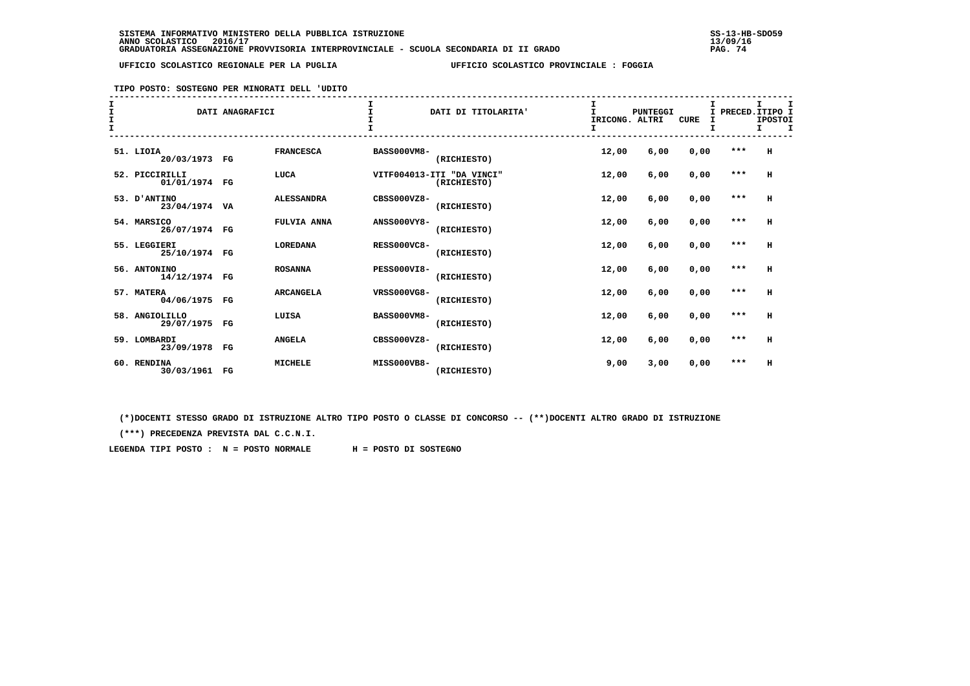### **TIPO POSTO: SOSTEGNO PER MINORATI DELL 'UDITO**

| I<br>I<br>$\mathbf{I}$ |                                 | DATI ANAGRAFICI |                    |                    | DATI DI TITOLARITA'                      | IRICONG. ALTRI<br>I | <b>PUNTEGGI</b> | <b>CURE</b> | Τ.<br>I<br>т | PRECED. ITIPO I<br><b>IPOSTOI</b><br>I.<br>$\mathbf T$ |
|------------------------|---------------------------------|-----------------|--------------------|--------------------|------------------------------------------|---------------------|-----------------|-------------|--------------|--------------------------------------------------------|
|                        | 51. LIOIA<br>20/03/1973 FG      |                 | <b>FRANCESCA</b>   | <b>BASS000VM8-</b> | (RICHIESTO)                              | 12,00               | 6,00            | 0,00        | ***          | н                                                      |
|                        | 52. PICCIRILLI<br>01/01/1974 FG |                 | LUCA               |                    | VITF004013-ITI "DA VINCI"<br>(RICHIESTO) | 12,00               | 6,00            | 0,00        | $* * *$      | н                                                      |
|                        | 53. D'ANTINO<br>23/04/1974 VA   |                 | <b>ALESSANDRA</b>  | $CRSS000VZ8-$      | (RICHIESTO)                              | 12,00               | 6,00            | 0,00        | $***$        | н                                                      |
|                        | 54. MARSICO<br>26/07/1974 FG    |                 | <b>FULVIA ANNA</b> | <b>ANSS000VY8-</b> | (RICHIESTO)                              | 12,00               | 6,00            | 0,00        | $***$        | $\mathbf H$                                            |
|                        | 55. LEGGIERI<br>25/10/1974 FG   |                 | <b>LOREDANA</b>    | <b>RESS000VC8-</b> | (RICHIESTO)                              | 12,00               | 6.00            | 0,00        | $***$        | н                                                      |
|                        | 56. ANTONINO<br>14/12/1974 FG   |                 | <b>ROSANNA</b>     | <b>PESS000VI8-</b> | (RICHIESTO)                              | 12,00               | 6,00            | 0,00        | $***$        | н                                                      |
|                        | 57. MATERA<br>04/06/1975 FG     |                 | <b>ARCANGELA</b>   | VRSS000VG8-        | (RICHIESTO)                              | 12,00               | 6,00            | 0,00        | $***$        | н                                                      |
|                        | 58. ANGIOLILLO<br>29/07/1975 FG |                 | LUISA              | <b>BASS000VM8-</b> | (RICHIESTO)                              | 12,00               | 6,00            | 0,00        | $***$        | $\mathbf H$                                            |
|                        | 59. LOMBARDI<br>23/09/1978 FG   |                 | <b>ANGELA</b>      | CBSS000VZ8-        | (RICHIESTO)                              | 12,00               | 6,00            | 0,00        | $***$        | н                                                      |
|                        | 60. RENDINA<br>30/03/1961 FG    |                 | <b>MICHELE</b>     | MISS000VB8-        | (RICHIESTO)                              | 9,00                | 3,00            | 0,00        | $***$        | н                                                      |

 **(\*)DOCENTI STESSO GRADO DI ISTRUZIONE ALTRO TIPO POSTO O CLASSE DI CONCORSO -- (\*\*)DOCENTI ALTRO GRADO DI ISTRUZIONE**

 **(\*\*\*) PRECEDENZA PREVISTA DAL C.C.N.I.**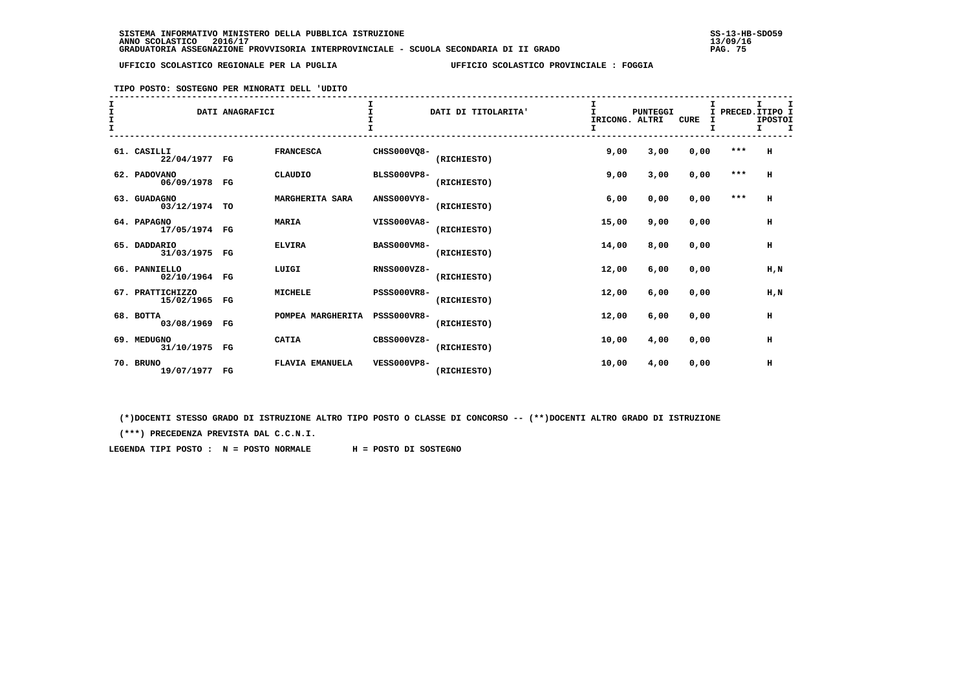### **TIPO POSTO: SOSTEGNO PER MINORATI DELL 'UDITO**

| T |                                   | DATI ANAGRAFICI |                        |                    | DATI DI TITOLARITA' | IRICONG. ALTRI<br>I. | <b>PUNTEGGI</b> | <b>CURE</b> | Τ.    | т<br>PRECED.ITIPO I<br><b>IPOSTOI</b><br>I<br>I. |
|---|-----------------------------------|-----------------|------------------------|--------------------|---------------------|----------------------|-----------------|-------------|-------|--------------------------------------------------|
|   | 61. CASILLI<br>22/04/1977 FG      |                 | <b>FRANCESCA</b>       | CHSS000VO8-        | (RICHIESTO)         | 9,00                 | 3,00            | 0,00        | $***$ | H                                                |
|   | 62. PADOVANO<br>06/09/1978 FG     |                 | CLAUDIO                | <b>BLSS000VP8-</b> | (RICHIESTO)         | 9,00                 | 3,00            | 0,00        | $***$ | H                                                |
|   | 63. GUADAGNO<br>03/12/1974 TO     |                 | MARGHERITA SARA        | <b>ANSS000VY8-</b> | (RICHIESTO)         | 6,00                 | 0,00            | 0,00        | $***$ | н                                                |
|   | 64. PAPAGNO<br>17/05/1974 FG      |                 | <b>MARIA</b>           | VISS000VA8-        | (RICHIESTO)         | 15,00                | 9,00            | 0,00        |       | н                                                |
|   | 65. DADDARIO<br>31/03/1975 FG     |                 | <b>ELVIRA</b>          | <b>BASS000VM8-</b> | (RICHIESTO)         | 14,00                | 8,00            | 0,00        |       | н                                                |
|   | 66. PANNIELLO<br>02/10/1964 FG    |                 | LUIGI                  | <b>RNSS000VZ8-</b> | (RICHIESTO)         | 12,00                | 6,00            | 0.00        |       | H.N                                              |
|   | 67. PRATTICHIZZO<br>15/02/1965 FG |                 | <b>MICHELE</b>         | <b>PSSS000VR8-</b> | (RICHIESTO)         | 12,00                | 6,00            | 0,00        |       | H, N                                             |
|   | 68. BOTTA<br>03/08/1969 FG        |                 | POMPEA MARGHERITA      | <b>PSSS000VR8-</b> | (RICHIESTO)         | 12,00                | 6,00            | 0,00        |       | н                                                |
|   | 69. MEDUGNO<br>31/10/1975 FG      |                 | <b>CATIA</b>           | CBSS000VZ8-        | (RICHIESTO)         | 10,00                | 4,00            | 0,00        |       | н                                                |
|   | 70. BRUNO<br>19/07/1977 FG        |                 | <b>FLAVIA EMANUELA</b> | <b>VESS000VP8-</b> | (RICHIESTO)         | 10,00                | 4,00            | 0,00        |       | н                                                |

 **(\*)DOCENTI STESSO GRADO DI ISTRUZIONE ALTRO TIPO POSTO O CLASSE DI CONCORSO -- (\*\*)DOCENTI ALTRO GRADO DI ISTRUZIONE**

 **(\*\*\*) PRECEDENZA PREVISTA DAL C.C.N.I.**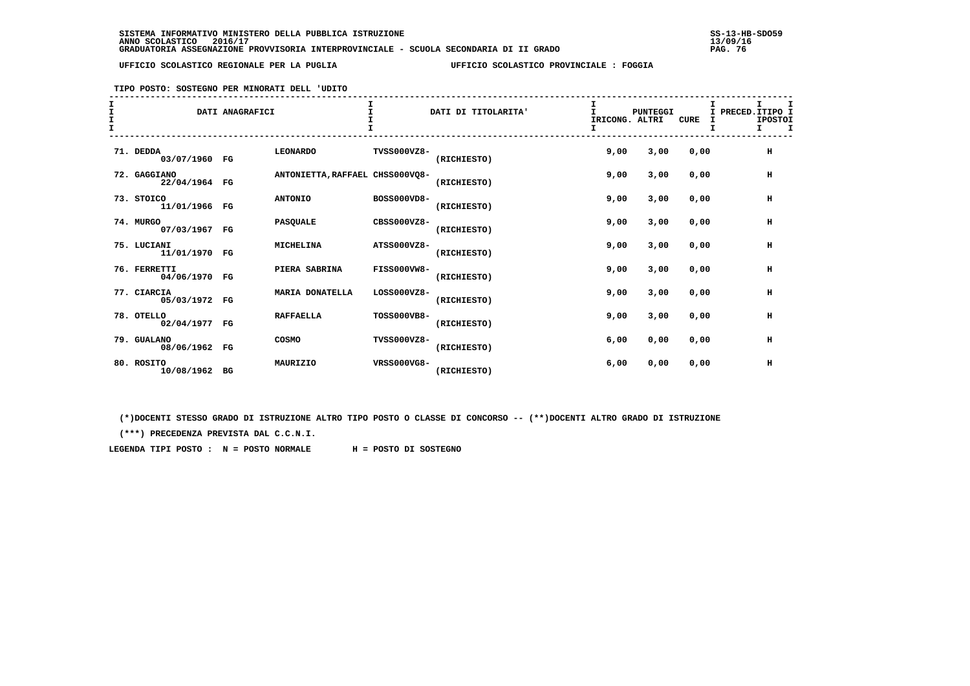### **TIPO POSTO: SOSTEGNO PER MINORATI DELL 'UDITO**

| т |                               | DATI ANAGRAFICI |                                 |                    | DATI DI TITOLARITA' | IRICONG. ALTRI<br>I | <b>PUNTEGGI</b> | <b>CURE</b> | I | I PRECED. ITIPO I<br><b>IPOSTOI</b><br>$\mathbf I$<br>I. |
|---|-------------------------------|-----------------|---------------------------------|--------------------|---------------------|---------------------|-----------------|-------------|---|----------------------------------------------------------|
|   | 71. DEDDA<br>03/07/1960 FG    |                 | <b>LEONARDO</b>                 | <b>TVSS000VZ8-</b> | (RICHIESTO)         | 9,00                | 3,00            | 0.00        |   | $\,$ H                                                   |
|   | 72. GAGGIANO<br>22/04/1964 FG |                 | ANTONIETTA, RAFFAEL CHSS000VQ8- |                    | (RICHIESTO)         | 9,00                | 3,00            | 0.00        |   | н                                                        |
|   | 73. STOICO<br>11/01/1966 FG   |                 | <b>ANTONIO</b>                  | BOSS000VD8-        | (RICHIESTO)         | 9,00                | 3,00            | 0,00        |   | н                                                        |
|   | 74. MURGO<br>07/03/1967 FG    |                 | <b>PASQUALE</b>                 | CBSS000VZ8-        | (RICHIESTO)         | 9,00                | 3,00            | 0,00        |   | $\,$ H                                                   |
|   | 75. LUCIANI<br>11/01/1970 FG  |                 | <b>MICHELINA</b>                | ATSS000VZ8-        | (RICHIESTO)         | 9,00                | 3,00            | 0.00        |   | н                                                        |
|   | 76. FERRETTI<br>04/06/1970 FG |                 | PIERA SABRINA                   | <b>FISS000VW8-</b> | (RICHIESTO)         | 9,00                | 3,00            | 0.00        |   | H                                                        |
|   | 77. CIARCIA<br>05/03/1972 FG  |                 | <b>MARIA DONATELLA</b>          | $LOS000VZ8-$       | (RICHIESTO)         | 9,00                | 3,00            | 0,00        |   | $\,$ H                                                   |
|   | 78. OTELLO<br>02/04/1977 FG   |                 | <b>RAFFAELLA</b>                | TOSS000VB8-        | (RICHIESTO)         | 9,00                | 3,00            | 0,00        |   | н                                                        |
|   | 79. GUALANO<br>08/06/1962 FG  |                 | COSMO                           | TVSS000VZ8-        | (RICHIESTO)         | 6,00                | 0,00            | 0,00        |   | н                                                        |
|   | 80. ROSITO<br>10/08/1962 BG   |                 | MAURIZIO                        | VRSS000VG8-        | (RICHIESTO)         | 6.00                | 0,00            | 0,00        |   | н                                                        |

 **(\*)DOCENTI STESSO GRADO DI ISTRUZIONE ALTRO TIPO POSTO O CLASSE DI CONCORSO -- (\*\*)DOCENTI ALTRO GRADO DI ISTRUZIONE**

 **(\*\*\*) PRECEDENZA PREVISTA DAL C.C.N.I.**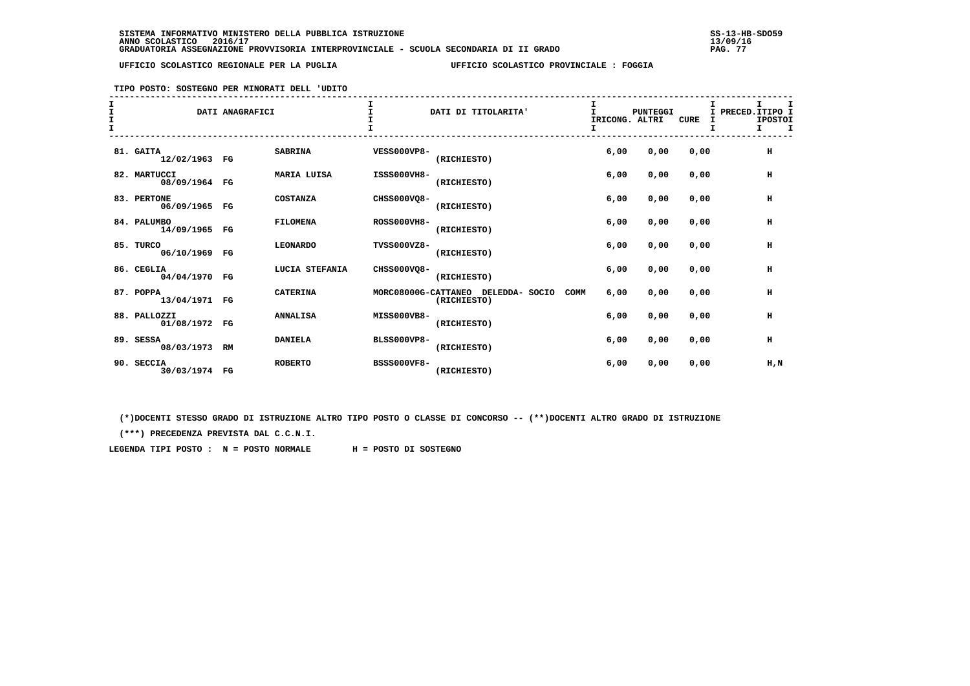### **TIPO POSTO: SOSTEGNO PER MINORATI DELL 'UDITO**

| T |                               | DATI ANAGRAFICI |                    |                    | DATI DI TITOLARITA'                               | IRICONG. ALTRI<br>I. | <b>PUNTEGGI</b> | <b>CURE</b> | т<br>PRECED.ITIPO I<br>Τ.<br><b>IPOSTOI</b><br>I<br>I<br>$\mathbf{I}$ |
|---|-------------------------------|-----------------|--------------------|--------------------|---------------------------------------------------|----------------------|-----------------|-------------|-----------------------------------------------------------------------|
|   | 81. GAITA<br>12/02/1963 FG    |                 | <b>SABRINA</b>     | <b>VESS000VP8-</b> | (RICHIESTO)                                       | 6,00                 | 0,00            | 0,00        | н                                                                     |
|   | 82. MARTUCCI<br>08/09/1964 FG |                 | <b>MARIA LUISA</b> | ISSS000VH8-        | (RICHIESTO)                                       | 6,00                 | 0,00            | 0,00        | н                                                                     |
|   | 83. PERTONE<br>06/09/1965 FG  |                 | <b>COSTANZA</b>    | CHSS000VQ8-        | (RICHIESTO)                                       | 6,00                 | 0,00            | 0,00        | н                                                                     |
|   | 84. PALUMBO<br>14/09/1965 FG  |                 | <b>FILOMENA</b>    | <b>ROSS000VH8-</b> | (RICHIESTO)                                       | 6,00                 | 0,00            | 0,00        | н                                                                     |
|   | 85. TURCO<br>06/10/1969 FG    |                 | <b>LEONARDO</b>    | TVSS000VZ8-        | (RICHIESTO)                                       | 6.00                 | 0,00            | 0,00        | н                                                                     |
|   | 86. CEGLIA<br>04/04/1970 FG   |                 | LUCIA STEFANIA     | CHSS000VQ8-        | (RICHIESTO)                                       | 6.00                 | 0,00            | 0.00        | H                                                                     |
|   | 87. POPPA<br>13/04/1971 FG    |                 | <b>CATERINA</b>    |                    | MORC08000G-CATTANEO DELEDDA- SOCIO<br>(RICHIESTO) | 6,00<br>COMM         | 0,00            | 0,00        | н                                                                     |
|   | 88. PALLOZZI<br>01/08/1972 FG |                 | <b>ANNALISA</b>    | MISS000VB8-        | (RICHIESTO)                                       | 6,00                 | 0,00            | 0,00        | н                                                                     |
|   | 89. SESSA<br>08/03/1973 RM    |                 | <b>DANIELA</b>     | <b>BLSS000VP8-</b> | (RICHIESTO)                                       | 6,00                 | 0,00            | 0,00        | н                                                                     |
|   | 90. SECCIA<br>30/03/1974 FG   |                 | <b>ROBERTO</b>     | <b>BSSS000VF8-</b> | (RICHIESTO)                                       | 6.00                 | 0,00            | 0,00        | H,N                                                                   |

 **(\*)DOCENTI STESSO GRADO DI ISTRUZIONE ALTRO TIPO POSTO O CLASSE DI CONCORSO -- (\*\*)DOCENTI ALTRO GRADO DI ISTRUZIONE**

 **(\*\*\*) PRECEDENZA PREVISTA DAL C.C.N.I.**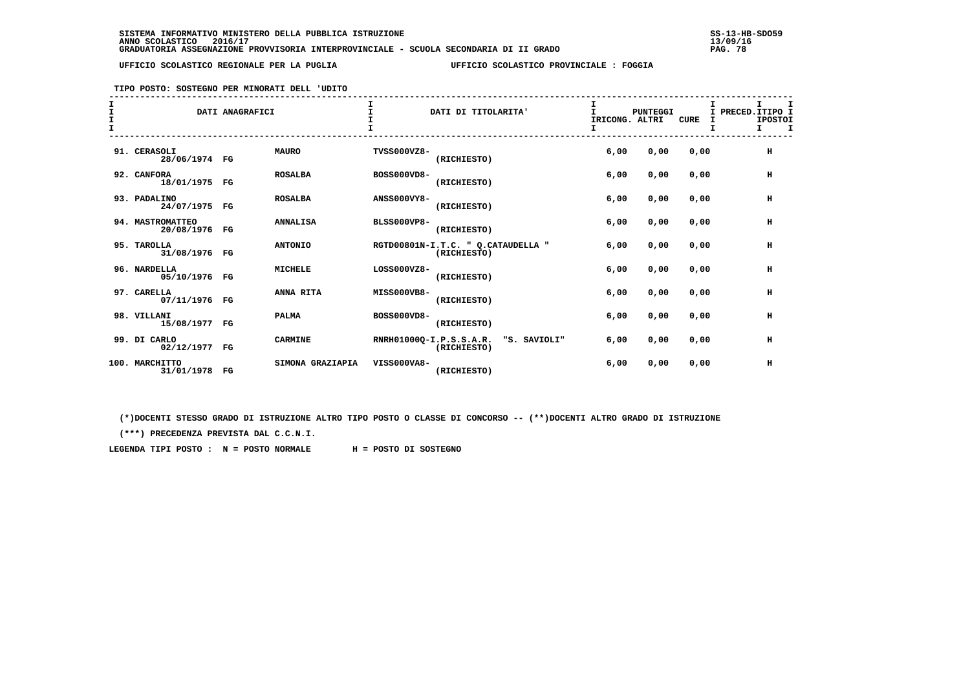### **TIPO POSTO: SOSTEGNO PER MINORATI DELL 'UDITO**

| T<br>I |                                   | DATI ANAGRAFICI |                  |                    | DATI DI TITOLARITA'                                    | IRICONG. ALTRI<br>Ι. | PUNTEGGI | <b>CURE</b> | Τ.<br>т | I<br>PRECED. ITIPO I<br><b>IPOSTOI</b><br>I.<br>I |
|--------|-----------------------------------|-----------------|------------------|--------------------|--------------------------------------------------------|----------------------|----------|-------------|---------|---------------------------------------------------|
|        | 91. CERASOLI<br>28/06/1974 FG     |                 | <b>MAURO</b>     | TVSS000VZ8-        | (RICHIESTO)                                            | 6,00                 | 0,00     | 0,00        |         | H                                                 |
|        | 92. CANFORA<br>18/01/1975 FG      |                 | <b>ROSALBA</b>   | BOSS000VD8-        | (RICHIESTO)                                            | 6,00                 | 0,00     | 0,00        |         | н                                                 |
|        | 93. PADALINO<br>24/07/1975 FG     |                 | <b>ROSALBA</b>   | <b>ANSS000VY8-</b> | (RICHIESTO)                                            | 6,00                 | 0,00     | 0,00        |         | H                                                 |
|        | 94. MASTROMATTEO<br>20/08/1976 FG |                 | <b>ANNALISA</b>  | <b>BLSS000VP8-</b> | (RICHIESTO)                                            | 6,00                 | 0,00     | 0,00        |         | H                                                 |
|        | 95. TAROLLA<br>31/08/1976 FG      |                 | <b>ANTONIO</b>   |                    | RGTD00801N-I.T.C. " Q.CATAUDELLA "<br>(RICHIESTO)      | 6.00                 | 0.00     | 0.00        |         | H                                                 |
|        | 96. NARDELLA<br>05/10/1976 FG     |                 | <b>MICHELE</b>   | LOSS000VZ8-        | (RICHIESTO)                                            | 6,00                 | 0,00     | 0.00        |         | H                                                 |
|        | 97. CARELLA<br>07/11/1976 FG      |                 | ANNA RITA        | MISS000VB8-        | (RICHIESTO)                                            | 6,00                 | 0,00     | 0.00        |         | H                                                 |
|        | 98. VILLANI<br>15/08/1977 FG      |                 | <b>PALMA</b>     | BOSS000VD8-        | (RICHIESTO)                                            | 6,00                 | 0,00     | 0,00        |         | H                                                 |
|        | 99. DI CARLO<br>02/12/1977 FG     |                 | <b>CARMINE</b>   |                    | RNRH01000Q-I.P.S.S.A.R.<br>"S. SAVIOLI"<br>(RICHIESTO) | 6,00                 | 0,00     | 0,00        |         | H                                                 |
|        | 100. MARCHITTO<br>31/01/1978 FG   |                 | SIMONA GRAZIAPIA | VISS000VA8-        | (RICHIESTO)                                            | 6,00                 | 0,00     | 0,00        |         | н                                                 |

 **(\*)DOCENTI STESSO GRADO DI ISTRUZIONE ALTRO TIPO POSTO O CLASSE DI CONCORSO -- (\*\*)DOCENTI ALTRO GRADO DI ISTRUZIONE**

 **(\*\*\*) PRECEDENZA PREVISTA DAL C.C.N.I.**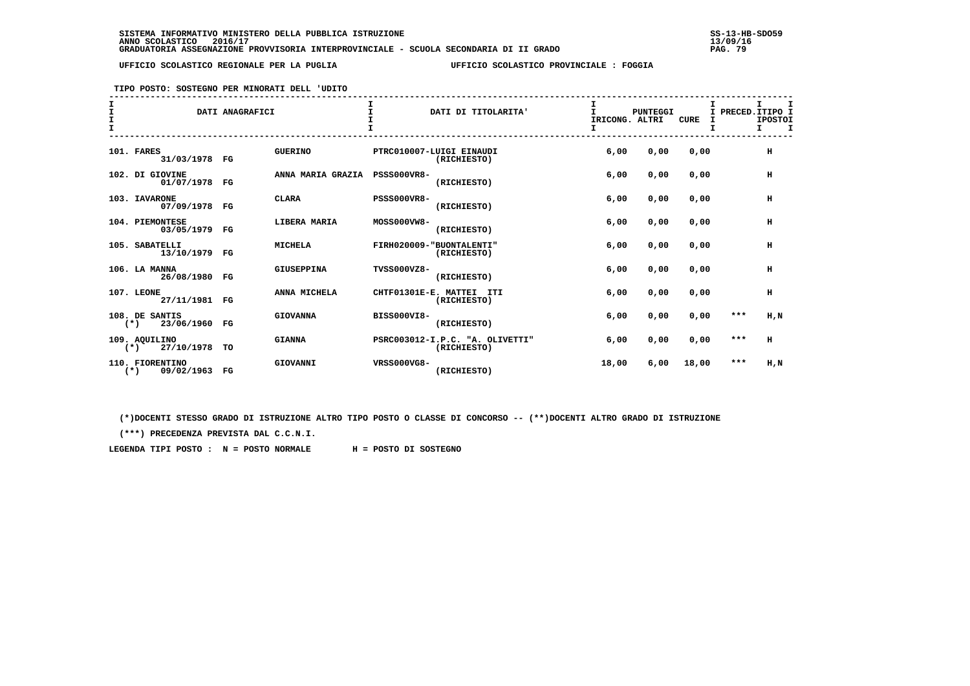**TIPO POSTO: SOSTEGNO PER MINORATI DELL 'UDITO**

| I<br>I<br>$\mathbf{r}$ |                                        | DATI ANAGRAFICI |                   |                      | DATI DI TITOLARITA'                            | I<br>T.<br>IRICONG. ALTRI | <b>PUNTEGGI</b> | CURE  | I PRECED. ITIPO I<br>I | т<br><b>IPOSTOI</b><br>т. |
|------------------------|----------------------------------------|-----------------|-------------------|----------------------|------------------------------------------------|---------------------------|-----------------|-------|------------------------|---------------------------|
|                        | 101. FARES<br>31/03/1978 FG            |                 | <b>GUERINO</b>    |                      | PTRC010007-LUIGI EINAUDI<br>(RICHIESTO)        | 6,00                      | 0,00            | 0,00  |                        | H                         |
|                        | 102. DI GIOVINE<br>01/07/1978 FG       |                 | ANNA MARIA GRAZIA | <b>PSSS000VR8-</b>   | (RICHIESTO)                                    | 6,00                      | 0,00            | 0,00  |                        | н                         |
|                        | 103. IAVARONE<br>07/09/1978 FG         |                 | <b>CLARA</b>      | <b>PSSS000VR8-</b>   | (RICHIESTO)                                    | 6,00                      | 0,00            | 0,00  |                        | н                         |
|                        | 104. PIEMONTESE<br>03/05/1979 FG       |                 | LIBERA MARIA      | MOSS000VW8-          | (RICHIESTO)                                    | 6,00                      | 0,00            | 0,00  |                        | н                         |
|                        | 105. SABATELLI<br>13/10/1979 FG        |                 | <b>MICHELA</b>    |                      | FIRH020009-"BUONTALENTI"<br>(RICHIESTO)        | 6,00                      | 0,00            | 0,00  |                        | $\,$ H                    |
|                        | 106. LA MANNA<br>26/08/1980 FG         |                 | <b>GIUSEPPINA</b> | TVSS000VZ8-          | (RICHIESTO)                                    | 6,00                      | 0,00            | 0,00  |                        | н                         |
|                        | 107. LEONE<br>27/11/1981 FG            |                 | ANNA MICHELA      | CHTF01301E-E. MATTEI | ITI<br>(RICHIESTO)                             | 6.00                      | 0,00            | 0,00  |                        | H                         |
|                        | 108. DE SANTIS<br>23/06/1960<br>$(*)$  | $_{\rm FG}$     | <b>GIOVANNA</b>   | <b>BISS000VI8-</b>   | (RICHIESTO)                                    | 6,00                      | 0,00            | 0,00  | $***$                  | H, N                      |
|                        | 109. AQUILINO<br>27/10/1978<br>$(*)$   | TO              | <b>GIANNA</b>     |                      | PSRC003012-I.P.C. "A. OLIVETTI"<br>(RICHIESTO) | 6,00                      | 0,00            | 0,00  | $***$                  | н                         |
|                        | 110. FIORENTINO<br>$(*)$<br>09/02/1963 | FG              | GIOVANNI          | VRSS000VG8-          | (RICHIESTO)                                    | 18,00                     | 6,00            | 18,00 | $***$                  | H,N                       |

 **(\*)DOCENTI STESSO GRADO DI ISTRUZIONE ALTRO TIPO POSTO O CLASSE DI CONCORSO -- (\*\*)DOCENTI ALTRO GRADO DI ISTRUZIONE**

 **(\*\*\*) PRECEDENZA PREVISTA DAL C.C.N.I.**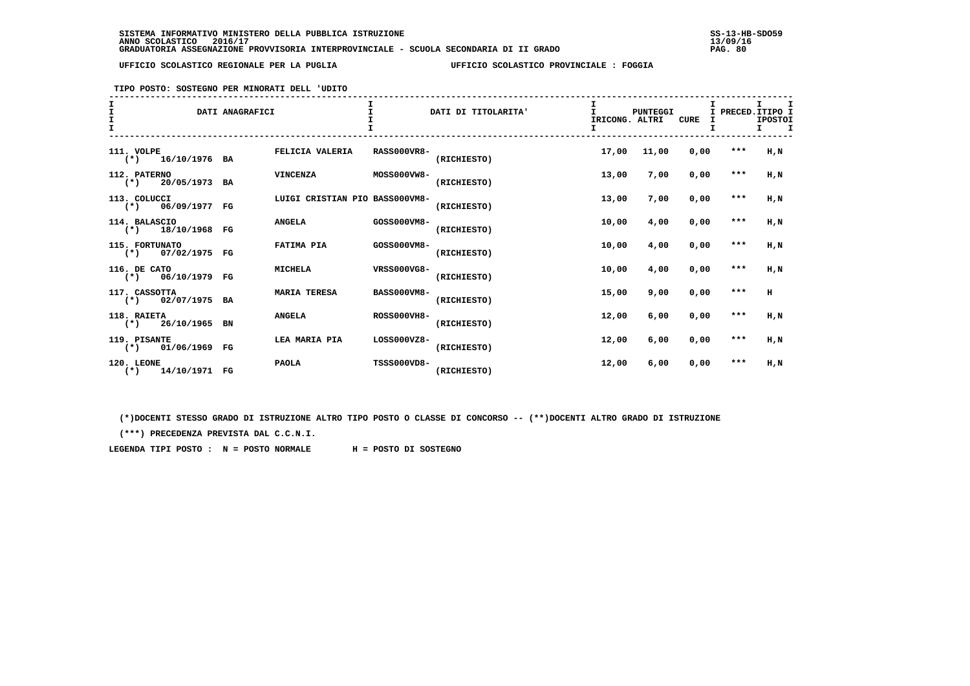**TIPO POSTO: SOSTEGNO PER MINORATI DELL 'UDITO**

| $\mathbf{I}$<br>I |                                       | DATI ANAGRAFICI |                                |                    | DATI DI TITOLARITA' | IRICONG. ALTRI<br>I. | PUNTEGGI | <b>CURE</b> | I       | I PRECED. ITIPO I<br><b>IPOSTOI</b><br>$\mathbf I$<br>I. |
|-------------------|---------------------------------------|-----------------|--------------------------------|--------------------|---------------------|----------------------|----------|-------------|---------|----------------------------------------------------------|
|                   | 111. VOLPE<br>$(*)$ 16/10/1976 BA     |                 | FELICIA VALERIA                | <b>RASS000VR8-</b> | (RICHIESTO)         | 17,00                | 11,00    | 0,00        | $***$   | H,N                                                      |
|                   | 112. PATERNO<br>$(*)$ 20/05/1973 BA   |                 | <b>VINCENZA</b>                | MOSS000VW8-        | (RICHIESTO)         | 13,00                | 7,00     | 0,00        | ***     | H,N                                                      |
|                   | 113. COLUCCI<br>$(*)$ 06/09/1977 FG   |                 | LUIGI CRISTIAN PIO BASS000VM8- |                    | (RICHIESTO)         | 13,00                | 7,00     | 0,00        | ***     | H, N                                                     |
|                   | 114. BALASCIO<br>$(*)$ 18/10/1968 FG  |                 | <b>ANGELA</b>                  | GOSS000VM8-        | (RICHIESTO)         | 10,00                | 4,00     | 0,00        | $***$   | H,N                                                      |
|                   | 115. FORTUNATO<br>$(*)$ 07/02/1975 FG |                 | <b>FATIMA PIA</b>              | GOSS000VM8-        | (RICHIESTO)         | 10,00                | 4,00     | 0,00        | $* * *$ | H.N                                                      |
|                   | 116. DE CATO<br>$(*)$ 06/10/1979 FG   |                 | <b>MICHELA</b>                 | VRSS000VG8-        | (RICHIESTO)         | 10,00                | 4,00     | 0,00        | $***$   | H.N                                                      |
|                   | 117. CASSOTTA<br>$(*)$ 02/07/1975 BA  |                 | <b>MARIA TERESA</b>            | <b>BASS000VM8-</b> | (RICHIESTO)         | 15,00                | 9,00     | 0,00        | $* * *$ | $\mathbf H$                                              |
|                   | 118. RAIETA<br>$(*)$ 26/10/1965 BN    |                 | <b>ANGELA</b>                  | <b>ROSS000VH8-</b> | (RICHIESTO)         | 12,00                | 6,00     | 0,00        | ***     | H, N                                                     |
|                   | 119. PISANTE<br>$(*)$ 01/06/1969 FG   |                 | LEA MARIA PIA                  | LOSS000VZ8-        | (RICHIESTO)         | 12,00                | 6,00     | 0,00        | $***$   | H,N                                                      |
|                   | 120. LEONE<br>14/10/1971 FG<br>$(*)$  |                 | <b>PAOLA</b>                   | <b>TSSS000VD8-</b> | (RICHIESTO)         | 12,00                | 6,00     | 0,00        | ***     | H,N                                                      |

 **(\*)DOCENTI STESSO GRADO DI ISTRUZIONE ALTRO TIPO POSTO O CLASSE DI CONCORSO -- (\*\*)DOCENTI ALTRO GRADO DI ISTRUZIONE**

 **(\*\*\*) PRECEDENZA PREVISTA DAL C.C.N.I.**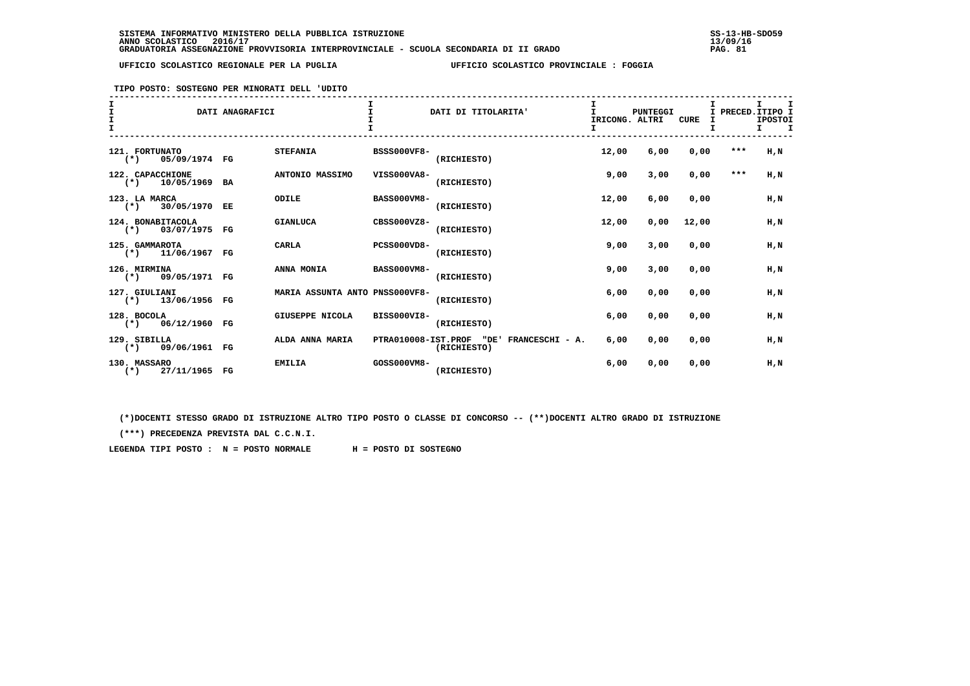**TIPO POSTO: SOSTEGNO PER MINORATI DELL 'UDITO**

| $\mathbf{I}$<br>Ī<br>$\mathbf{T}$ |                                            | DATI ANAGRAFICI |                                |                     | DATI DI TITOLARITA'                    | IRICONG. ALTRI<br>I | <b>PUNTEGGI</b> | <b>CURE</b> | I     | I PRECED. ITIPO I<br><b>IPOSTOI</b><br>$\mathbf I$<br>I. |
|-----------------------------------|--------------------------------------------|-----------------|--------------------------------|---------------------|----------------------------------------|---------------------|-----------------|-------------|-------|----------------------------------------------------------|
|                                   | 121. FORTUNATO<br>$(*)$<br>05/09/1974 FG   |                 | <b>STEFANIA</b>                | <b>BSSS000VF8-</b>  | (RICHIESTO)                            | 12,00               | 6,00            | 0,00        | $***$ | H.N                                                      |
|                                   | 122. CAPACCHIONE<br>$(*)$<br>10/05/1969 BA |                 | ANTONIO MASSIMO                | VISS000VA8-         | (RICHIESTO)                            | 9,00                | 3,00            | 0,00        | $***$ | H.N                                                      |
|                                   | 123. LA MARCA<br>$(*)$ 30/05/1970 EE       |                 | ODILE                          | <b>BASS000VM8-</b>  | (RICHIESTO)                            | 12,00               | 6,00            | 0,00        |       | H,N                                                      |
|                                   | 124. BONABITACOLA<br>$(*)$ 03/07/1975 FG   |                 | <b>GIANLUCA</b>                | CBSS000VZ8-         | (RICHIESTO)                            | 12,00               | 0,00            | 12,00       |       | H,N                                                      |
|                                   | 125. GAMMAROTA<br>$(*)$ 11/06/1967 FG      |                 | <b>CARLA</b>                   | <b>PCSS000VD8-</b>  | (RICHIESTO)                            | 9,00                | 3,00            | 0.00        |       | H.N                                                      |
|                                   | 126. MIRMINA<br>$(\star)$<br>09/05/1971 FG |                 | ANNA MONIA                     | <b>BASS000VM8-</b>  | (RICHIESTO)                            | 9,00                | 3,00            | 0,00        |       | H.N                                                      |
|                                   | 127. GIULIANI<br>$(*)$ 13/06/1956 FG       |                 | MARIA ASSUNTA ANTO PNSS000VF8- |                     | (RICHIESTO)                            | 6,00                | 0,00            | 0.00        |       | $H$ , $N$                                                |
|                                   | 128. BOCOLA<br>$(*)$ 06/12/1960 FG         |                 | GIUSEPPE NICOLA                | <b>BISS000VI8-</b>  | (RICHIESTO)                            | 6,00                | 0,00            | 0.00        |       | H.N                                                      |
|                                   | 129. SIBILLA<br>$(*)$ 09/06/1961 FG        |                 | ALDA ANNA MARIA                | PTRA010008-IST.PROF | "DE"<br>FRANCESCHI - A.<br>(RICHIESTO) | 6,00                | 0,00            | 0,00        |       | H, N                                                     |
|                                   | 130. MASSARO<br>$(*)$<br>27/11/1965 FG     |                 | <b>EMILIA</b>                  | GOSS000VM8-         | (RICHIESTO)                            | 6,00                | 0,00            | 0,00        |       | $H$ , $N$                                                |

 **(\*)DOCENTI STESSO GRADO DI ISTRUZIONE ALTRO TIPO POSTO O CLASSE DI CONCORSO -- (\*\*)DOCENTI ALTRO GRADO DI ISTRUZIONE**

 **(\*\*\*) PRECEDENZA PREVISTA DAL C.C.N.I.**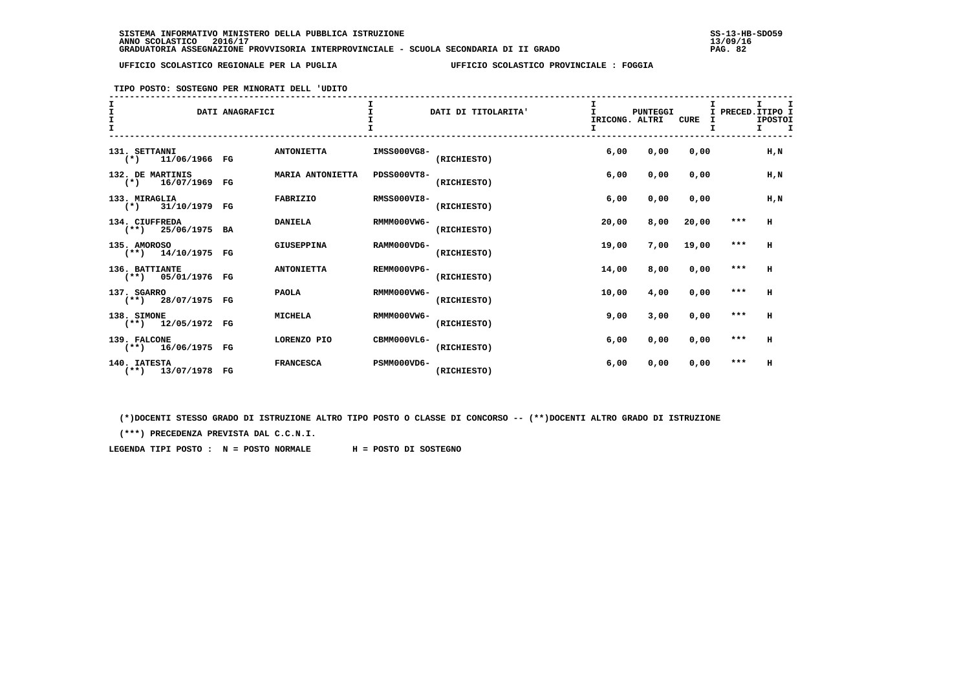**TIPO POSTO: SOSTEGNO PER MINORATI DELL 'UDITO**

| T     |                                        | DATI ANAGRAFICI |                   |                    | DATI DI TITOLARITA' | IRICONG. ALTRI<br>I | PUNTEGGI | <b>CURE</b> | т. |         | I.<br>I PRECED. ITIPO I<br><b>IPOSTOI</b><br>I. |
|-------|----------------------------------------|-----------------|-------------------|--------------------|---------------------|---------------------|----------|-------------|----|---------|-------------------------------------------------|
|       | 131. SETTANNI                          |                 | <b>ANTONIETTA</b> | IMSS000VG8-        |                     | 6,00                | 0,00     | 0.00        |    |         | $H$ , $N$                                       |
| $(*)$ | 11/06/1966 FG<br>132. DE MARTINIS      |                 | MARIA ANTONIETTA  | PDSS000VT8-        | (RICHIESTO)         | 6,00                | 0,00     | 0.00        |    |         | $H$ , $N$                                       |
|       | $(*)$ 16/07/1969<br>133. MIRAGLIA      | FG              | <b>FABRIZIO</b>   | <b>RMSS000VI8-</b> | (RICHIESTO)         | 6,00                | 0,00     | 0,00        |    |         | H, N                                            |
|       | $(*)$ 31/10/1979 FG<br>134. CIUFFREDA  |                 | <b>DANIELA</b>    | RMMM000VW6-        | (RICHIESTO)         | 20,00               | 8,00     | 20,00       |    | $* * *$ | н                                               |
|       | $(**)$ 25/06/1975 BA<br>135. AMOROSO   |                 | GIUSEPPINA        | RAMM000VD6-        | (RICHIESTO)         | 19,00               | 7,00     | 19,00       |    | $***$   | H                                               |
|       | $(**)$ 14/10/1975 FG<br>136. BATTIANTE |                 | <b>ANTONIETTA</b> | REMM000VP6-        | (RICHIESTO)         | 14,00               | 8,00     | 0.00        |    | $* * *$ | H                                               |
|       | $(**)$ 05/01/1976 FG<br>137. SGARRO    |                 | <b>PAOLA</b>      | RMMM000VW6-        | (RICHIESTO)         | 10,00               | 4,00     | 0,00        |    | $***$   | H                                               |
|       | $(**)$ 28/07/1975 FG<br>138. SIMONE    |                 | <b>MICHELA</b>    | RMMM000VW6-        | (RICHIESTO)         | 9,00                | 3,00     | 0,00        |    | $***$   | н                                               |
|       | $(**)$ 12/05/1972 FG<br>139. FALCONE   |                 | LORENZO PIO       | CBMM000VL6-        | (RICHIESTO)         | 6,00                | 0,00     | 0,00        |    | $***$   | H                                               |
|       | $(**)$ 16/06/1975 FG<br>140. IATESTA   |                 | <b>FRANCESCA</b>  | PSMM000VD6-        | (RICHIESTO)         | 6,00                | 0,00     | 0,00        |    | $***$   | H                                               |
|       | $(**)$ 13/07/1978 FG                   |                 |                   |                    | (RICHIESTO)         |                     |          |             |    |         |                                                 |

 **(\*)DOCENTI STESSO GRADO DI ISTRUZIONE ALTRO TIPO POSTO O CLASSE DI CONCORSO -- (\*\*)DOCENTI ALTRO GRADO DI ISTRUZIONE**

 **(\*\*\*) PRECEDENZA PREVISTA DAL C.C.N.I.**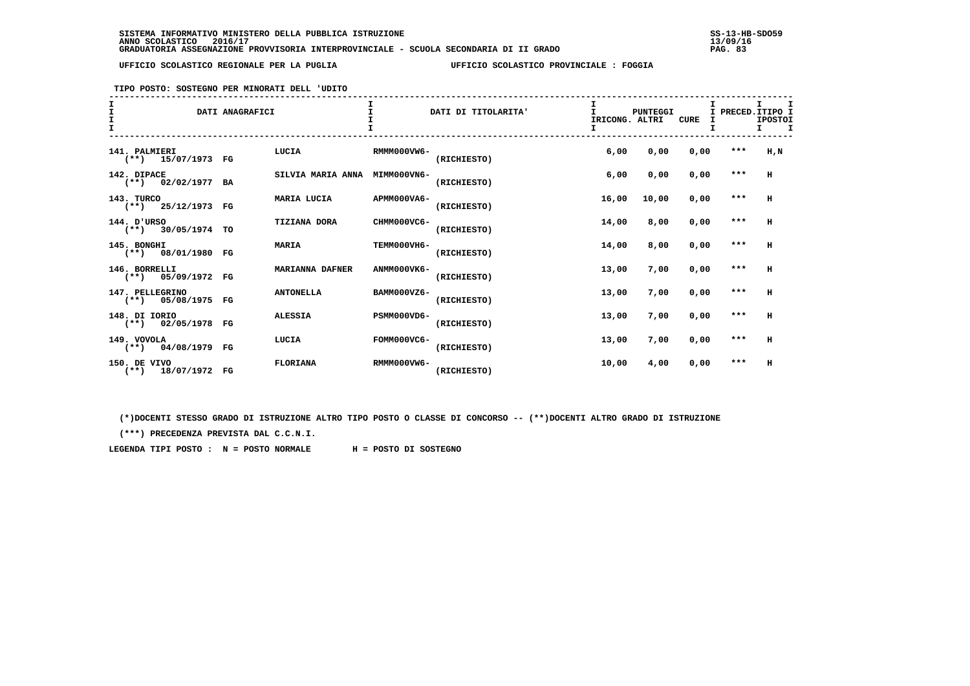**TIPO POSTO: SOSTEGNO PER MINORATI DELL 'UDITO**

| $\frac{1}{1}$<br>$\mathbf{I}$ |                                         | DATI ANAGRAFICI |                        |             | DATI DI TITOLARITA' | IRICONG. ALTRI<br>I | PUNTEGGI | <b>CURE</b> | I PRECED. ITIPO I<br>т | I.<br><b>IPOSTOI</b><br>I. |
|-------------------------------|-----------------------------------------|-----------------|------------------------|-------------|---------------------|---------------------|----------|-------------|------------------------|----------------------------|
|                               | 141. PALMIERI<br>$(**)$ 15/07/1973 FG   |                 | LUCIA                  | RMMM000VW6- | (RICHIESTO)         | 6,00                | 0,00     | 0,00        | $***$                  | $H$ , $N$                  |
|                               | 142. DIPACE<br>$(**)$ 02/02/1977 BA     |                 | SILVIA MARIA ANNA      | MIMM000VN6- | (RICHIESTO)         | 6,00                | 0,00     | 0,00        | $***$                  | H                          |
|                               | 143. TURCO<br>$(**)$ 25/12/1973 FG      |                 | MARIA LUCIA            | APMM000VA6- | (RICHIESTO)         | 16,00               | 10,00    | 0,00        | $***$                  | H                          |
|                               | 144. D'URSO<br>$(**)$ 30/05/1974 TO     |                 | <b>TIZIANA DORA</b>    | CHMM000VC6- | (RICHIESTO)         | 14,00               | 8,00     | 0,00        | $***$                  | н                          |
|                               | 145. BONGHI<br>$(**)$ 08/01/1980 FG     |                 | <b>MARIA</b>           | TEMM000VH6- | (RICHIESTO)         | 14,00               | 8,00     | 0,00        | $***$                  | H                          |
|                               | 146. BORRELLI<br>$(**)$ 05/09/1972 FG   |                 | <b>MARIANNA DAFNER</b> | ANMM000VK6- | (RICHIESTO)         | 13,00               | 7,00     | 0,00        | $***$                  | H                          |
|                               | 147. PELLEGRINO<br>$(**)$ 05/08/1975 FG |                 | <b>ANTONELLA</b>       | BAMM000VZ6- | (RICHIESTO)         | 13,00               | 7,00     | 0,00        | $***$                  | H                          |
|                               | 148. DI IORIO<br>$(**)$ 02/05/1978 FG   |                 | <b>ALESSIA</b>         | PSMM000VD6- | (RICHIESTO)         | 13,00               | 7,00     | 0,00        | $***$                  | н                          |
|                               | 149. VOVOLA<br>$(**)$ 04/08/1979 FG     |                 | LUCIA                  | FOMM000VC6- | (RICHIESTO)         | 13,00               | 7,00     | 0,00        | $***$                  | н                          |
|                               | 150. DE VIVO<br>$(**)$ 18/07/1972 FG    |                 | <b>FLORIANA</b>        | RMMM000VW6- | (RICHIESTO)         | 10,00               | 4,00     | 0,00        | ***                    | H                          |

 **(\*)DOCENTI STESSO GRADO DI ISTRUZIONE ALTRO TIPO POSTO O CLASSE DI CONCORSO -- (\*\*)DOCENTI ALTRO GRADO DI ISTRUZIONE**

 **(\*\*\*) PRECEDENZA PREVISTA DAL C.C.N.I.**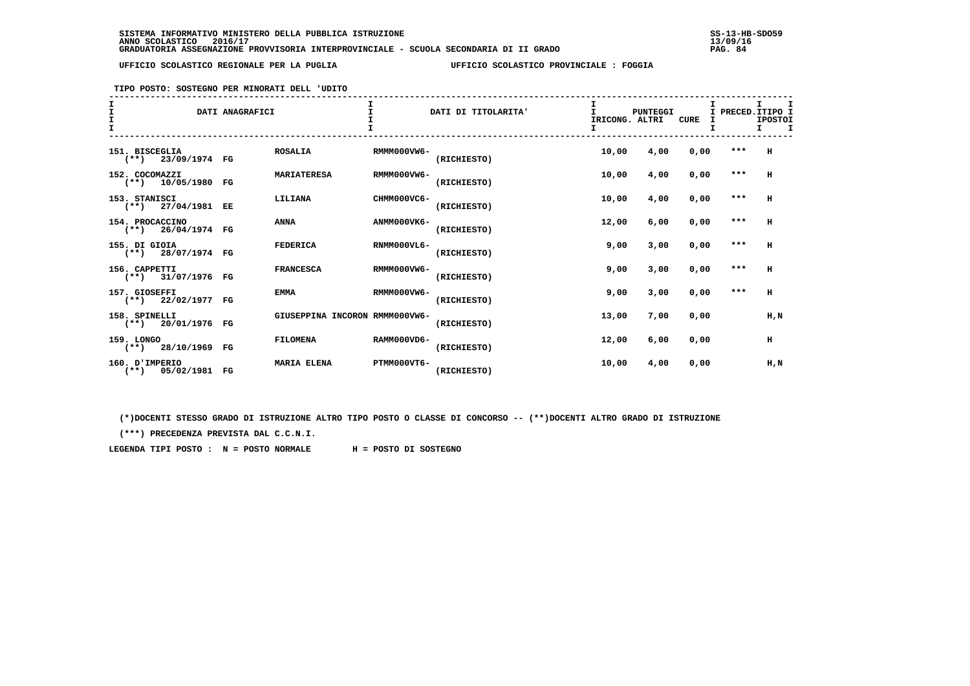**TIPO POSTO: SOSTEGNO PER MINORATI DELL 'UDITO**

| $\mathbf{I}$<br>$\mathbf{r}$ |                                         | DATI ANAGRAFICI |                                |             | DATI DI TITOLARITA' | I<br>IRICONG. ALTRI | <b>PUNTEGGI</b> | <b>CURE</b> | I PRECED. ITIPO I | т.<br><b>IPOSTOI</b><br>т. |
|------------------------------|-----------------------------------------|-----------------|--------------------------------|-------------|---------------------|---------------------|-----------------|-------------|-------------------|----------------------------|
|                              | 151. BISCEGLIA<br>$(**)$ 23/09/1974 FG  |                 | <b>ROSALIA</b>                 | RMMM000VW6- | (RICHIESTO)         | 10,00               | 4,00            | 0,00        | $***$             | н                          |
|                              | 152. COCOMAZZI<br>$(**)$ 10/05/1980 FG  |                 | <b>MARIATERESA</b>             | RMMM000VW6- | (RICHIESTO)         | 10,00               | 4,00            | 0,00        | $***$             | н                          |
|                              | 153. STANISCI<br>$(**)$ 27/04/1981 EE   |                 | LILIANA                        | CHMM000VC6- | (RICHIESTO)         | 10,00               | 4,00            | 0,00        | $***$             | H                          |
|                              | 154. PROCACCINO<br>$(**)$ 26/04/1974 FG |                 | ANNA                           | ANMM000VK6- | (RICHIESTO)         | 12,00               | 6,00            | 0,00        | $***$             | н                          |
|                              | 155. DI GIOIA<br>$(**)$ 28/07/1974 FG   |                 | <b>FEDERICA</b>                | RNMM000VL6- | (RICHIESTO)         | 9,00                | 3,00            | 0,00        | $***$             | н                          |
|                              | 156. CAPPETTI<br>$(**)$ 31/07/1976 FG   |                 | <b>FRANCESCA</b>               | RMMM000VW6- | (RICHIESTO)         | 9,00                | 3,00            | 0,00        | $***$             | H                          |
|                              | 157. GIOSEFFI<br>$(**)$ 22/02/1977 FG   |                 | <b>EMMA</b>                    | RMMM000VW6- | (RICHIESTO)         | 9,00                | 3,00            | 0,00        | $***$             | н                          |
|                              | 158. SPINELLI<br>$(**)$ 20/01/1976 FG   |                 | GIUSEPPINA INCORON RMMM000VW6- |             | (RICHIESTO)         | 13,00               | 7,00            | 0,00        |                   | H.N                        |
|                              | 159. LONGO<br>$(**)$ 28/10/1969 FG      |                 | <b>FILOMENA</b>                | RAMM000VD6- | (RICHIESTO)         | 12,00               | 6,00            | 0.00        |                   | н                          |
|                              | 160. D'IMPERIO<br>$(**)$ 05/02/1981 FG  |                 | <b>MARIA ELENA</b>             | PTMM000VT6- | (RICHIESTO)         | 10,00               | 4,00            | 0,00        |                   | $H$ , $N$                  |

 **(\*)DOCENTI STESSO GRADO DI ISTRUZIONE ALTRO TIPO POSTO O CLASSE DI CONCORSO -- (\*\*)DOCENTI ALTRO GRADO DI ISTRUZIONE**

 **(\*\*\*) PRECEDENZA PREVISTA DAL C.C.N.I.**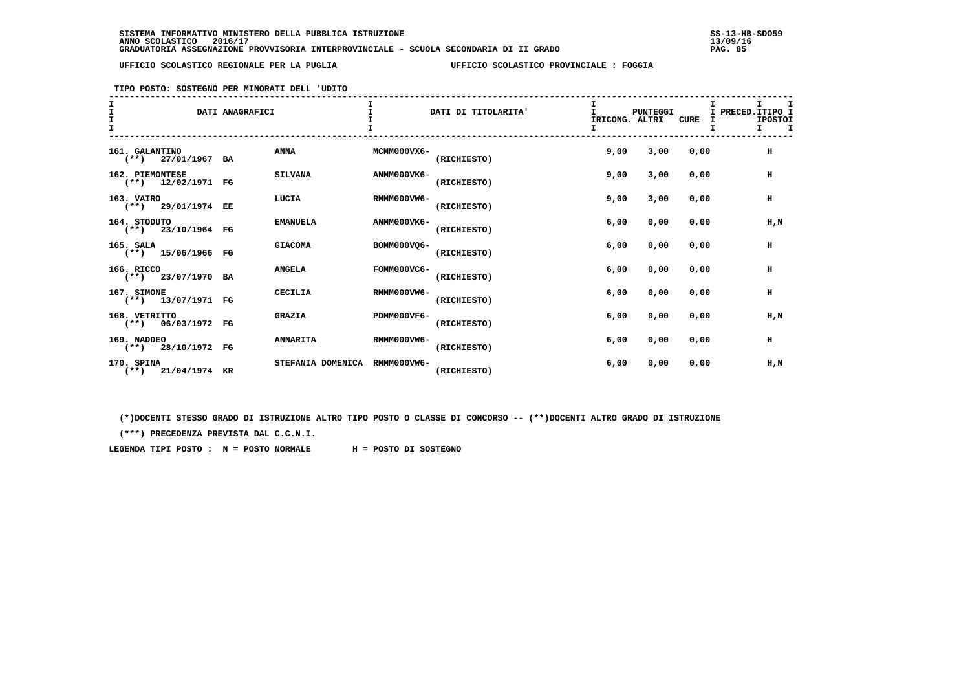**TIPO POSTO: SOSTEGNO PER MINORATI DELL 'UDITO**

| T<br>$\mathbf{I}$ |                                         | DATI ANAGRAFICI |                   |             | DATI DI TITOLARITA' | $\mathbf{I}$<br>IRICONG. ALTRI | <b>PUNTEGGI</b> | CURE | I PRECED. ITIPO I | T.<br><b>IPOSTOI</b><br>т |  |
|-------------------|-----------------------------------------|-----------------|-------------------|-------------|---------------------|--------------------------------|-----------------|------|-------------------|---------------------------|--|
|                   | 161. GALANTINO<br>$(**)$ 27/01/1967 BA  |                 | <b>ANNA</b>       | MCMM000VX6- | (RICHIESTO)         | 9,00                           | 3,00            | 0,00 |                   | н                         |  |
|                   | 162. PIEMONTESE<br>$(**)$ 12/02/1971 FG |                 | <b>SILVANA</b>    | ANMM000VK6- | (RICHIESTO)         | 9,00                           | 3,00            | 0,00 |                   | н                         |  |
|                   | 163. VAIRO<br>$(**)$ 29/01/1974 EE      |                 | LUCIA             | RMMM000VW6- | (RICHIESTO)         | 9,00                           | 3,00            | 0,00 |                   | н                         |  |
|                   | 164. STODUTO<br>$(**)$ 23/10/1964 FG    |                 | <b>EMANUELA</b>   | ANMM000VK6- | (RICHIESTO)         | 6,00                           | 0,00            | 0,00 |                   | H,N                       |  |
|                   | 165. SALA<br>$(**)$ 15/06/1966 FG       |                 | <b>GIACOMA</b>    | BOMM000VO6- | (RICHIESTO)         | 6,00                           | 0,00            | 0,00 |                   | н                         |  |
|                   | 166. RICCO<br>$(**)$ 23/07/1970 BA      |                 | <b>ANGELA</b>     | FOMM000VC6- | (RICHIESTO)         | 6,00                           | 0,00            | 0,00 |                   | н                         |  |
|                   | 167. SIMONE<br>$(**)$ 13/07/1971 FG     |                 | <b>CECILIA</b>    | RMMM000VW6- | (RICHIESTO)         | 6,00                           | 0,00            | 0,00 |                   | н                         |  |
|                   | 168. VETRITTO<br>$(**)$ 06/03/1972 FG   |                 | <b>GRAZIA</b>     | PDMM000VF6- | (RICHIESTO)         | 6,00                           | 0,00            | 0,00 |                   | H,N                       |  |
|                   | 169. NADDEO<br>$(**)$ 28/10/1972 FG     |                 | <b>ANNARITA</b>   | RMMM000VW6- | (RICHIESTO)         | 6,00                           | 0,00            | 0,00 |                   | н                         |  |
|                   | 170. SPINA<br>$(**)$ 21/04/1974 KR      |                 | STEFANIA DOMENICA | RMMM000VW6- | (RICHIESTO)         | 6,00                           | 0,00            | 0,00 |                   | H,N                       |  |

 **(\*)DOCENTI STESSO GRADO DI ISTRUZIONE ALTRO TIPO POSTO O CLASSE DI CONCORSO -- (\*\*)DOCENTI ALTRO GRADO DI ISTRUZIONE**

 **(\*\*\*) PRECEDENZA PREVISTA DAL C.C.N.I.**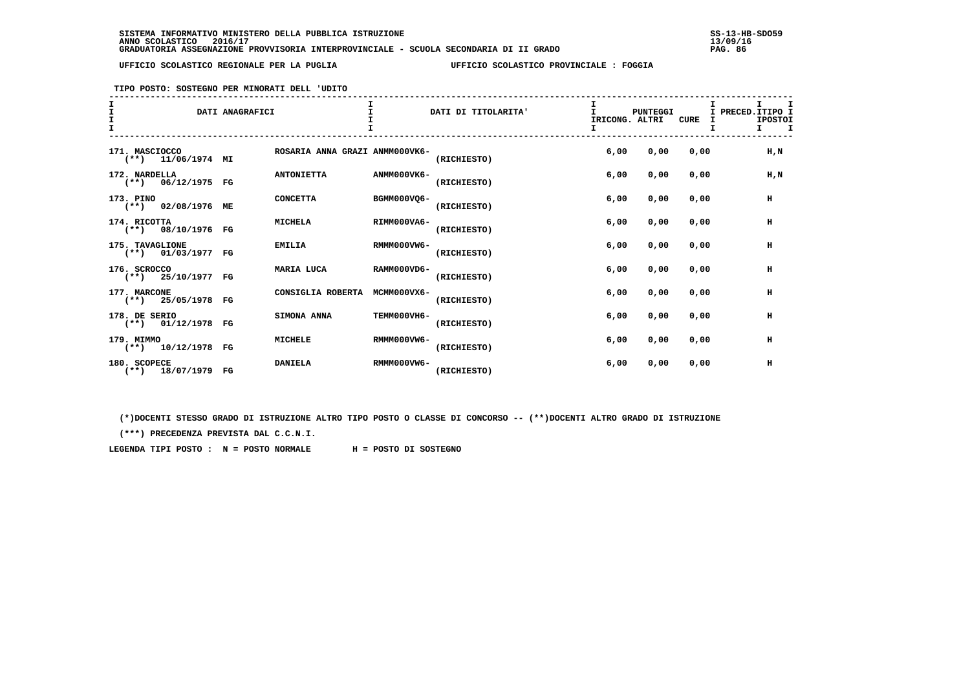**TIPO POSTO: SOSTEGNO PER MINORATI DELL 'UDITO**

| T<br>T |                                         | DATI ANAGRAFICI |                                | I.          | DATI DI TITOLARITA' | т<br>IRICONG. ALTRI<br>I | PUNTEGGI | CURE | I PRECED. ITIPO I<br>т | I.<br><b>IPOSTOI</b><br>I. |  |
|--------|-----------------------------------------|-----------------|--------------------------------|-------------|---------------------|--------------------------|----------|------|------------------------|----------------------------|--|
|        | 171. MASCIOCCO<br>$(**)$ 11/06/1974 MI  |                 | ROSARIA ANNA GRAZI ANMM000VK6- |             | (RICHIESTO)         | 6,00                     | 0,00     | 0,00 |                        | H, N                       |  |
|        | 172. NARDELLA<br>$(**)$ 06/12/1975 FG   |                 | <b>ANTONIETTA</b>              | ANMM000VK6- | (RICHIESTO)         | 6,00                     | 0,00     | 0.00 |                        | $H$ , $N$                  |  |
|        | 173. PINO<br>(**) 02/08/1976 ME         |                 | <b>CONCETTA</b>                | BGMM000VO6- | (RICHIESTO)         | 6,00                     | 0,00     | 0,00 |                        | н                          |  |
|        | 174. RICOTTA<br>$(**)$ 08/10/1976 FG    |                 | <b>MICHELA</b>                 | RIMM000VA6- | (RICHIESTO)         | 6,00                     | 0,00     | 0,00 |                        | н                          |  |
|        | 175. TAVAGLIONE<br>$(**)$ 01/03/1977 FG |                 | <b>EMILIA</b>                  | RMMM000VW6- | (RICHIESTO)         | 6,00                     | 0,00     | 0.00 |                        | н                          |  |
|        | 176. SCROCCO<br>$(**)$ 25/10/1977 FG    |                 | MARIA LUCA                     | RAMM000VD6- | (RICHIESTO)         | 6,00                     | 0,00     | 0.00 |                        | н                          |  |
|        | 177. MARCONE<br>$(**)$ 25/05/1978 FG    |                 | CONSIGLIA ROBERTA              | MCMM000VX6- | (RICHIESTO)         | 6,00                     | 0,00     | 0.00 |                        | н                          |  |
|        | 178. DE SERIO<br>$(**)$ 01/12/1978 FG   |                 | SIMONA ANNA                    | TEMM000VH6- | (RICHIESTO)         | 6,00                     | 0,00     | 0.00 |                        | н                          |  |
|        | 179. MIMMO<br>$(**)$ 10/12/1978 FG      |                 | <b>MICHELE</b>                 | RMMM000VW6- | (RICHIESTO)         | 6,00                     | 0,00     | 0,00 |                        | н                          |  |
|        | 180. SCOPECE<br>$(**)$ 18/07/1979 FG    |                 | <b>DANIELA</b>                 | RMMM000VW6- | (RICHIESTO)         | 6,00                     | 0,00     | 0,00 |                        | н                          |  |

 **(\*)DOCENTI STESSO GRADO DI ISTRUZIONE ALTRO TIPO POSTO O CLASSE DI CONCORSO -- (\*\*)DOCENTI ALTRO GRADO DI ISTRUZIONE**

 **(\*\*\*) PRECEDENZA PREVISTA DAL C.C.N.I.**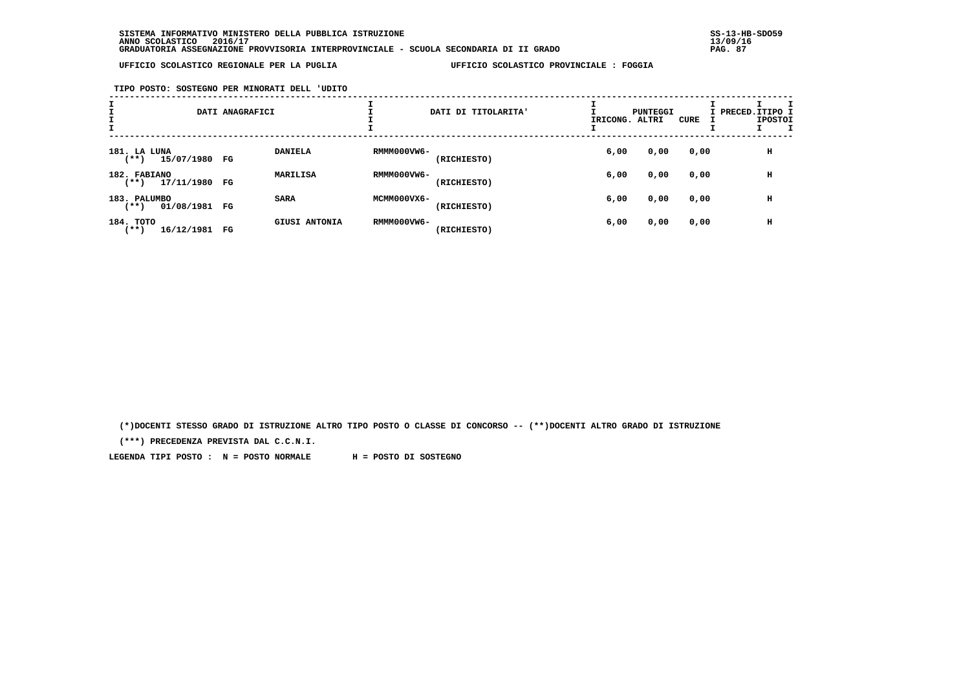**TIPO POSTO: SOSTEGNO PER MINORATI DELL 'UDITO**

| I                      |               | DATI ANAGRAFICI |                      |             | DATI DI TITOLARITA' | IRICONG. ALTRI | PUNTEGGI | CURE | I PRECED.ITIPO I | <b>IPOSTOI</b> |  |
|------------------------|---------------|-----------------|----------------------|-------------|---------------------|----------------|----------|------|------------------|----------------|--|
| 181. LA LUNA<br>$***)$ | 15/07/1980 FG |                 | <b>DANIELA</b>       | RMMM000VW6- | (RICHIESTO)         | 6,00           | 0,00     | 0,00 |                  | н              |  |
| 182. FABIANO<br>(**)   | 17/11/1980    | FG              | MARILISA             | RMMM000VW6- | (RICHIESTO)         | 6,00           | 0,00     | 0,00 |                  | н              |  |
| 183. PALUMBO<br>$***)$ | 01/08/1981    | FG              | <b>SARA</b>          | MCMM000VX6- | (RICHIESTO)         | 6,00           | 0,00     | 0,00 |                  | н              |  |
| 184. TOTO<br>'**)      | 16/12/1981    | FG              | <b>GIUSI ANTONIA</b> | RMMM000VW6- | (RICHIESTO)         | 6,00           | 0,00     | 0,00 |                  | н              |  |

 **(\*)DOCENTI STESSO GRADO DI ISTRUZIONE ALTRO TIPO POSTO O CLASSE DI CONCORSO -- (\*\*)DOCENTI ALTRO GRADO DI ISTRUZIONE**

 **(\*\*\*) PRECEDENZA PREVISTA DAL C.C.N.I.**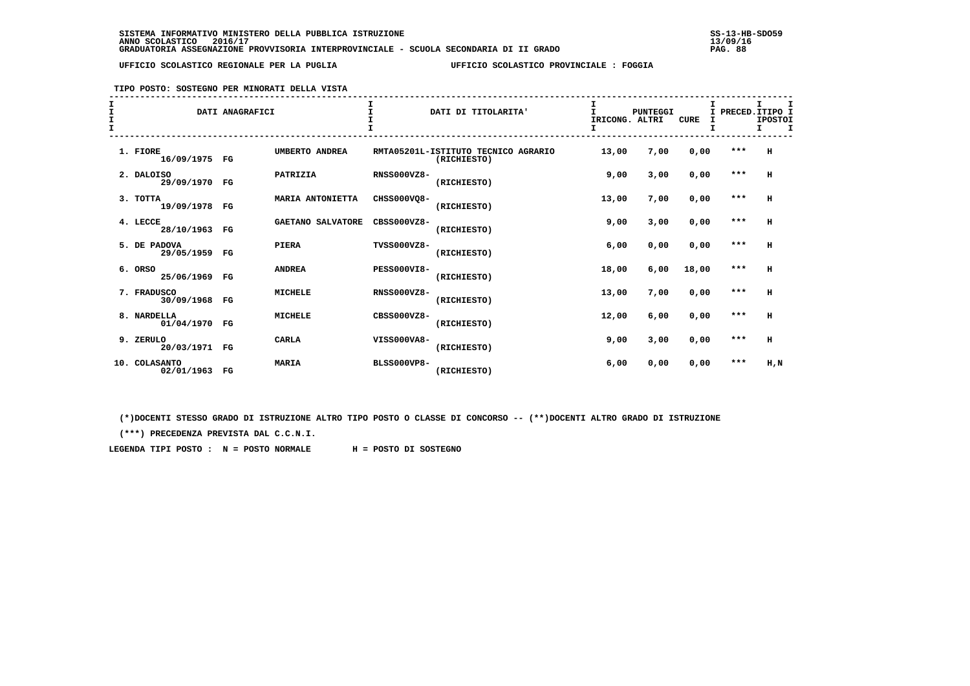**TIPO POSTO: SOSTEGNO PER MINORATI DELLA VISTA**

| I<br>I<br>I<br>$\mathbf{I}$ |     |                            | DATI ANAGRAFICI |                   | $\mathbf{r}$<br>т  | DATI DI TITOLARITA'                                | $\mathbf{I}$<br>IRICONG. ALTRI | <b>PUNTEGGI</b> | <b>CURE</b><br>I | I PRECED. ITIPO I | T.<br><b>IPOSTOI</b><br>Τ. |  |
|-----------------------------|-----|----------------------------|-----------------|-------------------|--------------------|----------------------------------------------------|--------------------------------|-----------------|------------------|-------------------|----------------------------|--|
|                             |     | 1. FIORE<br>16/09/1975 FG  |                 | UMBERTO ANDREA    |                    | RMTA05201L-ISTITUTO TECNICO AGRARIO<br>(RICHIESTO) | 13,00                          | 7,00            | 0,00             | $***$             | $\mathbf H$                |  |
|                             |     | 2. DALOISO<br>29/09/1970   | $_{\rm FG}$     | PATRIZIA          | <b>RNSS000VZ8-</b> | (RICHIESTO)                                        | 9,00                           | 3,00            | 0,00             | ***               | н                          |  |
|                             |     | 3. TOTTA<br>19/09/1978     | FG              | MARIA ANTONIETTA  | CHSS000VQ8-        | (RICHIESTO)                                        | 13,00                          | 7,00            | 0,00             | $***$             | н                          |  |
|                             |     | 4. LECCE<br>28/10/1963     | $_{\rm FG}$     | GAETANO SALVATORE | CBSS000VZ8-        | (RICHIESTO)                                        | 9,00                           | 3,00            | 0,00             | $* * *$           | н                          |  |
|                             |     | 5. DE PADOVA<br>29/05/1959 | FG              | <b>PIERA</b>      | TVSS000VZ8-        | (RICHIESTO)                                        | 6,00                           | 0,00            | 0,00             | $***$             | н                          |  |
|                             |     | 6. ORSO<br>25/06/1969      | $_{\rm FG}$     | <b>ANDREA</b>     | <b>PESS000VI8-</b> | (RICHIESTO)                                        | 18,00                          | 6,00            | 18,00            | $***$             | н                          |  |
|                             |     | 7. FRADUSCO<br>30/09/1968  | $_{\rm FG}$     | <b>MICHELE</b>    | $RNSS000VZ8-$      | (RICHIESTO)                                        | 13,00                          | 7,00            | 0,00             | $***$             | H                          |  |
|                             |     | 8. NARDELLA<br>01/04/1970  | $_{\rm FG}$     | <b>MICHELE</b>    | $CRSS000VZ8-$      | (RICHIESTO)                                        | 12,00                          | 6,00            | 0,00             | ***               | н                          |  |
|                             |     | 9. ZERULO<br>20/03/1971    | FG              | <b>CARLA</b>      | VISS000VA8-        | (RICHIESTO)                                        | 9,00                           | 3,00            | 0,00             | $***$             | н                          |  |
|                             | 10. | COLASANTO<br>02/01/1963    | $_{\rm FG}$     | <b>MARIA</b>      | <b>BLSS000VP8-</b> | (RICHIESTO)                                        | 6.00                           | 0,00            | 0,00             | ***               | H,N                        |  |

 **(\*)DOCENTI STESSO GRADO DI ISTRUZIONE ALTRO TIPO POSTO O CLASSE DI CONCORSO -- (\*\*)DOCENTI ALTRO GRADO DI ISTRUZIONE**

 **(\*\*\*) PRECEDENZA PREVISTA DAL C.C.N.I.**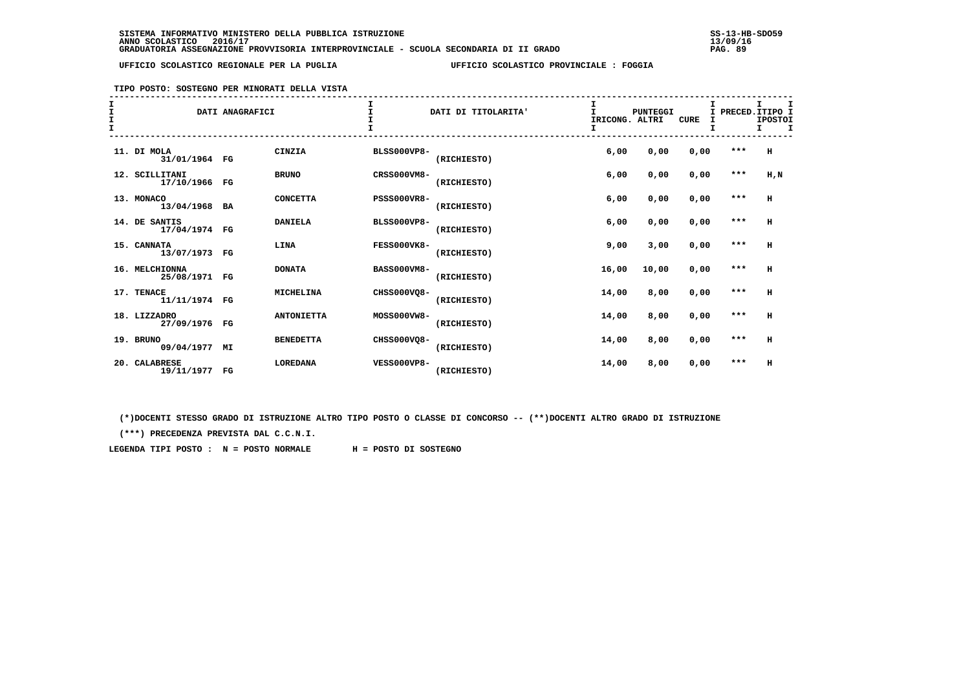## **TIPO POSTO: SOSTEGNO PER MINORATI DELLA VISTA**

| $rac{1}{1}$<br>$\mathbf{T}$ |                                 | DATI ANAGRAFICI |                   |                    | DATI DI TITOLARITA' | I<br>IRICONG. ALTRI<br>I | PUNTEGGI | <b>CURE</b> |         | I<br>PRECED. ITIPO I<br><b>IPOSTOI</b><br>I.<br>I |
|-----------------------------|---------------------------------|-----------------|-------------------|--------------------|---------------------|--------------------------|----------|-------------|---------|---------------------------------------------------|
|                             | 11. DI MOLA<br>31/01/1964 FG    |                 | <b>CINZIA</b>     | <b>BLSS000VP8-</b> | (RICHIESTO)         | 6,00                     | 0,00     | 0,00        | $***$   | H                                                 |
|                             | 12. SCILLITANI<br>17/10/1966 FG |                 | <b>BRUNO</b>      | CRSS000VM8-        | (RICHIESTO)         | 6,00                     | 0,00     | 0,00        | $***$   | $H$ , $N$                                         |
|                             | 13. MONACO<br>13/04/1968 BA     |                 | <b>CONCETTA</b>   | <b>PSSS000VR8-</b> | (RICHIESTO)         | 6,00                     | 0,00     | 0,00        | $***$   | н                                                 |
|                             | 14. DE SANTIS<br>17/04/1974 FG  |                 | <b>DANIELA</b>    | <b>BLSS000VP8-</b> | (RICHIESTO)         | 6,00                     | 0,00     | 0,00        | $* * *$ | н                                                 |
|                             | 15. CANNATA<br>13/07/1973 FG    |                 | LINA              | FESS000VK8-        | (RICHIESTO)         | 9,00                     | 3,00     | 0,00        | $***$   | H                                                 |
|                             | 16. MELCHIONNA<br>25/08/1971 FG |                 | <b>DONATA</b>     | <b>BASS000VM8-</b> | (RICHIESTO)         | 16,00                    | 10,00    | 0.00        | $***$   | H                                                 |
|                             | 17. TENACE<br>11/11/1974 FG     |                 | <b>MICHELINA</b>  | CHSS000VO8-        | (RICHIESTO)         | 14,00                    | 8,00     | 0,00        | $***$   | H                                                 |
|                             | 18. LIZZADRO<br>27/09/1976 FG   |                 | <b>ANTONIETTA</b> | MOSS000VW8-        | (RICHIESTO)         | 14,00                    | 8,00     | 0,00        | $***$   | н                                                 |
|                             | 19. BRUNO<br>09/04/1977 MI      |                 | <b>BENEDETTA</b>  | CHSS000VQ8-        | (RICHIESTO)         | 14,00                    | 8,00     | 0,00        | $***$   | н                                                 |
|                             | 20. CALABRESE<br>19/11/1977 FG  |                 | <b>LOREDANA</b>   | <b>VESS000VP8-</b> | (RICHIESTO)         | 14,00                    | 8,00     | 0,00        | $***$   | н                                                 |

 **(\*)DOCENTI STESSO GRADO DI ISTRUZIONE ALTRO TIPO POSTO O CLASSE DI CONCORSO -- (\*\*)DOCENTI ALTRO GRADO DI ISTRUZIONE**

 **(\*\*\*) PRECEDENZA PREVISTA DAL C.C.N.I.**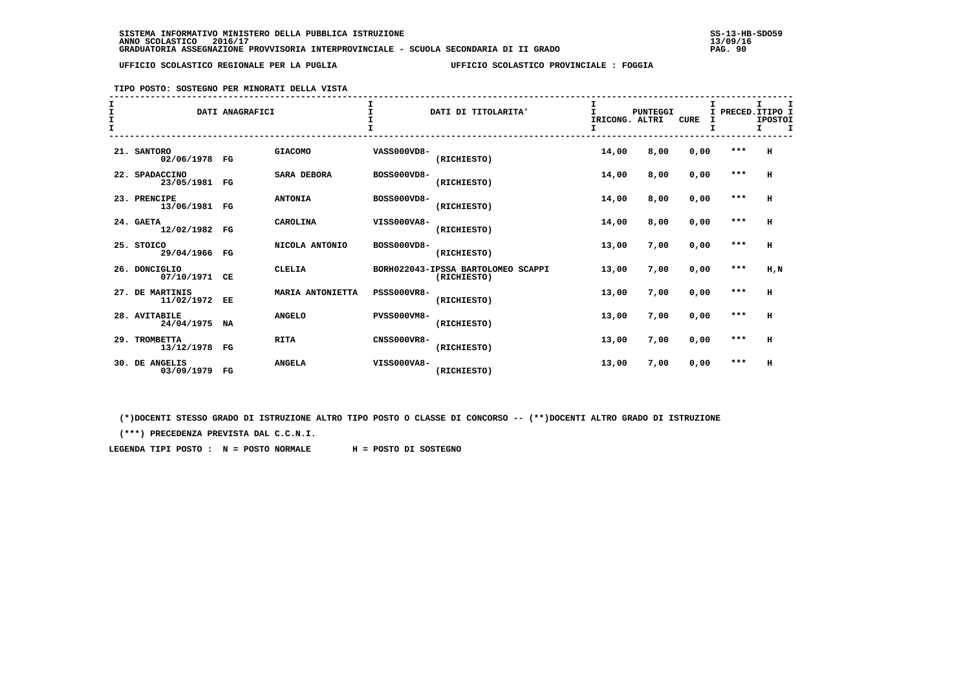### **TIPO POSTO: SOSTEGNO PER MINORATI DELLA VISTA**

| I<br>I<br>$\mathbf{I}$ |                               | DATI ANAGRAFICI |                    |                    | DATI DI TITOLARITA'                               | I<br>T.<br>IRICONG. ALTRI<br>I | <b>PUNTEGGI</b> | <b>CURE</b> | I<br>T. | I PRECED. ITIPO I<br><b>IPOSTOI</b><br>$\mathbf{I}$<br>I. |
|------------------------|-------------------------------|-----------------|--------------------|--------------------|---------------------------------------------------|--------------------------------|-----------------|-------------|---------|-----------------------------------------------------------|
|                        | 21. SANTORO<br>02/06/1978 FG  |                 | <b>GIACOMO</b>     | VASS000VD8-        | (RICHIESTO)                                       | 14,00                          | 8,00            | 0,00        | ***     | H                                                         |
|                        | 22. SPADACCINO<br>23/05/1981  | FG              | <b>SARA DEBORA</b> | BOSS000VD8-        | (RICHIESTO)                                       | 14,00                          | 8,00            | 0,00        | $***$   | H                                                         |
|                        | 23. PRENCIPE<br>13/06/1981 FG |                 | <b>ANTONIA</b>     | BOSS000VD8-        | (RICHIESTO)                                       | 14,00                          | 8,00            | 0,00        | $***$   | н                                                         |
|                        | 24. GAETA<br>12/02/1982 FG    |                 | CAROLINA           | VISS000VA8-        | (RICHIESTO)                                       | 14,00                          | 8,00            | 0,00        | $***$   | $\,$ H                                                    |
|                        | 25. STOICO<br>29/04/1966      | $_{\rm FG}$     | NICOLA ANTONIO     | BOSS000VD8-        | (RICHIESTO)                                       | 13,00                          | 7,00            | 0,00        | $***$   | H                                                         |
|                        | 26. DONCIGLIO<br>07/10/1971   | CE              | <b>CLELIA</b>      |                    | BORH022043-IPSSA BARTOLOMEO SCAPPI<br>(RICHIESTO) | 13,00                          | 7,00            | 0,00        | $***$   | $H$ , $N$                                                 |
|                        | 27. DE MARTINIS<br>11/02/1972 | EE              | MARIA ANTONIETTA   | <b>PSSS000VR8-</b> | (RICHIESTO)                                       | 13,00                          | 7,00            | 0,00        | $***$   | н                                                         |
|                        | 28. AVITABILE<br>24/04/1975   | NA              | <b>ANGELO</b>      | <b>PVSS000VM8-</b> | (RICHIESTO)                                       | 13,00                          | 7,00            | 0,00        | $***$   | H                                                         |
|                        | 29. TROMBETTA<br>13/12/1978   | $_{\rm FG}$     | <b>RITA</b>        | <b>CNSS000VR8-</b> | (RICHIESTO)                                       | 13,00                          | 7,00            | 0,00        | $***$   | н                                                         |
|                        | 30. DE ANGELIS<br>03/09/1979  | $_{\rm FG}$     | <b>ANGELA</b>      | VISS000VA8-        | (RICHIESTO)                                       | 13,00                          | 7,00            | 0,00        | $***$   | н                                                         |

 **(\*)DOCENTI STESSO GRADO DI ISTRUZIONE ALTRO TIPO POSTO O CLASSE DI CONCORSO -- (\*\*)DOCENTI ALTRO GRADO DI ISTRUZIONE**

 **(\*\*\*) PRECEDENZA PREVISTA DAL C.C.N.I.**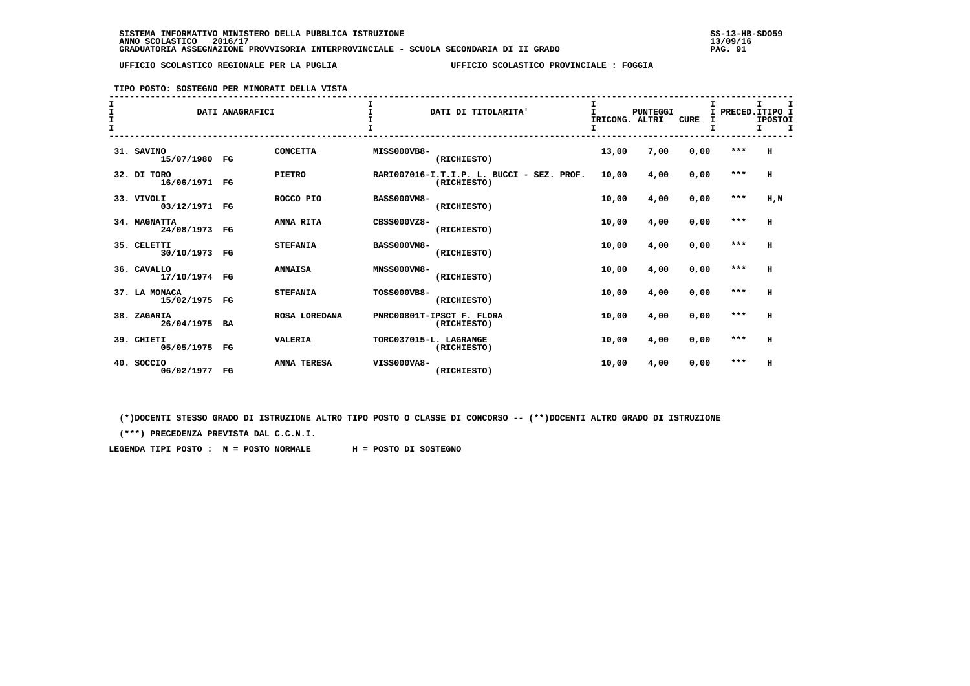## **TIPO POSTO: SOSTEGNO PER MINORATI DELLA VISTA**

| I<br>$\mathbf{I}$ |                                | DATI ANAGRAFICI |                    |                        | DATI DI TITOLARITA'                                      | I<br>IRICONG. ALTRI<br>I | PUNTEGGI | <b>CURE</b> | т.    | I<br>PRECED. ITIPO I<br><b>IPOSTOI</b><br>I.<br>I |
|-------------------|--------------------------------|-----------------|--------------------|------------------------|----------------------------------------------------------|--------------------------|----------|-------------|-------|---------------------------------------------------|
|                   | 31. SAVINO<br>15/07/1980 FG    |                 | <b>CONCETTA</b>    | MISS000VB8-            | (RICHIESTO)                                              | 13,00                    | 7,00     | 0,00        | ***   | H                                                 |
|                   | 32. DI TORO<br>16/06/1971 FG   |                 | <b>PIETRO</b>      |                        | RARI007016-I.T.I.P. L. BUCCI - SEZ. PROF.<br>(RICHIESTO) | 10,00                    | 4,00     | 0,00        | $***$ | H                                                 |
|                   | 33. VIVOLI<br>03/12/1971 FG    |                 | ROCCO PIO          | <b>BASS000VM8-</b>     | (RICHIESTO)                                              | 10,00                    | 4,00     | 0,00        | $***$ | $H$ , $N$                                         |
|                   | 34. MAGNATTA<br>24/08/1973 FG  |                 | ANNA RITA          | CBSS000VZ8-            | (RICHIESTO)                                              | 10,00                    | 4,00     | 0,00        | $***$ | H                                                 |
|                   | 35. CELETTI<br>30/10/1973 FG   |                 | <b>STEFANIA</b>    | <b>BASS000VM8-</b>     | (RICHIESTO)                                              | 10,00                    | 4,00     | 0.00        | $***$ | H                                                 |
|                   | 36. CAVALLO<br>17/10/1974 FG   |                 | <b>ANNAISA</b>     | <b>MNSS000VM8-</b>     | (RICHIESTO)                                              | 10,00                    | 4,00     | 0,00        | $***$ | H                                                 |
|                   | 37. LA MONACA<br>15/02/1975 FG |                 | <b>STEFANIA</b>    | <b>TOSS000VB8-</b>     | (RICHIESTO)                                              | 10,00                    | 4,00     | 0,00        | $***$ | H                                                 |
|                   | 38. ZAGARIA<br>26/04/1975 BA   |                 | ROSA LOREDANA      |                        | PNRC00801T-IPSCT F. FLORA<br>(RICHIESTO)                 | 10,00                    | 4,00     | 0,00        | $***$ | H                                                 |
|                   | 39. CHIETI<br>05/05/1975 FG    |                 | <b>VALERIA</b>     | TORC037015-L. LAGRANGE | (RICHIESTO)                                              | 10,00                    | 4,00     | 0,00        | $***$ | н                                                 |
|                   | 40. SOCCIO<br>06/02/1977 FG    |                 | <b>ANNA TERESA</b> | VISS000VA8-            | (RICHIESTO)                                              | 10,00                    | 4,00     | 0,00        | $***$ | н                                                 |

 **(\*)DOCENTI STESSO GRADO DI ISTRUZIONE ALTRO TIPO POSTO O CLASSE DI CONCORSO -- (\*\*)DOCENTI ALTRO GRADO DI ISTRUZIONE**

 **(\*\*\*) PRECEDENZA PREVISTA DAL C.C.N.I.**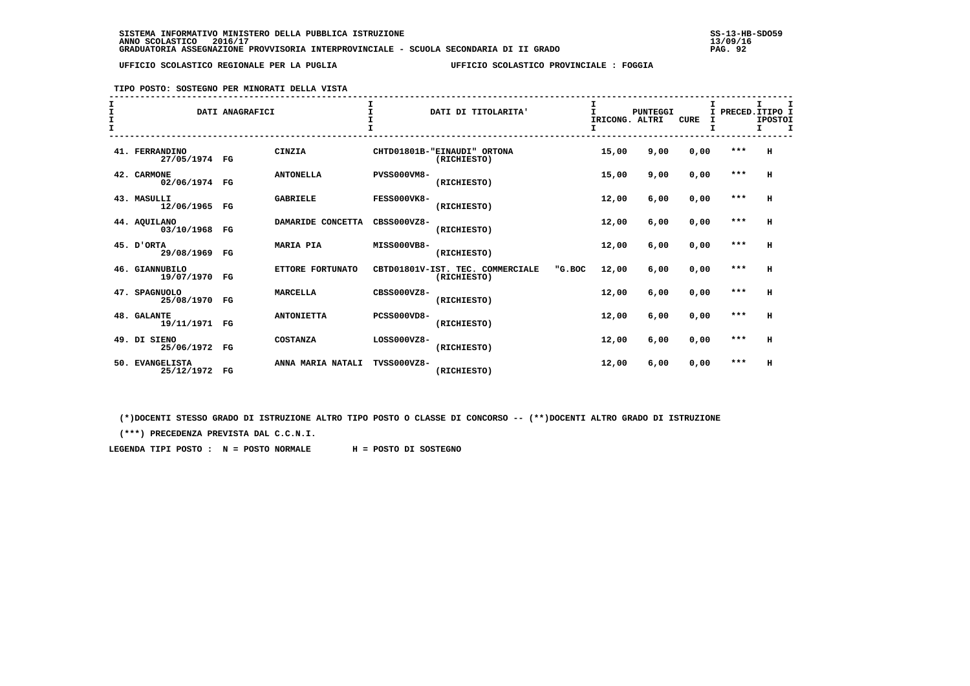**TIPO POSTO: SOSTEGNO PER MINORATI DELLA VISTA**

| I<br>$\mathbf{I}$<br>$\mathbf{I}$<br>$\mathbf$ |                                 | DATI ANAGRAFICI |                   | $\mathsf{T}$       | DATI DI TITOLARITA'                             |        | $\mathbf{I}$<br>IRICONG. ALTRI | <b>PUNTEGGI</b> | <b>CURE</b> | I PRECED. ITIPO I<br>I | т.<br><b>IPOSTOI</b><br>т. |  |
|------------------------------------------------|---------------------------------|-----------------|-------------------|--------------------|-------------------------------------------------|--------|--------------------------------|-----------------|-------------|------------------------|----------------------------|--|
|                                                | 41. FERRANDINO<br>27/05/1974 FG |                 | CINZIA            |                    | CHTD01801B-"EINAUDI" ORTONA<br>(RICHIESTO)      |        | 15,00                          | 9,00            | 0,00        | $***$                  | н                          |  |
|                                                | 42. CARMONE<br>02/06/1974 FG    |                 | <b>ANTONELLA</b>  | <b>PVSS000VM8-</b> | (RICHIESTO)                                     |        | 15,00                          | 9,00            | 0,00        | ***                    | H                          |  |
|                                                | 43. MASULLI<br>12/06/1965 FG    |                 | <b>GABRIELE</b>   | <b>FESS000VK8-</b> | (RICHIESTO)                                     |        | 12,00                          | 6,00            | 0,00        | $***$                  | H                          |  |
|                                                | 44. AQUILANO<br>03/10/1968      | FG              | DAMARIDE CONCETTA | $CRSS000VZ8-$      | (RICHIESTO)                                     |        | 12,00                          | 6,00            | 0,00        | $***$                  | н                          |  |
|                                                | 45. D'ORTA<br>29/08/1969 FG     |                 | <b>MARIA PIA</b>  | MISS000VB8-        | (RICHIESTO)                                     |        | 12,00                          | 6,00            | 0,00        | $***$                  | н                          |  |
|                                                | 46. GIANNUBILO<br>19/07/1970 FG |                 | ETTORE FORTUNATO  |                    | CBTD01801V-IST. TEC. COMMERCIALE<br>(RICHIESTO) | "G.BOC | 12,00                          | 6,00            | 0,00        | $***$                  | H                          |  |
|                                                | 47. SPAGNUOLO<br>25/08/1970     | FG              | <b>MARCELLA</b>   | CBSS000VZ8-        | (RICHIESTO)                                     |        | 12,00                          | 6,00            | 0,00        | $***$                  | н                          |  |
|                                                | 48. GALANTE<br>19/11/1971 FG    |                 | <b>ANTONIETTA</b> | PCSS000VD8-        | (RICHIESTO)                                     |        | 12,00                          | 6,00            | 0,00        | $***$                  | н                          |  |
|                                                | 49. DI SIENO<br>25/06/1972 FG   |                 | <b>COSTANZA</b>   | $LOS000VZ8-$       | (RICHIESTO)                                     |        | 12,00                          | 6,00            | 0,00        | $***$                  | H                          |  |
|                                                | 50. EVANGELISTA<br>25/12/1972   | FG              | ANNA MARIA NATALI | TVSS000VZ8-        | (RICHIESTO)                                     |        | 12,00                          | 6,00            | 0,00        | ***                    | H                          |  |

 **(\*)DOCENTI STESSO GRADO DI ISTRUZIONE ALTRO TIPO POSTO O CLASSE DI CONCORSO -- (\*\*)DOCENTI ALTRO GRADO DI ISTRUZIONE**

 **(\*\*\*) PRECEDENZA PREVISTA DAL C.C.N.I.**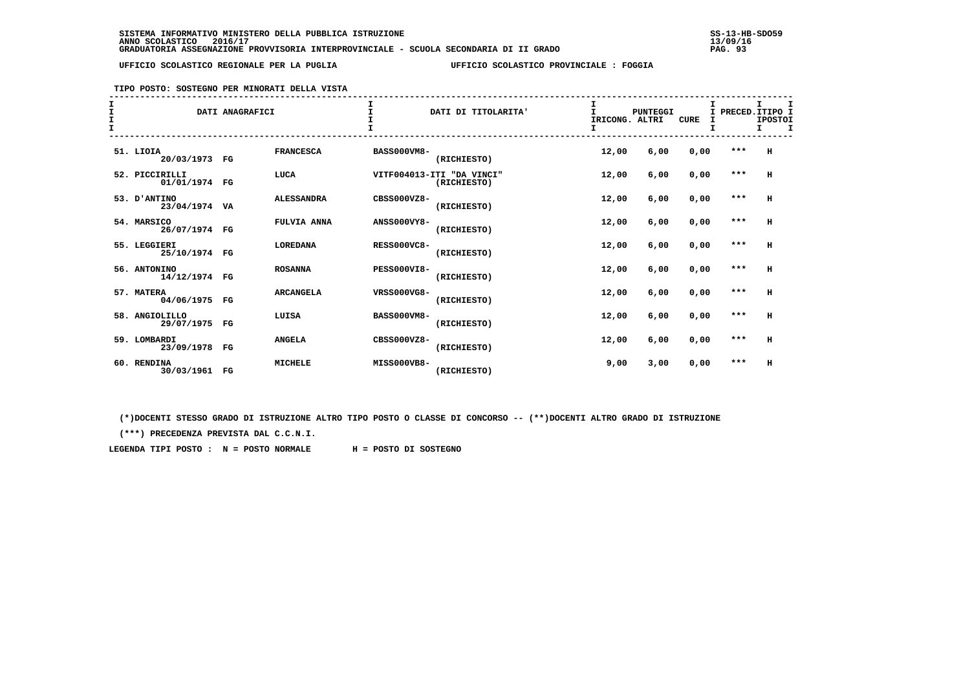## **TIPO POSTO: SOSTEGNO PER MINORATI DELLA VISTA**

| $\mathbf I$<br>I<br>$\mathbf{I}$ |                                 | DATI ANAGRAFICI |                   |                    | DATI DI TITOLARITA'                      | I<br>IRICONG. ALTRI<br>I | PUNTEGGI | <b>CURE</b> | т. |       | I<br>PRECED. ITIPO I<br><b>IPOSTOI</b><br>I.<br>I |
|----------------------------------|---------------------------------|-----------------|-------------------|--------------------|------------------------------------------|--------------------------|----------|-------------|----|-------|---------------------------------------------------|
|                                  | 51. LIOIA<br>20/03/1973 FG      |                 | <b>FRANCESCA</b>  | <b>BASS000VM8-</b> | (RICHIESTO)                              | 12,00                    | 6,00     | 0,00        |    | ***   | H                                                 |
|                                  | 52. PICCIRILLI<br>01/01/1974 FG |                 | LUCA              |                    | VITF004013-ITI "DA VINCI"<br>(RICHIESTO) | 12,00                    | 6,00     | 0,00        |    | ***   | H                                                 |
|                                  | 53. D'ANTINO<br>23/04/1974 VA   |                 | <b>ALESSANDRA</b> | $CRSS000VZ8-$      | (RICHIESTO)                              | 12,00                    | 6,00     | 0,00        |    | $***$ | H                                                 |
|                                  | 54. MARSICO<br>26/07/1974 FG    |                 | FULVIA ANNA       | <b>ANSS000VY8-</b> | (RICHIESTO)                              | 12,00                    | 6,00     | 0,00        |    | $***$ | H                                                 |
|                                  | 55. LEGGIERI<br>25/10/1974 FG   |                 | <b>LOREDANA</b>   | <b>RESS000VC8-</b> | (RICHIESTO)                              | 12,00                    | 6,00     | 0,00        |    | $***$ | H                                                 |
|                                  | 56. ANTONINO<br>14/12/1974 FG   |                 | <b>ROSANNA</b>    | PESS000VI8-        | (RICHIESTO)                              | 12,00                    | 6,00     | 0,00        |    | $***$ | H                                                 |
|                                  | 57. MATERA<br>04/06/1975 FG     |                 | <b>ARCANGELA</b>  | VRSS000VG8-        | (RICHIESTO)                              | 12,00                    | 6,00     | 0,00        |    | $***$ | H                                                 |
|                                  | 58. ANGIOLILLO<br>29/07/1975 FG |                 | LUISA             | <b>BASS000VM8-</b> | (RICHIESTO)                              | 12,00                    | 6,00     | 0,00        |    | $***$ | H                                                 |
|                                  | 59. LOMBARDI<br>23/09/1978 FG   |                 | <b>ANGELA</b>     | CBSS000VZ8-        | (RICHIESTO)                              | 12,00                    | 6,00     | 0,00        |    | $***$ | н                                                 |
|                                  | 60. RENDINA<br>30/03/1961 FG    |                 | <b>MICHELE</b>    | MISS000VB8-        | (RICHIESTO)                              | 9,00                     | 3,00     | 0,00        |    | $***$ | H                                                 |

 **(\*)DOCENTI STESSO GRADO DI ISTRUZIONE ALTRO TIPO POSTO O CLASSE DI CONCORSO -- (\*\*)DOCENTI ALTRO GRADO DI ISTRUZIONE**

 **(\*\*\*) PRECEDENZA PREVISTA DAL C.C.N.I.**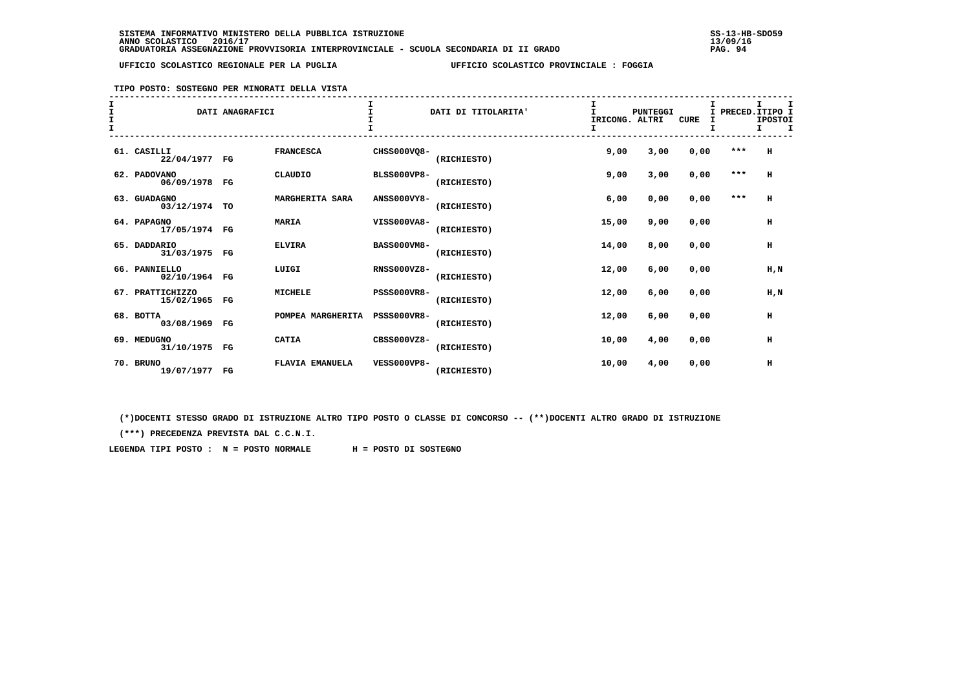**TIPO POSTO: SOSTEGNO PER MINORATI DELLA VISTA**

| T<br>$\mathbf{I}$<br>$\mathbf{T}$ |                                   | DATI ANAGRAFICI |                        |                    | DATI DI TITOLARITA' | T.<br>IRICONG. ALTRI | <b>PUNTEGGI</b> | <b>CURE</b> | I PRECED. ITIPO I<br>I | <b>IPOSTOI</b><br>Τ. | I |
|-----------------------------------|-----------------------------------|-----------------|------------------------|--------------------|---------------------|----------------------|-----------------|-------------|------------------------|----------------------|---|
|                                   | 61. CASILLI<br>22/04/1977 FG      |                 | <b>FRANCESCA</b>       | CHSS000VQ8-        | (RICHIESTO)         | 9,00                 | 3,00            | 0,00        | $***$                  | н                    |   |
|                                   | 62. PADOVANO<br>06/09/1978 FG     |                 | CLAUDIO                | <b>BLSS000VP8-</b> | (RICHIESTO)         | 9,00                 | 3,00            | 0,00        | $***$                  | $\mathbf H$          |   |
|                                   | 63. GUADAGNO<br>03/12/1974 TO     |                 | MARGHERITA SARA        | <b>ANSS000VY8-</b> | (RICHIESTO)         | 6,00                 | 0,00            | 0,00        | $* * *$                | н                    |   |
|                                   | 64. PAPAGNO<br>17/05/1974 FG      |                 | <b>MARIA</b>           | VISS000VA8-        | (RICHIESTO)         | 15,00                | 9,00            | 0,00        |                        | $\,$ H               |   |
|                                   | 65. DADDARIO<br>31/03/1975 FG     |                 | <b>ELVIRA</b>          | <b>BASS000VM8-</b> | (RICHIESTO)         | 14,00                | 8,00            | 0,00        |                        | н                    |   |
|                                   | 66. PANNIELLO<br>02/10/1964 FG    |                 | LUIGI                  | <b>RNSS000VZ8-</b> | (RICHIESTO)         | 12,00                | 6,00            | 0.00        |                        | H.N                  |   |
|                                   | 67. PRATTICHIZZO<br>15/02/1965 FG |                 | <b>MICHELE</b>         | <b>PSSS000VR8-</b> | (RICHIESTO)         | 12,00                | 6,00            | 0,00        |                        | H.N                  |   |
|                                   | 68. BOTTA<br>03/08/1969 FG        |                 | POMPEA MARGHERITA      | <b>PSSS000VR8-</b> | (RICHIESTO)         | 12,00                | 6,00            | 0,00        |                        | $\,$ H               |   |
|                                   | 69. MEDUGNO<br>31/10/1975 FG      |                 | <b>CATIA</b>           | CBSS000VZ8-        | (RICHIESTO)         | 10,00                | 4,00            | 0,00        |                        | н                    |   |
|                                   | 70. BRUNO<br>19/07/1977 FG        |                 | <b>FLAVIA EMANUELA</b> | <b>VESS000VP8-</b> | (RICHIESTO)         | 10,00                | 4,00            | 0,00        |                        | н                    |   |

 **(\*)DOCENTI STESSO GRADO DI ISTRUZIONE ALTRO TIPO POSTO O CLASSE DI CONCORSO -- (\*\*)DOCENTI ALTRO GRADO DI ISTRUZIONE**

 **(\*\*\*) PRECEDENZA PREVISTA DAL C.C.N.I.**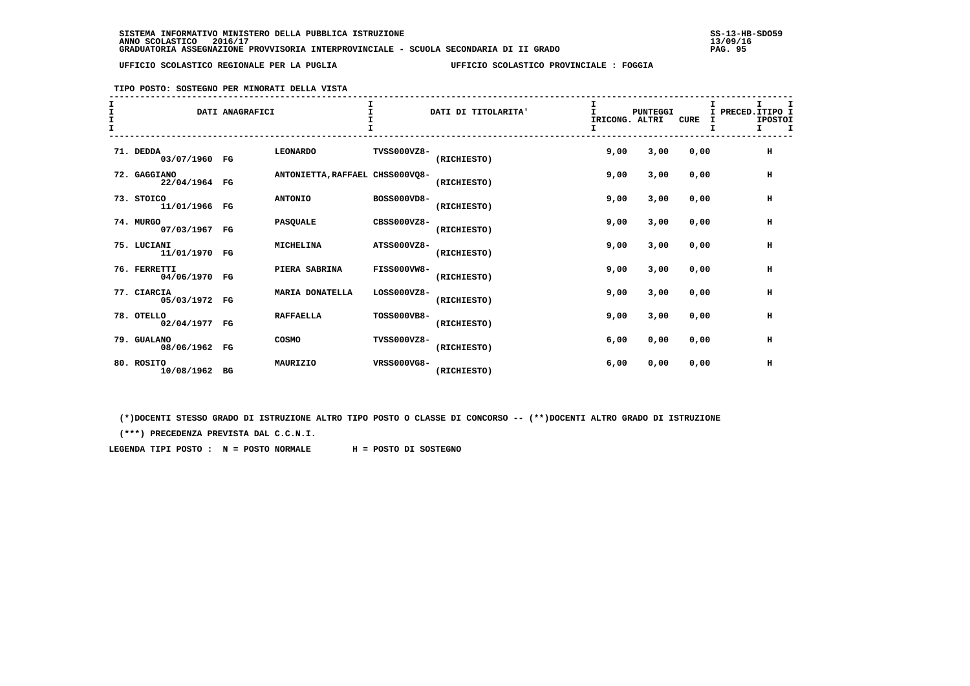**TIPO POSTO: SOSTEGNO PER MINORATI DELLA VISTA**

| т |                               | DATI ANAGRAFICI |                                 |                    | DATI DI TITOLARITA' | IRICONG. ALTRI | PUNTEGGI | CURE | т | I PRECED. ITIPO I<br><b>IPOSTOI</b><br>$\mathbf I$<br>I. |
|---|-------------------------------|-----------------|---------------------------------|--------------------|---------------------|----------------|----------|------|---|----------------------------------------------------------|
|   | 71. DEDDA<br>03/07/1960 FG    |                 | <b>LEONARDO</b>                 | TVSS000VZ8-        | (RICHIESTO)         | 9,00           | 3,00     | 0.00 |   | H                                                        |
|   | 72. GAGGIANO<br>22/04/1964 FG |                 | ANTONIETTA, RAFFAEL CHSS000VQ8- |                    | (RICHIESTO)         | 9,00           | 3,00     | 0.00 |   | н                                                        |
|   | 73. STOICO<br>11/01/1966 FG   |                 | <b>ANTONIO</b>                  | BOSS000VD8-        | (RICHIESTO)         | 9,00           | 3,00     | 0,00 |   | н                                                        |
|   | 74. MURGO<br>07/03/1967 FG    |                 | <b>PASQUALE</b>                 | CBSS000VZ8-        | (RICHIESTO)         | 9,00           | 3,00     | 0,00 |   | н                                                        |
|   | 75. LUCIANI<br>11/01/1970 FG  |                 | MICHELINA                       | ATSS000VZ8-        | (RICHIESTO)         | 9,00           | 3,00     | 0.00 |   | $\,$ H                                                   |
|   | 76. FERRETTI<br>04/06/1970 FG |                 | PIERA SABRINA                   | <b>FISS000VW8-</b> | (RICHIESTO)         | 9,00           | 3,00     | 0.00 |   | н                                                        |
|   | 77. CIARCIA<br>05/03/1972 FG  |                 | <b>MARIA DONATELLA</b>          | LOSS000VZ8-        | (RICHIESTO)         | 9,00           | 3,00     | 0,00 |   | H                                                        |
|   | 78. OTELLO<br>02/04/1977 FG   |                 | <b>RAFFAELLA</b>                | TOSS000VB8-        | (RICHIESTO)         | 9,00           | 3,00     | 0,00 |   | н                                                        |
|   | 79. GUALANO<br>08/06/1962 FG  |                 | COSMO                           | TVSS000VZ8-        | (RICHIESTO)         | 6,00           | 0,00     | 0,00 |   | н                                                        |
|   | 80. ROSITO<br>10/08/1962 BG   |                 | MAURIZIO                        | VRSS000VG8-        | (RICHIESTO)         | 6,00           | 0,00     | 0,00 |   | н                                                        |

 **(\*)DOCENTI STESSO GRADO DI ISTRUZIONE ALTRO TIPO POSTO O CLASSE DI CONCORSO -- (\*\*)DOCENTI ALTRO GRADO DI ISTRUZIONE**

 **(\*\*\*) PRECEDENZA PREVISTA DAL C.C.N.I.**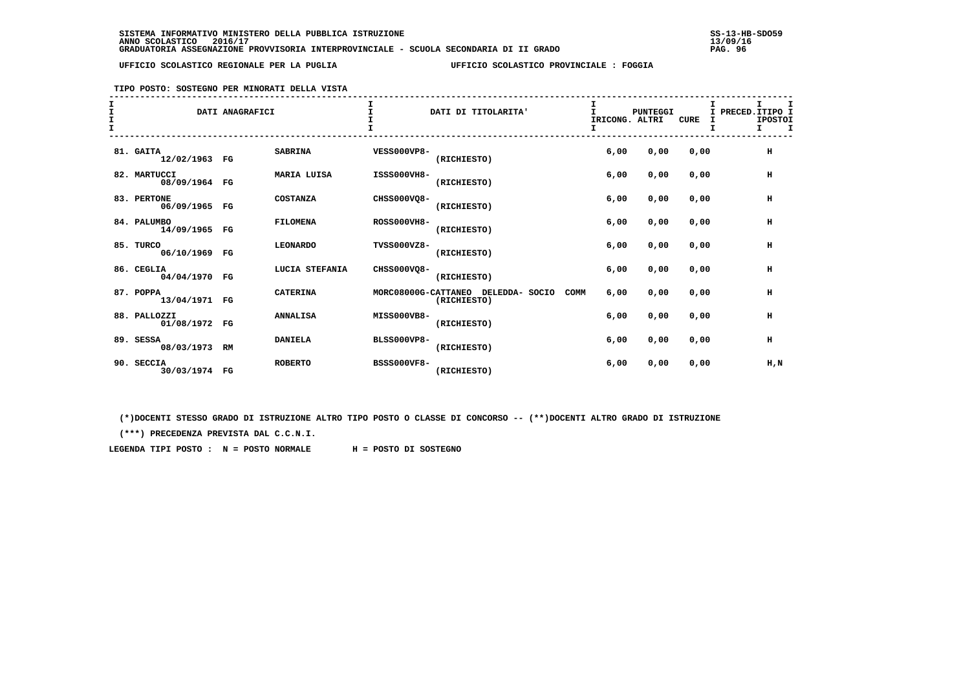## **TIPO POSTO: SOSTEGNO PER MINORATI DELLA VISTA**

| $\mathbf{T}$ |                               | DATI ANAGRAFICI |                    |                    | DATI DI TITOLARITA'                                       | IRICONG. ALTRI<br>I. | PUNTEGGI | <b>CURE</b> | т<br>PRECED.ITIPO I<br><b>IPOSTOI</b><br>$\mathbf{I}$ | $\mathbf I$ |
|--------------|-------------------------------|-----------------|--------------------|--------------------|-----------------------------------------------------------|----------------------|----------|-------------|-------------------------------------------------------|-------------|
|              | 81. GAITA<br>12/02/1963 FG    |                 | <b>SABRINA</b>     | <b>VESS000VP8-</b> | (RICHIESTO)                                               | 6,00                 | 0,00     | 0,00        | н                                                     |             |
|              | 82. MARTUCCI<br>08/09/1964 FG |                 | <b>MARIA LUISA</b> | ISSS000VH8-        | (RICHIESTO)                                               | 6,00                 | 0,00     | 0,00        | н                                                     |             |
|              | 83. PERTONE<br>06/09/1965 FG  |                 | <b>COSTANZA</b>    | CHSS000VQ8-        | (RICHIESTO)                                               | 6,00                 | 0,00     | 0,00        | н                                                     |             |
|              | 84. PALUMBO<br>14/09/1965 FG  |                 | <b>FILOMENA</b>    | <b>ROSS000VH8-</b> | (RICHIESTO)                                               | 6,00                 | 0,00     | 0,00        | н                                                     |             |
|              | 85. TURCO<br>06/10/1969 FG    |                 | <b>LEONARDO</b>    | TVSS000VZ8-        | (RICHIESTO)                                               | 6,00                 | 0,00     | 0,00        | H                                                     |             |
|              | 86. CEGLIA<br>04/04/1970 FG   |                 | LUCIA STEFANIA     | CHSS000VQ8-        | (RICHIESTO)                                               | 6,00                 | 0,00     | 0.00        | н                                                     |             |
|              | 87. POPPA<br>13/04/1971 FG    |                 | <b>CATERINA</b>    |                    | MORC08000G-CATTANEO DELEDDA- SOCIO<br>COMM<br>(RICHIESTO) | 6,00                 | 0,00     | 0,00        | H                                                     |             |
|              | 88. PALLOZZI<br>01/08/1972 FG |                 | <b>ANNALISA</b>    | MISS000VB8-        | (RICHIESTO)                                               | 6,00                 | 0,00     | 0,00        | н                                                     |             |
|              | 89. SESSA<br>08/03/1973 RM    |                 | <b>DANIELA</b>     | <b>BLSS000VP8-</b> | (RICHIESTO)                                               | 6,00                 | 0,00     | 0,00        | н                                                     |             |
|              | 90. SECCIA<br>30/03/1974 FG   |                 | <b>ROBERTO</b>     | <b>BSSS000VF8-</b> | (RICHIESTO)                                               | 6,00                 | 0,00     | 0,00        | H,N                                                   |             |

 **(\*)DOCENTI STESSO GRADO DI ISTRUZIONE ALTRO TIPO POSTO O CLASSE DI CONCORSO -- (\*\*)DOCENTI ALTRO GRADO DI ISTRUZIONE**

 **(\*\*\*) PRECEDENZA PREVISTA DAL C.C.N.I.**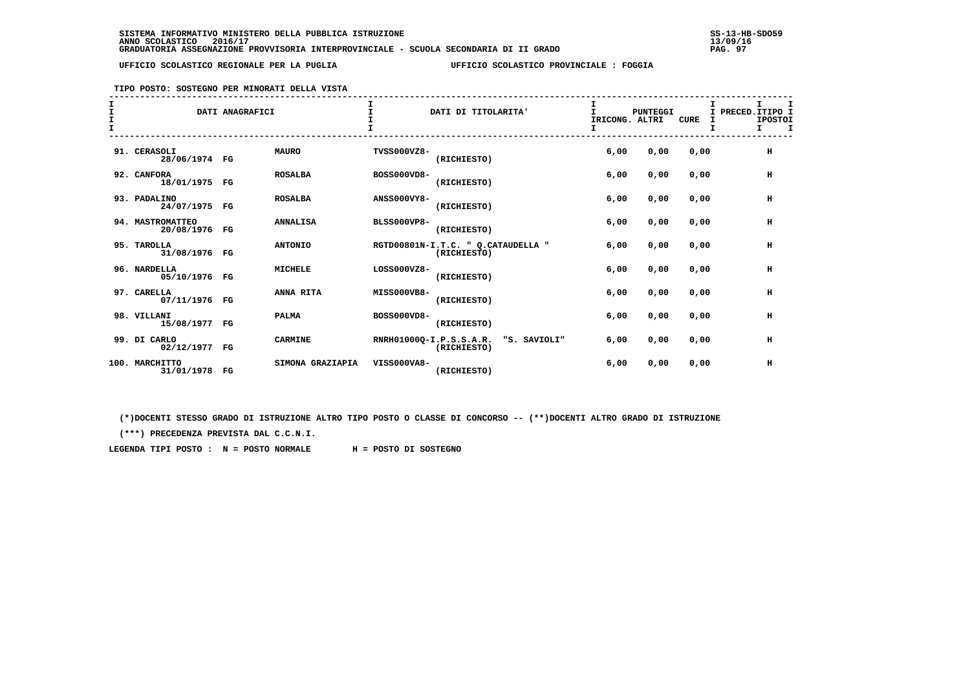## **TIPO POSTO: SOSTEGNO PER MINORATI DELLA VISTA**

| T |                                   | DATI ANAGRAFICI |                  |                    | DATI DI TITOLARITA'                                    | I<br>T<br>IRICONG. ALTRI | <b>PUNTEGGI</b> | <b>CURE</b> | т<br>I PRECED. ITIPO I<br><b>IPOSTOI</b><br>I<br>т<br>т. |
|---|-----------------------------------|-----------------|------------------|--------------------|--------------------------------------------------------|--------------------------|-----------------|-------------|----------------------------------------------------------|
|   | 91. CERASOLI<br>28/06/1974 FG     |                 | <b>MAURO</b>     | <b>TVSS000VZ8-</b> | (RICHIESTO)                                            | 6,00                     | 0,00            | 0,00        | $\,$ H                                                   |
|   | 92. CANFORA<br>18/01/1975 FG      |                 | <b>ROSALBA</b>   | BOSS000VD8-        | (RICHIESTO)                                            | 6,00                     | 0,00            | 0,00        | н                                                        |
|   | 93. PADALINO<br>24/07/1975 FG     |                 | <b>ROSALBA</b>   | <b>ANSS000VY8-</b> | (RICHIESTO)                                            | 6,00                     | 0,00            | 0,00        | н                                                        |
|   | 94. MASTROMATTEO<br>20/08/1976 FG |                 | <b>ANNALISA</b>  | <b>BLSS000VP8-</b> | (RICHIESTO)                                            | 6,00                     | 0,00            | 0,00        | н                                                        |
|   | 95. TAROLLA<br>31/08/1976 FG      |                 | <b>ANTONIO</b>   |                    | RGTD00801N-I.T.C. " Q.CATAUDELLA "<br>(RICHIESTO)      | 6,00                     | 0,00            | 0,00        | H                                                        |
|   | 96. NARDELLA<br>05/10/1976 FG     |                 | <b>MICHELE</b>   | LOSS000VZ8-        | (RICHIESTO)                                            | 6,00                     | 0,00            | 0,00        | н                                                        |
|   | 97. CARELLA<br>07/11/1976 FG      |                 | ANNA RITA        | MISS000VB8-        | (RICHIESTO)                                            | 6,00                     | 0,00            | 0,00        | н                                                        |
|   | 98. VILLANI<br>15/08/1977 FG      |                 | <b>PALMA</b>     | BOSS000VD8-        | (RICHIESTO)                                            | 6,00                     | 0,00            | 0,00        | н                                                        |
|   | 99. DI CARLO<br>02/12/1977 FG     |                 | <b>CARMINE</b>   |                    | RNRH01000Q-I.P.S.S.A.R.<br>"S. SAVIOLI"<br>(RICHIESTO) | 6.00                     | 0,00            | 0,00        | н                                                        |
|   | 100. MARCHITTO<br>31/01/1978 FG   |                 | SIMONA GRAZIAPIA | VISS000VA8-        | (RICHIESTO)                                            | 6,00                     | 0,00            | 0,00        | н                                                        |

 **(\*)DOCENTI STESSO GRADO DI ISTRUZIONE ALTRO TIPO POSTO O CLASSE DI CONCORSO -- (\*\*)DOCENTI ALTRO GRADO DI ISTRUZIONE**

 **(\*\*\*) PRECEDENZA PREVISTA DAL C.C.N.I.**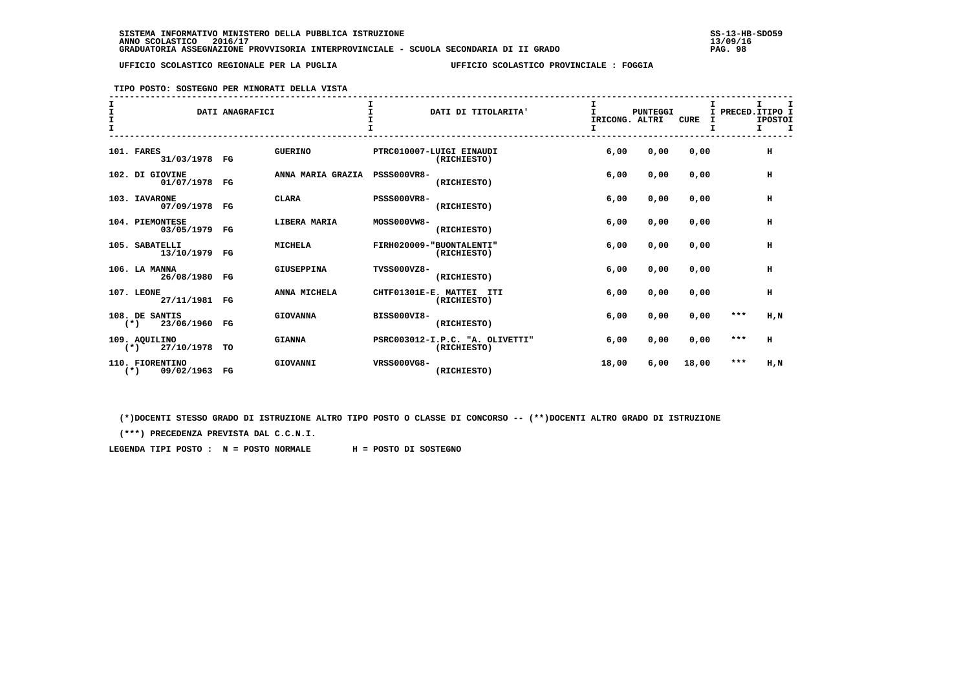**TIPO POSTO: SOSTEGNO PER MINORATI DELLA VISTA**

| $\mathbf{T}$ |                                           | DATI ANAGRAFICI |                   |                      | DATI DI TITOLARITA'                            | IRICONG. ALTRI | PUNTEGGI | <b>CURE</b> | I PRECED. ITIPO I | т<br><b>IPOSTOI</b><br><b>T</b><br>I. |  |
|--------------|-------------------------------------------|-----------------|-------------------|----------------------|------------------------------------------------|----------------|----------|-------------|-------------------|---------------------------------------|--|
|              | 101. FARES<br>31/03/1978 FG               |                 | <b>GUERINO</b>    |                      | PTRC010007-LUIGI EINAUDI<br>(RICHIESTO)        | 6,00           | 0,00     | 0,00        |                   | H                                     |  |
|              | 102. DI GIOVINE<br>01/07/1978 FG          |                 | ANNA MARIA GRAZIA | <b>PSSS000VR8-</b>   | (RICHIESTO)                                    | 6,00           | 0,00     | 0,00        |                   | н                                     |  |
|              | 103. IAVARONE<br>07/09/1978 FG            |                 | <b>CLARA</b>      | <b>PSSS000VR8-</b>   | (RICHIESTO)                                    | 6,00           | 0,00     | 0,00        |                   | н                                     |  |
|              | 104. PIEMONTESE<br>03/05/1979 FG          |                 | LIBERA MARIA      | MOSS000VW8-          | (RICHIESTO)                                    | 6,00           | 0,00     | 0,00        |                   | н                                     |  |
|              | 105. SABATELLI<br>13/10/1979 FG           |                 | <b>MICHELA</b>    |                      | FIRH020009-"BUONTALENTI"<br>(RICHIESTO)        | 6,00           | 0,00     | 0,00        |                   | н                                     |  |
|              | 106. LA MANNA<br>26/08/1980 FG            |                 | GIUSEPPINA        | TVSS000VZ8-          | (RICHIESTO)                                    | 6.00           | 0,00     | 0.00        |                   | H                                     |  |
|              | 107. LEONE<br>27/11/1981 FG               |                 | ANNA MICHELA      | CHTF01301E-E. MATTEI | ITI<br>(RICHIESTO)                             | 6,00           | 0,00     | 0,00        |                   | н                                     |  |
|              | 108. DE SANTIS<br>23/06/1960 FG<br>$(*)$  |                 | <b>GIOVANNA</b>   | <b>BISS000VI8-</b>   | (RICHIESTO)                                    | 6,00           | 0,00     | 0,00        | $***$             | H.N                                   |  |
|              | 109. AOUILINO<br>$(*)$ 27/10/1978         | TO              | <b>GIANNA</b>     |                      | PSRC003012-I.P.C. "A. OLIVETTI"<br>(RICHIESTO) | 6,00           | 0,00     | 0,00        | $* * *$           | H                                     |  |
|              | 110. FIORENTINO<br>$(*)$<br>09/02/1963 FG |                 | GIOVANNI          | VRSS000VG8-          | (RICHIESTO)                                    | 18,00          | 6,00     | 18,00       | ***               | H,N                                   |  |

 **(\*)DOCENTI STESSO GRADO DI ISTRUZIONE ALTRO TIPO POSTO O CLASSE DI CONCORSO -- (\*\*)DOCENTI ALTRO GRADO DI ISTRUZIONE**

 **(\*\*\*) PRECEDENZA PREVISTA DAL C.C.N.I.**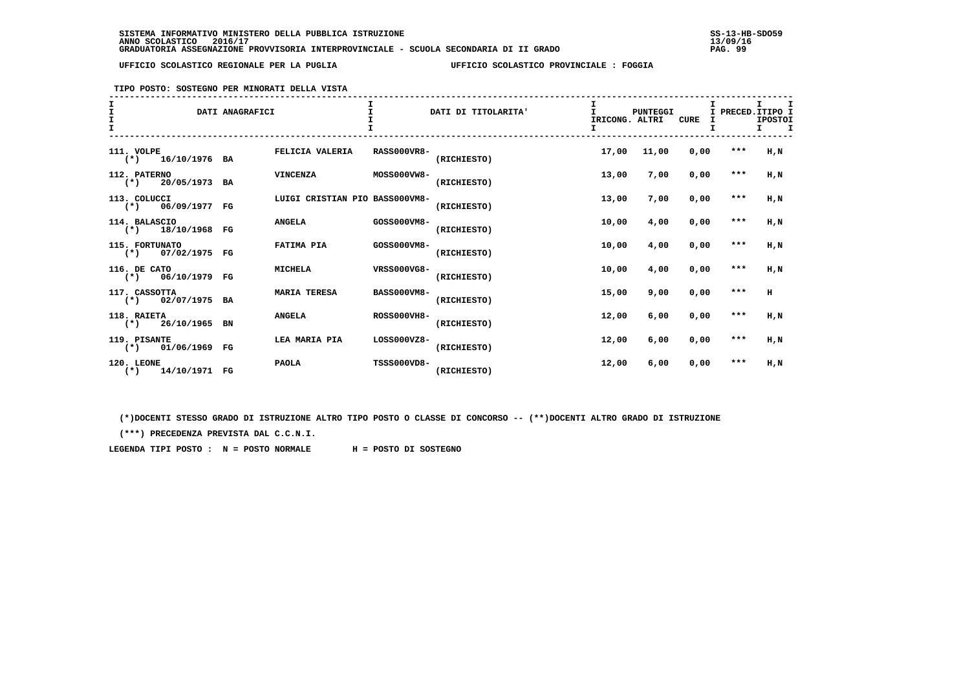**TIPO POSTO: SOSTEGNO PER MINORATI DELLA VISTA**

| I<br>$\mathbf{I}$<br>I |                                        | DATI ANAGRAFICI |                                |                    | DATI DI TITOLARITA' | T<br>IRICONG. ALTRI<br>I. | PUNTEGGI | <b>CURE</b> | I PRECED. ITIPO I | I.<br><b>IPOSTOI</b><br>т.<br>п |
|------------------------|----------------------------------------|-----------------|--------------------------------|--------------------|---------------------|---------------------------|----------|-------------|-------------------|---------------------------------|
|                        | 111. VOLPE<br>$(*)$ 16/10/1976 BA      |                 | FELICIA VALERIA                | <b>RASS000VR8-</b> | (RICHIESTO)         | 17,00                     | 11,00    | 0.00        | $***$             | $H$ , $N$                       |
|                        | 112. PATERNO<br>$(*)$<br>20/05/1973 BA |                 | <b>VINCENZA</b>                | MOSS000VW8-        | (RICHIESTO)         | 13,00                     | 7,00     | 0,00        | $***$             | $H$ , $N$                       |
|                        | 113. COLUCCI<br>$(*)$ 06/09/1977 FG    |                 | LUIGI CRISTIAN PIO BASS000VM8- |                    | (RICHIESTO)         | 13,00                     | 7,00     | 0,00        | ***               | H,N                             |
|                        | 114. BALASCIO<br>$(*)$ 18/10/1968 FG   |                 | <b>ANGELA</b>                  | GOSS000VM8-        | (RICHIESTO)         | 10,00                     | 4,00     | 0,00        | $***$             | H,N                             |
|                        | 115. FORTUNATO<br>$(*)$ 07/02/1975 FG  |                 | FATIMA PIA                     | GOSS000VM8-        | (RICHIESTO)         | 10,00                     | 4,00     | 0,00        | $***$             | H,N                             |
|                        | 116. DE CATO<br>$(*)$ 06/10/1979 FG    |                 | <b>MICHELA</b>                 | VRSS000VG8-        | (RICHIESTO)         | 10,00                     | 4,00     | 0,00        | $***$             | H,N                             |
|                        | 117. CASSOTTA<br>$(*)$ 02/07/1975 BA   |                 | <b>MARIA TERESA</b>            | <b>BASS000VM8-</b> | (RICHIESTO)         | 15,00                     | 9,00     | 0.00        | $***$             | H                               |
|                        | 118. RAIETA<br>$(*)$ 26/10/1965 BN     |                 | <b>ANGELA</b>                  | <b>ROSS000VH8-</b> | (RICHIESTO)         | 12,00                     | 6,00     | 0,00        | $***$             | H,N                             |
|                        | 119. PISANTE<br>$(*)$ 01/06/1969 FG    |                 | LEA MARIA PIA                  | $LOS000VZ8-$       | (RICHIESTO)         | 12,00                     | 6,00     | 0,00        | $***$             | H.N                             |
|                        | 120. LEONE<br>$(*)$ 14/10/1971 FG      |                 | <b>PAOLA</b>                   | <b>TSSS000VD8-</b> | (RICHIESTO)         | 12,00                     | 6,00     | 0,00        | ***               | H,N                             |

 **(\*)DOCENTI STESSO GRADO DI ISTRUZIONE ALTRO TIPO POSTO O CLASSE DI CONCORSO -- (\*\*)DOCENTI ALTRO GRADO DI ISTRUZIONE**

 **(\*\*\*) PRECEDENZA PREVISTA DAL C.C.N.I.**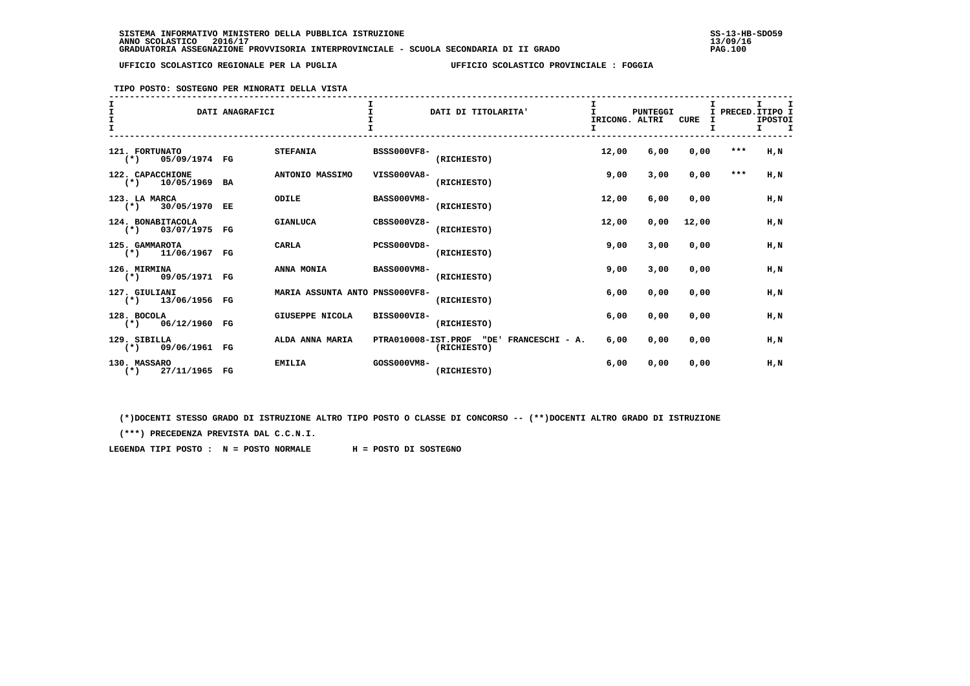**TIPO POSTO: SOSTEGNO PER MINORATI DELLA VISTA**

| T<br>$\mathbf{I}$<br>$\mathbf{T}$ |                                             | DATI ANAGRAFICI |                                | $\mathbf{T}$        | DATI DI TITOLARITA'                    | I<br>T.<br>IRICONG. ALTRI | PUNTEGGI | CURE  |       | т<br>I PRECED. ITIPO I<br><b>IPOSTOI</b><br>т. |
|-----------------------------------|---------------------------------------------|-----------------|--------------------------------|---------------------|----------------------------------------|---------------------------|----------|-------|-------|------------------------------------------------|
|                                   | 121. FORTUNATO<br>05/09/1974 FG<br>$(*)$    |                 | <b>STEFANIA</b>                | <b>BSSS000VF8-</b>  | (RICHIESTO)                            | 12,00                     | 6,00     | 0,00  | $***$ | $H$ , $N$                                      |
|                                   | 122. CAPACCHIONE<br>$(*)$<br>10/05/1969 BA  |                 | ANTONIO MASSIMO                | VISS000VA8-         | (RICHIESTO)                            | 9,00                      | 3,00     | 0,00  | $***$ | H,N                                            |
|                                   | 123. LA MARCA<br>30/05/1970 EE<br>$(\star)$ |                 | ODILE                          | <b>BASS000VM8-</b>  | (RICHIESTO)                            | 12,00                     | 6,00     | 0,00  |       | $H$ , $N$                                      |
|                                   | 124. BONABITACOLA<br>$(*)$ 03/07/1975 FG    |                 | <b>GIANLUCA</b>                | CBSS000VZ8-         | (RICHIESTO)                            | 12,00                     | 0,00     | 12,00 |       | H,N                                            |
|                                   | 125. GAMMAROTA<br>$(*)$ 11/06/1967 FG       |                 | CARLA                          | <b>PCSS000VD8-</b>  | (RICHIESTO)                            | 9,00                      | 3,00     | 0,00  |       | $H$ , $N$                                      |
|                                   | 126. MIRMINA<br>$(*)$ 09/05/1971 FG         |                 | ANNA MONIA                     | <b>BASS000VM8-</b>  | (RICHIESTO)                            | 9,00                      | 3,00     | 0,00  |       | H.N                                            |
|                                   | 127. GIULIANI<br>$(*)$ 13/06/1956 FG        |                 | MARIA ASSUNTA ANTO PNSS000VF8- |                     | (RICHIESTO)                            | 6,00                      | 0,00     | 0,00  |       | H.N                                            |
|                                   | 128. BOCOLA<br>$(*)$ 06/12/1960 FG          |                 | GIUSEPPE NICOLA                | BISS000VI8-         | (RICHIESTO)                            | 6,00                      | 0,00     | 0.00  |       | H.N                                            |
|                                   | 129. SIBILLA<br>$(*)$ 09/06/1961 FG         |                 | ALDA ANNA MARIA                | PTRA010008-IST.PROF | "DE'<br>FRANCESCHI - A.<br>(RICHIESTO) | 6,00                      | 0,00     | 0,00  |       | H.N                                            |
|                                   | 130. MASSARO<br>27/11/1965 FG<br>$(*)$      |                 | <b>EMILIA</b>                  | GOSS000VM8-         | (RICHIESTO)                            | 6,00                      | 0,00     | 0,00  |       | $H$ , $N$                                      |

 **(\*)DOCENTI STESSO GRADO DI ISTRUZIONE ALTRO TIPO POSTO O CLASSE DI CONCORSO -- (\*\*)DOCENTI ALTRO GRADO DI ISTRUZIONE**

 **(\*\*\*) PRECEDENZA PREVISTA DAL C.C.N.I.**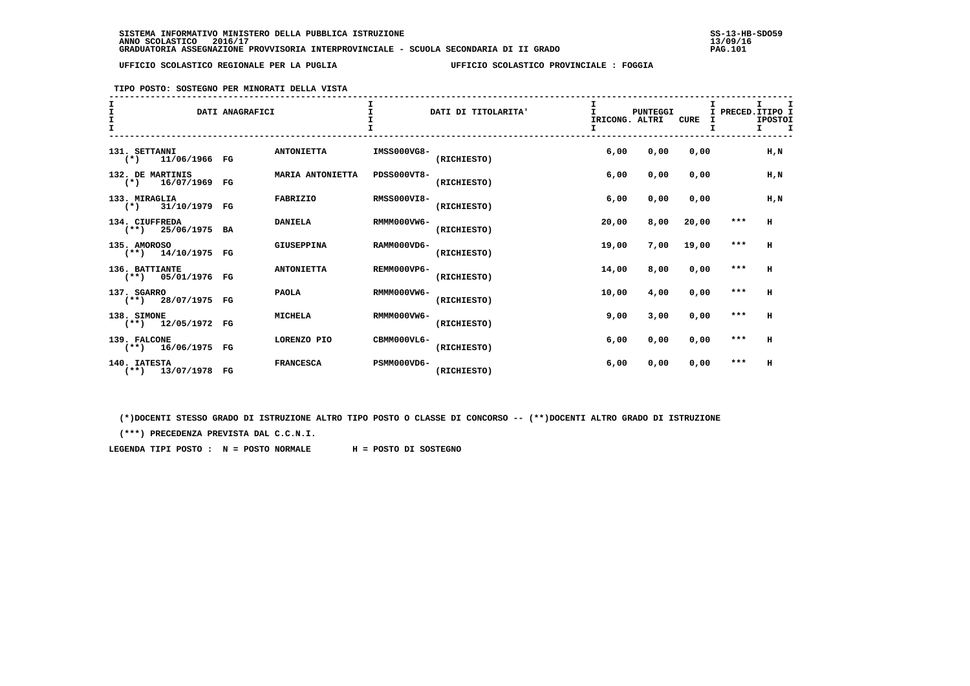**TIPO POSTO: SOSTEGNO PER MINORATI DELLA VISTA**

| T.<br>T<br>T |                                                | DATI ANAGRAFICI |                   | I.                 | DATI DI TITOLARITA' | т<br>IRICONG. ALTRI<br>I. | PUNTEGGI | <b>CURE</b> | I PRECED. ITIPO I<br>т | I.<br><b>IPOSTOI</b><br>I. |
|--------------|------------------------------------------------|-----------------|-------------------|--------------------|---------------------|---------------------------|----------|-------------|------------------------|----------------------------|
|              | 131. SETTANNI<br>$(*)$ 11/06/1966 FG           |                 | <b>ANTONIETTA</b> | IMSS000VG8-        | (RICHIESTO)         | 6,00                      | 0,00     | 0,00        |                        | H, N                       |
|              | 132. DE MARTINIS<br>16/07/1969 FG<br>$(\star)$ |                 | MARIA ANTONIETTA  | PDSS000VT8-        | (RICHIESTO)         | 6,00                      | 0,00     | 0.00        |                        | $H$ , $N$                  |
|              | 133. MIRAGLIA<br>$(*)$ 31/10/1979 FG           |                 | <b>FABRIZIO</b>   | <b>RMSS000VI8-</b> | (RICHIESTO)         | 6,00                      | 0,00     | 0,00        |                        | H, N                       |
|              | 134. CIUFFREDA<br>$(**)$ 25/06/1975 BA         |                 | <b>DANIELA</b>    | RMMM000VW6-        | (RICHIESTO)         | 20,00                     | 8,00     | 20,00       | $***$                  | H                          |
|              | 135. AMOROSO<br>$(**)$ 14/10/1975 FG           |                 | GIUSEPPINA        | RAMM000VD6-        | (RICHIESTO)         | 19,00                     | 7,00     | 19,00       | $***$                  | H                          |
|              | 136. BATTIANTE<br>$(**)$ 05/01/1976 FG         |                 | <b>ANTONIETTA</b> | REMM000VP6-        | (RICHIESTO)         | 14,00                     | 8,00     | 0,00        | $* * *$                | H                          |
|              | 137. SGARRO<br>$(**)$ 28/07/1975 FG            |                 | <b>PAOLA</b>      | RMMM000VW6-        | (RICHIESTO)         | 10,00                     | 4,00     | 0,00        | $***$                  | H                          |
|              | 138. SIMONE<br>(**) 12/05/1972 FG              |                 | <b>MICHELA</b>    | RMMM000VW6-        | (RICHIESTO)         | 9,00                      | 3,00     | 0,00        | $***$                  | H                          |
|              | 139. FALCONE<br>$(**)$ 16/06/1975 FG           |                 | LORENZO PIO       | CBMM000VL6-        | (RICHIESTO)         | 6,00                      | 0,00     | 0,00        | $***$                  | H                          |
|              | 140. IATESTA<br>$(**)$ 13/07/1978 FG           |                 | <b>FRANCESCA</b>  | PSMM000VD6-        | (RICHIESTO)         | 6,00                      | 0,00     | 0,00        | $***$                  | н                          |

 **(\*)DOCENTI STESSO GRADO DI ISTRUZIONE ALTRO TIPO POSTO O CLASSE DI CONCORSO -- (\*\*)DOCENTI ALTRO GRADO DI ISTRUZIONE**

 **(\*\*\*) PRECEDENZA PREVISTA DAL C.C.N.I.**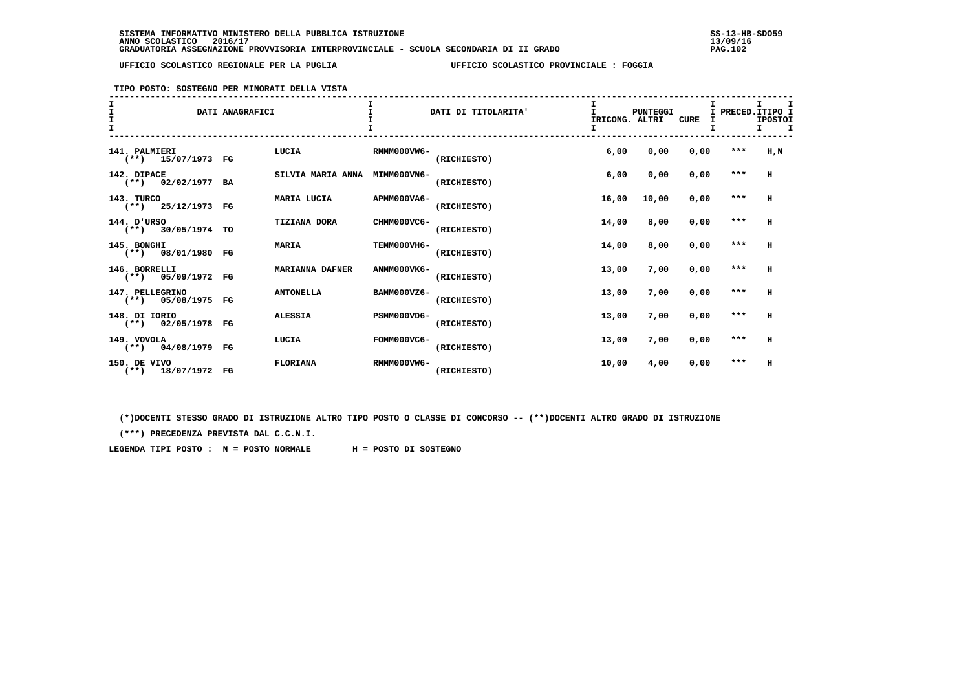**TIPO POSTO: SOSTEGNO PER MINORATI DELLA VISTA**

| I<br>ī<br>I     |                      | DATI ANAGRAFICI |                        |             | DATI DI TITOLARITA' | IRICONG. ALTRI<br>т | PUNTEGGI | <b>CURE</b> | I PRECED. ITIPO I | I.<br><b>IPOSTOI</b><br>т. |
|-----------------|----------------------|-----------------|------------------------|-------------|---------------------|---------------------|----------|-------------|-------------------|----------------------------|
| 141. PALMIERI   | $(**)$ 15/07/1973 FG |                 | LUCIA                  | RMMM000VW6- | (RICHIESTO)         | 6,00                | 0,00     | 0,00        | $***$             | H,N                        |
| 142. DIPACE     | $(**)$ 02/02/1977 BA |                 | SILVIA MARIA ANNA      | MIMM000VN6- | (RICHIESTO)         | 6,00                | 0,00     | 0,00        | $***$             | H                          |
| 143. TURCO      | $(**)$ 25/12/1973 FG |                 | MARIA LUCIA            | APMM000VA6- | (RICHIESTO)         | 16,00               | 10,00    | 0,00        | $***$             | н                          |
| 144. D'URSO     | $(**)$ 30/05/1974 TO |                 | <b>TIZIANA DORA</b>    | CHMM000VC6- | (RICHIESTO)         | 14,00               | 8,00     | 0,00        | $***$             | H                          |
| 145. BONGHI     | $(**)$ 08/01/1980 FG |                 | <b>MARIA</b>           | TEMM000VH6- | (RICHIESTO)         | 14,00               | 8,00     | 0,00        | $***$             | H                          |
| 146. BORRELLI   | $(**)$ 05/09/1972 FG |                 | <b>MARIANNA DAFNER</b> | ANMM000VK6- | (RICHIESTO)         | 13,00               | 7,00     | 0,00        | $***$             | H                          |
| 147. PELLEGRINO | $(**)$ 05/08/1975 FG |                 | <b>ANTONELLA</b>       | BAMM000VZ6- | (RICHIESTO)         | 13,00               | 7,00     | 0,00        | $***$             | H                          |
| 148. DI IORIO   | $(**)$ 02/05/1978 FG |                 | <b>ALESSIA</b>         | PSMM000VD6- | (RICHIESTO)         | 13,00               | 7,00     | 0,00        | $***$             | H                          |
| 149. VOVOLA     | $(**)$ 04/08/1979 FG |                 | LUCIA                  | FOMM000VC6- | (RICHIESTO)         | 13,00               | 7,00     | 0,00        | $***$             | H                          |
| 150. DE VIVO    | $(**)$ 18/07/1972 FG |                 | <b>FLORIANA</b>        | RMMM000VW6- | (RICHIESTO)         | 10,00               | 4,00     | 0,00        | ***               | H                          |

 **(\*)DOCENTI STESSO GRADO DI ISTRUZIONE ALTRO TIPO POSTO O CLASSE DI CONCORSO -- (\*\*)DOCENTI ALTRO GRADO DI ISTRUZIONE**

 **(\*\*\*) PRECEDENZA PREVISTA DAL C.C.N.I.**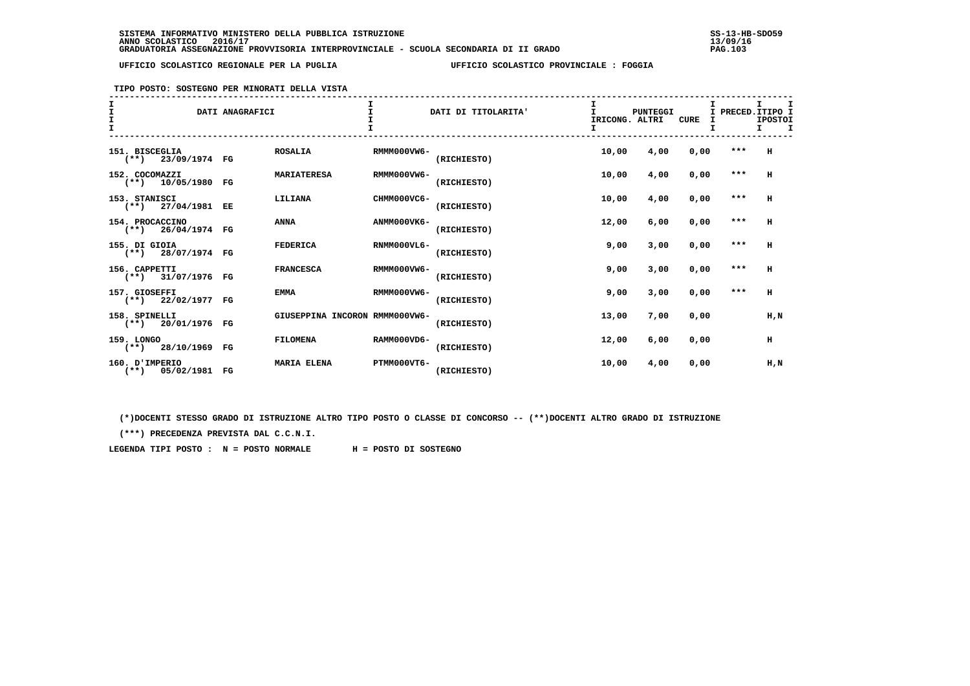**TIPO POSTO: SOSTEGNO PER MINORATI DELLA VISTA**

| T<br>$\mathbf{T}$ |                                         | DATI ANAGRAFICI |                                |             | DATI DI TITOLARITA' | T.<br>IRICONG. ALTRI | PUNTEGGI | CURE | I PRECED. ITIPO I | т.<br><b>IPOSTOI</b> |  |
|-------------------|-----------------------------------------|-----------------|--------------------------------|-------------|---------------------|----------------------|----------|------|-------------------|----------------------|--|
|                   | 151. BISCEGLIA<br>$(**)$ 23/09/1974 FG  |                 | <b>ROSALIA</b>                 | RMMM000VW6- | (RICHIESTO)         | 10,00                | 4,00     | 0,00 | $***$             | н                    |  |
|                   | 152. COCOMAZZI<br>$(**)$ 10/05/1980 FG  |                 | <b>MARIATERESA</b>             | RMMM000VW6- | (RICHIESTO)         | 10,00                | 4,00     | 0,00 | ***               | н                    |  |
|                   | 153. STANISCI<br>$(**)$ 27/04/1981 EE   |                 | LILIANA                        | CHMM000VC6- | (RICHIESTO)         | 10,00                | 4,00     | 0,00 | $***$             | H                    |  |
|                   | 154. PROCACCINO<br>$(**)$ 26/04/1974 FG |                 | ANNA                           | ANMM000VK6- | (RICHIESTO)         | 12,00                | 6,00     | 0,00 | $***$             | н                    |  |
|                   | 155. DI GIOIA<br>$(**)$ 28/07/1974 FG   |                 | <b>FEDERICA</b>                | RNMM000VL6- | (RICHIESTO)         | 9,00                 | 3,00     | 0,00 | $***$             | н                    |  |
|                   | 156. CAPPETTI<br>$(**)$ 31/07/1976 FG   |                 | <b>FRANCESCA</b>               | RMMM000VW6- | (RICHIESTO)         | 9,00                 | 3,00     | 0,00 | $***$             | H                    |  |
|                   | 157. GIOSEFFI<br>$(**)$ 22/02/1977 FG   |                 | <b>EMMA</b>                    | RMMM000VW6- | (RICHIESTO)         | 9,00                 | 3,00     | 0,00 | ***               | н                    |  |
|                   | 158. SPINELLI<br>$(**)$ 20/01/1976 FG   |                 | GIUSEPPINA INCORON RMMM000VW6- |             | (RICHIESTO)         | 13,00                | 7,00     | 0,00 |                   | $H$ , $N$            |  |
|                   | 159. LONGO<br>$(**)$ 28/10/1969 FG      |                 | <b>FILOMENA</b>                | RAMM000VD6- | (RICHIESTO)         | 12,00                | 6,00     | 0.00 |                   | н                    |  |
|                   | 160. D'IMPERIO<br>$(**)$ 05/02/1981 FG  |                 | <b>MARIA ELENA</b>             | PTMM000VT6- | (RICHIESTO)         | 10,00                | 4,00     | 0.00 |                   | $H$ , $N$            |  |

 **(\*)DOCENTI STESSO GRADO DI ISTRUZIONE ALTRO TIPO POSTO O CLASSE DI CONCORSO -- (\*\*)DOCENTI ALTRO GRADO DI ISTRUZIONE**

 **(\*\*\*) PRECEDENZA PREVISTA DAL C.C.N.I.**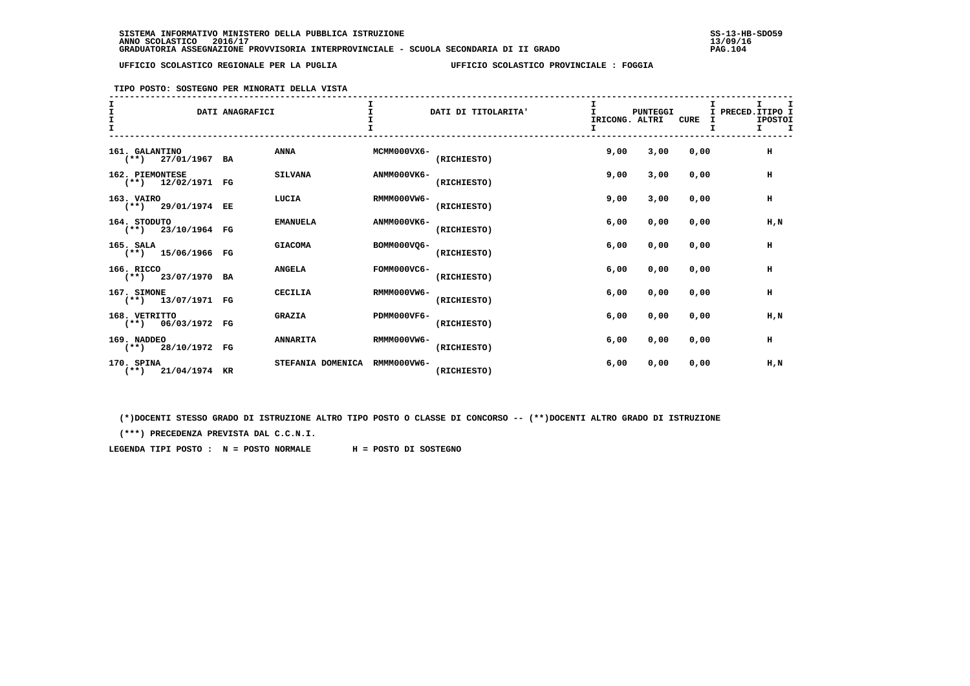# **TIPO POSTO: SOSTEGNO PER MINORATI DELLA VISTA**

|                                         | DATI ANAGRAFICI |                   |             | DATI DI TITOLARITA' | IRICONG. ALTRI | <b>PUNTEGGI</b> | <b>CURE</b> | I PRECED. ITIPO I | т.<br><b>IPOSTOI</b><br>$\mathbf{T}$<br>T. |
|-----------------------------------------|-----------------|-------------------|-------------|---------------------|----------------|-----------------|-------------|-------------------|--------------------------------------------|
| 161. GALANTINO<br>$(**)$ 27/01/1967 BA  |                 | ANNA              | MCMM000VX6- | (RICHIESTO)         | 9,00           | 3,00            | 0,00        |                   | н                                          |
| 162. PIEMONTESE<br>$(**)$ 12/02/1971 FG |                 | <b>SILVANA</b>    | ANMM000VK6- | (RICHIESTO)         | 9,00           | 3,00            | 0,00        |                   | н                                          |
| 163. VAIRO<br>$(**)$ 29/01/1974 EE      |                 | LUCIA             | RMMM000VW6- | (RICHIESTO)         | 9,00           | 3,00            | 0,00        |                   | н                                          |
| 164. STODUTO<br>$(**)$ 23/10/1964 FG    |                 | <b>EMANUELA</b>   | ANMM000VK6- | (RICHIESTO)         | 6,00           | 0,00            | 0,00        |                   | H,N                                        |
| 165. SALA<br>$(**)$ 15/06/1966 FG       |                 | <b>GIACOMA</b>    | BOMM000VO6- | (RICHIESTO)         | 6,00           | 0,00            | 0,00        |                   | н                                          |
| 166. RICCO<br>$(**)$ 23/07/1970 BA      |                 | <b>ANGELA</b>     | FOMM000VC6- | (RICHIESTO)         | 6,00           | 0,00            | 0.00        |                   | H                                          |
| 167. SIMONE<br>$(**)$ 13/07/1971 FG     |                 | <b>CECILIA</b>    | RMMM000VW6- | (RICHIESTO)         | 6,00           | 0,00            | 0,00        |                   | н                                          |
| 168. VETRITTO<br>$(**)$ 06/03/1972 FG   |                 | <b>GRAZIA</b>     | PDMM000VF6- | (RICHIESTO)         | 6,00           | 0,00            | 0,00        |                   | H.N                                        |
| 169. NADDEO<br>(**) 28/10/1972 FG       |                 | <b>ANNARITA</b>   | RMMM000VW6- | (RICHIESTO)         | 6,00           | 0,00            | 0,00        |                   | н                                          |
| 170. SPINA<br>$(**)$ 21/04/1974 KR      |                 | STEFANIA DOMENICA | RMMM000VW6- | (RICHIESTO)         | 6,00           | 0,00            | 0,00        |                   | H,N                                        |

 **(\*)DOCENTI STESSO GRADO DI ISTRUZIONE ALTRO TIPO POSTO O CLASSE DI CONCORSO -- (\*\*)DOCENTI ALTRO GRADO DI ISTRUZIONE**

 **(\*\*\*) PRECEDENZA PREVISTA DAL C.C.N.I.**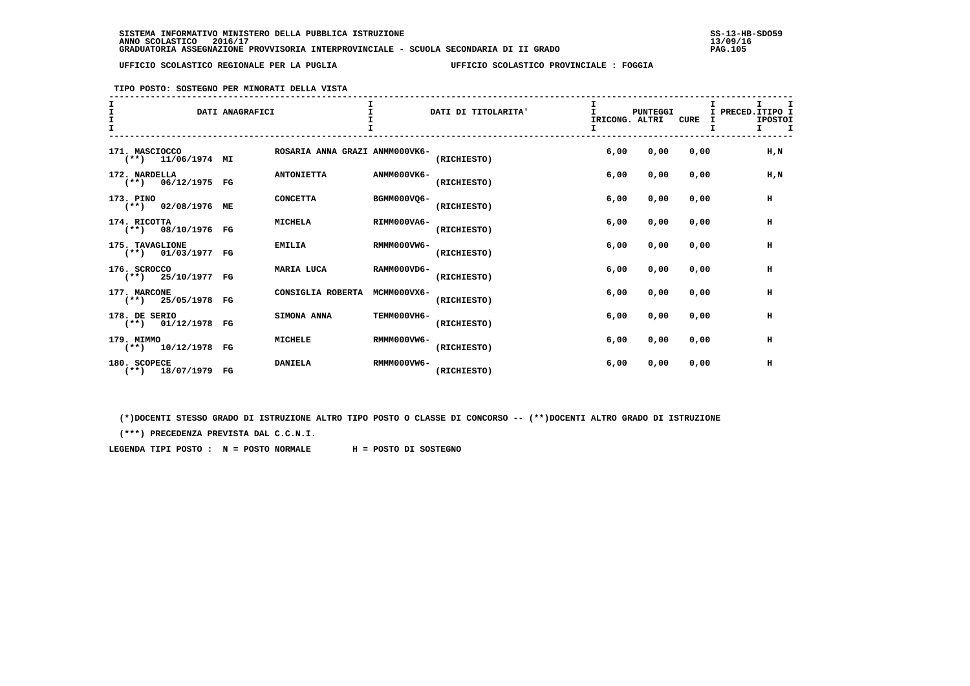**TIPO POSTO: SOSTEGNO PER MINORATI DELLA VISTA**

| $\mathbf{I}$<br>$\mathbf{T}$ |                                         | DATI ANAGRAFICI |                                |             | DATI DI TITOLARITA' | IRICONG. ALTRI | PUNTEGGI | <b>CURE</b> | I.<br>I PRECED. ITIPO I<br><b>IPOSTOI</b><br>т. |
|------------------------------|-----------------------------------------|-----------------|--------------------------------|-------------|---------------------|----------------|----------|-------------|-------------------------------------------------|
|                              | 171. MASCIOCCO<br>$(**)$ 11/06/1974 MI  |                 | ROSARIA ANNA GRAZI ANMM000VK6- |             | (RICHIESTO)         | 6,00           | 0,00     | 0,00        | H, N                                            |
|                              | 172. NARDELLA<br>$(**)$ 06/12/1975 FG   |                 | <b>ANTONIETTA</b>              | ANMM000VK6- | (RICHIESTO)         | 6,00           | 0,00     | 0,00        | H, N                                            |
|                              | 173. PINO<br>(**) 02/08/1976 ME         |                 | <b>CONCETTA</b>                | BGMM000VO6- | (RICHIESTO)         | 6,00           | 0,00     | 0.00        | н                                               |
|                              | 174. RICOTTA<br>$(**)$ 08/10/1976 FG    |                 | <b>MICHELA</b>                 | RIMM000VA6- | (RICHIESTO)         | 6,00           | 0,00     | 0,00        | н                                               |
|                              | 175. TAVAGLIONE<br>$(**)$ 01/03/1977 FG |                 | <b>EMILIA</b>                  | RMMM000VW6- | (RICHIESTO)         | 6,00           | 0,00     | 0,00        | н                                               |
|                              | 176. SCROCCO<br>$(**)$ 25/10/1977 FG    |                 | MARIA LUCA                     | RAMM000VD6- | (RICHIESTO)         | 6,00           | 0,00     | 0.00        | н                                               |
|                              | 177. MARCONE<br>$(**)$ 25/05/1978 FG    |                 | CONSIGLIA ROBERTA              | MCMM000VX6- | (RICHIESTO)         | 6,00           | 0,00     | 0.00        | $\,$ H                                          |
|                              | 178. DE SERIO<br>$(**)$ 01/12/1978 FG   |                 | SIMONA ANNA                    | TEMM000VH6- | (RICHIESTO)         | 6,00           | 0,00     | 0.00        | н                                               |
|                              | 179. MIMMO<br>$(**)$ 10/12/1978 FG      |                 | <b>MICHELE</b>                 | RMMM000VW6- | (RICHIESTO)         | 6,00           | 0,00     | 0.00        | н                                               |
|                              | 180. SCOPECE<br>$(**)$ 18/07/1979 FG    |                 | <b>DANIELA</b>                 | RMMM000VW6- | (RICHIESTO)         | 6,00           | 0,00     | 0,00        | н                                               |

 **(\*)DOCENTI STESSO GRADO DI ISTRUZIONE ALTRO TIPO POSTO O CLASSE DI CONCORSO -- (\*\*)DOCENTI ALTRO GRADO DI ISTRUZIONE**

 **(\*\*\*) PRECEDENZA PREVISTA DAL C.C.N.I.**